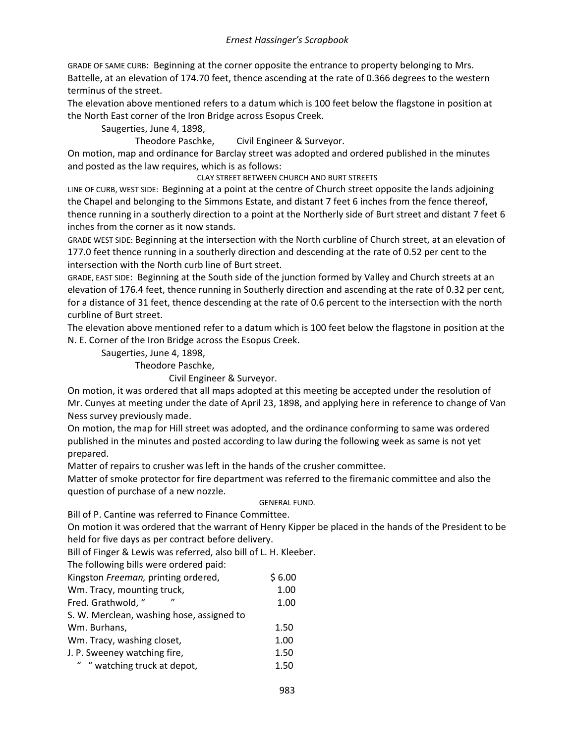GRADE OF SAME CURB: Beginning at the corner opposite the entrance to property belonging to Mrs. Battelle, at an elevation of 174.70 feet, thence ascending at the rate of 0.366 degrees to the western terminus of the street.

The elevation above mentioned refers to a datum which is 100 feet below the flagstone in position at the North East corner of the Iron Bridge across Esopus Creek.

Saugerties, June 4, 1898,

Theodore Paschke, Civil Engineer & Surveyor.

On motion, map and ordinance for Barclay street was adopted and ordered published in the minutes and posted as the law requires, which is as follows:

CLAY STREET BETWEEN CHURCH AND BURT STREETS

LINE OF CURB, WEST SIDE: Beginning at a point at the centre of Church street opposite the lands adjoining the Chapel and belonging to the Simmons Estate, and distant 7 feet 6 inches from the fence thereof, thence running in a southerly direction to a point at the Northerly side of Burt street and distant 7 feet 6 inches from the corner as it now stands.

GRADE WEST SIDE: Beginning at the intersection with the North curbline of Church street, at an elevation of 177.0 feet thence running in a southerly direction and descending at the rate of 0.52 per cent to the intersection with the North curb line of Burt street.

GRADE, EAST SIDE: Beginning at the South side of the junction formed by Valley and Church streets at an elevation of 176.4 feet, thence running in Southerly direction and ascending at the rate of 0.32 per cent, for a distance of 31 feet, thence descending at the rate of 0.6 percent to the intersection with the north curbline of Burt street.

The elevation above mentioned refer to a datum which is 100 feet below the flagstone in position at the N. E. Corner of the Iron Bridge across the Esopus Creek.

Saugerties, June 4, 1898,

Theodore Paschke,

Civil Engineer & Surveyor.

On motion, it was ordered that all maps adopted at this meeting be accepted under the resolution of Mr. Cunyes at meeting under the date of April 23, 1898, and applying here in reference to change of Van Ness survey previously made.

On motion, the map for Hill street was adopted, and the ordinance conforming to same was ordered published in the minutes and posted according to law during the following week as same is not yet prepared.

Matter of repairs to crusher was left in the hands of the crusher committee.

Matter of smoke protector for fire department was referred to the firemanic committee and also the question of purchase of a new nozzle.

#### GENERAL FUND.

Bill of P. Cantine was referred to Finance Committee.

On motion it was ordered that the warrant of Henry Kipper be placed in the hands of the President to be held for five days as per contract before delivery.

Bill of Finger & Lewis was referred, also bill of L. H. Kleeber.

The following bills were ordered paid:

| Kingston Freeman, printing ordered,       | \$6.00 |
|-------------------------------------------|--------|
| Wm. Tracy, mounting truck,                | 1.00   |
| Fred. Grathwold, "<br>$^{\prime\prime}$   | 1.00   |
| S. W. Merclean, washing hose, assigned to |        |
| Wm. Burhans,                              | 1.50   |
| Wm. Tracy, washing closet,                | 1.00   |
| J. P. Sweeney watching fire,              | 1.50   |
| " "watching truck at depot,               | 1.50   |
|                                           |        |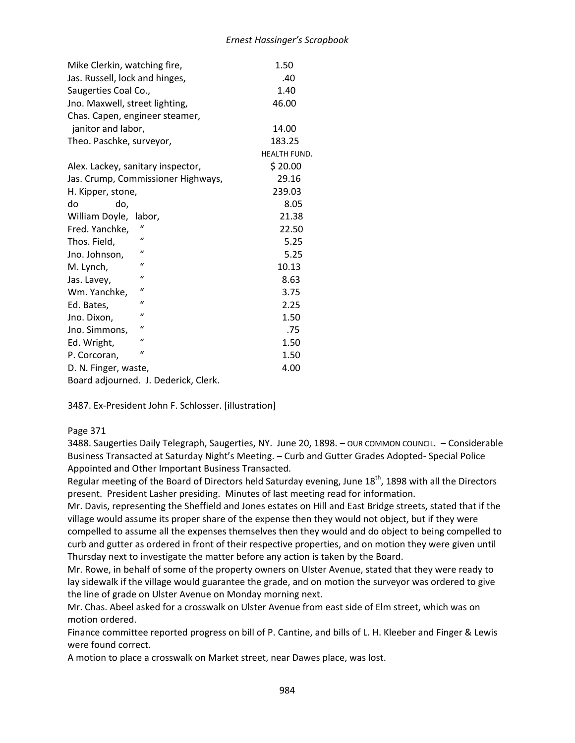| Mike Clerkin, watching fire,         | 1.50         |
|--------------------------------------|--------------|
| Jas. Russell, lock and hinges,       | .40          |
| Saugerties Coal Co.,                 | 1.40         |
| Jno. Maxwell, street lighting,       | 46.00        |
| Chas. Capen, engineer steamer,       |              |
| janitor and labor,                   | 14.00        |
| Theo. Paschke, surveyor,             | 183.25       |
|                                      | HEALTH FUND. |
| Alex. Lackey, sanitary inspector,    | \$20.00      |
| Jas. Crump, Commissioner Highways,   | 29.16        |
| H. Kipper, stone,                    | 239.03       |
| do<br>do,                            | 8.05         |
| William Doyle,<br>labor,             | 21.38        |
| Fred. Yanchke,                       | 22.50        |
| $\mathbf{u}$<br>Thos. Field,         | 5.25         |
| $\mathcal{U}$<br>Jno. Johnson,       | 5.25         |
| $\mathcal{U}$<br>M. Lynch,           | 10.13        |
| $\mathbf{u}$<br>Jas. Lavey,          | 8.63         |
| $\mathbf{u}$<br>Wm. Yanchke,         | 3.75         |
| $\mathbf{u}$<br>Ed. Bates,           | 2.25         |
| $\mathcal{U}$<br>Jno. Dixon,         | 1.50         |
| $\iota$<br>Jno. Simmons,             | .75          |
| $\mathcal{U}$<br>Ed. Wright,         | 1.50         |
| $\mathbf{u}$<br>P. Corcoran,         | 1.50         |
| D. N. Finger, waste,                 | 4.00         |
| Board adjourned. J. Dederick, Clerk. |              |

3487. Ex-President John F. Schlosser. [illustration]

# Page 371

3488. Saugerties Daily Telegraph, Saugerties, NY. June 20, 1898. – OUR COMMON COUNCIL. – Considerable Business Transacted at Saturday Night's Meeting. – Curb and Gutter Grades Adopted- Special Police Appointed and Other Important Business Transacted.

Regular meeting of the Board of Directors held Saturday evening, June 18<sup>th</sup>, 1898 with all the Directors present. President Lasher presiding. Minutes of last meeting read for information.

Mr. Davis, representing the Sheffield and Jones estates on Hill and East Bridge streets, stated that if the village would assume its proper share of the expense then they would not object, but if they were compelled to assume all the expenses themselves then they would and do object to being compelled to curb and gutter as ordered in front of their respective properties, and on motion they were given until Thursday next to investigate the matter before any action is taken by the Board.

Mr. Rowe, in behalf of some of the property owners on Ulster Avenue, stated that they were ready to lay sidewalk if the village would guarantee the grade, and on motion the surveyor was ordered to give the line of grade on Ulster Avenue on Monday morning next.

Mr. Chas. Abeel asked for a crosswalk on Ulster Avenue from east side of Elm street, which was on motion ordered.

Finance committee reported progress on bill of P. Cantine, and bills of L. H. Kleeber and Finger & Lewis were found correct.

A motion to place a crosswalk on Market street, near Dawes place, was lost.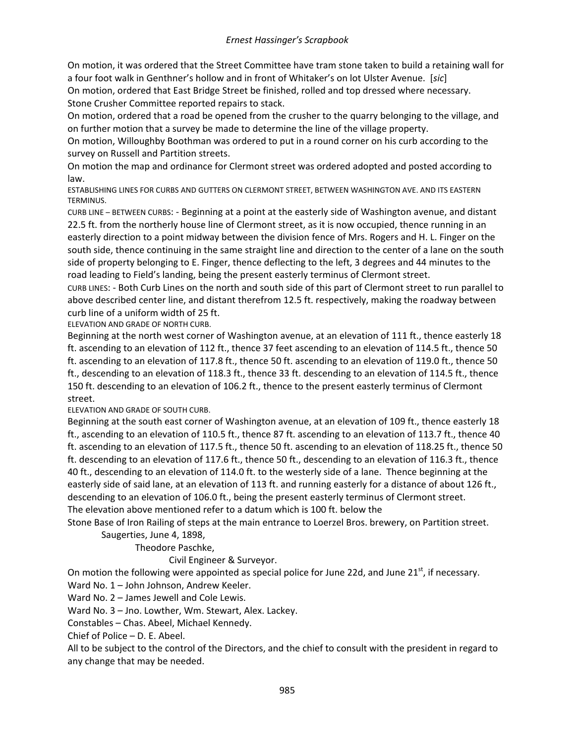On motion, it was ordered that the Street Committee have tram stone taken to build a retaining wall for a four foot walk in Genthner's hollow and in front of Whitaker's on lot Ulster Avenue. [*sic*]

On motion, ordered that East Bridge Street be finished, rolled and top dressed where necessary. Stone Crusher Committee reported repairs to stack.

On motion, ordered that a road be opened from the crusher to the quarry belonging to the village, and on further motion that a survey be made to determine the line of the village property.

On motion, Willoughby Boothman was ordered to put in a round corner on his curb according to the survey on Russell and Partition streets.

On motion the map and ordinance for Clermont street was ordered adopted and posted according to law.

ESTABLISHING LINES FOR CURBS AND GUTTERS ON CLERMONT STREET, BETWEEN WASHINGTON AVE. AND ITS EASTERN TERMINUS.

CURB LINE – BETWEEN CURBS: - Beginning at a point at the easterly side of Washington avenue, and distant 22.5 ft. from the northerly house line of Clermont street, as it is now occupied, thence running in an easterly direction to a point midway between the division fence of Mrs. Rogers and H. L. Finger on the south side, thence continuing in the same straight line and direction to the center of a lane on the south side of property belonging to E. Finger, thence deflecting to the left, 3 degrees and 44 minutes to the road leading to Field's landing, being the present easterly terminus of Clermont street.

CURB LINES: - Both Curb Lines on the north and south side of this part of Clermont street to run parallel to above described center line, and distant therefrom 12.5 ft. respectively, making the roadway between curb line of a uniform width of 25 ft.

ELEVATION AND GRADE OF NORTH CURB.

Beginning at the north west corner of Washington avenue, at an elevation of 111 ft., thence easterly 18 ft. ascending to an elevation of 112 ft., thence 37 feet ascending to an elevation of 114.5 ft., thence 50 ft. ascending to an elevation of 117.8 ft., thence 50 ft. ascending to an elevation of 119.0 ft., thence 50 ft., descending to an elevation of 118.3 ft., thence 33 ft. descending to an elevation of 114.5 ft., thence 150 ft. descending to an elevation of 106.2 ft., thence to the present easterly terminus of Clermont street.

ELEVATION AND GRADE OF SOUTH CURB.

Beginning at the south east corner of Washington avenue, at an elevation of 109 ft., thence easterly 18 ft., ascending to an elevation of 110.5 ft., thence 87 ft. ascending to an elevation of 113.7 ft., thence 40 ft. ascending to an elevation of 117.5 ft., thence 50 ft. ascending to an elevation of 118.25 ft., thence 50 ft. descending to an elevation of 117.6 ft., thence 50 ft., descending to an elevation of 116.3 ft., thence 40 ft., descending to an elevation of 114.0 ft. to the westerly side of a lane. Thence beginning at the easterly side of said lane, at an elevation of 113 ft. and running easterly for a distance of about 126 ft., descending to an elevation of 106.0 ft., being the present easterly terminus of Clermont street. The elevation above mentioned refer to a datum which is 100 ft. below the

Stone Base of Iron Railing of steps at the main entrance to Loerzel Bros. brewery, on Partition street.

Saugerties, June 4, 1898,

Theodore Paschke,

### Civil Engineer & Surveyor.

On motion the following were appointed as special police for June 22d, and June  $21<sup>st</sup>$ , if necessary. Ward No. 1 – John Johnson, Andrew Keeler.

Ward No. 2 – James Jewell and Cole Lewis.

Ward No. 3 – Jno. Lowther, Wm. Stewart, Alex. Lackey.

Constables – Chas. Abeel, Michael Kennedy.

Chief of Police – D. E. Abeel.

All to be subject to the control of the Directors, and the chief to consult with the president in regard to any change that may be needed.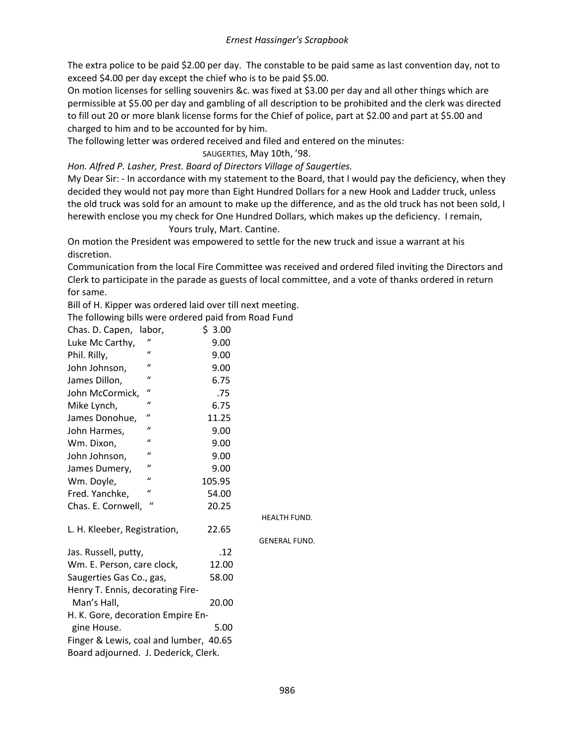The extra police to be paid \$2.00 per day. The constable to be paid same as last convention day, not to exceed \$4.00 per day except the chief who is to be paid \$5.00.

On motion licenses for selling souvenirs &c. was fixed at \$3.00 per day and all other things which are permissible at \$5.00 per day and gambling of all description to be prohibited and the clerk was directed to fill out 20 or more blank license forms for the Chief of police, part at \$2.00 and part at \$5.00 and charged to him and to be accounted for by him.

The following letter was ordered received and filed and entered on the minutes:

SAUGERTIES, May 10th, '98.

*Hon. Alfred P. Lasher, Prest. Board of Directors Village of Saugerties.*

My Dear Sir: - In accordance with my statement to the Board, that I would pay the deficiency, when they decided they would not pay more than Eight Hundred Dollars for a new Hook and Ladder truck, unless the old truck was sold for an amount to make up the difference, and as the old truck has not been sold, I herewith enclose you my check for One Hundred Dollars, which makes up the deficiency. I remain, Yours truly, Mart. Cantine.

On motion the President was empowered to settle for the new truck and issue a warrant at his discretion.

Communication from the local Fire Committee was received and ordered filed inviting the Directors and Clerk to participate in the parade as guests of local committee, and a vote of thanks ordered in return for same.

Bill of H. Kipper was ordered laid over till next meeting.

The following bills were ordered paid from Road Fund

| Chas. D. Capen,                        | labor,        | \$ 3.00 |                      |
|----------------------------------------|---------------|---------|----------------------|
| Luke Mc Carthy,                        |               | 9.00    |                      |
| Phil. Rilly,                           | $\mathbf{u}$  | 9.00    |                      |
| John Johnson,                          | $\mathcal{U}$ | 9.00    |                      |
| James Dillon,                          | $\iota$       | 6.75    |                      |
| John McCormick,                        | $\mathcal{U}$ | .75     |                      |
| Mike Lynch,                            | $\mathcal{U}$ | 6.75    |                      |
| James Donohue,                         | "             | 11.25   |                      |
| John Harmes,                           | $\mathcal{U}$ | 9.00    |                      |
| Wm. Dixon,                             | $\mathcal{U}$ | 9.00    |                      |
| John Johnson,                          | $\mathcal{U}$ | 9.00    |                      |
| James Dumery,                          | $\mathcal{U}$ | 9.00    |                      |
| Wm. Doyle,                             | $\mathcal{U}$ | 105.95  |                      |
| Fred. Yanchke,                         | $\mathcal{U}$ | 54.00   |                      |
| Chas. E. Cornwell,                     | $\iota$       | 20.25   |                      |
|                                        |               |         | <b>HEALTH FUND.</b>  |
| L. H. Kleeber, Registration,           |               | 22.65   |                      |
|                                        |               |         | <b>GENERAL FUND.</b> |
| Jas. Russell, putty,                   |               | .12     |                      |
| Wm. E. Person, care clock,             |               | 12.00   |                      |
| Saugerties Gas Co., gas,               |               | 58.00   |                      |
| Henry T. Ennis, decorating Fire-       |               |         |                      |
| Man's Hall,                            |               | 20.00   |                      |
| H. K. Gore, decoration Empire En-      |               |         |                      |
| gine House.                            |               | 5.00    |                      |
| Finger & Lewis, coal and lumber, 40.65 |               |         |                      |
| Board adjourned. J. Dederick, Clerk.   |               |         |                      |
|                                        |               |         |                      |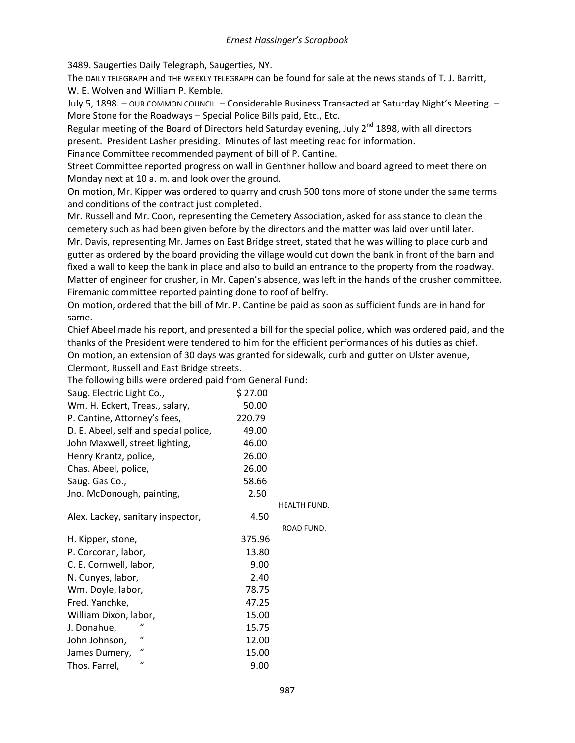3489. Saugerties Daily Telegraph, Saugerties, NY.

The DAILY TELEGRAPH and THE WEEKLY TELEGRAPH can be found for sale at the news stands of T. J. Barritt, W. E. Wolven and William P. Kemble.

July 5, 1898. – OUR COMMON COUNCIL. – Considerable Business Transacted at Saturday Night's Meeting. – More Stone for the Roadways – Special Police Bills paid, Etc., Etc.

Regular meeting of the Board of Directors held Saturday evening, July  $2^{nd}$  1898, with all directors present. President Lasher presiding. Minutes of last meeting read for information.

Finance Committee recommended payment of bill of P. Cantine.

Street Committee reported progress on wall in Genthner hollow and board agreed to meet there on Monday next at 10 a. m. and look over the ground.

On motion, Mr. Kipper was ordered to quarry and crush 500 tons more of stone under the same terms and conditions of the contract just completed.

Mr. Russell and Mr. Coon, representing the Cemetery Association, asked for assistance to clean the cemetery such as had been given before by the directors and the matter was laid over until later. Mr. Davis, representing Mr. James on East Bridge street, stated that he was willing to place curb and gutter as ordered by the board providing the village would cut down the bank in front of the barn and fixed a wall to keep the bank in place and also to build an entrance to the property from the roadway. Matter of engineer for crusher, in Mr. Capen's absence, was left in the hands of the crusher committee. Firemanic committee reported painting done to roof of belfry.

On motion, ordered that the bill of Mr. P. Cantine be paid as soon as sufficient funds are in hand for same.

Chief Abeel made his report, and presented a bill for the special police, which was ordered paid, and the thanks of the President were tendered to him for the efficient performances of his duties as chief. On motion, an extension of 30 days was granted for sidewalk, curb and gutter on Ulster avenue, Clermont, Russell and East Bridge streets.

| Saug. Electric Light Co.,             | \$27.00 |              |
|---------------------------------------|---------|--------------|
| Wm. H. Eckert, Treas., salary,        | 50.00   |              |
| P. Cantine, Attorney's fees,          | 220.79  |              |
| D. E. Abeel, self and special police, | 49.00   |              |
| John Maxwell, street lighting,        | 46.00   |              |
| Henry Krantz, police,                 | 26.00   |              |
| Chas. Abeel, police,                  | 26.00   |              |
| Saug. Gas Co.,                        | 58.66   |              |
| Jno. McDonough, painting,             | 2.50    |              |
|                                       |         | HEALTH FUND. |
| Alex. Lackey, sanitary inspector,     | 4.50    |              |
|                                       |         | ROAD FUND.   |
| H. Kipper, stone,                     | 375.96  |              |
| P. Corcoran, labor,                   | 13.80   |              |
| C. E. Cornwell, labor,                | 9.00    |              |
| N. Cunyes, labor,                     | 2.40    |              |
| Wm. Doyle, labor,                     | 78.75   |              |
| Fred. Yanchke,                        | 47.25   |              |
| William Dixon, labor,                 | 15.00   |              |
| J. Donahue,                           | 15.75   |              |
| "<br>John Johnson,                    | 12.00   |              |
| "<br>James Dumery,                    | 15.00   |              |
| $\mathbf{u}$<br>Thos. Farrel,         | 9.00    |              |

The following bills were ordered paid from General Fund: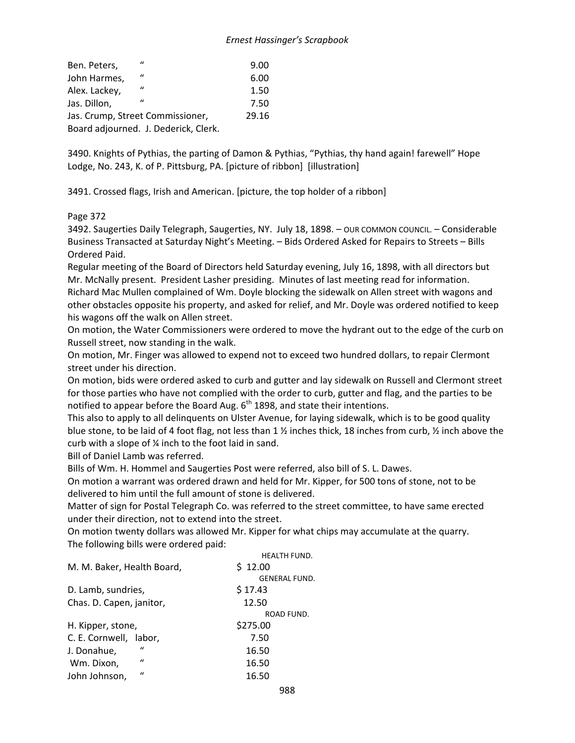| Ben. Peters,  | $\mathbf{u}$                         | 9.00  |
|---------------|--------------------------------------|-------|
| John Harmes,  | $\mathbf{u}$                         | 6.00  |
| Alex. Lackey, | $\bf{u}$                             | 1.50  |
| Jas. Dillon,  | $\mathbf{u}$                         | 7.50  |
|               | Jas. Crump, Street Commissioner,     | 29.16 |
|               | Board adjourned. J. Dederick, Clerk. |       |

3490. Knights of Pythias, the parting of Damon & Pythias, "Pythias, thy hand again! farewell" Hope Lodge, No. 243, K. of P. Pittsburg, PA. [picture of ribbon] [illustration]

3491. Crossed flags, Irish and American. [picture, the top holder of a ribbon]

### Page 372

3492. Saugerties Daily Telegraph, Saugerties, NY. July 18, 1898. – OUR COMMON COUNCIL. – Considerable Business Transacted at Saturday Night's Meeting. – Bids Ordered Asked for Repairs to Streets – Bills Ordered Paid.

Regular meeting of the Board of Directors held Saturday evening, July 16, 1898, with all directors but Mr. McNally present. President Lasher presiding. Minutes of last meeting read for information. Richard Mac Mullen complained of Wm. Doyle blocking the sidewalk on Allen street with wagons and other obstacles opposite his property, and asked for relief, and Mr. Doyle was ordered notified to keep his wagons off the walk on Allen street.

On motion, the Water Commissioners were ordered to move the hydrant out to the edge of the curb on Russell street, now standing in the walk.

On motion, Mr. Finger was allowed to expend not to exceed two hundred dollars, to repair Clermont street under his direction.

On motion, bids were ordered asked to curb and gutter and lay sidewalk on Russell and Clermont street for those parties who have not complied with the order to curb, gutter and flag, and the parties to be notified to appear before the Board Aug.  $6<sup>th</sup>$  1898, and state their intentions.

This also to apply to all delinquents on Ulster Avenue, for laying sidewalk, which is to be good quality blue stone, to be laid of 4 foot flag, not less than 1 ½ inches thick, 18 inches from curb, ½ inch above the curb with a slope of ¼ inch to the foot laid in sand.

Bill of Daniel Lamb was referred.

Bills of Wm. H. Hommel and Saugerties Post were referred, also bill of S. L. Dawes.

On motion a warrant was ordered drawn and held for Mr. Kipper, for 500 tons of stone, not to be delivered to him until the full amount of stone is delivered.

Matter of sign for Postal Telegraph Co. was referred to the street committee, to have same erected under their direction, not to extend into the street.

On motion twenty dollars was allowed Mr. Kipper for what chips may accumulate at the quarry. The following bills were ordered paid:

|                               | <b>HEALTH FUND.</b>  |
|-------------------------------|----------------------|
| M. M. Baker, Health Board,    | \$12.00              |
|                               | <b>GENERAL FUND.</b> |
| D. Lamb, sundries,            | \$17.43              |
| Chas. D. Capen, janitor,      | 12.50                |
|                               | ROAD FUND.           |
| H. Kipper, stone,             | \$275.00             |
| C. E. Cornwell, labor,        | 7.50                 |
| $\mathbf{u}$<br>J. Donahue,   | 16.50                |
| $\mathbf{u}$<br>Wm. Dixon,    | 16.50                |
| $\mathbf{u}$<br>John Johnson, | 16.50                |
|                               |                      |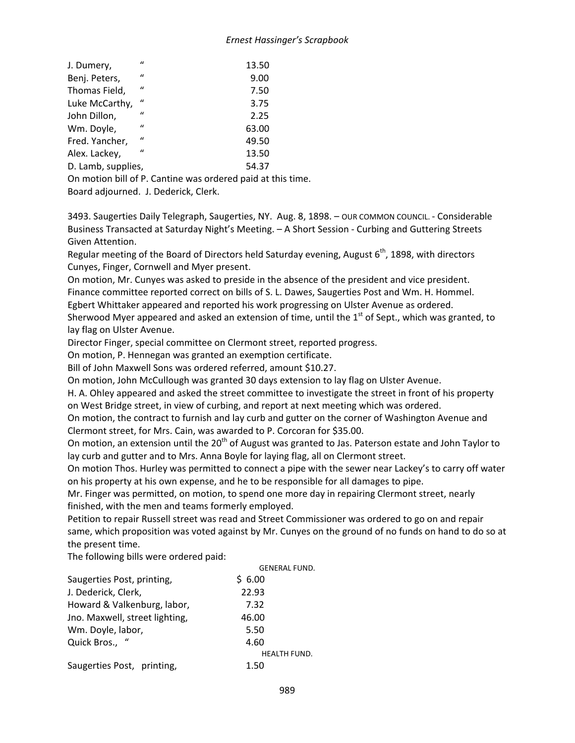| J. Dumery,         | $\mathbf{u}$   | 13.50                                                       |
|--------------------|----------------|-------------------------------------------------------------|
| Benj. Peters,      | $\mathbf{u}$   | 9.00                                                        |
| Thomas Field,      | $\mathbf{u}$   | 7.50                                                        |
| Luke McCarthy,     | $\prime\prime$ | 3.75                                                        |
| John Dillon,       | $\mathbf{u}$   | 2.25                                                        |
| Wm. Doyle,         | $\mathbf{u}$   | 63.00                                                       |
| Fred. Yancher,     | $\mathbf{u}$   | 49.50                                                       |
| Alex. Lackey,      | $\mathbf{u}$   | 13.50                                                       |
| D. Lamb, supplies, |                | 54.37                                                       |
|                    |                | On motion bill of P. Cantine was ordered paid at this time. |

Board adjourned. J. Dederick, Clerk.

3493. Saugerties Daily Telegraph, Saugerties, NY. Aug. 8, 1898. – OUR COMMON COUNCIL. - Considerable Business Transacted at Saturday Night's Meeting. – A Short Session - Curbing and Guttering Streets Given Attention.

Regular meeting of the Board of Directors held Saturday evening, August  $6<sup>th</sup>$ , 1898, with directors Cunyes, Finger, Cornwell and Myer present.

On motion, Mr. Cunyes was asked to preside in the absence of the president and vice president. Finance committee reported correct on bills of S. L. Dawes, Saugerties Post and Wm. H. Hommel. Egbert Whittaker appeared and reported his work progressing on Ulster Avenue as ordered.

Sherwood Myer appeared and asked an extension of time, until the  $1<sup>st</sup>$  of Sept., which was granted, to lay flag on Ulster Avenue.

Director Finger, special committee on Clermont street, reported progress.

On motion, P. Hennegan was granted an exemption certificate.

Bill of John Maxwell Sons was ordered referred, amount \$10.27.

On motion, John McCullough was granted 30 days extension to lay flag on Ulster Avenue.

H. A. Ohley appeared and asked the street committee to investigate the street in front of his property on West Bridge street, in view of curbing, and report at next meeting which was ordered.

On motion, the contract to furnish and lay curb and gutter on the corner of Washington Avenue and Clermont street, for Mrs. Cain, was awarded to P. Corcoran for \$35.00.

On motion, an extension until the 20<sup>th</sup> of August was granted to Jas. Paterson estate and John Taylor to lay curb and gutter and to Mrs. Anna Boyle for laying flag, all on Clermont street.

On motion Thos. Hurley was permitted to connect a pipe with the sewer near Lackey's to carry off water on his property at his own expense, and he to be responsible for all damages to pipe.

Mr. Finger was permitted, on motion, to spend one more day in repairing Clermont street, nearly finished, with the men and teams formerly employed.

Petition to repair Russell street was read and Street Commissioner was ordered to go on and repair same, which proposition was voted against by Mr. Cunyes on the ground of no funds on hand to do so at the present time.

The following bills were ordered paid:

|                                | <b>GENERAL FUND.</b> |
|--------------------------------|----------------------|
| Saugerties Post, printing,     | \$6.00               |
| J. Dederick, Clerk,            | 22.93                |
| Howard & Valkenburg, labor,    | 7.32                 |
| Jno. Maxwell, street lighting, | 46.00                |
| Wm. Doyle, labor,              | 5.50                 |
| Quick Bros., "                 | 4.60                 |
|                                | <b>HEALTH FUND.</b>  |
| Saugerties Post, printing,     | 1.50                 |
|                                |                      |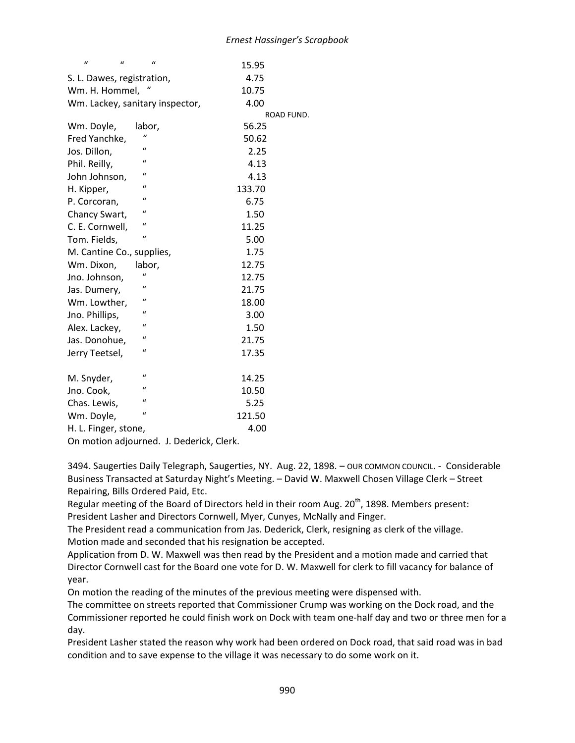| $\mathcal{U}$<br>$\mathcal{U}$ | $\mathcal{U}$                   | 15.95      |
|--------------------------------|---------------------------------|------------|
| S. L. Dawes, registration,     |                                 | 4.75       |
| Wm. H. Hommel,                 |                                 | 10.75      |
|                                | Wm. Lackey, sanitary inspector, | 4.00       |
|                                |                                 | ROAD FUND. |
| Wm. Doyle,                     | labor,                          | 56.25      |
| Fred Yanchke,                  | $\mathbf{u}$                    | 50.62      |
| Jos. Dillon,                   | $\mathbf{u}$                    | 2.25       |
| Phil. Reilly,                  | $\mathbf{u}$                    | 4.13       |
| John Johnson,                  | $\mathbf{u}$                    | 4.13       |
| H. Kipper,                     | $\mathbf{u}$                    | 133.70     |
| P. Corcoran,                   | $\mathbf{u}$                    | 6.75       |
| Chancy Swart,                  | $\mathbf{u}$                    | 1.50       |
| C. E. Cornwell,                | $\mathbf{u}$                    | 11.25      |
| Tom. Fields,                   | $\mathbf{u}$                    | 5.00       |
| M. Cantine Co., supplies,      |                                 | 1.75       |
| Wm. Dixon,                     | labor,                          | 12.75      |
| Jno. Johnson,                  | $\mathbf{u}$                    | 12.75      |
| Jas. Dumery,                   | $\mathcal{U}$                   | 21.75      |
| Wm. Lowther,                   | $\mathcal{U}$                   | 18.00      |
| Jno. Phillips,                 | $\mathcal{U}$                   | 3.00       |
| Alex. Lackey,                  | $\mathbf{u}$                    | 1.50       |
| Jas. Donohue,                  | $\mathbf{r}$                    | 21.75      |
| Jerry Teetsel,                 | $\mathbf{u}$                    | 17.35      |
|                                |                                 |            |
| M. Snyder,                     | $\mathbf{u}$                    | 14.25      |
| Jno. Cook,                     | $\mathbf{u}$                    | 10.50      |
| Chas. Lewis,                   | $\mathbf{u}$                    | 5.25       |
| Wm. Doyle,                     | $\mathbf{u}$                    | 121.50     |
| H. L. Finger, stone,           |                                 | 4.00       |

On motion adjourned. J. Dederick, Clerk.

3494. Saugerties Daily Telegraph, Saugerties, NY. Aug. 22, 1898. – OUR COMMON COUNCIL. - Considerable Business Transacted at Saturday Night's Meeting. – David W. Maxwell Chosen Village Clerk – Street Repairing, Bills Ordered Paid, Etc.

Regular meeting of the Board of Directors held in their room Aug. 20<sup>th</sup>, 1898. Members present: President Lasher and Directors Cornwell, Myer, Cunyes, McNally and Finger.

The President read a communication from Jas. Dederick, Clerk, resigning as clerk of the village. Motion made and seconded that his resignation be accepted.

Application from D. W. Maxwell was then read by the President and a motion made and carried that Director Cornwell cast for the Board one vote for D. W. Maxwell for clerk to fill vacancy for balance of year.

On motion the reading of the minutes of the previous meeting were dispensed with.

The committee on streets reported that Commissioner Crump was working on the Dock road, and the Commissioner reported he could finish work on Dock with team one-half day and two or three men for a day.

President Lasher stated the reason why work had been ordered on Dock road, that said road was in bad condition and to save expense to the village it was necessary to do some work on it.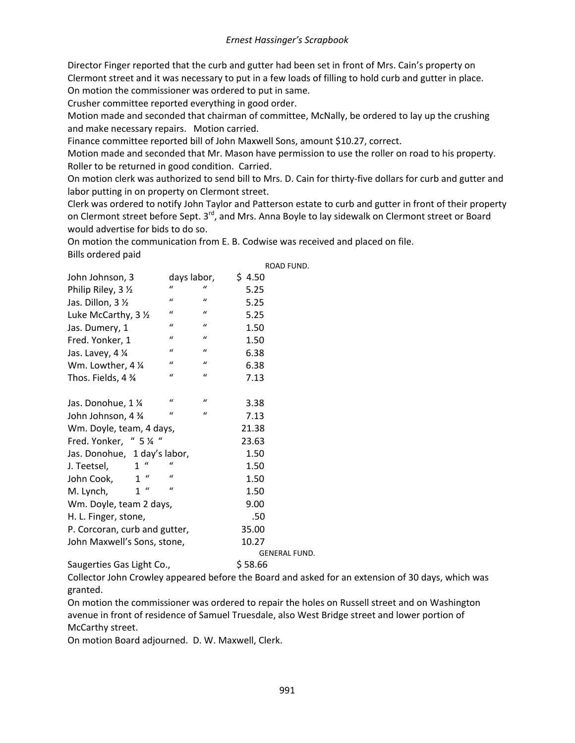Director Finger reported that the curb and gutter had been set in front of Mrs. Cain's property on Clermont street and it was necessary to put in a few loads of filling to hold curb and gutter in place. On motion the commissioner was ordered to put in same.

Crusher committee reported everything in good order.

Motion made and seconded that chairman of committee, McNally, be ordered to lay up the crushing and make necessary repairs. Motion carried.

Finance committee reported bill of John Maxwell Sons, amount \$10.27, correct.

Motion made and seconded that Mr. Mason have permission to use the roller on road to his property. Roller to be returned in good condition. Carried.

On motion clerk was authorized to send bill to Mrs. D. Cain for thirty-five dollars for curb and gutter and labor putting in on property on Clermont street.

Clerk was ordered to notify John Taylor and Patterson estate to curb and gutter in front of their property on Clermont street before Sept. 3<sup>rd</sup>, and Mrs. Anna Boyle to lay sidewalk on Clermont street or Board would advertise for bids to do so.

On motion the communication from E. B. Codwise was received and placed on file. Bills ordered paid

|                               |               |                  | ROAD FUND.           |  |
|-------------------------------|---------------|------------------|----------------------|--|
| John Johnson, 3               | days labor,   |                  | \$4.50               |  |
| Philip Riley, 3 1/2           | $\mathcal{U}$ | $\mathbf{u}$     | 5.25                 |  |
| Jas. Dillon, 3 1/2            | $\mathbf{u}$  | $\mathcal{U}$    | 5.25                 |  |
| Luke McCarthy, 3 1/2          | $\mathcal{U}$ | $\mathcal{U}$    | 5.25                 |  |
| Jas. Dumery, 1                | $\mathcal{U}$ | $\mathcal{U}$    | 1.50                 |  |
| Fred. Yonker, 1               | $\mathcal{U}$ | $\mathcal{U}$    | 1.50                 |  |
| Jas. Lavey, 4 1/4             | $\mathcal{U}$ | $\mathbf{u}$     | 6.38                 |  |
| Wm. Lowther, 4 1/4            | $\mathcal{U}$ | $\boldsymbol{u}$ | 6.38                 |  |
| Thos. Fields, 4 %             | $\mathcal{U}$ | $\mathcal{U}$    | 7.13                 |  |
|                               |               |                  |                      |  |
| Jas. Donohue, 1 1⁄4           | "             | $\mathcal{U}$    | 3.38                 |  |
| John Johnson, 4 34            | $\mathcal{U}$ | $\mathcal{U}$    | 7.13                 |  |
| Wm. Doyle, team, 4 days,      |               |                  | 21.38                |  |
| Fred. Yonker, " 5 1/4 "       |               |                  | 23.63                |  |
| Jas. Donohue, 1 day's labor,  |               |                  | 1.50                 |  |
| $1$ "<br>J. Teetsel,          | $\iota$       |                  | 1.50                 |  |
| 1 <sup>u</sup><br>John Cook,  | $\iota$       |                  | 1.50                 |  |
| $1$ "<br>M. Lynch,            | $\iota$       |                  | 1.50                 |  |
| Wm. Doyle, team 2 days,       |               |                  | 9.00                 |  |
| H. L. Finger, stone,          |               |                  | .50                  |  |
| P. Corcoran, curb and gutter, |               |                  | 35.00                |  |
| John Maxwell's Sons, stone,   |               |                  | 10.27                |  |
|                               |               |                  | <b>GENERAL FUND.</b> |  |

Saugerties Gas Light Co., \$58.66

Collector John Crowley appeared before the Board and asked for an extension of 30 days, which was granted.

On motion the commissioner was ordered to repair the holes on Russell street and on Washington avenue in front of residence of Samuel Truesdale, also West Bridge street and lower portion of McCarthy street.

On motion Board adjourned. D. W. Maxwell, Clerk.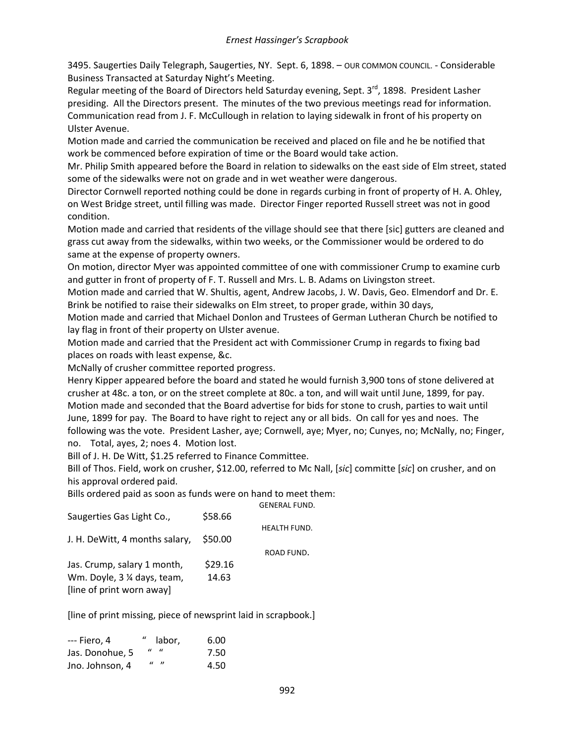3495. Saugerties Daily Telegraph, Saugerties, NY. Sept. 6, 1898. – OUR COMMON COUNCIL. - Considerable Business Transacted at Saturday Night's Meeting.

Regular meeting of the Board of Directors held Saturday evening, Sept. 3<sup>rd</sup>, 1898. President Lasher presiding. All the Directors present. The minutes of the two previous meetings read for information. Communication read from J. F. McCullough in relation to laying sidewalk in front of his property on Ulster Avenue.

Motion made and carried the communication be received and placed on file and he be notified that work be commenced before expiration of time or the Board would take action.

Mr. Philip Smith appeared before the Board in relation to sidewalks on the east side of Elm street, stated some of the sidewalks were not on grade and in wet weather were dangerous.

Director Cornwell reported nothing could be done in regards curbing in front of property of H. A. Ohley, on West Bridge street, until filling was made. Director Finger reported Russell street was not in good condition.

Motion made and carried that residents of the village should see that there [sic] gutters are cleaned and grass cut away from the sidewalks, within two weeks, or the Commissioner would be ordered to do same at the expense of property owners.

On motion, director Myer was appointed committee of one with commissioner Crump to examine curb and gutter in front of property of F. T. Russell and Mrs. L. B. Adams on Livingston street.

Motion made and carried that W. Shultis, agent, Andrew Jacobs, J. W. Davis, Geo. Elmendorf and Dr. E. Brink be notified to raise their sidewalks on Elm street, to proper grade, within 30 days,

Motion made and carried that Michael Donlon and Trustees of German Lutheran Church be notified to lay flag in front of their property on Ulster avenue.

Motion made and carried that the President act with Commissioner Crump in regards to fixing bad places on roads with least expense, &c.

McNally of crusher committee reported progress.

Henry Kipper appeared before the board and stated he would furnish 3,900 tons of stone delivered at crusher at 48c. a ton, or on the street complete at 80c. a ton, and will wait until June, 1899, for pay. Motion made and seconded that the Board advertise for bids for stone to crush, parties to wait until June, 1899 for pay. The Board to have right to reject any or all bids. On call for yes and noes. The following was the vote. President Lasher, aye; Cornwell, aye; Myer, no; Cunyes, no; McNally, no; Finger, no. Total, ayes, 2; noes 4. Motion lost.

Bill of J. H. De Witt, \$1.25 referred to Finance Committee.

Bill of Thos. Field, work on crusher, \$12.00, referred to Mc Nall, [*sic*] committe [*sic*] on crusher, and on his approval ordered paid.

Bills ordered paid as soon as funds were on hand to meet them:

|                                |         | <b>GENERAL FUND.</b> |
|--------------------------------|---------|----------------------|
| Saugerties Gas Light Co.,      | \$58.66 |                      |
|                                |         | <b>HEALTH FUND.</b>  |
| J. H. DeWitt, 4 months salary, | \$50.00 |                      |
|                                |         | ROAD FUND.           |
| Jas. Crump, salary 1 month,    | \$29.16 |                      |
| Wm. Doyle, 3 % days, team,     | 14.63   |                      |
| [line of print worn away]      |         |                      |
|                                |         |                      |

[line of print missing, piece of newsprint laid in scrapbook.]

| --- Fiero. 4    | " labor,                  | 6.00 |
|-----------------|---------------------------|------|
| Jas. Donohue, 5 | $\mathbf{u}$ $\mathbf{u}$ | 7.50 |
| Jno. Johnson, 4 | $\mathbf{u}$ $\mathbf{v}$ | 4.50 |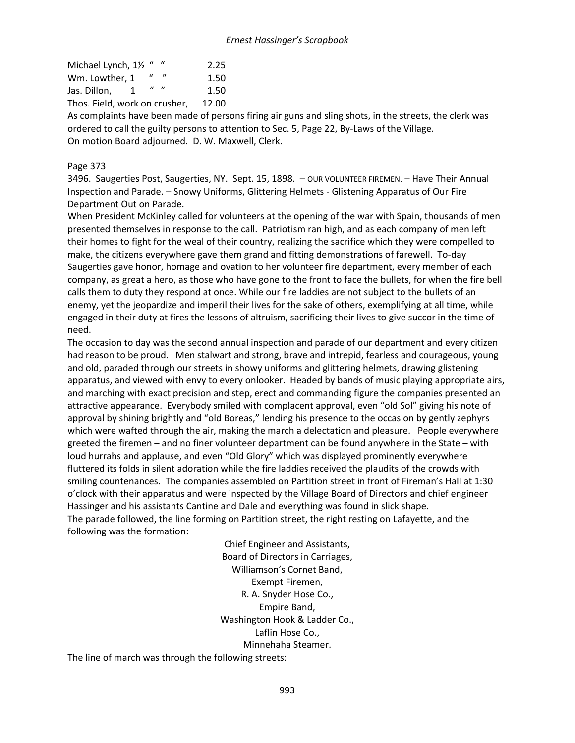| Michael Lynch, 11/2 "         |                           | 2.25  |
|-------------------------------|---------------------------|-------|
| Wm. Lowther. 1                |                           | 1.50  |
| Jas. Dillon,<br>1             | $\mathbf{u}$ $\mathbf{n}$ | 1.50  |
| Thos. Field, work on crusher, |                           | 12.00 |

As complaints have been made of persons firing air guns and sling shots, in the streets, the clerk was ordered to call the guilty persons to attention to Sec. 5, Page 22, By-Laws of the Village. On motion Board adjourned. D. W. Maxwell, Clerk.

## Page 373

3496. Saugerties Post, Saugerties, NY. Sept. 15, 1898. – OUR VOLUNTEER FIREMEN. – Have Their Annual Inspection and Parade. – Snowy Uniforms, Glittering Helmets - Glistening Apparatus of Our Fire Department Out on Parade.

When President McKinley called for volunteers at the opening of the war with Spain, thousands of men presented themselves in response to the call. Patriotism ran high, and as each company of men left their homes to fight for the weal of their country, realizing the sacrifice which they were compelled to make, the citizens everywhere gave them grand and fitting demonstrations of farewell. To-day Saugerties gave honor, homage and ovation to her volunteer fire department, every member of each company, as great a hero, as those who have gone to the front to face the bullets, for when the fire bell calls them to duty they respond at once. While our fire laddies are not subject to the bullets of an enemy, yet the jeopardize and imperil their lives for the sake of others, exemplifying at all time, while engaged in their duty at fires the lessons of altruism, sacrificing their lives to give succor in the time of need.

The occasion to day was the second annual inspection and parade of our department and every citizen had reason to be proud. Men stalwart and strong, brave and intrepid, fearless and courageous, young and old, paraded through our streets in showy uniforms and glittering helmets, drawing glistening apparatus, and viewed with envy to every onlooker. Headed by bands of music playing appropriate airs, and marching with exact precision and step, erect and commanding figure the companies presented an attractive appearance. Everybody smiled with complacent approval, even "old Sol" giving his note of approval by shining brightly and "old Boreas," lending his presence to the occasion by gently zephyrs which were wafted through the air, making the march a delectation and pleasure. People everywhere greeted the firemen – and no finer volunteer department can be found anywhere in the State – with loud hurrahs and applause, and even "Old Glory" which was displayed prominently everywhere fluttered its folds in silent adoration while the fire laddies received the plaudits of the crowds with smiling countenances. The companies assembled on Partition street in front of Fireman's Hall at 1:30 o'clock with their apparatus and were inspected by the Village Board of Directors and chief engineer Hassinger and his assistants Cantine and Dale and everything was found in slick shape. The parade followed, the line forming on Partition street, the right resting on Lafayette, and the following was the formation:

> Chief Engineer and Assistants, Board of Directors in Carriages, Williamson's Cornet Band, Exempt Firemen, R. A. Snyder Hose Co., Empire Band, Washington Hook & Ladder Co., Laflin Hose Co., Minnehaha Steamer.

The line of march was through the following streets: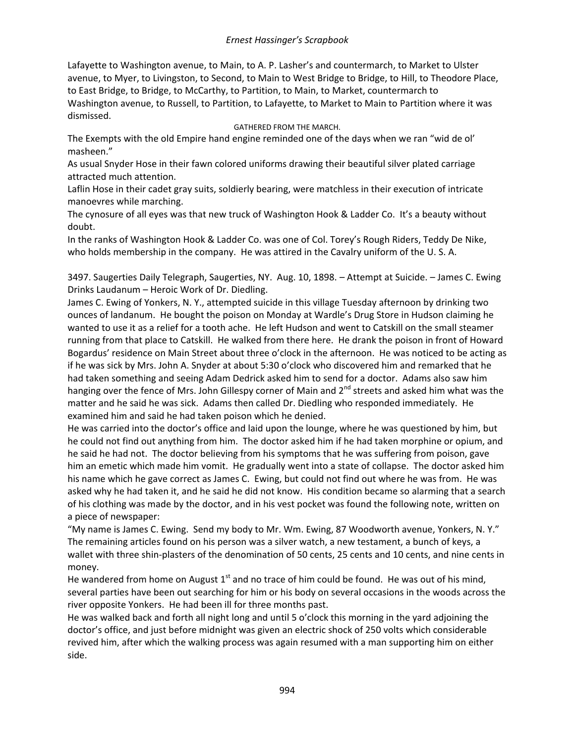Lafayette to Washington avenue, to Main, to A. P. Lasher's and countermarch, to Market to Ulster avenue, to Myer, to Livingston, to Second, to Main to West Bridge to Bridge, to Hill, to Theodore Place, to East Bridge, to Bridge, to McCarthy, to Partition, to Main, to Market, countermarch to Washington avenue, to Russell, to Partition, to Lafayette, to Market to Main to Partition where it was dismissed.

### GATHERED FROM THE MARCH.

The Exempts with the old Empire hand engine reminded one of the days when we ran "wid de ol' masheen."

As usual Snyder Hose in their fawn colored uniforms drawing their beautiful silver plated carriage attracted much attention.

Laflin Hose in their cadet gray suits, soldierly bearing, were matchless in their execution of intricate manoevres while marching.

The cynosure of all eyes was that new truck of Washington Hook & Ladder Co. It's a beauty without doubt.

In the ranks of Washington Hook & Ladder Co. was one of Col. Torey's Rough Riders, Teddy De Nike, who holds membership in the company. He was attired in the Cavalry uniform of the U. S. A.

3497. Saugerties Daily Telegraph, Saugerties, NY. Aug. 10, 1898. – Attempt at Suicide. – James C. Ewing Drinks Laudanum – Heroic Work of Dr. Diedling.

James C. Ewing of Yonkers, N. Y., attempted suicide in this village Tuesday afternoon by drinking two ounces of landanum. He bought the poison on Monday at Wardle's Drug Store in Hudson claiming he wanted to use it as a relief for a tooth ache. He left Hudson and went to Catskill on the small steamer running from that place to Catskill. He walked from there here. He drank the poison in front of Howard Bogardus' residence on Main Street about three o'clock in the afternoon. He was noticed to be acting as if he was sick by Mrs. John A. Snyder at about 5:30 o'clock who discovered him and remarked that he had taken something and seeing Adam Dedrick asked him to send for a doctor. Adams also saw him hanging over the fence of Mrs. John Gillespy corner of Main and 2<sup>nd</sup> streets and asked him what was the matter and he said he was sick. Adams then called Dr. Diedling who responded immediately. He examined him and said he had taken poison which he denied.

He was carried into the doctor's office and laid upon the lounge, where he was questioned by him, but he could not find out anything from him. The doctor asked him if he had taken morphine or opium, and he said he had not. The doctor believing from his symptoms that he was suffering from poison, gave him an emetic which made him vomit. He gradually went into a state of collapse. The doctor asked him his name which he gave correct as James C. Ewing, but could not find out where he was from. He was asked why he had taken it, and he said he did not know. His condition became so alarming that a search of his clothing was made by the doctor, and in his vest pocket was found the following note, written on a piece of newspaper:

"My name is James C. Ewing. Send my body to Mr. Wm. Ewing, 87 Woodworth avenue, Yonkers, N. Y." The remaining articles found on his person was a silver watch, a new testament, a bunch of keys, a wallet with three shin-plasters of the denomination of 50 cents, 25 cents and 10 cents, and nine cents in money.

He wandered from home on August  $1<sup>st</sup>$  and no trace of him could be found. He was out of his mind, several parties have been out searching for him or his body on several occasions in the woods across the river opposite Yonkers. He had been ill for three months past.

He was walked back and forth all night long and until 5 o'clock this morning in the yard adjoining the doctor's office, and just before midnight was given an electric shock of 250 volts which considerable revived him, after which the walking process was again resumed with a man supporting him on either side.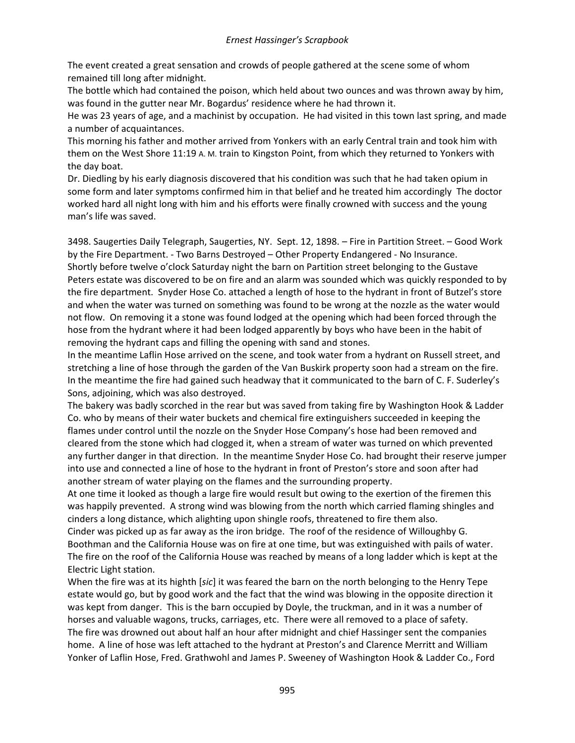The event created a great sensation and crowds of people gathered at the scene some of whom remained till long after midnight.

The bottle which had contained the poison, which held about two ounces and was thrown away by him, was found in the gutter near Mr. Bogardus' residence where he had thrown it.

He was 23 years of age, and a machinist by occupation. He had visited in this town last spring, and made a number of acquaintances.

This morning his father and mother arrived from Yonkers with an early Central train and took him with them on the West Shore 11:19 A. M. train to Kingston Point, from which they returned to Yonkers with the day boat.

Dr. Diedling by his early diagnosis discovered that his condition was such that he had taken opium in some form and later symptoms confirmed him in that belief and he treated him accordingly The doctor worked hard all night long with him and his efforts were finally crowned with success and the young man's life was saved.

3498. Saugerties Daily Telegraph, Saugerties, NY. Sept. 12, 1898. – Fire in Partition Street. – Good Work by the Fire Department. - Two Barns Destroyed – Other Property Endangered - No Insurance. Shortly before twelve o'clock Saturday night the barn on Partition street belonging to the Gustave Peters estate was discovered to be on fire and an alarm was sounded which was quickly responded to by the fire department. Snyder Hose Co. attached a length of hose to the hydrant in front of Butzel's store and when the water was turned on something was found to be wrong at the nozzle as the water would not flow. On removing it a stone was found lodged at the opening which had been forced through the hose from the hydrant where it had been lodged apparently by boys who have been in the habit of removing the hydrant caps and filling the opening with sand and stones.

In the meantime Laflin Hose arrived on the scene, and took water from a hydrant on Russell street, and stretching a line of hose through the garden of the Van Buskirk property soon had a stream on the fire. In the meantime the fire had gained such headway that it communicated to the barn of C. F. Suderley's Sons, adjoining, which was also destroyed.

The bakery was badly scorched in the rear but was saved from taking fire by Washington Hook & Ladder Co. who by means of their water buckets and chemical fire extinguishers succeeded in keeping the flames under control until the nozzle on the Snyder Hose Company's hose had been removed and cleared from the stone which had clogged it, when a stream of water was turned on which prevented any further danger in that direction. In the meantime Snyder Hose Co. had brought their reserve jumper into use and connected a line of hose to the hydrant in front of Preston's store and soon after had another stream of water playing on the flames and the surrounding property.

At one time it looked as though a large fire would result but owing to the exertion of the firemen this was happily prevented. A strong wind was blowing from the north which carried flaming shingles and cinders a long distance, which alighting upon shingle roofs, threatened to fire them also.

Cinder was picked up as far away as the iron bridge. The roof of the residence of Willoughby G. Boothman and the California House was on fire at one time, but was extinguished with pails of water. The fire on the roof of the California House was reached by means of a long ladder which is kept at the Electric Light station.

When the fire was at its highth [*sic*] it was feared the barn on the north belonging to the Henry Tepe estate would go, but by good work and the fact that the wind was blowing in the opposite direction it was kept from danger. This is the barn occupied by Doyle, the truckman, and in it was a number of horses and valuable wagons, trucks, carriages, etc. There were all removed to a place of safety. The fire was drowned out about half an hour after midnight and chief Hassinger sent the companies home. A line of hose was left attached to the hydrant at Preston's and Clarence Merritt and William Yonker of Laflin Hose, Fred. Grathwohl and James P. Sweeney of Washington Hook & Ladder Co., Ford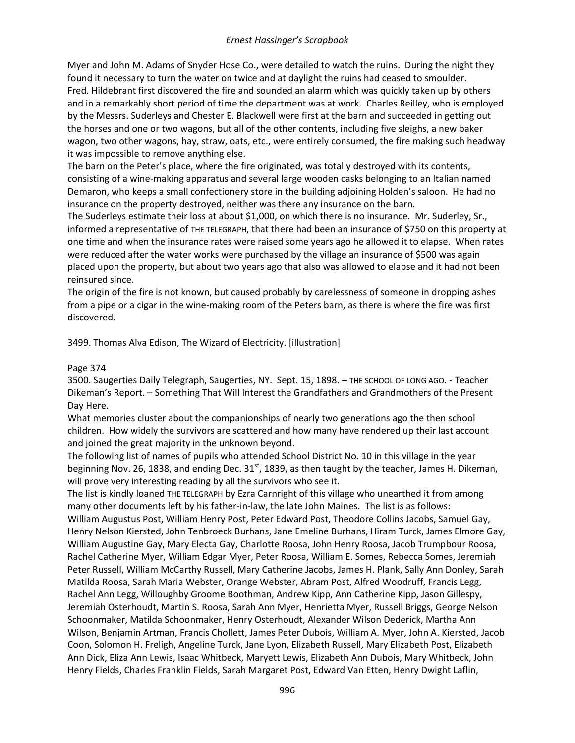Myer and John M. Adams of Snyder Hose Co., were detailed to watch the ruins. During the night they found it necessary to turn the water on twice and at daylight the ruins had ceased to smoulder. Fred. Hildebrant first discovered the fire and sounded an alarm which was quickly taken up by others and in a remarkably short period of time the department was at work. Charles Reilley, who is employed by the Messrs. Suderleys and Chester E. Blackwell were first at the barn and succeeded in getting out the horses and one or two wagons, but all of the other contents, including five sleighs, a new baker wagon, two other wagons, hay, straw, oats, etc., were entirely consumed, the fire making such headway it was impossible to remove anything else.

The barn on the Peter's place, where the fire originated, was totally destroyed with its contents, consisting of a wine-making apparatus and several large wooden casks belonging to an Italian named Demaron, who keeps a small confectionery store in the building adjoining Holden's saloon. He had no insurance on the property destroyed, neither was there any insurance on the barn.

The Suderleys estimate their loss at about \$1,000, on which there is no insurance. Mr. Suderley, Sr., informed a representative of THE TELEGRAPH, that there had been an insurance of \$750 on this property at one time and when the insurance rates were raised some years ago he allowed it to elapse. When rates were reduced after the water works were purchased by the village an insurance of \$500 was again placed upon the property, but about two years ago that also was allowed to elapse and it had not been reinsured since.

The origin of the fire is not known, but caused probably by carelessness of someone in dropping ashes from a pipe or a cigar in the wine-making room of the Peters barn, as there is where the fire was first discovered.

3499. Thomas Alva Edison, The Wizard of Electricity. [illustration]

### Page 374

3500. Saugerties Daily Telegraph, Saugerties, NY. Sept. 15, 1898. – THE SCHOOL OF LONG AGO. - Teacher Dikeman's Report. – Something That Will Interest the Grandfathers and Grandmothers of the Present Day Here.

What memories cluster about the companionships of nearly two generations ago the then school children. How widely the survivors are scattered and how many have rendered up their last account and joined the great majority in the unknown beyond.

The following list of names of pupils who attended School District No. 10 in this village in the year beginning Nov. 26, 1838, and ending Dec.  $31<sup>st</sup>$ , 1839, as then taught by the teacher, James H. Dikeman, will prove very interesting reading by all the survivors who see it.

The list is kindly loaned THE TELEGRAPH by Ezra Carnright of this village who unearthed it from among many other documents left by his father-in-law, the late John Maines. The list is as follows: William Augustus Post, William Henry Post, Peter Edward Post, Theodore Collins Jacobs, Samuel Gay, Henry Nelson Kiersted, John Tenbroeck Burhans, Jane Emeline Burhans, Hiram Turck, James Elmore Gay, William Augustine Gay, Mary Electa Gay, Charlotte Roosa, John Henry Roosa, Jacob Trumpbour Roosa, Rachel Catherine Myer, William Edgar Myer, Peter Roosa, William E. Somes, Rebecca Somes, Jeremiah Peter Russell, William McCarthy Russell, Mary Catherine Jacobs, James H. Plank, Sally Ann Donley, Sarah Matilda Roosa, Sarah Maria Webster, Orange Webster, Abram Post, Alfred Woodruff, Francis Legg, Rachel Ann Legg, Willoughby Groome Boothman, Andrew Kipp, Ann Catherine Kipp, Jason Gillespy, Jeremiah Osterhoudt, Martin S. Roosa, Sarah Ann Myer, Henrietta Myer, Russell Briggs, George Nelson Schoonmaker, Matilda Schoonmaker, Henry Osterhoudt, Alexander Wilson Dederick, Martha Ann Wilson, Benjamin Artman, Francis Chollett, James Peter Dubois, William A. Myer, John A. Kiersted, Jacob Coon, Solomon H. Freligh, Angeline Turck, Jane Lyon, Elizabeth Russell, Mary Elizabeth Post, Elizabeth Ann Dick, Eliza Ann Lewis, Isaac Whitbeck, Maryett Lewis, Elizabeth Ann Dubois, Mary Whitbeck, John Henry Fields, Charles Franklin Fields, Sarah Margaret Post, Edward Van Etten, Henry Dwight Laflin,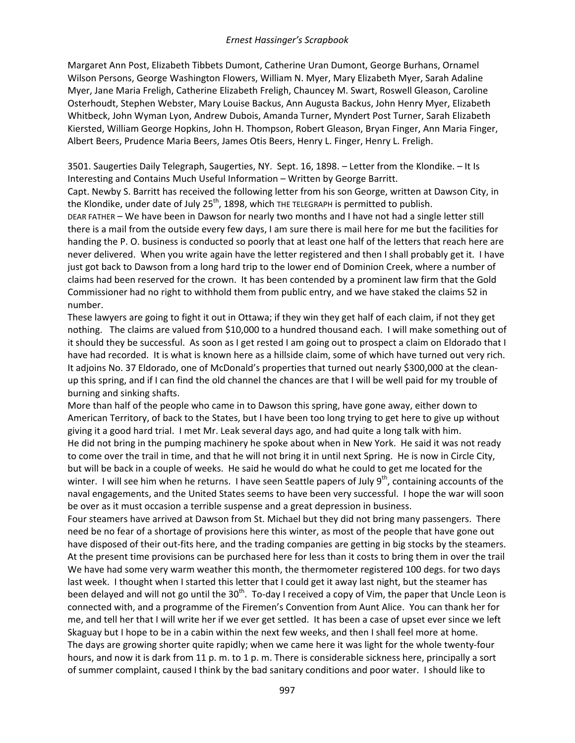Margaret Ann Post, Elizabeth Tibbets Dumont, Catherine Uran Dumont, George Burhans, Ornamel Wilson Persons, George Washington Flowers, William N. Myer, Mary Elizabeth Myer, Sarah Adaline Myer, Jane Maria Freligh, Catherine Elizabeth Freligh, Chauncey M. Swart, Roswell Gleason, Caroline Osterhoudt, Stephen Webster, Mary Louise Backus, Ann Augusta Backus, John Henry Myer, Elizabeth Whitbeck, John Wyman Lyon, Andrew Dubois, Amanda Turner, Myndert Post Turner, Sarah Elizabeth Kiersted, William George Hopkins, John H. Thompson, Robert Gleason, Bryan Finger, Ann Maria Finger, Albert Beers, Prudence Maria Beers, James Otis Beers, Henry L. Finger, Henry L. Freligh.

3501. Saugerties Daily Telegraph, Saugerties, NY. Sept. 16, 1898. – Letter from the Klondike. – It Is Interesting and Contains Much Useful Information – Written by George Barritt.

Capt. Newby S. Barritt has received the following letter from his son George, written at Dawson City, in the Klondike, under date of July 25<sup>th</sup>, 1898, which THE TELEGRAPH is permitted to publish.

DEAR FATHER – We have been in Dawson for nearly two months and I have not had a single letter still there is a mail from the outside every few days, I am sure there is mail here for me but the facilities for handing the P. O. business is conducted so poorly that at least one half of the letters that reach here are never delivered. When you write again have the letter registered and then I shall probably get it. I have just got back to Dawson from a long hard trip to the lower end of Dominion Creek, where a number of claims had been reserved for the crown. It has been contended by a prominent law firm that the Gold Commissioner had no right to withhold them from public entry, and we have staked the claims 52 in number.

These lawyers are going to fight it out in Ottawa; if they win they get half of each claim, if not they get nothing. The claims are valued from \$10,000 to a hundred thousand each. I will make something out of it should they be successful. As soon as I get rested I am going out to prospect a claim on Eldorado that I have had recorded. It is what is known here as a hillside claim, some of which have turned out very rich. It adjoins No. 37 Eldorado, one of McDonald's properties that turned out nearly \$300,000 at the cleanup this spring, and if I can find the old channel the chances are that I will be well paid for my trouble of burning and sinking shafts.

More than half of the people who came in to Dawson this spring, have gone away, either down to American Territory, of back to the States, but I have been too long trying to get here to give up without giving it a good hard trial. I met Mr. Leak several days ago, and had quite a long talk with him. He did not bring in the pumping machinery he spoke about when in New York. He said it was not ready to come over the trail in time, and that he will not bring it in until next Spring. He is now in Circle City, but will be back in a couple of weeks. He said he would do what he could to get me located for the winter. I will see him when he returns. I have seen Seattle papers of July  $9<sup>th</sup>$ , containing accounts of the naval engagements, and the United States seems to have been very successful. I hope the war will soon be over as it must occasion a terrible suspense and a great depression in business.

Four steamers have arrived at Dawson from St. Michael but they did not bring many passengers. There need be no fear of a shortage of provisions here this winter, as most of the people that have gone out have disposed of their out-fits here, and the trading companies are getting in big stocks by the steamers. At the present time provisions can be purchased here for less than it costs to bring them in over the trail We have had some very warm weather this month, the thermometer registered 100 degs. for two days last week. I thought when I started this letter that I could get it away last night, but the steamer has been delayed and will not go until the 30<sup>th</sup>. To-day I received a copy of Vim, the paper that Uncle Leon is connected with, and a programme of the Firemen's Convention from Aunt Alice. You can thank her for me, and tell her that I will write her if we ever get settled. It has been a case of upset ever since we left Skaguay but I hope to be in a cabin within the next few weeks, and then I shall feel more at home. The days are growing shorter quite rapidly; when we came here it was light for the whole twenty-four hours, and now it is dark from 11 p. m. to 1 p. m. There is considerable sickness here, principally a sort of summer complaint, caused I think by the bad sanitary conditions and poor water. I should like to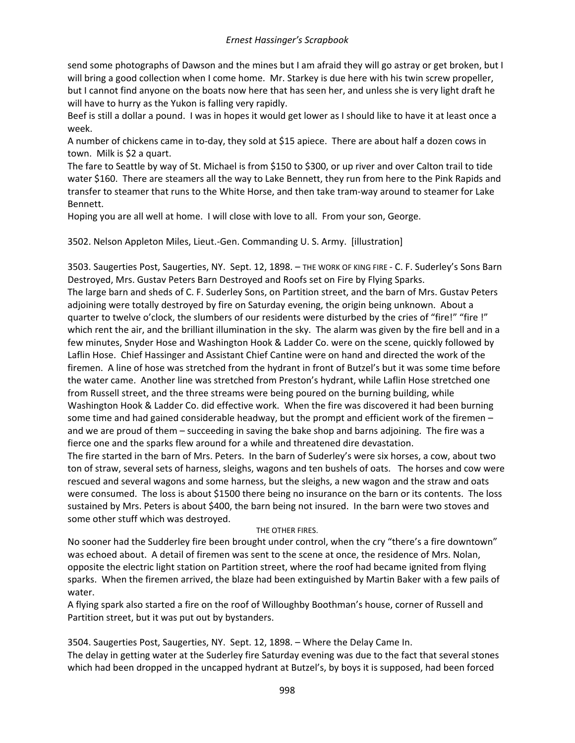send some photographs of Dawson and the mines but I am afraid they will go astray or get broken, but I will bring a good collection when I come home. Mr. Starkey is due here with his twin screw propeller, but I cannot find anyone on the boats now here that has seen her, and unless she is very light draft he will have to hurry as the Yukon is falling very rapidly.

Beef is still a dollar a pound. I was in hopes it would get lower as I should like to have it at least once a week.

A number of chickens came in to-day, they sold at \$15 apiece. There are about half a dozen cows in town. Milk is \$2 a quart.

The fare to Seattle by way of St. Michael is from \$150 to \$300, or up river and over Calton trail to tide water \$160. There are steamers all the way to Lake Bennett, they run from here to the Pink Rapids and transfer to steamer that runs to the White Horse, and then take tram-way around to steamer for Lake Bennett.

Hoping you are all well at home. I will close with love to all. From your son, George.

3502. Nelson Appleton Miles, Lieut.-Gen. Commanding U. S. Army. [illustration]

3503. Saugerties Post, Saugerties, NY. Sept. 12, 1898. – THE WORK OF KING FIRE - C. F. Suderley's Sons Barn Destroyed, Mrs. Gustav Peters Barn Destroyed and Roofs set on Fire by Flying Sparks. The large barn and sheds of C. F. Suderley Sons, on Partition street, and the barn of Mrs. Gustav Peters adjoining were totally destroyed by fire on Saturday evening, the origin being unknown. About a quarter to twelve o'clock, the slumbers of our residents were disturbed by the cries of "fire!" "fire !" which rent the air, and the brilliant illumination in the sky. The alarm was given by the fire bell and in a few minutes, Snyder Hose and Washington Hook & Ladder Co. were on the scene, quickly followed by Laflin Hose. Chief Hassinger and Assistant Chief Cantine were on hand and directed the work of the firemen. A line of hose was stretched from the hydrant in front of Butzel's but it was some time before the water came. Another line was stretched from Preston's hydrant, while Laflin Hose stretched one from Russell street, and the three streams were being poured on the burning building, while Washington Hook & Ladder Co. did effective work. When the fire was discovered it had been burning some time and had gained considerable headway, but the prompt and efficient work of the firemen – and we are proud of them – succeeding in saving the bake shop and barns adjoining. The fire was a fierce one and the sparks flew around for a while and threatened dire devastation.

The fire started in the barn of Mrs. Peters. In the barn of Suderley's were six horses, a cow, about two ton of straw, several sets of harness, sleighs, wagons and ten bushels of oats. The horses and cow were rescued and several wagons and some harness, but the sleighs, a new wagon and the straw and oats were consumed. The loss is about \$1500 there being no insurance on the barn or its contents. The loss sustained by Mrs. Peters is about \$400, the barn being not insured. In the barn were two stoves and some other stuff which was destroyed.

### THE OTHER FIRES.

No sooner had the Sudderley fire been brought under control, when the cry "there's a fire downtown" was echoed about. A detail of firemen was sent to the scene at once, the residence of Mrs. Nolan, opposite the electric light station on Partition street, where the roof had became ignited from flying sparks. When the firemen arrived, the blaze had been extinguished by Martin Baker with a few pails of water.

A flying spark also started a fire on the roof of Willoughby Boothman's house, corner of Russell and Partition street, but it was put out by bystanders.

3504. Saugerties Post, Saugerties, NY. Sept. 12, 1898. – Where the Delay Came In. The delay in getting water at the Suderley fire Saturday evening was due to the fact that several stones which had been dropped in the uncapped hydrant at Butzel's, by boys it is supposed, had been forced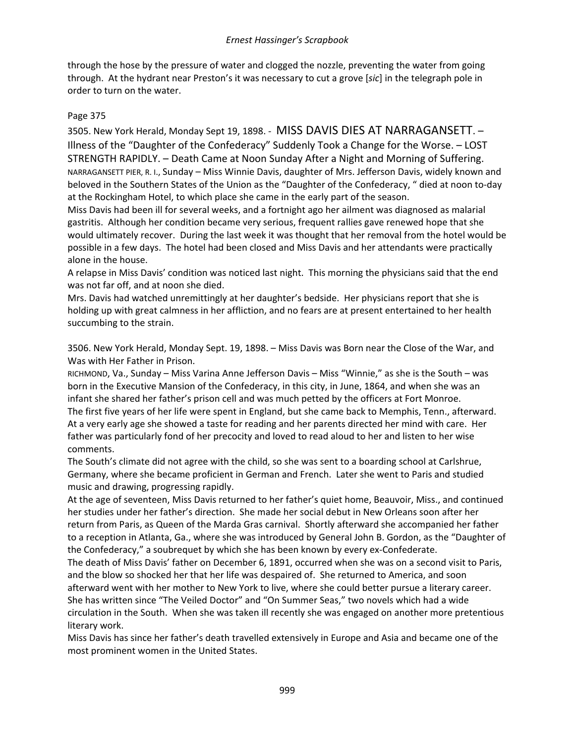through the hose by the pressure of water and clogged the nozzle, preventing the water from going through. At the hydrant near Preston's it was necessary to cut a grove [*sic*] in the telegraph pole in order to turn on the water.

## Page 375

3505. New York Herald, Monday Sept 19, 1898. - MISS DAVIS DIES AT NARRAGANSETT. – Illness of the "Daughter of the Confederacy" Suddenly Took a Change for the Worse. – LOST STRENGTH RAPIDLY. – Death Came at Noon Sunday After a Night and Morning of Suffering. NARRAGANSETT PIER, R. I., Sunday – Miss Winnie Davis, daughter of Mrs. Jefferson Davis, widely known and beloved in the Southern States of the Union as the "Daughter of the Confederacy, " died at noon to-day at the Rockingham Hotel, to which place she came in the early part of the season.

Miss Davis had been ill for several weeks, and a fortnight ago her ailment was diagnosed as malarial gastritis. Although her condition became very serious, frequent rallies gave renewed hope that she would ultimately recover. During the last week it was thought that her removal from the hotel would be possible in a few days. The hotel had been closed and Miss Davis and her attendants were practically alone in the house.

A relapse in Miss Davis' condition was noticed last night. This morning the physicians said that the end was not far off, and at noon she died.

Mrs. Davis had watched unremittingly at her daughter's bedside. Her physicians report that she is holding up with great calmness in her affliction, and no fears are at present entertained to her health succumbing to the strain.

3506. New York Herald, Monday Sept. 19, 1898. – Miss Davis was Born near the Close of the War, and Was with Her Father in Prison.

RICHMOND, Va., Sunday – Miss Varina Anne Jefferson Davis – Miss "Winnie," as she is the South – was born in the Executive Mansion of the Confederacy, in this city, in June, 1864, and when she was an infant she shared her father's prison cell and was much petted by the officers at Fort Monroe. The first five years of her life were spent in England, but she came back to Memphis, Tenn., afterward. At a very early age she showed a taste for reading and her parents directed her mind with care. Her father was particularly fond of her precocity and loved to read aloud to her and listen to her wise comments.

The South's climate did not agree with the child, so she was sent to a boarding school at Carlshrue, Germany, where she became proficient in German and French. Later she went to Paris and studied music and drawing, progressing rapidly.

At the age of seventeen, Miss Davis returned to her father's quiet home, Beauvoir, Miss., and continued her studies under her father's direction. She made her social debut in New Orleans soon after her return from Paris, as Queen of the Marda Gras carnival. Shortly afterward she accompanied her father to a reception in Atlanta, Ga., where she was introduced by General John B. Gordon, as the "Daughter of the Confederacy," a soubrequet by which she has been known by every ex-Confederate.

The death of Miss Davis' father on December 6, 1891, occurred when she was on a second visit to Paris, and the blow so shocked her that her life was despaired of. She returned to America, and soon afterward went with her mother to New York to live, where she could better pursue a literary career. She has written since "The Veiled Doctor" and "On Summer Seas," two novels which had a wide circulation in the South. When she was taken ill recently she was engaged on another more pretentious literary work.

Miss Davis has since her father's death travelled extensively in Europe and Asia and became one of the most prominent women in the United States.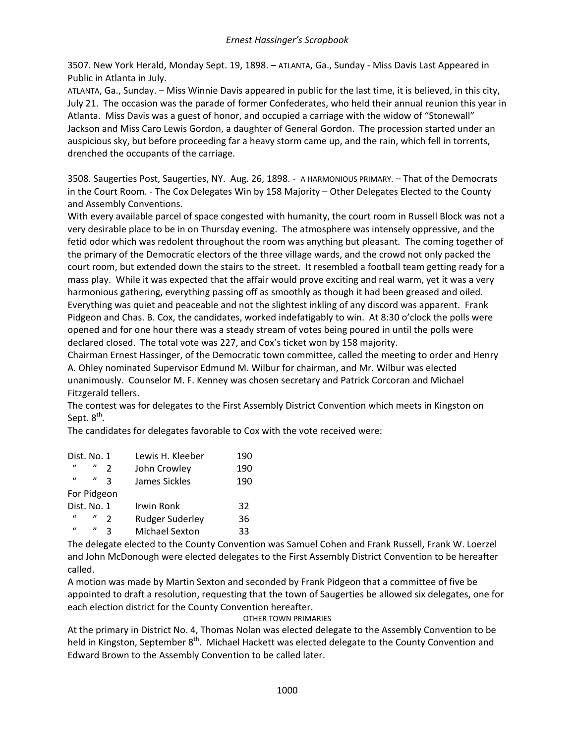3507. New York Herald, Monday Sept. 19, 1898. – ATLANTA, Ga., Sunday - Miss Davis Last Appeared in Public in Atlanta in July.

ATLANTA, Ga., Sunday. – Miss Winnie Davis appeared in public for the last time, it is believed, in this city, July 21. The occasion was the parade of former Confederates, who held their annual reunion this year in Atlanta. Miss Davis was a guest of honor, and occupied a carriage with the widow of "Stonewall" Jackson and Miss Caro Lewis Gordon, a daughter of General Gordon. The procession started under an auspicious sky, but before proceeding far a heavy storm came up, and the rain, which fell in torrents, drenched the occupants of the carriage.

3508. Saugerties Post, Saugerties, NY. Aug. 26, 1898. - A HARMONIOUS PRIMARY. – That of the Democrats in the Court Room. - The Cox Delegates Win by 158 Majority – Other Delegates Elected to the County and Assembly Conventions.

With every available parcel of space congested with humanity, the court room in Russell Block was not a very desirable place to be in on Thursday evening. The atmosphere was intensely oppressive, and the fetid odor which was redolent throughout the room was anything but pleasant. The coming together of the primary of the Democratic electors of the three village wards, and the crowd not only packed the court room, but extended down the stairs to the street. It resembled a football team getting ready for a mass play. While it was expected that the affair would prove exciting and real warm, yet it was a very harmonious gathering, everything passing off as smoothly as though it had been greased and oiled. Everything was quiet and peaceable and not the slightest inkling of any discord was apparent. Frank Pidgeon and Chas. B. Cox, the candidates, worked indefatigably to win. At 8:30 o'clock the polls were opened and for one hour there was a steady stream of votes being poured in until the polls were declared closed. The total vote was 227, and Cox's ticket won by 158 majority.

Chairman Ernest Hassinger, of the Democratic town committee, called the meeting to order and Henry A. Ohley nominated Supervisor Edmund M. Wilbur for chairman, and Mr. Wilbur was elected unanimously. Counselor M. F. Kenney was chosen secretary and Patrick Corcoran and Michael Fitzgerald tellers.

The contest was for delegates to the First Assembly District Convention which meets in Kingston on Sept.  $8<sup>th</sup>$ .

The candidates for delegates favorable to Cox with the vote received were:

| Dist. No. 1  |                     | Lewis H. Kleeber       | 190 |
|--------------|---------------------|------------------------|-----|
| $\mathbf{u}$ | $^{\prime\prime}$   | John Crowley           | 190 |
| $\bf{u}$     | "                   | James Sickles          | 190 |
| For Pidgeon  |                     |                        |     |
| Dist. No. 1  |                     | Irwin Ronk             | 32  |
| $\mathbf{u}$ | $\boldsymbol{\eta}$ | <b>Rudger Suderley</b> | 36  |
| $\mathbf{u}$ | $^{\prime\prime}$   | Michael Sexton         | 33  |

The delegate elected to the County Convention was Samuel Cohen and Frank Russell, Frank W. Loerzel and John McDonough were elected delegates to the First Assembly District Convention to be hereafter called.

A motion was made by Martin Sexton and seconded by Frank Pidgeon that a committee of five be appointed to draft a resolution, requesting that the town of Saugerties be allowed six delegates, one for each election district for the County Convention hereafter.

OTHER TOWN PRIMARIES

At the primary in District No. 4, Thomas Nolan was elected delegate to the Assembly Convention to be held in Kingston, September 8<sup>th</sup>. Michael Hackett was elected delegate to the County Convention and Edward Brown to the Assembly Convention to be called later.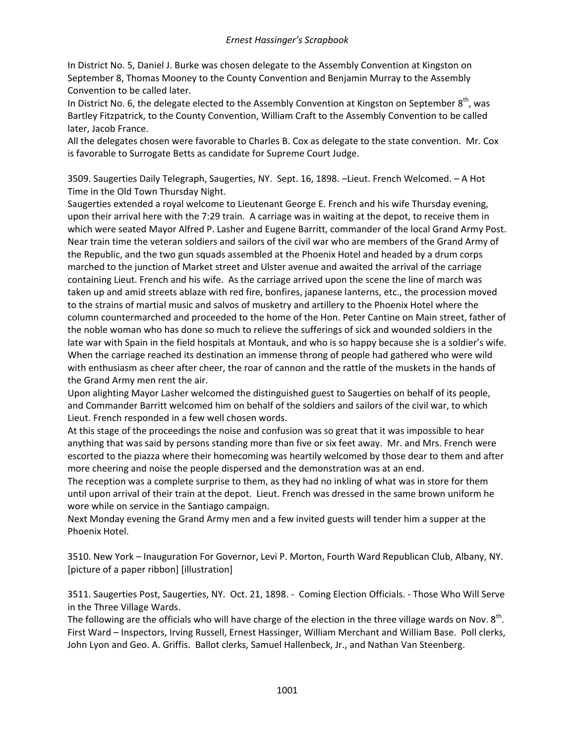In District No. 5, Daniel J. Burke was chosen delegate to the Assembly Convention at Kingston on September 8, Thomas Mooney to the County Convention and Benjamin Murray to the Assembly Convention to be called later.

In District No. 6, the delegate elected to the Assembly Convention at Kingston on September 8<sup>th</sup>, was Bartley Fitzpatrick, to the County Convention, William Craft to the Assembly Convention to be called later, Jacob France.

All the delegates chosen were favorable to Charles B. Cox as delegate to the state convention. Mr. Cox is favorable to Surrogate Betts as candidate for Supreme Court Judge.

3509. Saugerties Daily Telegraph, Saugerties, NY. Sept. 16, 1898. –Lieut. French Welcomed. – A Hot Time in the Old Town Thursday Night.

Saugerties extended a royal welcome to Lieutenant George E. French and his wife Thursday evening, upon their arrival here with the 7:29 train. A carriage was in waiting at the depot, to receive them in which were seated Mayor Alfred P. Lasher and Eugene Barritt, commander of the local Grand Army Post. Near train time the veteran soldiers and sailors of the civil war who are members of the Grand Army of the Republic, and the two gun squads assembled at the Phoenix Hotel and headed by a drum corps marched to the junction of Market street and Ulster avenue and awaited the arrival of the carriage containing Lieut. French and his wife. As the carriage arrived upon the scene the line of march was taken up and amid streets ablaze with red fire, bonfires, japanese lanterns, etc., the procession moved to the strains of martial music and salvos of musketry and artillery to the Phoenix Hotel where the column countermarched and proceeded to the home of the Hon. Peter Cantine on Main street, father of the noble woman who has done so much to relieve the sufferings of sick and wounded soldiers in the late war with Spain in the field hospitals at Montauk, and who is so happy because she is a soldier's wife. When the carriage reached its destination an immense throng of people had gathered who were wild with enthusiasm as cheer after cheer, the roar of cannon and the rattle of the muskets in the hands of the Grand Army men rent the air.

Upon alighting Mayor Lasher welcomed the distinguished guest to Saugerties on behalf of its people, and Commander Barritt welcomed him on behalf of the soldiers and sailors of the civil war, to which Lieut. French responded in a few well chosen words.

At this stage of the proceedings the noise and confusion was so great that it was impossible to hear anything that was said by persons standing more than five or six feet away. Mr. and Mrs. French were escorted to the piazza where their homecoming was heartily welcomed by those dear to them and after more cheering and noise the people dispersed and the demonstration was at an end.

The reception was a complete surprise to them, as they had no inkling of what was in store for them until upon arrival of their train at the depot. Lieut. French was dressed in the same brown uniform he wore while on service in the Santiago campaign.

Next Monday evening the Grand Army men and a few invited guests will tender him a supper at the Phoenix Hotel.

3510. New York – Inauguration For Governor, Levi P. Morton, Fourth Ward Republican Club, Albany, NY. [picture of a paper ribbon] [illustration]

3511. Saugerties Post, Saugerties, NY. Oct. 21, 1898. - Coming Election Officials. - Those Who Will Serve in the Three Village Wards.

The following are the officials who will have charge of the election in the three village wards on Nov.  $8<sup>th</sup>$ . First Ward – Inspectors, Irving Russell, Ernest Hassinger, William Merchant and William Base. Poll clerks, John Lyon and Geo. A. Griffis. Ballot clerks, Samuel Hallenbeck, Jr., and Nathan Van Steenberg.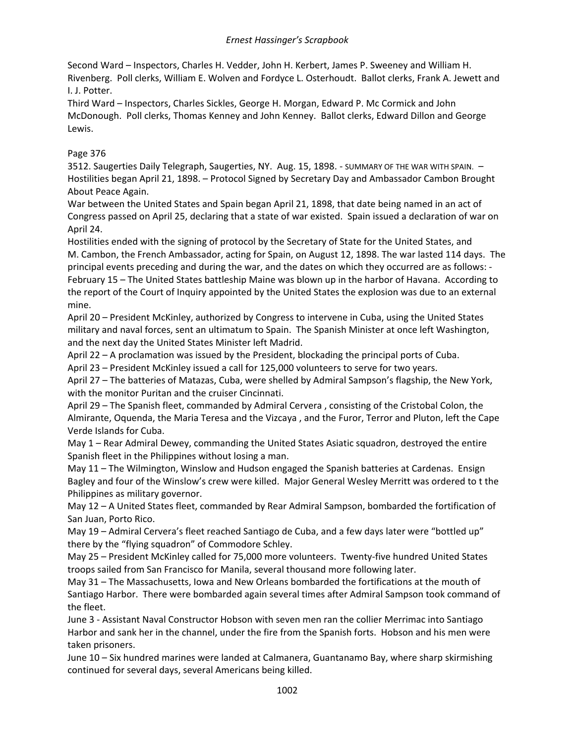Second Ward – Inspectors, Charles H. Vedder, John H. Kerbert, James P. Sweeney and William H. Rivenberg. Poll clerks, William E. Wolven and Fordyce L. Osterhoudt. Ballot clerks, Frank A. Jewett and I. J. Potter.

Third Ward – Inspectors, Charles Sickles, George H. Morgan, Edward P. Mc Cormick and John McDonough. Poll clerks, Thomas Kenney and John Kenney. Ballot clerks, Edward Dillon and George Lewis.

# Page 376

3512. Saugerties Daily Telegraph, Saugerties, NY. Aug. 15, 1898. - SUMMARY OF THE WAR WITH SPAIN. – Hostilities began April 21, 1898. – Protocol Signed by Secretary Day and Ambassador Cambon Brought About Peace Again.

War between the United States and Spain began April 21, 1898, that date being named in an act of Congress passed on April 25, declaring that a state of war existed. Spain issued a declaration of war on April 24.

Hostilities ended with the signing of protocol by the Secretary of State for the United States, and M. Cambon, the French Ambassador, acting for Spain, on August 12, 1898. The war lasted 114 days. The principal events preceding and during the war, and the dates on which they occurred are as follows: - February 15 – The United States battleship Maine was blown up in the harbor of Havana. According to the report of the Court of Inquiry appointed by the United States the explosion was due to an external mine.

April 20 – President McKinley, authorized by Congress to intervene in Cuba, using the United States military and naval forces, sent an ultimatum to Spain. The Spanish Minister at once left Washington, and the next day the United States Minister left Madrid.

April 22 – A proclamation was issued by the President, blockading the principal ports of Cuba.

April 23 – President McKinley issued a call for 125,000 volunteers to serve for two years.

April 27 – The batteries of Matazas, Cuba, were shelled by Admiral Sampson's flagship, the New York, with the monitor Puritan and the cruiser Cincinnati.

April 29 – The Spanish fleet, commanded by Admiral Cervera , consisting of the Cristobal Colon, the Almirante, Oquenda, the Maria Teresa and the Vizcaya , and the Furor, Terror and Pluton, left the Cape Verde Islands for Cuba.

May 1 – Rear Admiral Dewey, commanding the United States Asiatic squadron, destroyed the entire Spanish fleet in the Philippines without losing a man.

May 11 – The Wilmington, Winslow and Hudson engaged the Spanish batteries at Cardenas. Ensign Bagley and four of the Winslow's crew were killed. Major General Wesley Merritt was ordered to t the Philippines as military governor.

May 12 – A United States fleet, commanded by Rear Admiral Sampson, bombarded the fortification of San Juan, Porto Rico.

May 19 – Admiral Cervera's fleet reached Santiago de Cuba, and a few days later were "bottled up" there by the "flying squadron" of Commodore Schley.

May 25 – President McKinley called for 75,000 more volunteers. Twenty-five hundred United States troops sailed from San Francisco for Manila, several thousand more following later.

May 31 – The Massachusetts, Iowa and New Orleans bombarded the fortifications at the mouth of Santiago Harbor. There were bombarded again several times after Admiral Sampson took command of the fleet.

June 3 - Assistant Naval Constructor Hobson with seven men ran the collier Merrimac into Santiago Harbor and sank her in the channel, under the fire from the Spanish forts. Hobson and his men were taken prisoners.

June 10 – Six hundred marines were landed at Calmanera, Guantanamo Bay, where sharp skirmishing continued for several days, several Americans being killed.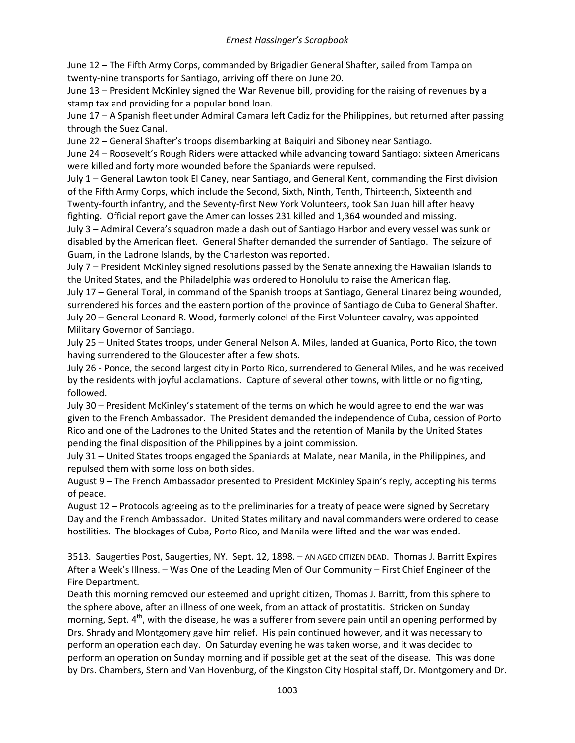June 12 – The Fifth Army Corps, commanded by Brigadier General Shafter, sailed from Tampa on twenty-nine transports for Santiago, arriving off there on June 20.

June 13 – President McKinley signed the War Revenue bill, providing for the raising of revenues by a stamp tax and providing for a popular bond loan.

June 17 – A Spanish fleet under Admiral Camara left Cadiz for the Philippines, but returned after passing through the Suez Canal.

June 22 – General Shafter's troops disembarking at Baiquiri and Siboney near Santiago.

June 24 – Roosevelt's Rough Riders were attacked while advancing toward Santiago: sixteen Americans were killed and forty more wounded before the Spaniards were repulsed.

July 1 – General Lawton took El Caney, near Santiago, and General Kent, commanding the First division of the Fifth Army Corps, which include the Second, Sixth, Ninth, Tenth, Thirteenth, Sixteenth and Twenty-fourth infantry, and the Seventy-first New York Volunteers, took San Juan hill after heavy fighting. Official report gave the American losses 231 killed and 1,364 wounded and missing.

July 3 – Admiral Cevera's squadron made a dash out of Santiago Harbor and every vessel was sunk or disabled by the American fleet. General Shafter demanded the surrender of Santiago. The seizure of Guam, in the Ladrone Islands, by the Charleston was reported.

July 7 – President McKinley signed resolutions passed by the Senate annexing the Hawaiian Islands to the United States, and the Philadelphia was ordered to Honolulu to raise the American flag.

July 17 – General Toral, in command of the Spanish troops at Santiago, General Linarez being wounded, surrendered his forces and the eastern portion of the province of Santiago de Cuba to General Shafter. July 20 – General Leonard R. Wood, formerly colonel of the First Volunteer cavalry, was appointed Military Governor of Santiago.

July 25 – United States troops, under General Nelson A. Miles, landed at Guanica, Porto Rico, the town having surrendered to the Gloucester after a few shots.

July 26 - Ponce, the second largest city in Porto Rico, surrendered to General Miles, and he was received by the residents with joyful acclamations. Capture of several other towns, with little or no fighting, followed.

July 30 – President McKinley's statement of the terms on which he would agree to end the war was given to the French Ambassador. The President demanded the independence of Cuba, cession of Porto Rico and one of the Ladrones to the United States and the retention of Manila by the United States pending the final disposition of the Philippines by a joint commission.

July 31 – United States troops engaged the Spaniards at Malate, near Manila, in the Philippines, and repulsed them with some loss on both sides.

August 9 – The French Ambassador presented to President McKinley Spain's reply, accepting his terms of peace.

August 12 – Protocols agreeing as to the preliminaries for a treaty of peace were signed by Secretary Day and the French Ambassador. United States military and naval commanders were ordered to cease hostilities. The blockages of Cuba, Porto Rico, and Manila were lifted and the war was ended.

3513. Saugerties Post, Saugerties, NY. Sept. 12, 1898. – AN AGED CITIZEN DEAD. Thomas J. Barritt Expires After a Week's Illness. – Was One of the Leading Men of Our Community – First Chief Engineer of the Fire Department.

Death this morning removed our esteemed and upright citizen, Thomas J. Barritt, from this sphere to the sphere above, after an illness of one week, from an attack of prostatitis. Stricken on Sunday morning, Sept.  $4<sup>th</sup>$ , with the disease, he was a sufferer from severe pain until an opening performed by Drs. Shrady and Montgomery gave him relief. His pain continued however, and it was necessary to perform an operation each day. On Saturday evening he was taken worse, and it was decided to perform an operation on Sunday morning and if possible get at the seat of the disease. This was done by Drs. Chambers, Stern and Van Hovenburg, of the Kingston City Hospital staff, Dr. Montgomery and Dr.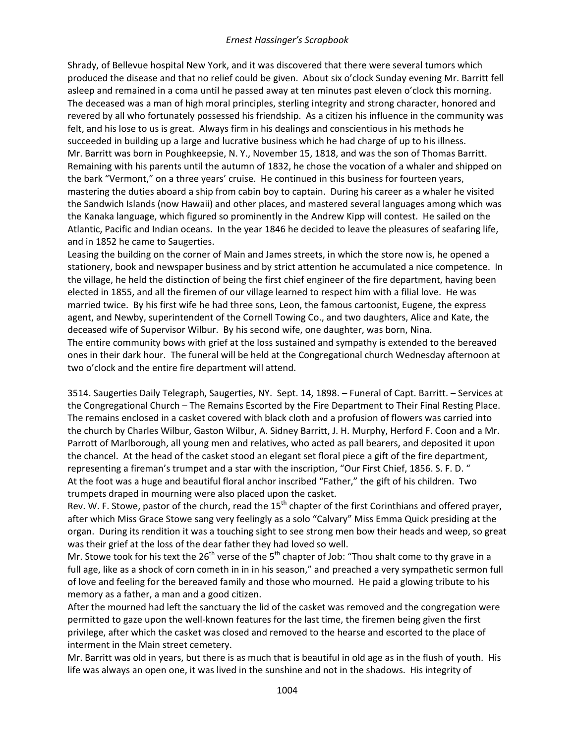Shrady, of Bellevue hospital New York, and it was discovered that there were several tumors which produced the disease and that no relief could be given. About six o'clock Sunday evening Mr. Barritt fell asleep and remained in a coma until he passed away at ten minutes past eleven o'clock this morning. The deceased was a man of high moral principles, sterling integrity and strong character, honored and revered by all who fortunately possessed his friendship. As a citizen his influence in the community was felt, and his lose to us is great. Always firm in his dealings and conscientious in his methods he succeeded in building up a large and lucrative business which he had charge of up to his illness. Mr. Barritt was born in Poughkeepsie, N. Y., November 15, 1818, and was the son of Thomas Barritt. Remaining with his parents until the autumn of 1832, he chose the vocation of a whaler and shipped on the bark "Vermont," on a three years' cruise. He continued in this business for fourteen years, mastering the duties aboard a ship from cabin boy to captain. During his career as a whaler he visited the Sandwich Islands (now Hawaii) and other places, and mastered several languages among which was the Kanaka language, which figured so prominently in the Andrew Kipp will contest. He sailed on the Atlantic, Pacific and Indian oceans. In the year 1846 he decided to leave the pleasures of seafaring life, and in 1852 he came to Saugerties.

Leasing the building on the corner of Main and James streets, in which the store now is, he opened a stationery, book and newspaper business and by strict attention he accumulated a nice competence. In the village, he held the distinction of being the first chief engineer of the fire department, having been elected in 1855, and all the firemen of our village learned to respect him with a filial love. He was married twice. By his first wife he had three sons, Leon, the famous cartoonist, Eugene, the express agent, and Newby, superintendent of the Cornell Towing Co., and two daughters, Alice and Kate, the deceased wife of Supervisor Wilbur. By his second wife, one daughter, was born, Nina. The entire community bows with grief at the loss sustained and sympathy is extended to the bereaved ones in their dark hour. The funeral will be held at the Congregational church Wednesday afternoon at two o'clock and the entire fire department will attend.

3514. Saugerties Daily Telegraph, Saugerties, NY. Sept. 14, 1898. – Funeral of Capt. Barritt. – Services at the Congregational Church – The Remains Escorted by the Fire Department to Their Final Resting Place. The remains enclosed in a casket covered with black cloth and a profusion of flowers was carried into the church by Charles Wilbur, Gaston Wilbur, A. Sidney Barritt, J. H. Murphy, Herford F. Coon and a Mr. Parrott of Marlborough, all young men and relatives, who acted as pall bearers, and deposited it upon the chancel. At the head of the casket stood an elegant set floral piece a gift of the fire department, representing a fireman's trumpet and a star with the inscription, "Our First Chief, 1856. S. F. D. " At the foot was a huge and beautiful floral anchor inscribed "Father," the gift of his children. Two trumpets draped in mourning were also placed upon the casket.

Rev. W. F. Stowe, pastor of the church, read the 15<sup>th</sup> chapter of the first Corinthians and offered prayer, after which Miss Grace Stowe sang very feelingly as a solo "Calvary" Miss Emma Quick presiding at the organ. During its rendition it was a touching sight to see strong men bow their heads and weep, so great was their grief at the loss of the dear father they had loved so well.

Mr. Stowe took for his text the  $26<sup>th</sup>$  verse of the  $5<sup>th</sup>$  chapter of Job: "Thou shalt come to thy grave in a full age, like as a shock of corn cometh in in in his season," and preached a very sympathetic sermon full of love and feeling for the bereaved family and those who mourned. He paid a glowing tribute to his memory as a father, a man and a good citizen.

After the mourned had left the sanctuary the lid of the casket was removed and the congregation were permitted to gaze upon the well-known features for the last time, the firemen being given the first privilege, after which the casket was closed and removed to the hearse and escorted to the place of interment in the Main street cemetery.

Mr. Barritt was old in years, but there is as much that is beautiful in old age as in the flush of youth. His life was always an open one, it was lived in the sunshine and not in the shadows. His integrity of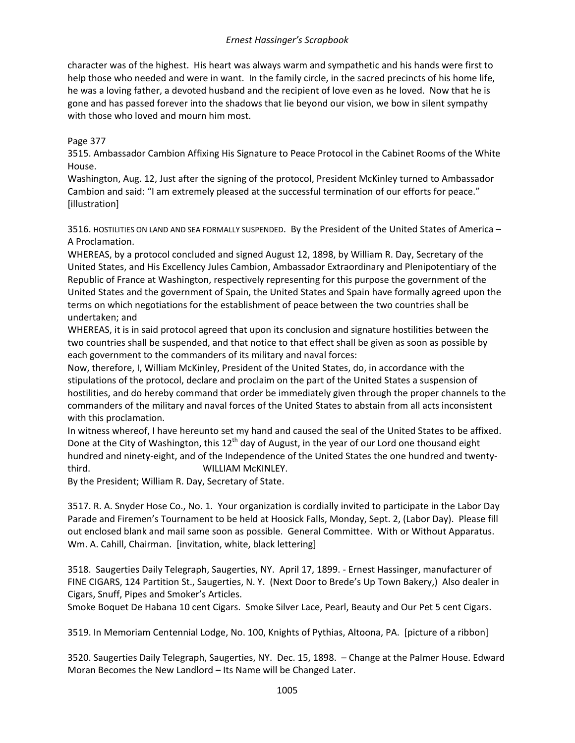character was of the highest. His heart was always warm and sympathetic and his hands were first to help those who needed and were in want. In the family circle, in the sacred precincts of his home life, he was a loving father, a devoted husband and the recipient of love even as he loved. Now that he is gone and has passed forever into the shadows that lie beyond our vision, we bow in silent sympathy with those who loved and mourn him most.

## Page 377

3515. Ambassador Cambion Affixing His Signature to Peace Protocol in the Cabinet Rooms of the White House.

Washington, Aug. 12, Just after the signing of the protocol, President McKinley turned to Ambassador Cambion and said: "I am extremely pleased at the successful termination of our efforts for peace." [illustration]

3516. HOSTILITIES ON LAND AND SEA FORMALLY SUSPENDED. By the President of the United States of America – A Proclamation.

WHEREAS, by a protocol concluded and signed August 12, 1898, by William R. Day, Secretary of the United States, and His Excellency Jules Cambion, Ambassador Extraordinary and Plenipotentiary of the Republic of France at Washington, respectively representing for this purpose the government of the United States and the government of Spain, the United States and Spain have formally agreed upon the terms on which negotiations for the establishment of peace between the two countries shall be undertaken; and

WHEREAS, it is in said protocol agreed that upon its conclusion and signature hostilities between the two countries shall be suspended, and that notice to that effect shall be given as soon as possible by each government to the commanders of its military and naval forces:

Now, therefore, I, William McKinley, President of the United States, do, in accordance with the stipulations of the protocol, declare and proclaim on the part of the United States a suspension of hostilities, and do hereby command that order be immediately given through the proper channels to the commanders of the military and naval forces of the United States to abstain from all acts inconsistent with this proclamation.

In witness whereof, I have hereunto set my hand and caused the seal of the United States to be affixed. Done at the City of Washington, this  $12<sup>th</sup>$  day of August, in the year of our Lord one thousand eight hundred and ninety-eight, and of the Independence of the United States the one hundred and twentythird. WILLIAM McKINLEY.

By the President; William R. Day, Secretary of State.

3517. R. A. Snyder Hose Co., No. 1. Your organization is cordially invited to participate in the Labor Day Parade and Firemen's Tournament to be held at Hoosick Falls, Monday, Sept. 2, (Labor Day). Please fill out enclosed blank and mail same soon as possible. General Committee. With or Without Apparatus. Wm. A. Cahill, Chairman. [invitation, white, black lettering]

3518. Saugerties Daily Telegraph, Saugerties, NY. April 17, 1899. - Ernest Hassinger, manufacturer of FINE CIGARS, 124 Partition St., Saugerties, N. Y. (Next Door to Brede's Up Town Bakery,) Also dealer in Cigars, Snuff, Pipes and Smoker's Articles.

Smoke Boquet De Habana 10 cent Cigars. Smoke Silver Lace, Pearl, Beauty and Our Pet 5 cent Cigars.

3519. In Memoriam Centennial Lodge, No. 100, Knights of Pythias, Altoona, PA. [picture of a ribbon]

3520. Saugerties Daily Telegraph, Saugerties, NY. Dec. 15, 1898. – Change at the Palmer House. Edward Moran Becomes the New Landlord – Its Name will be Changed Later.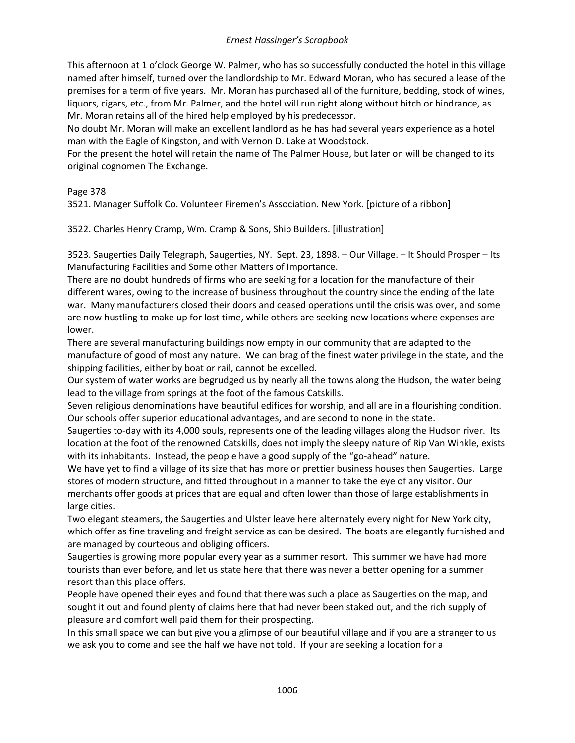This afternoon at 1 o'clock George W. Palmer, who has so successfully conducted the hotel in this village named after himself, turned over the landlordship to Mr. Edward Moran, who has secured a lease of the premises for a term of five years. Mr. Moran has purchased all of the furniture, bedding, stock of wines, liquors, cigars, etc., from Mr. Palmer, and the hotel will run right along without hitch or hindrance, as Mr. Moran retains all of the hired help employed by his predecessor.

No doubt Mr. Moran will make an excellent landlord as he has had several years experience as a hotel man with the Eagle of Kingston, and with Vernon D. Lake at Woodstock.

For the present the hotel will retain the name of The Palmer House, but later on will be changed to its original cognomen The Exchange.

## Page 378

3521. Manager Suffolk Co. Volunteer Firemen's Association. New York. [picture of a ribbon]

3522. Charles Henry Cramp, Wm. Cramp & Sons, Ship Builders. [illustration]

3523. Saugerties Daily Telegraph, Saugerties, NY. Sept. 23, 1898. – Our Village. – It Should Prosper – Its Manufacturing Facilities and Some other Matters of Importance.

There are no doubt hundreds of firms who are seeking for a location for the manufacture of their different wares, owing to the increase of business throughout the country since the ending of the late war. Many manufacturers closed their doors and ceased operations until the crisis was over, and some are now hustling to make up for lost time, while others are seeking new locations where expenses are lower.

There are several manufacturing buildings now empty in our community that are adapted to the manufacture of good of most any nature. We can brag of the finest water privilege in the state, and the shipping facilities, either by boat or rail, cannot be excelled.

Our system of water works are begrudged us by nearly all the towns along the Hudson, the water being lead to the village from springs at the foot of the famous Catskills.

Seven religious denominations have beautiful edifices for worship, and all are in a flourishing condition. Our schools offer superior educational advantages, and are second to none in the state.

Saugerties to-day with its 4,000 souls, represents one of the leading villages along the Hudson river. Its location at the foot of the renowned Catskills, does not imply the sleepy nature of Rip Van Winkle, exists with its inhabitants. Instead, the people have a good supply of the "go-ahead" nature.

We have yet to find a village of its size that has more or prettier business houses then Saugerties. Large stores of modern structure, and fitted throughout in a manner to take the eye of any visitor. Our merchants offer goods at prices that are equal and often lower than those of large establishments in large cities.

Two elegant steamers, the Saugerties and Ulster leave here alternately every night for New York city, which offer as fine traveling and freight service as can be desired. The boats are elegantly furnished and are managed by courteous and obliging officers.

Saugerties is growing more popular every year as a summer resort. This summer we have had more tourists than ever before, and let us state here that there was never a better opening for a summer resort than this place offers.

People have opened their eyes and found that there was such a place as Saugerties on the map, and sought it out and found plenty of claims here that had never been staked out, and the rich supply of pleasure and comfort well paid them for their prospecting.

In this small space we can but give you a glimpse of our beautiful village and if you are a stranger to us we ask you to come and see the half we have not told. If your are seeking a location for a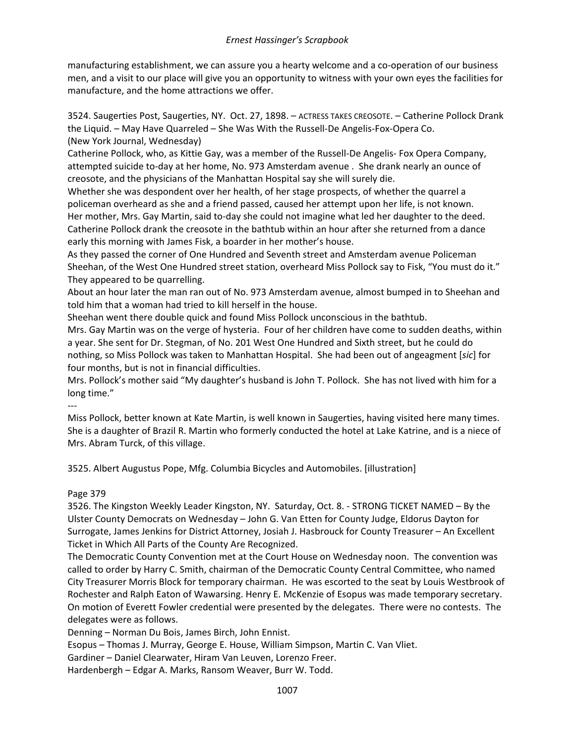manufacturing establishment, we can assure you a hearty welcome and a co-operation of our business men, and a visit to our place will give you an opportunity to witness with your own eyes the facilities for manufacture, and the home attractions we offer.

3524. Saugerties Post, Saugerties, NY. Oct. 27, 1898. – ACTRESS TAKES CREOSOTE. – Catherine Pollock Drank the Liquid. – May Have Quarreled – She Was With the Russell-De Angelis-Fox-Opera Co. (New York Journal, Wednesday)

Catherine Pollock, who, as Kittie Gay, was a member of the Russell-De Angelis- Fox Opera Company, attempted suicide to-day at her home, No. 973 Amsterdam avenue . She drank nearly an ounce of creosote, and the physicians of the Manhattan Hospital say she will surely die.

Whether she was despondent over her health, of her stage prospects, of whether the quarrel a policeman overheard as she and a friend passed, caused her attempt upon her life, is not known. Her mother, Mrs. Gay Martin, said to-day she could not imagine what led her daughter to the deed. Catherine Pollock drank the creosote in the bathtub within an hour after she returned from a dance early this morning with James Fisk, a boarder in her mother's house.

As they passed the corner of One Hundred and Seventh street and Amsterdam avenue Policeman Sheehan, of the West One Hundred street station, overheard Miss Pollock say to Fisk, "You must do it." They appeared to be quarrelling.

About an hour later the man ran out of No. 973 Amsterdam avenue, almost bumped in to Sheehan and told him that a woman had tried to kill herself in the house.

Sheehan went there double quick and found Miss Pollock unconscious in the bathtub.

Mrs. Gay Martin was on the verge of hysteria. Four of her children have come to sudden deaths, within a year. She sent for Dr. Stegman, of No. 201 West One Hundred and Sixth street, but he could do nothing, so Miss Pollock was taken to Manhattan Hospital. She had been out of angeagment [*sic*] for four months, but is not in financial difficulties.

Mrs. Pollock's mother said "My daughter's husband is John T. Pollock. She has not lived with him for a long time."

---

Miss Pollock, better known at Kate Martin, is well known in Saugerties, having visited here many times. She is a daughter of Brazil R. Martin who formerly conducted the hotel at Lake Katrine, and is a niece of Mrs. Abram Turck, of this village.

3525. Albert Augustus Pope, Mfg. Columbia Bicycles and Automobiles. [illustration]

Page 379

3526. The Kingston Weekly Leader Kingston, NY. Saturday, Oct. 8. - STRONG TICKET NAMED – By the Ulster County Democrats on Wednesday – John G. Van Etten for County Judge, Eldorus Dayton for Surrogate, James Jenkins for District Attorney, Josiah J. Hasbrouck for County Treasurer – An Excellent Ticket in Which All Parts of the County Are Recognized.

The Democratic County Convention met at the Court House on Wednesday noon. The convention was called to order by Harry C. Smith, chairman of the Democratic County Central Committee, who named City Treasurer Morris Block for temporary chairman. He was escorted to the seat by Louis Westbrook of Rochester and Ralph Eaton of Wawarsing. Henry E. McKenzie of Esopus was made temporary secretary. On motion of Everett Fowler credential were presented by the delegates. There were no contests. The delegates were as follows.

Denning – Norman Du Bois, James Birch, John Ennist.

Esopus – Thomas J. Murray, George E. House, William Simpson, Martin C. Van Vliet.

Gardiner – Daniel Clearwater, Hiram Van Leuven, Lorenzo Freer.

Hardenbergh – Edgar A. Marks, Ransom Weaver, Burr W. Todd.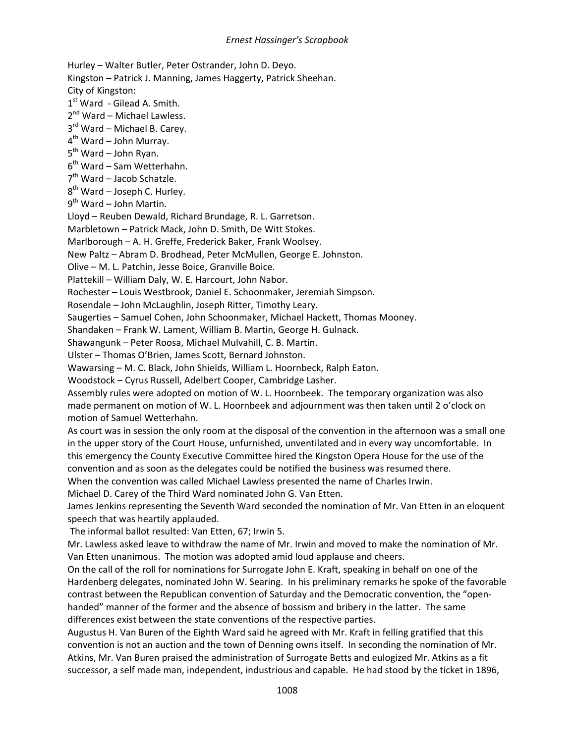Hurley – Walter Butler, Peter Ostrander, John D. Deyo. Kingston – Patrick J. Manning, James Haggerty, Patrick Sheehan. City of Kingston: 1<sup>st</sup> Ward - Gilead A. Smith.  $2^{nd}$  Ward – Michael Lawless.  $3<sup>rd</sup>$  Ward – Michael B. Carey. 4th Ward – John Murray.  $5<sup>th</sup>$  Ward – John Ryan.  $6<sup>th</sup>$  Ward – Sam Wetterhahn.  $7<sup>th</sup>$  Ward – Jacob Schatzle.  $8<sup>th</sup>$  Ward – Joseph C. Hurley.  $9<sup>th</sup>$  Ward – John Martin. Lloyd – Reuben Dewald, Richard Brundage, R. L. Garretson. Marbletown – Patrick Mack, John D. Smith, De Witt Stokes. Marlborough – A. H. Greffe, Frederick Baker, Frank Woolsey. New Paltz – Abram D. Brodhead, Peter McMullen, George E. Johnston. Olive – M. L. Patchin, Jesse Boice, Granville Boice. Plattekill – William Daly, W. E. Harcourt, John Nabor. Rochester – Louis Westbrook, Daniel E. Schoonmaker, Jeremiah Simpson. Rosendale – John McLaughlin, Joseph Ritter, Timothy Leary. Saugerties – Samuel Cohen, John Schoonmaker, Michael Hackett, Thomas Mooney. Shandaken – Frank W. Lament, William B. Martin, George H. Gulnack. Shawangunk – Peter Roosa, Michael Mulvahill, C. B. Martin. Ulster – Thomas O'Brien, James Scott, Bernard Johnston. Wawarsing – M. C. Black, John Shields, William L. Hoornbeck, Ralph Eaton. Woodstock – Cyrus Russell, Adelbert Cooper, Cambridge Lasher. Assembly rules were adopted on motion of W. L. Hoornbeek. The temporary organization was also made permanent on motion of W. L. Hoornbeek and adjournment was then taken until 2 o'clock on motion of Samuel Wetterhahn. As court was in session the only room at the disposal of the convention in the afternoon was a small one in the upper story of the Court House, unfurnished, unventilated and in every way uncomfortable. In this emergency the County Executive Committee hired the Kingston Opera House for the use of the convention and as soon as the delegates could be notified the business was resumed there. When the convention was called Michael Lawless presented the name of Charles Irwin. Michael D. Carey of the Third Ward nominated John G. Van Etten. James Jenkins representing the Seventh Ward seconded the nomination of Mr. Van Etten in an eloquent speech that was heartily applauded. The informal ballot resulted: Van Etten, 67; Irwin 5. Mr. Lawless asked leave to withdraw the name of Mr. Irwin and moved to make the nomination of Mr. Van Etten unanimous. The motion was adopted amid loud applause and cheers. On the call of the roll for nominations for Surrogate John E. Kraft, speaking in behalf on one of the Hardenberg delegates, nominated John W. Searing. In his preliminary remarks he spoke of the favorable contrast between the Republican convention of Saturday and the Democratic convention, the "openhanded" manner of the former and the absence of bossism and bribery in the latter. The same differences exist between the state conventions of the respective parties. Augustus H. Van Buren of the Eighth Ward said he agreed with Mr. Kraft in felling gratified that this

convention is not an auction and the town of Denning owns itself. In seconding the nomination of Mr. Atkins, Mr. Van Buren praised the administration of Surrogate Betts and eulogized Mr. Atkins as a fit successor, a self made man, independent, industrious and capable. He had stood by the ticket in 1896,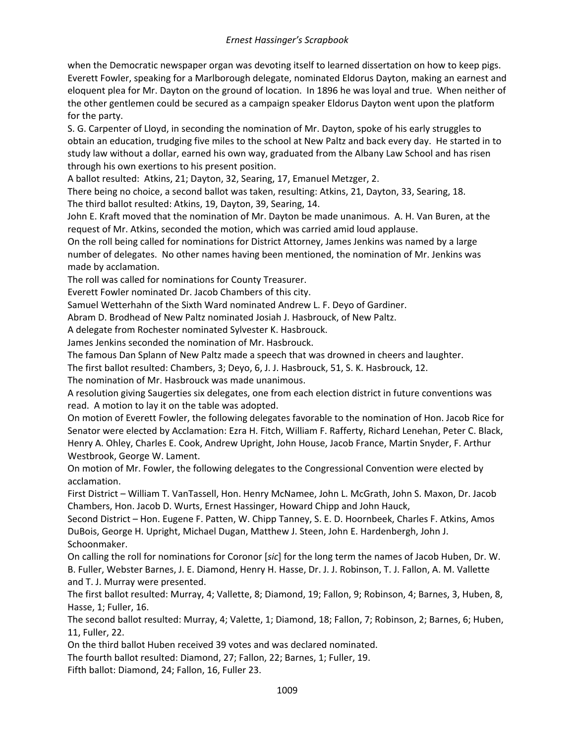when the Democratic newspaper organ was devoting itself to learned dissertation on how to keep pigs. Everett Fowler, speaking for a Marlborough delegate, nominated Eldorus Dayton, making an earnest and eloquent plea for Mr. Dayton on the ground of location. In 1896 he was loyal and true. When neither of the other gentlemen could be secured as a campaign speaker Eldorus Dayton went upon the platform for the party.

S. G. Carpenter of Lloyd, in seconding the nomination of Mr. Dayton, spoke of his early struggles to obtain an education, trudging five miles to the school at New Paltz and back every day. He started in to study law without a dollar, earned his own way, graduated from the Albany Law School and has risen through his own exertions to his present position.

A ballot resulted: Atkins, 21; Dayton, 32, Searing, 17, Emanuel Metzger, 2.

There being no choice, a second ballot was taken, resulting: Atkins, 21, Dayton, 33, Searing, 18. The third ballot resulted: Atkins, 19, Dayton, 39, Searing, 14.

John E. Kraft moved that the nomination of Mr. Dayton be made unanimous. A. H. Van Buren, at the request of Mr. Atkins, seconded the motion, which was carried amid loud applause.

On the roll being called for nominations for District Attorney, James Jenkins was named by a large number of delegates. No other names having been mentioned, the nomination of Mr. Jenkins was made by acclamation.

The roll was called for nominations for County Treasurer.

Everett Fowler nominated Dr. Jacob Chambers of this city.

Samuel Wetterhahn of the Sixth Ward nominated Andrew L. F. Deyo of Gardiner.

Abram D. Brodhead of New Paltz nominated Josiah J. Hasbrouck, of New Paltz.

A delegate from Rochester nominated Sylvester K. Hasbrouck.

James Jenkins seconded the nomination of Mr. Hasbrouck.

The famous Dan Splann of New Paltz made a speech that was drowned in cheers and laughter.

The first ballot resulted: Chambers, 3; Deyo, 6, J. J. Hasbrouck, 51, S. K. Hasbrouck, 12.

The nomination of Mr. Hasbrouck was made unanimous.

A resolution giving Saugerties six delegates, one from each election district in future conventions was read. A motion to lay it on the table was adopted.

On motion of Everett Fowler, the following delegates favorable to the nomination of Hon. Jacob Rice for Senator were elected by Acclamation: Ezra H. Fitch, William F. Rafferty, Richard Lenehan, Peter C. Black, Henry A. Ohley, Charles E. Cook, Andrew Upright, John House, Jacob France, Martin Snyder, F. Arthur Westbrook, George W. Lament.

On motion of Mr. Fowler, the following delegates to the Congressional Convention were elected by acclamation.

First District – William T. VanTassell, Hon. Henry McNamee, John L. McGrath, John S. Maxon, Dr. Jacob Chambers, Hon. Jacob D. Wurts, Ernest Hassinger, Howard Chipp and John Hauck,

Second District – Hon. Eugene F. Patten, W. Chipp Tanney, S. E. D. Hoornbeek, Charles F. Atkins, Amos DuBois, George H. Upright, Michael Dugan, Matthew J. Steen, John E. Hardenbergh, John J. Schoonmaker.

On calling the roll for nominations for Coronor [*sic*] for the long term the names of Jacob Huben, Dr. W. B. Fuller, Webster Barnes, J. E. Diamond, Henry H. Hasse, Dr. J. J. Robinson, T. J. Fallon, A. M. Vallette and T. J. Murray were presented.

The first ballot resulted: Murray, 4; Vallette, 8; Diamond, 19; Fallon, 9; Robinson, 4; Barnes, 3, Huben, 8, Hasse, 1; Fuller, 16.

The second ballot resulted: Murray, 4; Valette, 1; Diamond, 18; Fallon, 7; Robinson, 2; Barnes, 6; Huben, 11, Fuller, 22.

On the third ballot Huben received 39 votes and was declared nominated.

The fourth ballot resulted: Diamond, 27; Fallon, 22; Barnes, 1; Fuller, 19.

Fifth ballot: Diamond, 24; Fallon, 16, Fuller 23.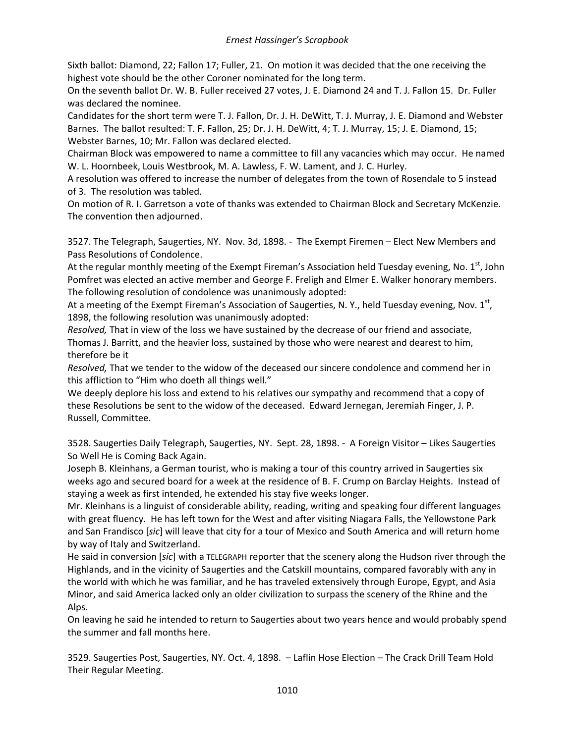Sixth ballot: Diamond, 22; Fallon 17; Fuller, 21. On motion it was decided that the one receiving the highest vote should be the other Coroner nominated for the long term.

On the seventh ballot Dr. W. B. Fuller received 27 votes, J. E. Diamond 24 and T. J. Fallon 15. Dr. Fuller was declared the nominee.

Candidates for the short term were T. J. Fallon, Dr. J. H. DeWitt, T. J. Murray, J. E. Diamond and Webster Barnes. The ballot resulted: T. F. Fallon, 25; Dr. J. H. DeWitt, 4; T. J. Murray, 15; J. E. Diamond, 15; Webster Barnes, 10; Mr. Fallon was declared elected.

Chairman Block was empowered to name a committee to fill any vacancies which may occur. He named W. L. Hoornbeek, Louis Westbrook, M. A. Lawless, F. W. Lament, and J. C. Hurley.

A resolution was offered to increase the number of delegates from the town of Rosendale to 5 instead of 3. The resolution was tabled.

On motion of R. I. Garretson a vote of thanks was extended to Chairman Block and Secretary McKenzie. The convention then adjourned.

3527. The Telegraph, Saugerties, NY. Nov. 3d, 1898. - The Exempt Firemen – Elect New Members and Pass Resolutions of Condolence.

At the regular monthly meeting of the Exempt Fireman's Association held Tuesday evening, No. 1<sup>st</sup>, John Pomfret was elected an active member and George F. Freligh and Elmer E. Walker honorary members. The following resolution of condolence was unanimously adopted:

At a meeting of the Exempt Fireman's Association of Saugerties, N. Y., held Tuesday evening, Nov.  $1^{st}$ , 1898, the following resolution was unanimously adopted:

*Resolved,* That in view of the loss we have sustained by the decrease of our friend and associate, Thomas J. Barritt, and the heavier loss, sustained by those who were nearest and dearest to him, therefore be it

*Resolved,* That we tender to the widow of the deceased our sincere condolence and commend her in this affliction to "Him who doeth all things well."

We deeply deplore his loss and extend to his relatives our sympathy and recommend that a copy of these Resolutions be sent to the widow of the deceased. Edward Jernegan, Jeremiah Finger, J. P. Russell, Committee.

3528. Saugerties Daily Telegraph, Saugerties, NY. Sept. 28, 1898. - A Foreign Visitor – Likes Saugerties So Well He is Coming Back Again.

Joseph B. Kleinhans, a German tourist, who is making a tour of this country arrived in Saugerties six weeks ago and secured board for a week at the residence of B. F. Crump on Barclay Heights. Instead of staying a week as first intended, he extended his stay five weeks longer.

Mr. Kleinhans is a linguist of considerable ability, reading, writing and speaking four different languages with great fluency. He has left town for the West and after visiting Niagara Falls, the Yellowstone Park and San Frandisco [*sic*] will leave that city for a tour of Mexico and South America and will return home by way of Italy and Switzerland.

He said in conversion [*sic*] with a TELEGRAPH reporter that the scenery along the Hudson river through the Highlands, and in the vicinity of Saugerties and the Catskill mountains, compared favorably with any in the world with which he was familiar, and he has traveled extensively through Europe, Egypt, and Asia Minor, and said America lacked only an older civilization to surpass the scenery of the Rhine and the Alps.

On leaving he said he intended to return to Saugerties about two years hence and would probably spend the summer and fall months here.

3529. Saugerties Post, Saugerties, NY. Oct. 4, 1898. – Laflin Hose Election – The Crack Drill Team Hold Their Regular Meeting.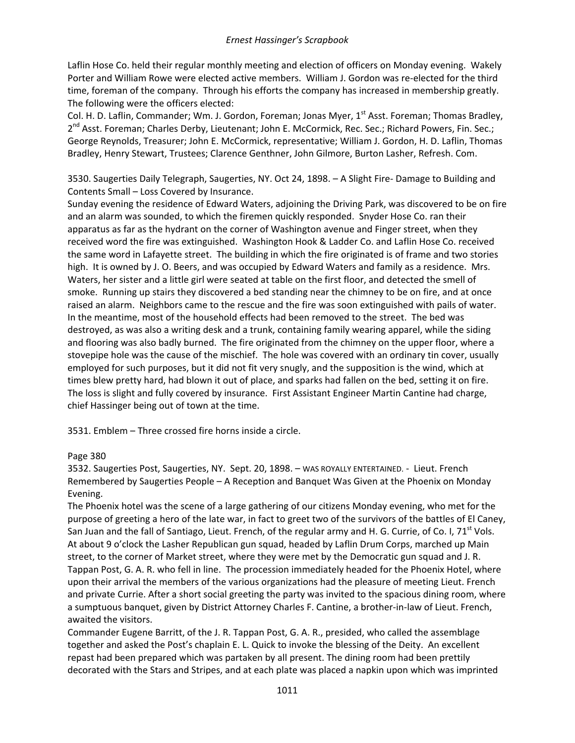Laflin Hose Co. held their regular monthly meeting and election of officers on Monday evening. Wakely Porter and William Rowe were elected active members. William J. Gordon was re-elected for the third time, foreman of the company. Through his efforts the company has increased in membership greatly. The following were the officers elected:

Col. H. D. Laflin, Commander; Wm. J. Gordon, Foreman; Jonas Myer, 1<sup>st</sup> Asst. Foreman; Thomas Bradley, 2<sup>nd</sup> Asst. Foreman; Charles Derby, Lieutenant; John E. McCormick, Rec. Sec.; Richard Powers, Fin. Sec.; George Reynolds, Treasurer; John E. McCormick, representative; William J. Gordon, H. D. Laflin, Thomas Bradley, Henry Stewart, Trustees; Clarence Genthner, John Gilmore, Burton Lasher, Refresh. Com.

3530. Saugerties Daily Telegraph, Saugerties, NY. Oct 24, 1898. – A Slight Fire- Damage to Building and Contents Small – Loss Covered by Insurance.

Sunday evening the residence of Edward Waters, adjoining the Driving Park, was discovered to be on fire and an alarm was sounded, to which the firemen quickly responded. Snyder Hose Co. ran their apparatus as far as the hydrant on the corner of Washington avenue and Finger street, when they received word the fire was extinguished. Washington Hook & Ladder Co. and Laflin Hose Co. received the same word in Lafayette street. The building in which the fire originated is of frame and two stories high. It is owned by J. O. Beers, and was occupied by Edward Waters and family as a residence. Mrs. Waters, her sister and a little girl were seated at table on the first floor, and detected the smell of smoke. Running up stairs they discovered a bed standing near the chimney to be on fire, and at once raised an alarm. Neighbors came to the rescue and the fire was soon extinguished with pails of water. In the meantime, most of the household effects had been removed to the street. The bed was destroyed, as was also a writing desk and a trunk, containing family wearing apparel, while the siding and flooring was also badly burned. The fire originated from the chimney on the upper floor, where a stovepipe hole was the cause of the mischief. The hole was covered with an ordinary tin cover, usually employed for such purposes, but it did not fit very snugly, and the supposition is the wind, which at times blew pretty hard, had blown it out of place, and sparks had fallen on the bed, setting it on fire. The loss is slight and fully covered by insurance. First Assistant Engineer Martin Cantine had charge, chief Hassinger being out of town at the time.

3531. Emblem – Three crossed fire horns inside a circle.

# Page 380

3532. Saugerties Post, Saugerties, NY. Sept. 20, 1898. – WAS ROYALLY ENTERTAINED. - Lieut. French Remembered by Saugerties People – A Reception and Banquet Was Given at the Phoenix on Monday Evening.

The Phoenix hotel was the scene of a large gathering of our citizens Monday evening, who met for the purpose of greeting a hero of the late war, in fact to greet two of the survivors of the battles of El Caney, San Juan and the fall of Santiago, Lieut. French, of the regular army and H. G. Currie, of Co. I, 71<sup>st</sup> Vols. At about 9 o'clock the Lasher Republican gun squad, headed by Laflin Drum Corps, marched up Main street, to the corner of Market street, where they were met by the Democratic gun squad and J. R. Tappan Post, G. A. R. who fell in line. The procession immediately headed for the Phoenix Hotel, where upon their arrival the members of the various organizations had the pleasure of meeting Lieut. French and private Currie. After a short social greeting the party was invited to the spacious dining room, where a sumptuous banquet, given by District Attorney Charles F. Cantine, a brother-in-law of Lieut. French, awaited the visitors.

Commander Eugene Barritt, of the J. R. Tappan Post, G. A. R., presided, who called the assemblage together and asked the Post's chaplain E. L. Quick to invoke the blessing of the Deity. An excellent repast had been prepared which was partaken by all present. The dining room had been prettily decorated with the Stars and Stripes, and at each plate was placed a napkin upon which was imprinted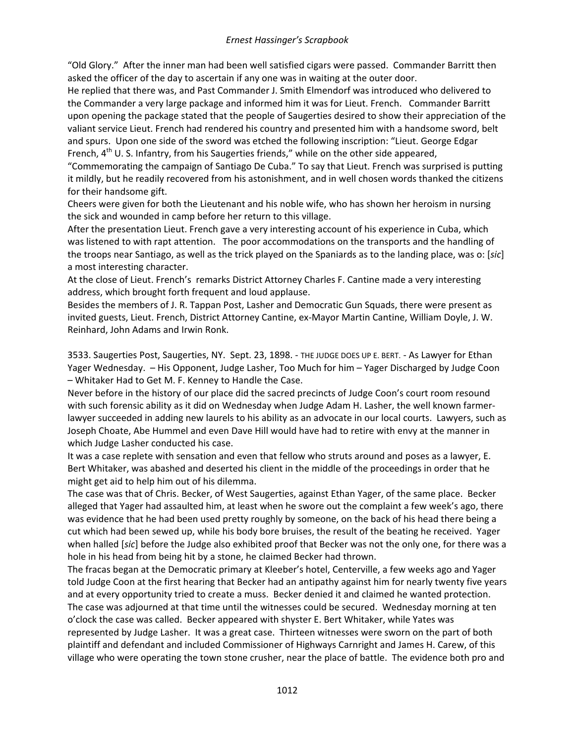"Old Glory." After the inner man had been well satisfied cigars were passed. Commander Barritt then asked the officer of the day to ascertain if any one was in waiting at the outer door.

He replied that there was, and Past Commander J. Smith Elmendorf was introduced who delivered to the Commander a very large package and informed him it was for Lieut. French. Commander Barritt upon opening the package stated that the people of Saugerties desired to show their appreciation of the valiant service Lieut. French had rendered his country and presented him with a handsome sword, belt and spurs. Upon one side of the sword was etched the following inscription: "Lieut. George Edgar French, 4<sup>th</sup> U. S. Infantry, from his Saugerties friends," while on the other side appeared,

"Commemorating the campaign of Santiago De Cuba." To say that Lieut. French was surprised is putting it mildly, but he readily recovered from his astonishment, and in well chosen words thanked the citizens for their handsome gift.

Cheers were given for both the Lieutenant and his noble wife, who has shown her heroism in nursing the sick and wounded in camp before her return to this village.

After the presentation Lieut. French gave a very interesting account of his experience in Cuba, which was listened to with rapt attention. The poor accommodations on the transports and the handling of the troops near Santiago, as well as the trick played on the Spaniards as to the landing place, was o: [*sic*] a most interesting character.

At the close of Lieut. French's remarks District Attorney Charles F. Cantine made a very interesting address, which brought forth frequent and loud applause.

Besides the members of J. R. Tappan Post, Lasher and Democratic Gun Squads, there were present as invited guests, Lieut. French, District Attorney Cantine, ex-Mayor Martin Cantine, William Doyle, J. W. Reinhard, John Adams and Irwin Ronk.

3533. Saugerties Post, Saugerties, NY. Sept. 23, 1898. - THE JUDGE DOES UP E. BERT. - As Lawyer for Ethan Yager Wednesday. – His Opponent, Judge Lasher, Too Much for him – Yager Discharged by Judge Coon – Whitaker Had to Get M. F. Kenney to Handle the Case.

Never before in the history of our place did the sacred precincts of Judge Coon's court room resound with such forensic ability as it did on Wednesday when Judge Adam H. Lasher, the well known farmerlawyer succeeded in adding new laurels to his ability as an advocate in our local courts. Lawyers, such as Joseph Choate, Abe Hummel and even Dave Hill would have had to retire with envy at the manner in which Judge Lasher conducted his case.

It was a case replete with sensation and even that fellow who struts around and poses as a lawyer, E. Bert Whitaker, was abashed and deserted his client in the middle of the proceedings in order that he might get aid to help him out of his dilemma.

The case was that of Chris. Becker, of West Saugerties, against Ethan Yager, of the same place. Becker alleged that Yager had assaulted him, at least when he swore out the complaint a few week's ago, there was evidence that he had been used pretty roughly by someone, on the back of his head there being a cut which had been sewed up, while his body bore bruises, the result of the beating he received. Yager when halled [*sic*] before the Judge also exhibited proof that Becker was not the only one, for there was a hole in his head from being hit by a stone, he claimed Becker had thrown.

The fracas began at the Democratic primary at Kleeber's hotel, Centerville, a few weeks ago and Yager told Judge Coon at the first hearing that Becker had an antipathy against him for nearly twenty five years and at every opportunity tried to create a muss. Becker denied it and claimed he wanted protection. The case was adjourned at that time until the witnesses could be secured. Wednesday morning at ten o'clock the case was called. Becker appeared with shyster E. Bert Whitaker, while Yates was represented by Judge Lasher. It was a great case. Thirteen witnesses were sworn on the part of both plaintiff and defendant and included Commissioner of Highways Carnright and James H. Carew, of this village who were operating the town stone crusher, near the place of battle. The evidence both pro and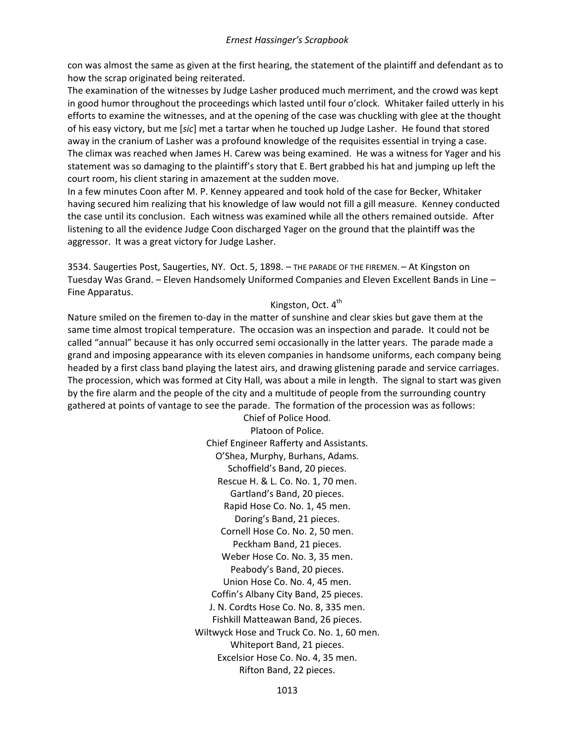con was almost the same as given at the first hearing, the statement of the plaintiff and defendant as to how the scrap originated being reiterated.

The examination of the witnesses by Judge Lasher produced much merriment, and the crowd was kept in good humor throughout the proceedings which lasted until four o'clock. Whitaker failed utterly in his efforts to examine the witnesses, and at the opening of the case was chuckling with glee at the thought of his easy victory, but me [*sic*] met a tartar when he touched up Judge Lasher. He found that stored away in the cranium of Lasher was a profound knowledge of the requisites essential in trying a case. The climax was reached when James H. Carew was being examined. He was a witness for Yager and his statement was so damaging to the plaintiff's story that E. Bert grabbed his hat and jumping up left the court room, his client staring in amazement at the sudden move.

In a few minutes Coon after M. P. Kenney appeared and took hold of the case for Becker, Whitaker having secured him realizing that his knowledge of law would not fill a gill measure. Kenney conducted the case until its conclusion. Each witness was examined while all the others remained outside. After listening to all the evidence Judge Coon discharged Yager on the ground that the plaintiff was the aggressor. It was a great victory for Judge Lasher.

3534. Saugerties Post, Saugerties, NY. Oct. 5, 1898. – THE PARADE OF THE FIREMEN. – At Kingston on Tuesday Was Grand. – Eleven Handsomely Uniformed Companies and Eleven Excellent Bands in Line – Fine Apparatus.

# Kingston, Oct. 4<sup>th</sup>

Nature smiled on the firemen to-day in the matter of sunshine and clear skies but gave them at the same time almost tropical temperature. The occasion was an inspection and parade. It could not be called "annual" because it has only occurred semi occasionally in the latter years. The parade made a grand and imposing appearance with its eleven companies in handsome uniforms, each company being headed by a first class band playing the latest airs, and drawing glistening parade and service carriages. The procession, which was formed at City Hall, was about a mile in length. The signal to start was given by the fire alarm and the people of the city and a multitude of people from the surrounding country gathered at points of vantage to see the parade. The formation of the procession was as follows:

> Chief of Police Hood. Platoon of Police. Chief Engineer Rafferty and Assistants. O'Shea, Murphy, Burhans, Adams. Schoffield's Band, 20 pieces. Rescue H. & L. Co. No. 1, 70 men. Gartland's Band, 20 pieces. Rapid Hose Co. No. 1, 45 men. Doring's Band, 21 pieces. Cornell Hose Co. No. 2, 50 men. Peckham Band, 21 pieces. Weber Hose Co. No. 3, 35 men. Peabody's Band, 20 pieces. Union Hose Co. No. 4, 45 men. Coffin's Albany City Band, 25 pieces. J. N. Cordts Hose Co. No. 8, 335 men. Fishkill Matteawan Band, 26 pieces. Wiltwyck Hose and Truck Co. No. 1, 60 men. Whiteport Band, 21 pieces. Excelsior Hose Co. No. 4, 35 men. Rifton Band, 22 pieces.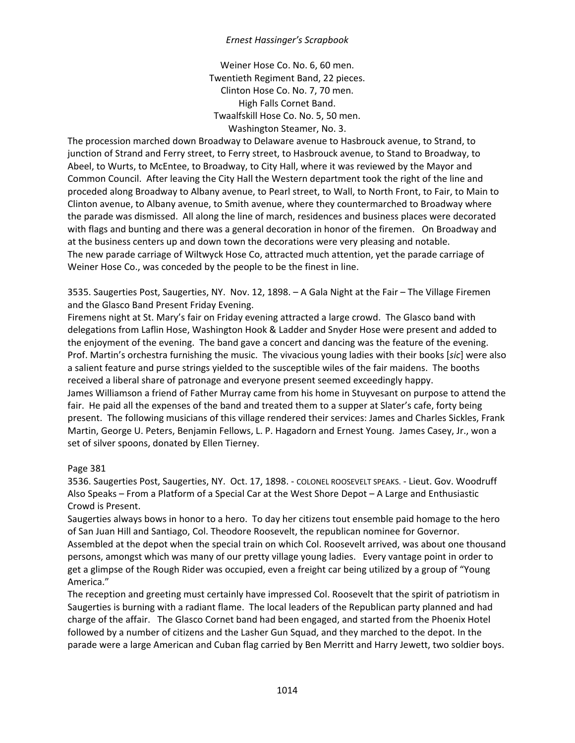Weiner Hose Co. No. 6, 60 men. Twentieth Regiment Band, 22 pieces. Clinton Hose Co. No. 7, 70 men. High Falls Cornet Band. Twaalfskill Hose Co. No. 5, 50 men. Washington Steamer, No. 3.

The procession marched down Broadway to Delaware avenue to Hasbrouck avenue, to Strand, to junction of Strand and Ferry street, to Ferry street, to Hasbrouck avenue, to Stand to Broadway, to Abeel, to Wurts, to McEntee, to Broadway, to City Hall, where it was reviewed by the Mayor and Common Council. After leaving the City Hall the Western department took the right of the line and proceded along Broadway to Albany avenue, to Pearl street, to Wall, to North Front, to Fair, to Main to Clinton avenue, to Albany avenue, to Smith avenue, where they countermarched to Broadway where the parade was dismissed. All along the line of march, residences and business places were decorated with flags and bunting and there was a general decoration in honor of the firemen. On Broadway and at the business centers up and down town the decorations were very pleasing and notable. The new parade carriage of Wiltwyck Hose Co, attracted much attention, yet the parade carriage of Weiner Hose Co., was conceded by the people to be the finest in line.

3535. Saugerties Post, Saugerties, NY. Nov. 12, 1898. – A Gala Night at the Fair – The Village Firemen and the Glasco Band Present Friday Evening.

Firemens night at St. Mary's fair on Friday evening attracted a large crowd. The Glasco band with delegations from Laflin Hose, Washington Hook & Ladder and Snyder Hose were present and added to the enjoyment of the evening. The band gave a concert and dancing was the feature of the evening. Prof. Martin's orchestra furnishing the music. The vivacious young ladies with their books [*sic*] were also a salient feature and purse strings yielded to the susceptible wiles of the fair maidens. The booths received a liberal share of patronage and everyone present seemed exceedingly happy. James Williamson a friend of Father Murray came from his home in Stuyvesant on purpose to attend the

fair. He paid all the expenses of the band and treated them to a supper at Slater's cafe, forty being present. The following musicians of this village rendered their services: James and Charles Sickles, Frank Martin, George U. Peters, Benjamin Fellows, L. P. Hagadorn and Ernest Young. James Casey, Jr., won a set of silver spoons, donated by Ellen Tierney.

### Page 381

3536. Saugerties Post, Saugerties, NY. Oct. 17, 1898. - COLONEL ROOSEVELT SPEAKS. - Lieut. Gov. Woodruff Also Speaks – From a Platform of a Special Car at the West Shore Depot – A Large and Enthusiastic Crowd is Present.

Saugerties always bows in honor to a hero. To day her citizens tout ensemble paid homage to the hero of San Juan Hill and Santiago, Col. Theodore Roosevelt, the republican nominee for Governor. Assembled at the depot when the special train on which Col. Roosevelt arrived, was about one thousand persons, amongst which was many of our pretty village young ladies. Every vantage point in order to get a glimpse of the Rough Rider was occupied, even a freight car being utilized by a group of "Young America."

The reception and greeting must certainly have impressed Col. Roosevelt that the spirit of patriotism in Saugerties is burning with a radiant flame. The local leaders of the Republican party planned and had charge of the affair. The Glasco Cornet band had been engaged, and started from the Phoenix Hotel followed by a number of citizens and the Lasher Gun Squad, and they marched to the depot. In the parade were a large American and Cuban flag carried by Ben Merritt and Harry Jewett, two soldier boys.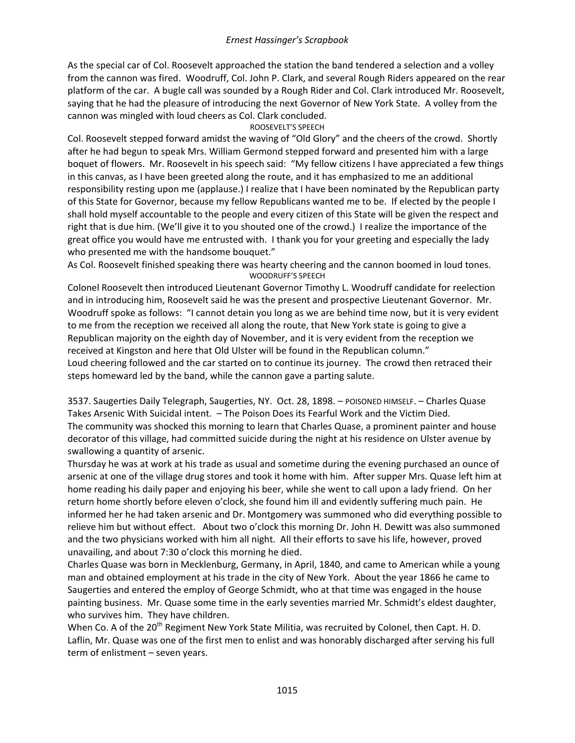As the special car of Col. Roosevelt approached the station the band tendered a selection and a volley from the cannon was fired. Woodruff, Col. John P. Clark, and several Rough Riders appeared on the rear platform of the car. A bugle call was sounded by a Rough Rider and Col. Clark introduced Mr. Roosevelt, saying that he had the pleasure of introducing the next Governor of New York State. A volley from the cannon was mingled with loud cheers as Col. Clark concluded.

# ROOSEVELT'S SPEECH

Col. Roosevelt stepped forward amidst the waving of "Old Glory" and the cheers of the crowd. Shortly after he had begun to speak Mrs. William Germond stepped forward and presented him with a large boquet of flowers. Mr. Roosevelt in his speech said: "My fellow citizens I have appreciated a few things in this canvas, as I have been greeted along the route, and it has emphasized to me an additional responsibility resting upon me (applause.) I realize that I have been nominated by the Republican party of this State for Governor, because my fellow Republicans wanted me to be. If elected by the people I shall hold myself accountable to the people and every citizen of this State will be given the respect and right that is due him. (We'll give it to you shouted one of the crowd.) I realize the importance of the great office you would have me entrusted with. I thank you for your greeting and especially the lady who presented me with the handsome bouquet."

As Col. Roosevelt finished speaking there was hearty cheering and the cannon boomed in loud tones. WOODRUFF'S SPEECH

Colonel Roosevelt then introduced Lieutenant Governor Timothy L. Woodruff candidate for reelection and in introducing him, Roosevelt said he was the present and prospective Lieutenant Governor. Mr. Woodruff spoke as follows: "I cannot detain you long as we are behind time now, but it is very evident to me from the reception we received all along the route, that New York state is going to give a Republican majority on the eighth day of November, and it is very evident from the reception we received at Kingston and here that Old Ulster will be found in the Republican column." Loud cheering followed and the car started on to continue its journey. The crowd then retraced their steps homeward led by the band, while the cannon gave a parting salute.

3537. Saugerties Daily Telegraph, Saugerties, NY. Oct. 28, 1898. – POISONED HIMSELF. – Charles Quase Takes Arsenic With Suicidal intent. – The Poison Does its Fearful Work and the Victim Died. The community was shocked this morning to learn that Charles Quase, a prominent painter and house decorator of this village, had committed suicide during the night at his residence on Ulster avenue by swallowing a quantity of arsenic.

Thursday he was at work at his trade as usual and sometime during the evening purchased an ounce of arsenic at one of the village drug stores and took it home with him. After supper Mrs. Quase left him at home reading his daily paper and enjoying his beer, while she went to call upon a lady friend. On her return home shortly before eleven o'clock, she found him ill and evidently suffering much pain. He informed her he had taken arsenic and Dr. Montgomery was summoned who did everything possible to relieve him but without effect. About two o'clock this morning Dr. John H. Dewitt was also summoned and the two physicians worked with him all night. All their efforts to save his life, however, proved unavailing, and about 7:30 o'clock this morning he died.

Charles Quase was born in Mecklenburg, Germany, in April, 1840, and came to American while a young man and obtained employment at his trade in the city of New York. About the year 1866 he came to Saugerties and entered the employ of George Schmidt, who at that time was engaged in the house painting business. Mr. Quase some time in the early seventies married Mr. Schmidt's eldest daughter, who survives him. They have children.

When Co. A of the 20<sup>th</sup> Regiment New York State Militia, was recruited by Colonel, then Capt. H. D. Laflin, Mr. Quase was one of the first men to enlist and was honorably discharged after serving his full term of enlistment – seven years.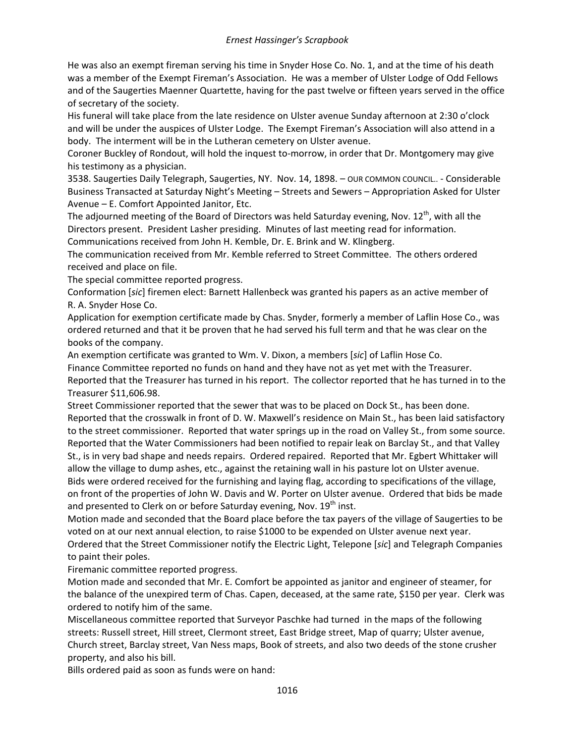He was also an exempt fireman serving his time in Snyder Hose Co. No. 1, and at the time of his death was a member of the Exempt Fireman's Association. He was a member of Ulster Lodge of Odd Fellows and of the Saugerties Maenner Quartette, having for the past twelve or fifteen years served in the office of secretary of the society.

His funeral will take place from the late residence on Ulster avenue Sunday afternoon at 2:30 o'clock and will be under the auspices of Ulster Lodge. The Exempt Fireman's Association will also attend in a body. The interment will be in the Lutheran cemetery on Ulster avenue.

Coroner Buckley of Rondout, will hold the inquest to-morrow, in order that Dr. Montgomery may give his testimony as a physician.

3538. Saugerties Daily Telegraph, Saugerties, NY. Nov. 14, 1898. – OUR COMMON COUNCIL.. - Considerable Business Transacted at Saturday Night's Meeting – Streets and Sewers – Appropriation Asked for Ulster Avenue – E. Comfort Appointed Janitor, Etc.

The adjourned meeting of the Board of Directors was held Saturday evening, Nov.  $12^{th}$ , with all the Directors present. President Lasher presiding. Minutes of last meeting read for information. Communications received from John H. Kemble, Dr. E. Brink and W. Klingberg.

The communication received from Mr. Kemble referred to Street Committee. The others ordered received and place on file.

The special committee reported progress.

Conformation [*sic*] firemen elect: Barnett Hallenbeck was granted his papers as an active member of R. A. Snyder Hose Co.

Application for exemption certificate made by Chas. Snyder, formerly a member of Laflin Hose Co., was ordered returned and that it be proven that he had served his full term and that he was clear on the books of the company.

An exemption certificate was granted to Wm. V. Dixon, a members [*sic*] of Laflin Hose Co. Finance Committee reported no funds on hand and they have not as yet met with the Treasurer. Reported that the Treasurer has turned in his report. The collector reported that he has turned in to the Treasurer \$11,606.98.

Street Commissioner reported that the sewer that was to be placed on Dock St., has been done. Reported that the crosswalk in front of D. W. Maxwell's residence on Main St., has been laid satisfactory to the street commissioner. Reported that water springs up in the road on Valley St., from some source. Reported that the Water Commissioners had been notified to repair leak on Barclay St., and that Valley St., is in very bad shape and needs repairs. Ordered repaired. Reported that Mr. Egbert Whittaker will allow the village to dump ashes, etc., against the retaining wall in his pasture lot on Ulster avenue. Bids were ordered received for the furnishing and laying flag, according to specifications of the village, on front of the properties of John W. Davis and W. Porter on Ulster avenue. Ordered that bids be made and presented to Clerk on or before Saturday evening, Nov. 19<sup>th</sup> inst.

Motion made and seconded that the Board place before the tax payers of the village of Saugerties to be voted on at our next annual election, to raise \$1000 to be expended on Ulster avenue next year. Ordered that the Street Commissioner notify the Electric Light, Telepone [*sic*] and Telegraph Companies to paint their poles.

Firemanic committee reported progress.

Motion made and seconded that Mr. E. Comfort be appointed as janitor and engineer of steamer, for the balance of the unexpired term of Chas. Capen, deceased, at the same rate, \$150 per year. Clerk was ordered to notify him of the same.

Miscellaneous committee reported that Surveyor Paschke had turned in the maps of the following streets: Russell street, Hill street, Clermont street, East Bridge street, Map of quarry; Ulster avenue, Church street, Barclay street, Van Ness maps, Book of streets, and also two deeds of the stone crusher property, and also his bill.

Bills ordered paid as soon as funds were on hand: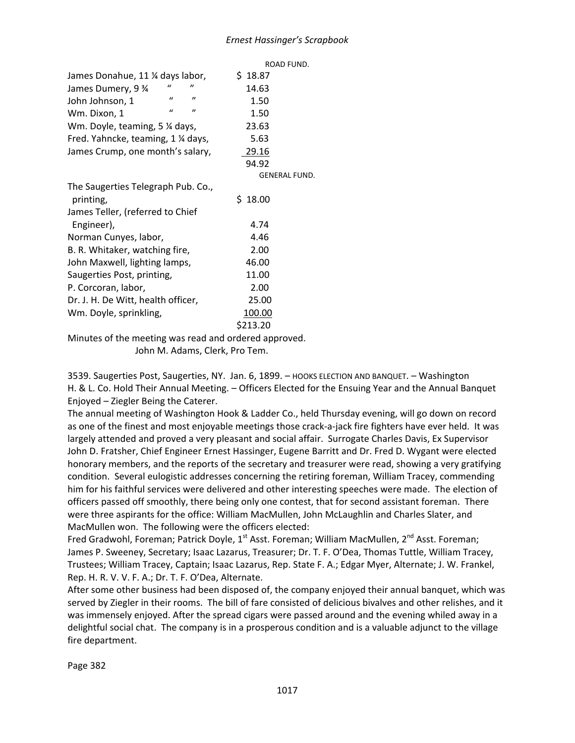|                                                   | ROAD FUND.           |
|---------------------------------------------------|----------------------|
| James Donahue, 11 ¼ days labor,                   | \$18.87              |
| James Dumery, 9 %                                 | 14.63                |
| $\mathbf{u}$<br>"<br>John Johnson, 1              | 1.50                 |
| $\mathbf{u}$<br>$^{\prime\prime}$<br>Wm. Dixon, 1 | 1.50                 |
| Wm. Doyle, teaming, 5 % days,                     | 23.63                |
| Fred. Yahncke, teaming, 1 % days,                 | 5.63                 |
| James Crump, one month's salary,                  | 29.16                |
|                                                   | 94.92                |
|                                                   | <b>GENERAL FUND.</b> |
| The Saugerties Telegraph Pub. Co.,                |                      |
| printing,                                         | \$18.00              |
| James Teller, (referred to Chief                  |                      |
| Engineer),                                        | 4.74                 |
| Norman Cunyes, labor,                             | 4.46                 |
| B. R. Whitaker, watching fire,                    | 2.00                 |
| John Maxwell, lighting lamps,                     | 46.00                |
| Saugerties Post, printing,                        | 11.00                |
| P. Corcoran, labor,                               | 2.00                 |
| Dr. J. H. De Witt, health officer,                | 25.00                |
| Wm. Doyle, sprinkling,                            | 100.00               |
|                                                   | \$213.20             |

Minutes of the meeting was read and ordered approved. John M. Adams, Clerk, Pro Tem.

3539. Saugerties Post, Saugerties, NY. Jan. 6, 1899. – HOOKS ELECTION AND BANQUET. – Washington H. & L. Co. Hold Their Annual Meeting. – Officers Elected for the Ensuing Year and the Annual Banquet Enjoyed – Ziegler Being the Caterer.

The annual meeting of Washington Hook & Ladder Co., held Thursday evening, will go down on record as one of the finest and most enjoyable meetings those crack-a-jack fire fighters have ever held. It was largely attended and proved a very pleasant and social affair. Surrogate Charles Davis, Ex Supervisor John D. Fratsher, Chief Engineer Ernest Hassinger, Eugene Barritt and Dr. Fred D. Wygant were elected honorary members, and the reports of the secretary and treasurer were read, showing a very gratifying condition. Several eulogistic addresses concerning the retiring foreman, William Tracey, commending him for his faithful services were delivered and other interesting speeches were made. The election of officers passed off smoothly, there being only one contest, that for second assistant foreman. There were three aspirants for the office: William MacMullen, John McLaughlin and Charles Slater, and MacMullen won. The following were the officers elected:

Fred Gradwohl, Foreman; Patrick Doyle, 1<sup>st</sup> Asst. Foreman; William MacMullen, 2<sup>nd</sup> Asst. Foreman; James P. Sweeney, Secretary; Isaac Lazarus, Treasurer; Dr. T. F. O'Dea, Thomas Tuttle, William Tracey, Trustees; William Tracey, Captain; Isaac Lazarus, Rep. State F. A.; Edgar Myer, Alternate; J. W. Frankel, Rep. H. R. V. V. F. A.; Dr. T. F. O'Dea, Alternate.

After some other business had been disposed of, the company enjoyed their annual banquet, which was served by Ziegler in their rooms. The bill of fare consisted of delicious bivalves and other relishes, and it was immensely enjoyed. After the spread cigars were passed around and the evening whiled away in a delightful social chat. The company is in a prosperous condition and is a valuable adjunct to the village fire department.

Page 382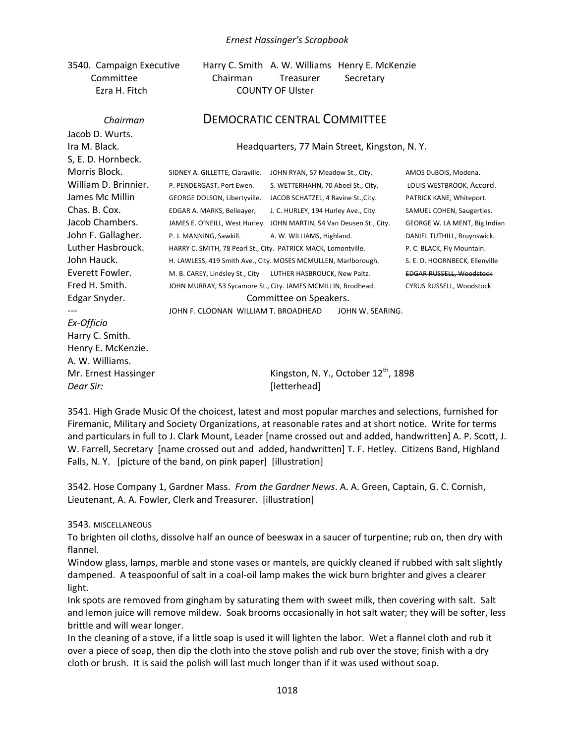3540. Campaign Executive Harry C. Smith A. W. Williams Henry E. McKenzie Committee Chairman Treasurer Secretary Ezra H. Fitch COUNTY OF Ulster

| Chairman             |                                                                | <b>DEMOCRATIC CENTRAL COMMITTEE</b>                                  |                                 |  |  |  |
|----------------------|----------------------------------------------------------------|----------------------------------------------------------------------|---------------------------------|--|--|--|
| Jacob D. Wurts.      |                                                                |                                                                      |                                 |  |  |  |
| Ira M. Black.        | Headquarters, 77 Main Street, Kingston, N.Y.                   |                                                                      |                                 |  |  |  |
| S, E. D. Hornbeck.   |                                                                |                                                                      |                                 |  |  |  |
| Morris Block.        | SIDNEY A. GILLETTE, Claraville.                                | JOHN RYAN, 57 Meadow St., City.                                      | AMOS DuBOIS, Modena.            |  |  |  |
| William D. Brinnier. | P. PENDERGAST, Port Ewen.                                      | S. WETTERHAHN, 70 Abeel St., City.                                   | LOUIS WESTBROOK, Accord.        |  |  |  |
| James Mc Millin      | GEORGE DOLSON, Libertyville.                                   | JACOB SCHATZEL, 4 Ravine St., City.                                  | PATRICK KANE, Whiteport.        |  |  |  |
| Chas. B. Cox.        | EDGAR A. MARKS, Belleaver,                                     | J. C. HURLEY, 194 Hurley Ave., City.                                 | SAMUEL COHEN, Saugerties.       |  |  |  |
| Jacob Chambers.      |                                                                | JAMES E. O'NEILL, West Hurley. JOHN MARTIN, 54 Van Deusen St., City. | GEORGE W. LA MENT, Big Indian   |  |  |  |
| John F. Gallagher.   | P. J. MANNING, Sawkill.                                        | A. W. WILLIAMS, Highland.                                            | DANIEL TUTHILL, Bruynswick.     |  |  |  |
| Luther Hasbrouck.    | HARRY C. SMITH, 78 Pearl St., City. PATRICK MACK, Lomontville. |                                                                      | P. C. BLACK, Fly Mountain.      |  |  |  |
| John Hauck.          |                                                                | H. LAWLESS, 419 Smith Ave., City. MOSES MCMULLEN, Marlborough.       | S. E. D. HOORNBECK, Ellenville  |  |  |  |
| Everett Fowler.      |                                                                | M. B. CAREY, Lindsley St., City LUTHER HASBROUCK, New Paltz.         | <b>EDGAR RUSSELL, Woodstock</b> |  |  |  |
| Fred H. Smith.       |                                                                | JOHN MURRAY, 53 Sycamore St., City. JAMES MCMILLIN, Brodhead.        | CYRUS RUSSELL, Woodstock        |  |  |  |
| Edgar Snyder.        |                                                                | Committee on Speakers.                                               |                                 |  |  |  |
|                      | JOHN F. CLOONAN WILLIAM T. BROADHEAD                           | JOHN W. SEARING.                                                     |                                 |  |  |  |
| Ex-Officio           |                                                                |                                                                      |                                 |  |  |  |
| Harry C. Smith.      |                                                                |                                                                      |                                 |  |  |  |
| Henry E. McKenzie.   |                                                                |                                                                      |                                 |  |  |  |
| A. W. Williams.      |                                                                |                                                                      |                                 |  |  |  |
| Mr. Ernest Hassinger |                                                                | Kingston, N.Y., October $12^{th}$ , 1898                             |                                 |  |  |  |
| Dear Sir:            |                                                                | [letterhead]                                                         |                                 |  |  |  |

3541. High Grade Music Of the choicest, latest and most popular marches and selections, furnished for Firemanic, Military and Society Organizations, at reasonable rates and at short notice. Write for terms and particulars in full to J. Clark Mount, Leader [name crossed out and added, handwritten] A. P. Scott, J. W. Farrell, Secretary [name crossed out and added, handwritten] T. F. Hetley. Citizens Band, Highland Falls, N. Y. [picture of the band, on pink paper] [illustration]

3542. Hose Company 1, Gardner Mass. *From the Gardner News*. A. A. Green, Captain, G. C. Cornish, Lieutenant, A. A. Fowler, Clerk and Treasurer. [illustration]

3543. MISCELLANEOUS

To brighten oil cloths, dissolve half an ounce of beeswax in a saucer of turpentine; rub on, then dry with flannel.

Window glass, lamps, marble and stone vases or mantels, are quickly cleaned if rubbed with salt slightly dampened. A teaspoonful of salt in a coal-oil lamp makes the wick burn brighter and gives a clearer light.

Ink spots are removed from gingham by saturating them with sweet milk, then covering with salt. Salt and lemon juice will remove mildew. Soak brooms occasionally in hot salt water; they will be softer, less brittle and will wear longer.

In the cleaning of a stove, if a little soap is used it will lighten the labor. Wet a flannel cloth and rub it over a piece of soap, then dip the cloth into the stove polish and rub over the stove; finish with a dry cloth or brush. It is said the polish will last much longer than if it was used without soap.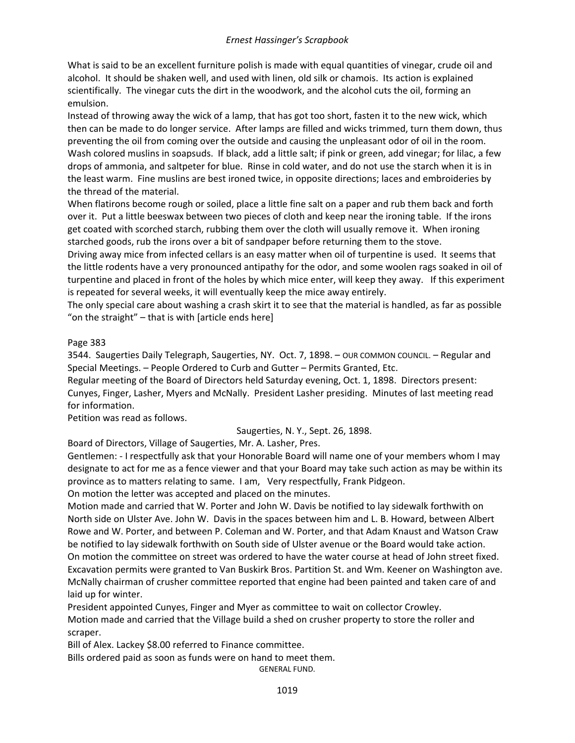What is said to be an excellent furniture polish is made with equal quantities of vinegar, crude oil and alcohol. It should be shaken well, and used with linen, old silk or chamois. Its action is explained scientifically. The vinegar cuts the dirt in the woodwork, and the alcohol cuts the oil, forming an emulsion.

Instead of throwing away the wick of a lamp, that has got too short, fasten it to the new wick, which then can be made to do longer service. After lamps are filled and wicks trimmed, turn them down, thus preventing the oil from coming over the outside and causing the unpleasant odor of oil in the room. Wash colored muslins in soapsuds. If black, add a little salt; if pink or green, add vinegar; for lilac, a few drops of ammonia, and saltpeter for blue. Rinse in cold water, and do not use the starch when it is in the least warm. Fine muslins are best ironed twice, in opposite directions; laces and embroideries by the thread of the material.

When flatirons become rough or soiled, place a little fine salt on a paper and rub them back and forth over it. Put a little beeswax between two pieces of cloth and keep near the ironing table. If the irons get coated with scorched starch, rubbing them over the cloth will usually remove it. When ironing starched goods, rub the irons over a bit of sandpaper before returning them to the stove.

Driving away mice from infected cellars is an easy matter when oil of turpentine is used. It seems that the little rodents have a very pronounced antipathy for the odor, and some woolen rags soaked in oil of turpentine and placed in front of the holes by which mice enter, will keep they away. If this experiment is repeated for several weeks, it will eventually keep the mice away entirely.

The only special care about washing a crash skirt it to see that the material is handled, as far as possible "on the straight" – that is with [article ends here]

### Page 383

3544. Saugerties Daily Telegraph, Saugerties, NY. Oct. 7, 1898. – OUR COMMON COUNCIL. – Regular and Special Meetings. – People Ordered to Curb and Gutter – Permits Granted, Etc.

Regular meeting of the Board of Directors held Saturday evening, Oct. 1, 1898. Directors present: Cunyes, Finger, Lasher, Myers and McNally. President Lasher presiding. Minutes of last meeting read for information.

Petition was read as follows.

### Saugerties, N. Y., Sept. 26, 1898.

Board of Directors, Village of Saugerties, Mr. A. Lasher, Pres.

Gentlemen: - I respectfully ask that your Honorable Board will name one of your members whom I may designate to act for me as a fence viewer and that your Board may take such action as may be within its province as to matters relating to same. I am, Very respectfully, Frank Pidgeon.

On motion the letter was accepted and placed on the minutes.

Motion made and carried that W. Porter and John W. Davis be notified to lay sidewalk forthwith on North side on Ulster Ave. John W. Davis in the spaces between him and L. B. Howard, between Albert Rowe and W. Porter, and between P. Coleman and W. Porter, and that Adam Knaust and Watson Craw be notified to lay sidewalk forthwith on South side of Ulster avenue or the Board would take action. On motion the committee on street was ordered to have the water course at head of John street fixed. Excavation permits were granted to Van Buskirk Bros. Partition St. and Wm. Keener on Washington ave. McNally chairman of crusher committee reported that engine had been painted and taken care of and laid up for winter.

President appointed Cunyes, Finger and Myer as committee to wait on collector Crowley.

Motion made and carried that the Village build a shed on crusher property to store the roller and scraper.

Bill of Alex. Lackey \$8.00 referred to Finance committee.

Bills ordered paid as soon as funds were on hand to meet them.

GENERAL FUND.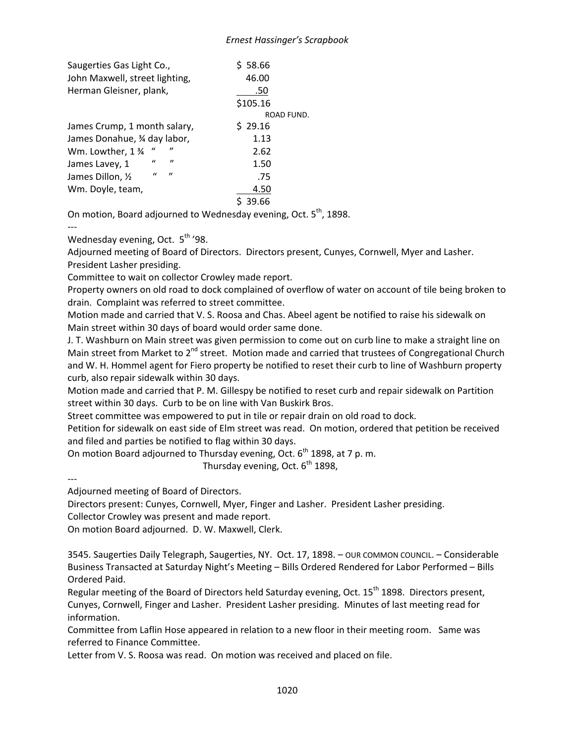| Saugerties Gas Light Co.,      |               |                     | \$58.66    |  |  |
|--------------------------------|---------------|---------------------|------------|--|--|
| John Maxwell, street lighting, |               |                     | 46.00      |  |  |
| Herman Gleisner, plank,        |               |                     | .50        |  |  |
|                                |               |                     | \$105.16   |  |  |
|                                |               |                     | ROAD FUND. |  |  |
| James Crump, 1 month salary,   |               |                     | \$29.16    |  |  |
| James Donahue, 3⁄4 day labor,  |               |                     | 1.13       |  |  |
| Wm. Lowther, 1 %               | "             | "                   | 2.62       |  |  |
| James Lavey, 1                 | $\mathcal{U}$ | $^{\prime\prime}$   | 1.50       |  |  |
| James Dillon, 1/2              | $\mathbf{u}$  | $\boldsymbol{\eta}$ | .75        |  |  |
| Wm. Doyle, team,               |               |                     | 4.50       |  |  |
|                                |               |                     | 39.66      |  |  |

On motion, Board adjourned to Wednesday evening, Oct. 5<sup>th</sup>, 1898.

---

Wednesday evening, Oct.  $5<sup>th</sup>$  '98.

Adjourned meeting of Board of Directors. Directors present, Cunyes, Cornwell, Myer and Lasher. President Lasher presiding.

Committee to wait on collector Crowley made report.

Property owners on old road to dock complained of overflow of water on account of tile being broken to drain. Complaint was referred to street committee.

Motion made and carried that V. S. Roosa and Chas. Abeel agent be notified to raise his sidewalk on Main street within 30 days of board would order same done.

J. T. Washburn on Main street was given permission to come out on curb line to make a straight line on Main street from Market to  $2<sup>nd</sup>$  street. Motion made and carried that trustees of Congregational Church and W. H. Hommel agent for Fiero property be notified to reset their curb to line of Washburn property curb, also repair sidewalk within 30 days.

Motion made and carried that P. M. Gillespy be notified to reset curb and repair sidewalk on Partition street within 30 days. Curb to be on line with Van Buskirk Bros.

Street committee was empowered to put in tile or repair drain on old road to dock.

Petition for sidewalk on east side of Elm street was read. On motion, ordered that petition be received and filed and parties be notified to flag within 30 days.

On motion Board adjourned to Thursday evening, Oct. 6<sup>th</sup> 1898, at 7 p.m.

Thursday evening, Oct.  $6^{th}$  1898,

--- Adjourned meeting of Board of Directors.

Directors present: Cunyes, Cornwell, Myer, Finger and Lasher. President Lasher presiding.

Collector Crowley was present and made report.

On motion Board adjourned. D. W. Maxwell, Clerk.

3545. Saugerties Daily Telegraph, Saugerties, NY. Oct. 17, 1898. – OUR COMMON COUNCIL. – Considerable Business Transacted at Saturday Night's Meeting – Bills Ordered Rendered for Labor Performed – Bills Ordered Paid.

Regular meeting of the Board of Directors held Saturday evening, Oct. 15<sup>th</sup> 1898. Directors present, Cunyes, Cornwell, Finger and Lasher. President Lasher presiding. Minutes of last meeting read for information.

Committee from Laflin Hose appeared in relation to a new floor in their meeting room. Same was referred to Finance Committee.

Letter from V. S. Roosa was read. On motion was received and placed on file.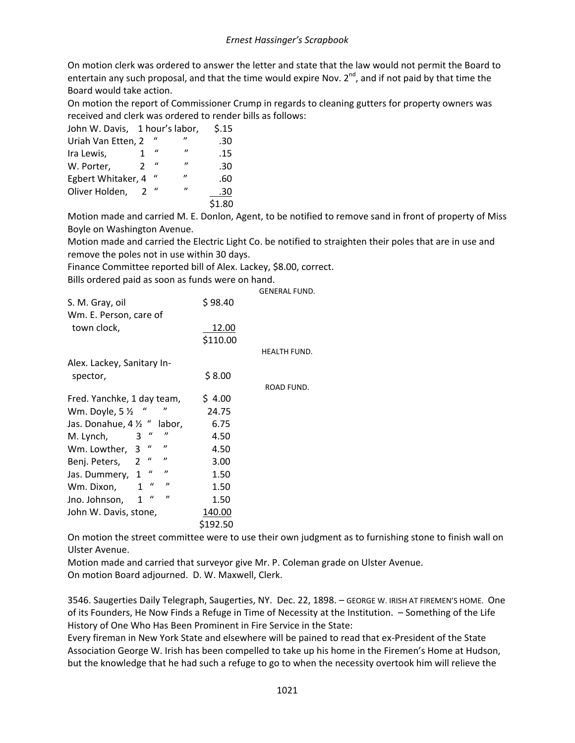On motion clerk was ordered to answer the letter and state that the law would not permit the Board to entertain any such proposal, and that the time would expire Nov. 2<sup>nd</sup>, and if not paid by that time the Board would take action.

On motion the report of Commissioner Crump in regards to cleaning gutters for property owners was received and clerk was ordered to render bills as follows:

| John W. Davis, 1 hour's labor, |   |                |                   | \$.15  |
|--------------------------------|---|----------------|-------------------|--------|
| Uriah Van Etten, 2             |   | $\prime\prime$ | $^{\prime\prime}$ | .30    |
| Ira Lewis,                     |   | $\mathcal{U}$  | "                 | .15    |
| W. Porter,                     | 2 | $\iota$        | $^{\prime\prime}$ | .30    |
| Egbert Whitaker, 4             |   | "              | ,,                | .60    |
| Oliver Holden,                 |   | $\iota$        | $^{\prime\prime}$ | .30    |
|                                |   |                |                   | \$1.80 |

Motion made and carried M. E. Donlon, Agent, to be notified to remove sand in front of property of Miss Boyle on Washington Avenue.

Motion made and carried the Electric Light Co. be notified to straighten their poles that are in use and remove the poles not in use within 30 days.

Finance Committee reported bill of Alex. Lackey, \$8.00, correct.

Bills ordered paid as soon as funds were on hand.

|                                                          |          | <b>GENERAL FUND.</b> |
|----------------------------------------------------------|----------|----------------------|
| S. M. Gray, oil                                          | \$98.40  |                      |
| Wm. E. Person, care of                                   |          |                      |
| town clock,                                              | 12.00    |                      |
|                                                          | \$110.00 |                      |
|                                                          |          | <b>HEALTH FUND.</b>  |
| Alex. Lackey, Sanitary In-                               |          |                      |
| spector,                                                 | \$8.00   |                      |
|                                                          |          | ROAD FUND.           |
| Fred. Yanchke, 1 day team,                               | \$4.00   |                      |
| "<br>Wm. Doyle, $5\frac{1}{2}$                           | 24.75    |                      |
| Jas. Donahue, 4 1/2 "<br>labor,                          | 6.75     |                      |
| "<br>$\boldsymbol{u}$<br>M. Lynch,<br>3                  | 4.50     |                      |
| $\boldsymbol{u}$<br>"<br>Wm. Lowther, 3                  | 4.50     |                      |
| $\boldsymbol{u}$<br>"<br>$\overline{2}$<br>Benj. Peters, | 3.00     |                      |
| $\mathcal{U}$<br>"<br>1<br>Jas. Dummery,                 | 1.50     |                      |
| $\iota$<br>"<br>1<br>Wm. Dixon,                          | 1.50     |                      |
| $\mathcal{U}$<br>"<br>1<br>Jno. Johnson,                 | 1.50     |                      |
| John W. Davis, stone,                                    | 140.00   |                      |
|                                                          | \$192.50 |                      |

On motion the street committee were to use their own judgment as to furnishing stone to finish wall on Ulster Avenue.

Motion made and carried that surveyor give Mr. P. Coleman grade on Ulster Avenue. On motion Board adjourned. D. W. Maxwell, Clerk.

3546. Saugerties Daily Telegraph, Saugerties, NY. Dec. 22, 1898. – GEORGE W. IRISH AT FIREMEN'S HOME. One of its Founders, He Now Finds a Refuge in Time of Necessity at the Institution. – Something of the Life History of One Who Has Been Prominent in Fire Service in the State:

Every fireman in New York State and elsewhere will be pained to read that ex-President of the State Association George W. Irish has been compelled to take up his home in the Firemen's Home at Hudson, but the knowledge that he had such a refuge to go to when the necessity overtook him will relieve the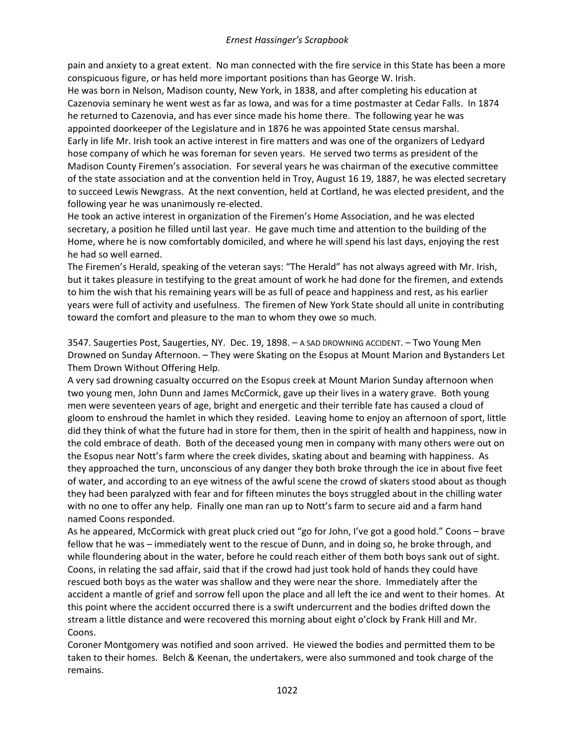pain and anxiety to a great extent. No man connected with the fire service in this State has been a more conspicuous figure, or has held more important positions than has George W. Irish.

He was born in Nelson, Madison county, New York, in 1838, and after completing his education at Cazenovia seminary he went west as far as Iowa, and was for a time postmaster at Cedar Falls. In 1874 he returned to Cazenovia, and has ever since made his home there. The following year he was appointed doorkeeper of the Legislature and in 1876 he was appointed State census marshal. Early in life Mr. Irish took an active interest in fire matters and was one of the organizers of Ledyard hose company of which he was foreman for seven years. He served two terms as president of the Madison County Firemen's association. For several years he was chairman of the executive committee of the state association and at the convention held in Troy, August 16 19, 1887, he was elected secretary to succeed Lewis Newgrass. At the next convention, held at Cortland, he was elected president, and the following year he was unanimously re-elected.

He took an active interest in organization of the Firemen's Home Association, and he was elected secretary, a position he filled until last year. He gave much time and attention to the building of the Home, where he is now comfortably domiciled, and where he will spend his last days, enjoying the rest he had so well earned.

The Firemen's Herald, speaking of the veteran says: "The Herald" has not always agreed with Mr. Irish, but it takes pleasure in testifying to the great amount of work he had done for the firemen, and extends to him the wish that his remaining years will be as full of peace and happiness and rest, as his earlier years were full of activity and usefulness. The firemen of New York State should all unite in contributing toward the comfort and pleasure to the man to whom they owe so much.

3547. Saugerties Post, Saugerties, NY. Dec. 19, 1898. – A SAD DROWNING ACCIDENT. – Two Young Men Drowned on Sunday Afternoon. – They were Skating on the Esopus at Mount Marion and Bystanders Let Them Drown Without Offering Help.

A very sad drowning casualty occurred on the Esopus creek at Mount Marion Sunday afternoon when two young men, John Dunn and James McCormick, gave up their lives in a watery grave. Both young men were seventeen years of age, bright and energetic and their terrible fate has caused a cloud of gloom to enshroud the hamlet in which they resided. Leaving home to enjoy an afternoon of sport, little did they think of what the future had in store for them, then in the spirit of health and happiness, now in the cold embrace of death. Both of the deceased young men in company with many others were out on the Esopus near Nott's farm where the creek divides, skating about and beaming with happiness. As they approached the turn, unconscious of any danger they both broke through the ice in about five feet of water, and according to an eye witness of the awful scene the crowd of skaters stood about as though they had been paralyzed with fear and for fifteen minutes the boys struggled about in the chilling water with no one to offer any help. Finally one man ran up to Nott's farm to secure aid and a farm hand named Coons responded.

As he appeared, McCormick with great pluck cried out "go for John, I've got a good hold." Coons – brave fellow that he was – immediately went to the rescue of Dunn, and in doing so, he broke through, and while floundering about in the water, before he could reach either of them both boys sank out of sight. Coons, in relating the sad affair, said that if the crowd had just took hold of hands they could have rescued both boys as the water was shallow and they were near the shore. Immediately after the accident a mantle of grief and sorrow fell upon the place and all left the ice and went to their homes. At this point where the accident occurred there is a swift undercurrent and the bodies drifted down the stream a little distance and were recovered this morning about eight o'clock by Frank Hill and Mr. Coons.

Coroner Montgomery was notified and soon arrived. He viewed the bodies and permitted them to be taken to their homes. Belch & Keenan, the undertakers, were also summoned and took charge of the remains.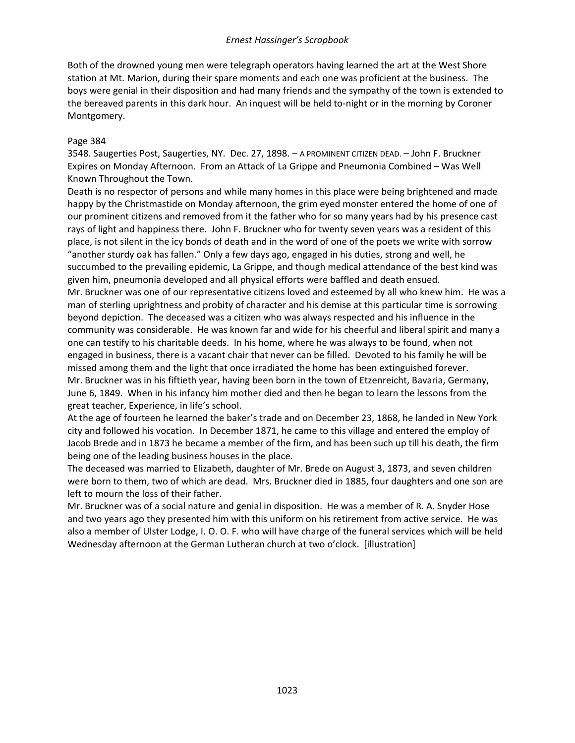Both of the drowned young men were telegraph operators having learned the art at the West Shore station at Mt. Marion, during their spare moments and each one was proficient at the business. The boys were genial in their disposition and had many friends and the sympathy of the town is extended to the bereaved parents in this dark hour. An inquest will be held to-night or in the morning by Coroner Montgomery.

#### Page 384

3548. Saugerties Post, Saugerties, NY. Dec. 27, 1898. – A PROMINENT CITIZEN DEAD. – John F. Bruckner Expires on Monday Afternoon. From an Attack of La Grippe and Pneumonia Combined – Was Well Known Throughout the Town.

Death is no respector of persons and while many homes in this place were being brightened and made happy by the Christmastide on Monday afternoon, the grim eyed monster entered the home of one of our prominent citizens and removed from it the father who for so many years had by his presence cast rays of light and happiness there. John F. Bruckner who for twenty seven years was a resident of this place, is not silent in the icy bonds of death and in the word of one of the poets we write with sorrow "another sturdy oak has fallen." Only a few days ago, engaged in his duties, strong and well, he succumbed to the prevailing epidemic, La Grippe, and though medical attendance of the best kind was given him, pneumonia developed and all physical efforts were baffled and death ensued.

Mr. Bruckner was one of our representative citizens loved and esteemed by all who knew him. He was a man of sterling uprightness and probity of character and his demise at this particular time is sorrowing beyond depiction. The deceased was a citizen who was always respected and his influence in the community was considerable. He was known far and wide for his cheerful and liberal spirit and many a one can testify to his charitable deeds. In his home, where he was always to be found, when not engaged in business, there is a vacant chair that never can be filled. Devoted to his family he will be missed among them and the light that once irradiated the home has been extinguished forever. Mr. Bruckner was in his fiftieth year, having been born in the town of Etzenreicht, Bavaria, Germany, June 6, 1849. When in his infancy him mother died and then he began to learn the lessons from the great teacher, Experience, in life's school.

At the age of fourteen he learned the baker's trade and on December 23, 1868, he landed in New York city and followed his vocation. In December 1871, he came to this village and entered the employ of Jacob Brede and in 1873 he became a member of the firm, and has been such up till his death, the firm being one of the leading business houses in the place.

The deceased was married to Elizabeth, daughter of Mr. Brede on August 3, 1873, and seven children were born to them, two of which are dead. Mrs. Bruckner died in 1885, four daughters and one son are left to mourn the loss of their father.

Mr. Bruckner was of a social nature and genial in disposition. He was a member of R. A. Snyder Hose and two years ago they presented him with this uniform on his retirement from active service. He was also a member of Ulster Lodge, I. O. O. F. who will have charge of the funeral services which will be held Wednesday afternoon at the German Lutheran church at two o'clock. [illustration]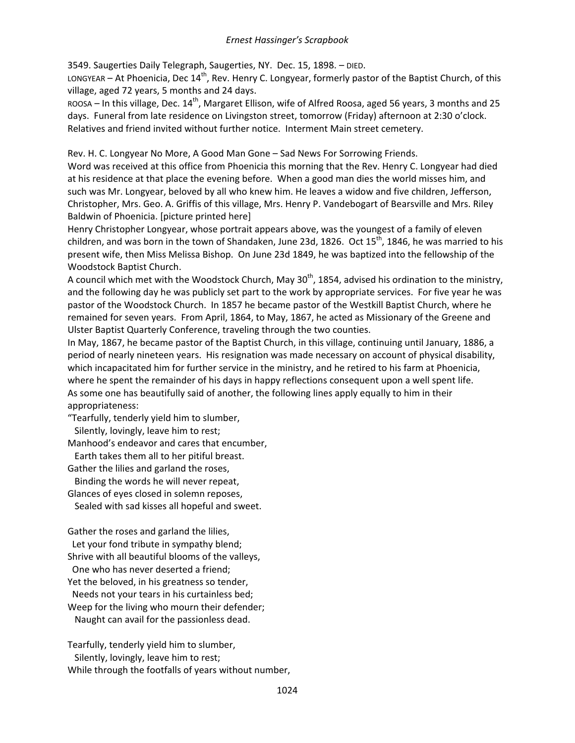3549. Saugerties Daily Telegraph, Saugerties, NY. Dec. 15, 1898. – DIED.

LONGYEAR – At Phoenicia, Dec  $14<sup>th</sup>$ , Rev. Henry C. Longyear, formerly pastor of the Baptist Church, of this village, aged 72 years, 5 months and 24 days.

ROOSA – In this village, Dec. 14<sup>th</sup>, Margaret Ellison, wife of Alfred Roosa, aged 56 years, 3 months and 25 days. Funeral from late residence on Livingston street, tomorrow (Friday) afternoon at 2:30 o'clock. Relatives and friend invited without further notice. Interment Main street cemetery.

Rev. H. C. Longyear No More, A Good Man Gone – Sad News For Sorrowing Friends.

Word was received at this office from Phoenicia this morning that the Rev. Henry C. Longyear had died at his residence at that place the evening before. When a good man dies the world misses him, and such was Mr. Longyear, beloved by all who knew him. He leaves a widow and five children, Jefferson, Christopher, Mrs. Geo. A. Griffis of this village, Mrs. Henry P. Vandebogart of Bearsville and Mrs. Riley Baldwin of Phoenicia. [picture printed here]

Henry Christopher Longyear, whose portrait appears above, was the youngest of a family of eleven children, and was born in the town of Shandaken, June 23d, 1826. Oct 15<sup>th</sup>, 1846, he was married to his present wife, then Miss Melissa Bishop. On June 23d 1849, he was baptized into the fellowship of the Woodstock Baptist Church.

A council which met with the Woodstock Church, May  $30<sup>th</sup>$ , 1854, advised his ordination to the ministry, and the following day he was publicly set part to the work by appropriate services. For five year he was pastor of the Woodstock Church. In 1857 he became pastor of the Westkill Baptist Church, where he remained for seven years. From April, 1864, to May, 1867, he acted as Missionary of the Greene and Ulster Baptist Quarterly Conference, traveling through the two counties.

In May, 1867, he became pastor of the Baptist Church, in this village, continuing until January, 1886, a period of nearly nineteen years. His resignation was made necessary on account of physical disability, which incapacitated him for further service in the ministry, and he retired to his farm at Phoenicia, where he spent the remainder of his days in happy reflections consequent upon a well spent life. As some one has beautifully said of another, the following lines apply equally to him in their appropriateness:

"Tearfully, tenderly yield him to slumber, Silently, lovingly, leave him to rest;

Manhood's endeavor and cares that encumber,

Earth takes them all to her pitiful breast.

Gather the lilies and garland the roses,

 Binding the words he will never repeat, Glances of eyes closed in solemn reposes,

Sealed with sad kisses all hopeful and sweet.

Gather the roses and garland the lilies,

 Let your fond tribute in sympathy blend; Shrive with all beautiful blooms of the valleys,

One who has never deserted a friend;

Yet the beloved, in his greatness so tender,

Needs not your tears in his curtainless bed;

Weep for the living who mourn their defender; Naught can avail for the passionless dead.

Tearfully, tenderly yield him to slumber, Silently, lovingly, leave him to rest; While through the footfalls of years without number,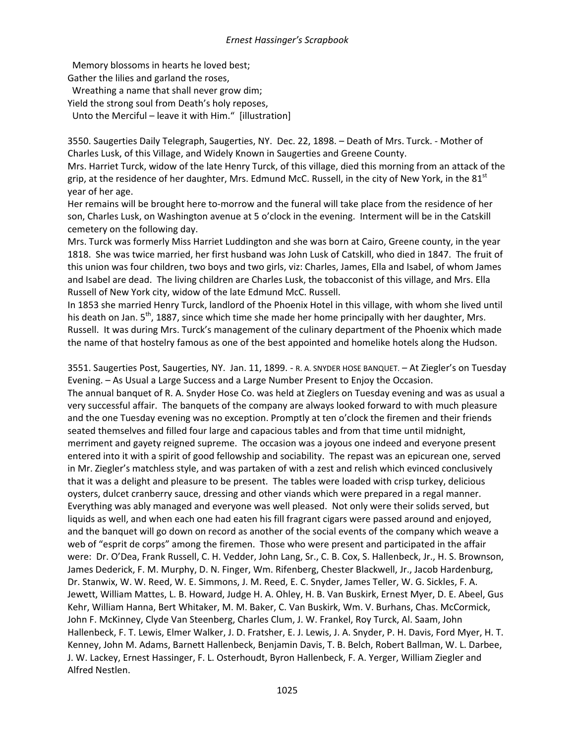Memory blossoms in hearts he loved best; Gather the lilies and garland the roses, Wreathing a name that shall never grow dim; Yield the strong soul from Death's holy reposes, Unto the Merciful – leave it with Him." [illustration]

3550. Saugerties Daily Telegraph, Saugerties, NY. Dec. 22, 1898. – Death of Mrs. Turck. - Mother of Charles Lusk, of this Village, and Widely Known in Saugerties and Greene County.

Mrs. Harriet Turck, widow of the late Henry Turck, of this village, died this morning from an attack of the grip, at the residence of her daughter, Mrs. Edmund McC. Russell, in the city of New York, in the 81 $^{\rm st}$ year of her age.

Her remains will be brought here to-morrow and the funeral will take place from the residence of her son, Charles Lusk, on Washington avenue at 5 o'clock in the evening. Interment will be in the Catskill cemetery on the following day.

Mrs. Turck was formerly Miss Harriet Luddington and she was born at Cairo, Greene county, in the year 1818. She was twice married, her first husband was John Lusk of Catskill, who died in 1847. The fruit of this union was four children, two boys and two girls, viz: Charles, James, Ella and Isabel, of whom James and Isabel are dead. The living children are Charles Lusk, the tobacconist of this village, and Mrs. Ella Russell of New York city, widow of the late Edmund McC. Russell.

In 1853 she married Henry Turck, landlord of the Phoenix Hotel in this village, with whom she lived until his death on Jan. 5<sup>th</sup>, 1887, since which time she made her home principally with her daughter, Mrs. Russell. It was during Mrs. Turck's management of the culinary department of the Phoenix which made the name of that hostelry famous as one of the best appointed and homelike hotels along the Hudson.

3551. Saugerties Post, Saugerties, NY. Jan. 11, 1899. - R. A. SNYDER HOSE BANQUET. – At Ziegler's on Tuesday Evening. – As Usual a Large Success and a Large Number Present to Enjoy the Occasion.

The annual banquet of R. A. Snyder Hose Co. was held at Zieglers on Tuesday evening and was as usual a very successful affair. The banquets of the company are always looked forward to with much pleasure and the one Tuesday evening was no exception. Promptly at ten o'clock the firemen and their friends seated themselves and filled four large and capacious tables and from that time until midnight, merriment and gayety reigned supreme. The occasion was a joyous one indeed and everyone present entered into it with a spirit of good fellowship and sociability. The repast was an epicurean one, served in Mr. Ziegler's matchless style, and was partaken of with a zest and relish which evinced conclusively that it was a delight and pleasure to be present. The tables were loaded with crisp turkey, delicious oysters, dulcet cranberry sauce, dressing and other viands which were prepared in a regal manner. Everything was ably managed and everyone was well pleased. Not only were their solids served, but liquids as well, and when each one had eaten his fill fragrant cigars were passed around and enjoyed, and the banquet will go down on record as another of the social events of the company which weave a web of "esprit de corps" among the firemen. Those who were present and participated in the affair were: Dr. O'Dea, Frank Russell, C. H. Vedder, John Lang, Sr., C. B. Cox, S. Hallenbeck, Jr., H. S. Brownson, James Dederick, F. M. Murphy, D. N. Finger, Wm. Rifenberg, Chester Blackwell, Jr., Jacob Hardenburg, Dr. Stanwix, W. W. Reed, W. E. Simmons, J. M. Reed, E. C. Snyder, James Teller, W. G. Sickles, F. A. Jewett, William Mattes, L. B. Howard, Judge H. A. Ohley, H. B. Van Buskirk, Ernest Myer, D. E. Abeel, Gus Kehr, William Hanna, Bert Whitaker, M. M. Baker, C. Van Buskirk, Wm. V. Burhans, Chas. McCormick, John F. McKinney, Clyde Van Steenberg, Charles Clum, J. W. Frankel, Roy Turck, Al. Saam, John Hallenbeck, F. T. Lewis, Elmer Walker, J. D. Fratsher, E. J. Lewis, J. A. Snyder, P. H. Davis, Ford Myer, H. T. Kenney, John M. Adams, Barnett Hallenbeck, Benjamin Davis, T. B. Belch, Robert Ballman, W. L. Darbee, J. W. Lackey, Ernest Hassinger, F. L. Osterhoudt, Byron Hallenbeck, F. A. Yerger, William Ziegler and Alfred Nestlen.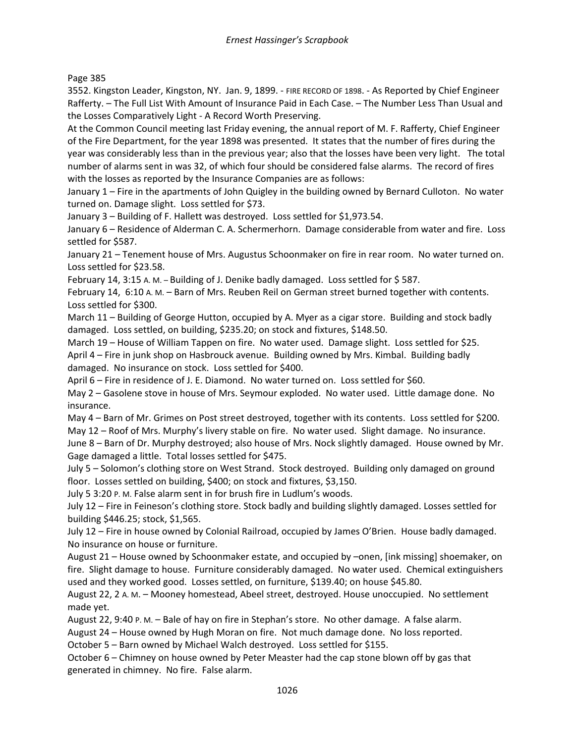Page 385

3552. Kingston Leader, Kingston, NY. Jan. 9, 1899. - FIRE RECORD OF 1898. - As Reported by Chief Engineer Rafferty. – The Full List With Amount of Insurance Paid in Each Case. – The Number Less Than Usual and the Losses Comparatively Light - A Record Worth Preserving.

At the Common Council meeting last Friday evening, the annual report of M. F. Rafferty, Chief Engineer of the Fire Department, for the year 1898 was presented. It states that the number of fires during the year was considerably less than in the previous year; also that the losses have been very light. The total number of alarms sent in was 32, of which four should be considered false alarms. The record of fires with the losses as reported by the Insurance Companies are as follows:

January 1 – Fire in the apartments of John Quigley in the building owned by Bernard Culloton. No water turned on. Damage slight. Loss settled for \$73.

January 3 – Building of F. Hallett was destroyed. Loss settled for \$1,973.54.

January 6 – Residence of Alderman C. A. Schermerhorn. Damage considerable from water and fire. Loss settled for \$587.

January 21 – Tenement house of Mrs. Augustus Schoonmaker on fire in rear room. No water turned on. Loss settled for \$23.58.

February 14, 3:15 A. M. – Building of J. Denike badly damaged. Loss settled for \$ 587.

February 14, 6:10 A. M. – Barn of Mrs. Reuben Reil on German street burned together with contents. Loss settled for \$300.

March 11 – Building of George Hutton, occupied by A. Myer as a cigar store. Building and stock badly damaged. Loss settled, on building, \$235.20; on stock and fixtures, \$148.50.

March 19 – House of William Tappen on fire. No water used. Damage slight. Loss settled for \$25. April 4 – Fire in junk shop on Hasbrouck avenue. Building owned by Mrs. Kimbal. Building badly damaged. No insurance on stock. Loss settled for \$400.

April 6 – Fire in residence of J. E. Diamond. No water turned on. Loss settled for \$60.

May 2 – Gasolene stove in house of Mrs. Seymour exploded. No water used. Little damage done. No insurance.

May 4 – Barn of Mr. Grimes on Post street destroyed, together with its contents. Loss settled for \$200. May 12 – Roof of Mrs. Murphy's livery stable on fire. No water used. Slight damage. No insurance.

June 8 – Barn of Dr. Murphy destroyed; also house of Mrs. Nock slightly damaged. House owned by Mr. Gage damaged a little. Total losses settled for \$475.

July 5 – Solomon's clothing store on West Strand. Stock destroyed. Building only damaged on ground floor. Losses settled on building, \$400; on stock and fixtures, \$3,150.

July 5 3:20 P. M. False alarm sent in for brush fire in Ludlum's woods.

July 12 – Fire in Feineson's clothing store. Stock badly and building slightly damaged. Losses settled for building \$446.25; stock, \$1,565.

July 12 – Fire in house owned by Colonial Railroad, occupied by James O'Brien. House badly damaged. No insurance on house or furniture.

August 21 – House owned by Schoonmaker estate, and occupied by –onen, [ink missing] shoemaker, on fire. Slight damage to house. Furniture considerably damaged. No water used. Chemical extinguishers used and they worked good. Losses settled, on furniture, \$139.40; on house \$45.80.

August 22, 2 A. M. – Mooney homestead, Abeel street, destroyed. House unoccupied. No settlement made yet.

August 22, 9:40 P. M. – Bale of hay on fire in Stephan's store. No other damage. A false alarm.

August 24 – House owned by Hugh Moran on fire. Not much damage done. No loss reported.

October 5 – Barn owned by Michael Walch destroyed. Loss settled for \$155.

October 6 – Chimney on house owned by Peter Measter had the cap stone blown off by gas that generated in chimney. No fire. False alarm.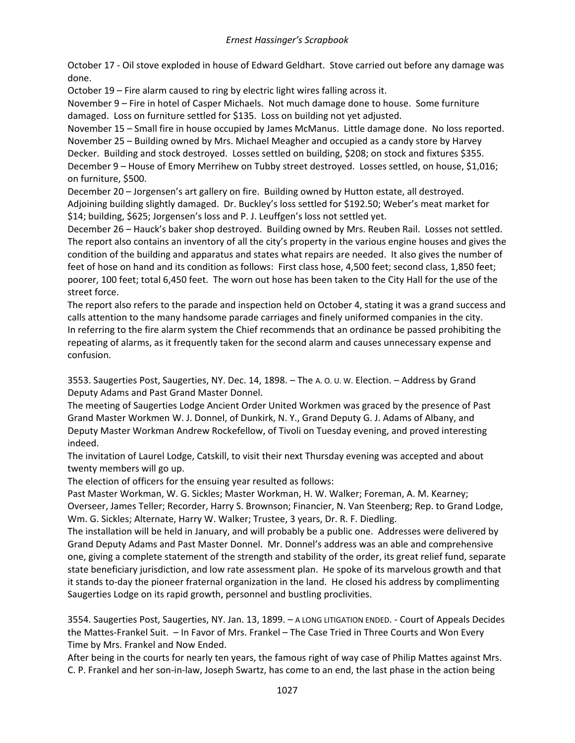October 17 - Oil stove exploded in house of Edward Geldhart. Stove carried out before any damage was done.

October 19 – Fire alarm caused to ring by electric light wires falling across it.

November 9 – Fire in hotel of Casper Michaels. Not much damage done to house. Some furniture damaged. Loss on furniture settled for \$135. Loss on building not yet adjusted.

November 15 – Small fire in house occupied by James McManus. Little damage done. No loss reported. November 25 – Building owned by Mrs. Michael Meagher and occupied as a candy store by Harvey Decker. Building and stock destroyed. Losses settled on building, \$208; on stock and fixtures \$355. December 9 – House of Emory Merrihew on Tubby street destroyed. Losses settled, on house, \$1,016; on furniture, \$500.

December 20 – Jorgensen's art gallery on fire. Building owned by Hutton estate, all destroyed. Adjoining building slightly damaged. Dr. Buckley's loss settled for \$192.50; Weber's meat market for \$14; building, \$625; Jorgensen's loss and P. J. Leuffgen's loss not settled yet.

December 26 – Hauck's baker shop destroyed. Building owned by Mrs. Reuben Rail. Losses not settled. The report also contains an inventory of all the city's property in the various engine houses and gives the condition of the building and apparatus and states what repairs are needed. It also gives the number of feet of hose on hand and its condition as follows: First class hose, 4,500 feet; second class, 1,850 feet; poorer, 100 feet; total 6,450 feet. The worn out hose has been taken to the City Hall for the use of the street force.

The report also refers to the parade and inspection held on October 4, stating it was a grand success and calls attention to the many handsome parade carriages and finely uniformed companies in the city. In referring to the fire alarm system the Chief recommends that an ordinance be passed prohibiting the repeating of alarms, as it frequently taken for the second alarm and causes unnecessary expense and confusion.

3553. Saugerties Post, Saugerties, NY. Dec. 14, 1898. – The A. O. U. W. Election. – Address by Grand Deputy Adams and Past Grand Master Donnel.

The meeting of Saugerties Lodge Ancient Order United Workmen was graced by the presence of Past Grand Master Workmen W. J. Donnel, of Dunkirk, N. Y., Grand Deputy G. J. Adams of Albany, and Deputy Master Workman Andrew Rockefellow, of Tivoli on Tuesday evening, and proved interesting indeed.

The invitation of Laurel Lodge, Catskill, to visit their next Thursday evening was accepted and about twenty members will go up.

The election of officers for the ensuing year resulted as follows:

Past Master Workman, W. G. Sickles; Master Workman, H. W. Walker; Foreman, A. M. Kearney; Overseer, James Teller; Recorder, Harry S. Brownson; Financier, N. Van Steenberg; Rep. to Grand Lodge, Wm. G. Sickles; Alternate, Harry W. Walker; Trustee, 3 years, Dr. R. F. Diedling.

The installation will be held in January, and will probably be a public one. Addresses were delivered by Grand Deputy Adams and Past Master Donnel. Mr. Donnel's address was an able and comprehensive one, giving a complete statement of the strength and stability of the order, its great relief fund, separate state beneficiary jurisdiction, and low rate assessment plan. He spoke of its marvelous growth and that it stands to-day the pioneer fraternal organization in the land. He closed his address by complimenting Saugerties Lodge on its rapid growth, personnel and bustling proclivities.

3554. Saugerties Post, Saugerties, NY. Jan. 13, 1899. – A LONG LITIGATION ENDED. - Court of Appeals Decides the Mattes-Frankel Suit. – In Favor of Mrs. Frankel – The Case Tried in Three Courts and Won Every Time by Mrs. Frankel and Now Ended.

After being in the courts for nearly ten years, the famous right of way case of Philip Mattes against Mrs. C. P. Frankel and her son-in-law, Joseph Swartz, has come to an end, the last phase in the action being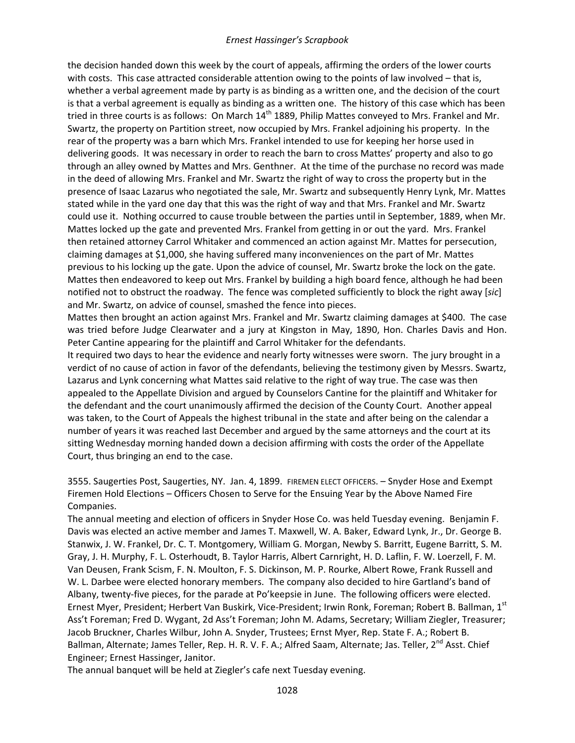the decision handed down this week by the court of appeals, affirming the orders of the lower courts with costs. This case attracted considerable attention owing to the points of law involved – that is, whether a verbal agreement made by party is as binding as a written one, and the decision of the court is that a verbal agreement is equally as binding as a written one. The history of this case which has been tried in three courts is as follows: On March  $14<sup>th</sup>$  1889, Philip Mattes conveyed to Mrs. Frankel and Mr. Swartz, the property on Partition street, now occupied by Mrs. Frankel adjoining his property. In the rear of the property was a barn which Mrs. Frankel intended to use for keeping her horse used in delivering goods. It was necessary in order to reach the barn to cross Mattes' property and also to go through an alley owned by Mattes and Mrs. Genthner. At the time of the purchase no record was made in the deed of allowing Mrs. Frankel and Mr. Swartz the right of way to cross the property but in the presence of Isaac Lazarus who negotiated the sale, Mr. Swartz and subsequently Henry Lynk, Mr. Mattes stated while in the yard one day that this was the right of way and that Mrs. Frankel and Mr. Swartz could use it. Nothing occurred to cause trouble between the parties until in September, 1889, when Mr. Mattes locked up the gate and prevented Mrs. Frankel from getting in or out the yard. Mrs. Frankel then retained attorney Carrol Whitaker and commenced an action against Mr. Mattes for persecution, claiming damages at \$1,000, she having suffered many inconveniences on the part of Mr. Mattes previous to his locking up the gate. Upon the advice of counsel, Mr. Swartz broke the lock on the gate. Mattes then endeavored to keep out Mrs. Frankel by building a high board fence, although he had been notified not to obstruct the roadway. The fence was completed sufficiently to block the right away [*sic*] and Mr. Swartz, on advice of counsel, smashed the fence into pieces.

Mattes then brought an action against Mrs. Frankel and Mr. Swartz claiming damages at \$400. The case was tried before Judge Clearwater and a jury at Kingston in May, 1890, Hon. Charles Davis and Hon. Peter Cantine appearing for the plaintiff and Carrol Whitaker for the defendants.

It required two days to hear the evidence and nearly forty witnesses were sworn. The jury brought in a verdict of no cause of action in favor of the defendants, believing the testimony given by Messrs. Swartz, Lazarus and Lynk concerning what Mattes said relative to the right of way true. The case was then appealed to the Appellate Division and argued by Counselors Cantine for the plaintiff and Whitaker for the defendant and the court unanimously affirmed the decision of the County Court. Another appeal was taken, to the Court of Appeals the highest tribunal in the state and after being on the calendar a number of years it was reached last December and argued by the same attorneys and the court at its sitting Wednesday morning handed down a decision affirming with costs the order of the Appellate Court, thus bringing an end to the case.

3555. Saugerties Post, Saugerties, NY. Jan. 4, 1899. FIREMEN ELECT OFFICERS. – Snyder Hose and Exempt Firemen Hold Elections – Officers Chosen to Serve for the Ensuing Year by the Above Named Fire Companies.

The annual meeting and election of officers in Snyder Hose Co. was held Tuesday evening. Benjamin F. Davis was elected an active member and James T. Maxwell, W. A. Baker, Edward Lynk, Jr., Dr. George B. Stanwix, J. W. Frankel, Dr. C. T. Montgomery, William G. Morgan, Newby S. Barritt, Eugene Barritt, S. M. Gray, J. H. Murphy, F. L. Osterhoudt, B. Taylor Harris, Albert Carnright, H. D. Laflin, F. W. Loerzell, F. M. Van Deusen, Frank Scism, F. N. Moulton, F. S. Dickinson, M. P. Rourke, Albert Rowe, Frank Russell and W. L. Darbee were elected honorary members. The company also decided to hire Gartland's band of Albany, twenty-five pieces, for the parade at Po'keepsie in June. The following officers were elected. Ernest Myer, President; Herbert Van Buskirk, Vice-President; Irwin Ronk, Foreman; Robert B. Ballman, 1st Ass't Foreman; Fred D. Wygant, 2d Ass't Foreman; John M. Adams, Secretary; William Ziegler, Treasurer; Jacob Bruckner, Charles Wilbur, John A. Snyder, Trustees; Ernst Myer, Rep. State F. A.; Robert B. Ballman, Alternate; James Teller, Rep. H. R. V. F. A.; Alfred Saam, Alternate; Jas. Teller, 2<sup>nd</sup> Asst. Chief Engineer; Ernest Hassinger, Janitor.

The annual banquet will be held at Ziegler's cafe next Tuesday evening.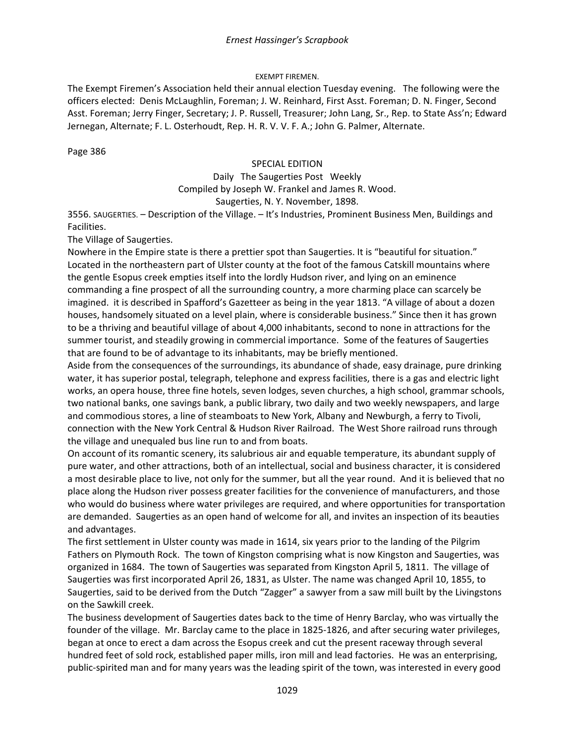### EXEMPT FIREMEN.

The Exempt Firemen's Association held their annual election Tuesday evening. The following were the officers elected: Denis McLaughlin, Foreman; J. W. Reinhard, First Asst. Foreman; D. N. Finger, Second Asst. Foreman; Jerry Finger, Secretary; J. P. Russell, Treasurer; John Lang, Sr., Rep. to State Ass'n; Edward Jernegan, Alternate; F. L. Osterhoudt, Rep. H. R. V. V. F. A.; John G. Palmer, Alternate.

Page 386

#### SPECIAL EDITION

### Daily The Saugerties Post Weekly Compiled by Joseph W. Frankel and James R. Wood. Saugerties, N. Y. November, 1898.

3556. SAUGERTIES. – Description of the Village. – It's Industries, Prominent Business Men, Buildings and Facilities.

The Village of Saugerties.

Nowhere in the Empire state is there a prettier spot than Saugerties. It is "beautiful for situation." Located in the northeastern part of Ulster county at the foot of the famous Catskill mountains where the gentle Esopus creek empties itself into the lordly Hudson river, and lying on an eminence commanding a fine prospect of all the surrounding country, a more charming place can scarcely be imagined. it is described in Spafford's Gazetteer as being in the year 1813. "A village of about a dozen houses, handsomely situated on a level plain, where is considerable business." Since then it has grown to be a thriving and beautiful village of about 4,000 inhabitants, second to none in attractions for the summer tourist, and steadily growing in commercial importance. Some of the features of Saugerties that are found to be of advantage to its inhabitants, may be briefly mentioned.

Aside from the consequences of the surroundings, its abundance of shade, easy drainage, pure drinking water, it has superior postal, telegraph, telephone and express facilities, there is a gas and electric light works, an opera house, three fine hotels, seven lodges, seven churches, a high school, grammar schools, two national banks, one savings bank, a public library, two daily and two weekly newspapers, and large and commodious stores, a line of steamboats to New York, Albany and Newburgh, a ferry to Tivoli, connection with the New York Central & Hudson River Railroad. The West Shore railroad runs through the village and unequaled bus line run to and from boats.

On account of its romantic scenery, its salubrious air and equable temperature, its abundant supply of pure water, and other attractions, both of an intellectual, social and business character, it is considered a most desirable place to live, not only for the summer, but all the year round. And it is believed that no place along the Hudson river possess greater facilities for the convenience of manufacturers, and those who would do business where water privileges are required, and where opportunities for transportation are demanded. Saugerties as an open hand of welcome for all, and invites an inspection of its beauties and advantages.

The first settlement in Ulster county was made in 1614, six years prior to the landing of the Pilgrim Fathers on Plymouth Rock. The town of Kingston comprising what is now Kingston and Saugerties, was organized in 1684. The town of Saugerties was separated from Kingston April 5, 1811. The village of Saugerties was first incorporated April 26, 1831, as Ulster. The name was changed April 10, 1855, to Saugerties, said to be derived from the Dutch "Zagger" a sawyer from a saw mill built by the Livingstons on the Sawkill creek.

The business development of Saugerties dates back to the time of Henry Barclay, who was virtually the founder of the village. Mr. Barclay came to the place in 1825-1826, and after securing water privileges, began at once to erect a dam across the Esopus creek and cut the present raceway through several hundred feet of sold rock, established paper mills, iron mill and lead factories. He was an enterprising, public-spirited man and for many years was the leading spirit of the town, was interested in every good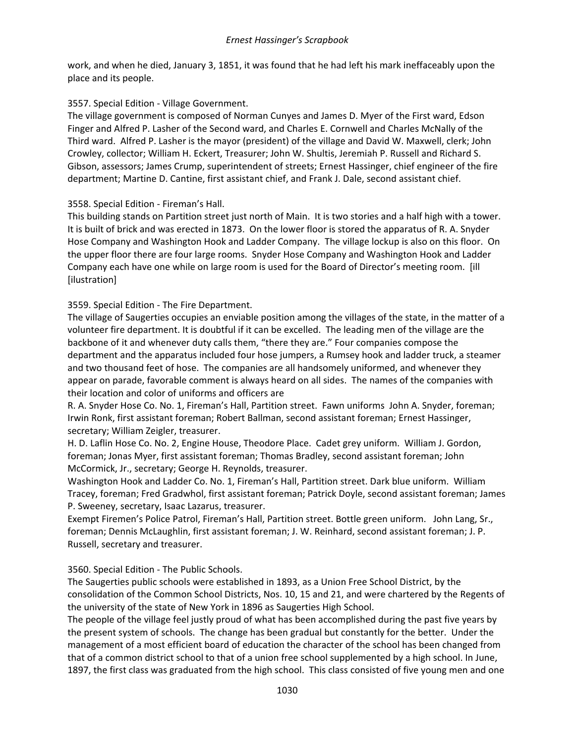work, and when he died, January 3, 1851, it was found that he had left his mark ineffaceably upon the place and its people.

# 3557. Special Edition - Village Government.

The village government is composed of Norman Cunyes and James D. Myer of the First ward, Edson Finger and Alfred P. Lasher of the Second ward, and Charles E. Cornwell and Charles McNally of the Third ward. Alfred P. Lasher is the mayor (president) of the village and David W. Maxwell, clerk; John Crowley, collector; William H. Eckert, Treasurer; John W. Shultis, Jeremiah P. Russell and Richard S. Gibson, assessors; James Crump, superintendent of streets; Ernest Hassinger, chief engineer of the fire department; Martine D. Cantine, first assistant chief, and Frank J. Dale, second assistant chief.

# 3558. Special Edition - Fireman's Hall.

This building stands on Partition street just north of Main. It is two stories and a half high with a tower. It is built of brick and was erected in 1873. On the lower floor is stored the apparatus of R. A. Snyder Hose Company and Washington Hook and Ladder Company. The village lockup is also on this floor. On the upper floor there are four large rooms. Snyder Hose Company and Washington Hook and Ladder Company each have one while on large room is used for the Board of Director's meeting room. [ill [ilustration]

# 3559. Special Edition - The Fire Department.

The village of Saugerties occupies an enviable position among the villages of the state, in the matter of a volunteer fire department. It is doubtful if it can be excelled. The leading men of the village are the backbone of it and whenever duty calls them, "there they are." Four companies compose the department and the apparatus included four hose jumpers, a Rumsey hook and ladder truck, a steamer and two thousand feet of hose. The companies are all handsomely uniformed, and whenever they appear on parade, favorable comment is always heard on all sides. The names of the companies with their location and color of uniforms and officers are

R. A. Snyder Hose Co. No. 1, Fireman's Hall, Partition street. Fawn uniforms John A. Snyder, foreman; Irwin Ronk, first assistant foreman; Robert Ballman, second assistant foreman; Ernest Hassinger, secretary; William Zeigler, treasurer.

H. D. Laflin Hose Co. No. 2, Engine House, Theodore Place. Cadet grey uniform. William J. Gordon, foreman; Jonas Myer, first assistant foreman; Thomas Bradley, second assistant foreman; John McCormick, Jr., secretary; George H. Reynolds, treasurer.

Washington Hook and Ladder Co. No. 1, Fireman's Hall, Partition street. Dark blue uniform. William Tracey, foreman; Fred Gradwhol, first assistant foreman; Patrick Doyle, second assistant foreman; James P. Sweeney, secretary, Isaac Lazarus, treasurer.

Exempt Firemen's Police Patrol, Fireman's Hall, Partition street. Bottle green uniform. John Lang, Sr., foreman; Dennis McLaughlin, first assistant foreman; J. W. Reinhard, second assistant foreman; J. P. Russell, secretary and treasurer.

# 3560. Special Edition - The Public Schools.

The Saugerties public schools were established in 1893, as a Union Free School District, by the consolidation of the Common School Districts, Nos. 10, 15 and 21, and were chartered by the Regents of the university of the state of New York in 1896 as Saugerties High School.

The people of the village feel justly proud of what has been accomplished during the past five years by the present system of schools. The change has been gradual but constantly for the better. Under the management of a most efficient board of education the character of the school has been changed from that of a common district school to that of a union free school supplemented by a high school. In June, 1897, the first class was graduated from the high school. This class consisted of five young men and one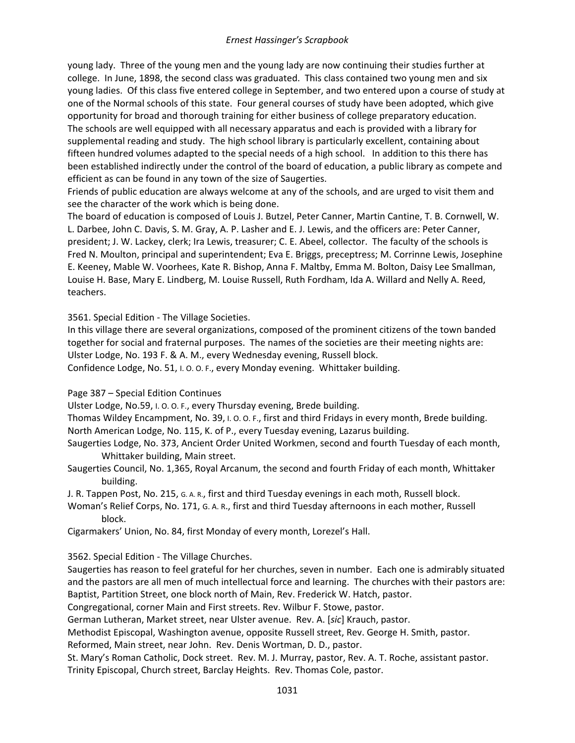young lady. Three of the young men and the young lady are now continuing their studies further at college. In June, 1898, the second class was graduated. This class contained two young men and six young ladies. Of this class five entered college in September, and two entered upon a course of study at one of the Normal schools of this state. Four general courses of study have been adopted, which give opportunity for broad and thorough training for either business of college preparatory education. The schools are well equipped with all necessary apparatus and each is provided with a library for supplemental reading and study. The high school library is particularly excellent, containing about fifteen hundred volumes adapted to the special needs of a high school. In addition to this there has been established indirectly under the control of the board of education, a public library as compete and efficient as can be found in any town of the size of Saugerties.

Friends of public education are always welcome at any of the schools, and are urged to visit them and see the character of the work which is being done.

The board of education is composed of Louis J. Butzel, Peter Canner, Martin Cantine, T. B. Cornwell, W. L. Darbee, John C. Davis, S. M. Gray, A. P. Lasher and E. J. Lewis, and the officers are: Peter Canner, president; J. W. Lackey, clerk; Ira Lewis, treasurer; C. E. Abeel, collector. The faculty of the schools is Fred N. Moulton, principal and superintendent; Eva E. Briggs, preceptress; M. Corrinne Lewis, Josephine E. Keeney, Mable W. Voorhees, Kate R. Bishop, Anna F. Maltby, Emma M. Bolton, Daisy Lee Smallman, Louise H. Base, Mary E. Lindberg, M. Louise Russell, Ruth Fordham, Ida A. Willard and Nelly A. Reed, teachers.

3561. Special Edition - The Village Societies.

In this village there are several organizations, composed of the prominent citizens of the town banded together for social and fraternal purposes. The names of the societies are their meeting nights are: Ulster Lodge, No. 193 F. & A. M., every Wednesday evening, Russell block. Confidence Lodge, No. 51, I. O. O. F., every Monday evening. Whittaker building.

Page 387 – Special Edition Continues

Ulster Lodge, No.59, I. O. O. F., every Thursday evening, Brede building.

Thomas Wildey Encampment, No. 39, I. O. O. F., first and third Fridays in every month, Brede building. North American Lodge, No. 115, K. of P., every Tuesday evening, Lazarus building.

Saugerties Lodge, No. 373, Ancient Order United Workmen, second and fourth Tuesday of each month, Whittaker building, Main street.

Saugerties Council, No. 1,365, Royal Arcanum, the second and fourth Friday of each month, Whittaker building.

J. R. Tappen Post, No. 215, G. A. R., first and third Tuesday evenings in each moth, Russell block.

Woman's Relief Corps, No. 171, G. A. R., first and third Tuesday afternoons in each mother, Russell block.

Cigarmakers' Union, No. 84, first Monday of every month, Lorezel's Hall.

3562. Special Edition - The Village Churches.

Saugerties has reason to feel grateful for her churches, seven in number. Each one is admirably situated and the pastors are all men of much intellectual force and learning. The churches with their pastors are: Baptist, Partition Street, one block north of Main, Rev. Frederick W. Hatch, pastor.

Congregational, corner Main and First streets. Rev. Wilbur F. Stowe, pastor.

German Lutheran, Market street, near Ulster avenue. Rev. A. [*sic*] Krauch, pastor.

Methodist Episcopal, Washington avenue, opposite Russell street, Rev. George H. Smith, pastor.

Reformed, Main street, near John. Rev. Denis Wortman, D. D., pastor.

St. Mary's Roman Catholic, Dock street. Rev. M. J. Murray, pastor, Rev. A. T. Roche, assistant pastor. Trinity Episcopal, Church street, Barclay Heights. Rev. Thomas Cole, pastor.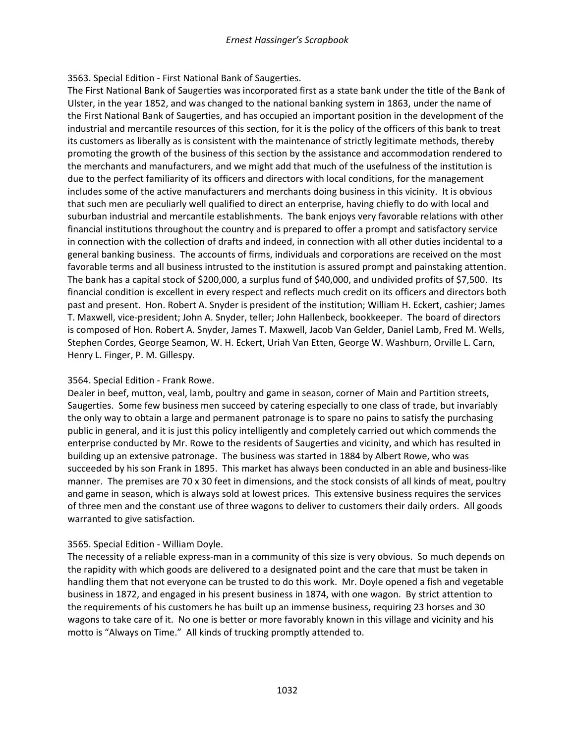### 3563. Special Edition - First National Bank of Saugerties.

The First National Bank of Saugerties was incorporated first as a state bank under the title of the Bank of Ulster, in the year 1852, and was changed to the national banking system in 1863, under the name of the First National Bank of Saugerties, and has occupied an important position in the development of the industrial and mercantile resources of this section, for it is the policy of the officers of this bank to treat its customers as liberally as is consistent with the maintenance of strictly legitimate methods, thereby promoting the growth of the business of this section by the assistance and accommodation rendered to the merchants and manufacturers, and we might add that much of the usefulness of the institution is due to the perfect familiarity of its officers and directors with local conditions, for the management includes some of the active manufacturers and merchants doing business in this vicinity. It is obvious that such men are peculiarly well qualified to direct an enterprise, having chiefly to do with local and suburban industrial and mercantile establishments. The bank enjoys very favorable relations with other financial institutions throughout the country and is prepared to offer a prompt and satisfactory service in connection with the collection of drafts and indeed, in connection with all other duties incidental to a general banking business. The accounts of firms, individuals and corporations are received on the most favorable terms and all business intrusted to the institution is assured prompt and painstaking attention. The bank has a capital stock of \$200,000, a surplus fund of \$40,000, and undivided profits of \$7,500. Its financial condition is excellent in every respect and reflects much credit on its officers and directors both past and present. Hon. Robert A. Snyder is president of the institution; William H. Eckert, cashier; James T. Maxwell, vice-president; John A. Snyder, teller; John Hallenbeck, bookkeeper. The board of directors is composed of Hon. Robert A. Snyder, James T. Maxwell, Jacob Van Gelder, Daniel Lamb, Fred M. Wells, Stephen Cordes, George Seamon, W. H. Eckert, Uriah Van Etten, George W. Washburn, Orville L. Carn, Henry L. Finger, P. M. Gillespy.

# 3564. Special Edition - Frank Rowe.

Dealer in beef, mutton, veal, lamb, poultry and game in season, corner of Main and Partition streets, Saugerties. Some few business men succeed by catering especially to one class of trade, but invariably the only way to obtain a large and permanent patronage is to spare no pains to satisfy the purchasing public in general, and it is just this policy intelligently and completely carried out which commends the enterprise conducted by Mr. Rowe to the residents of Saugerties and vicinity, and which has resulted in building up an extensive patronage. The business was started in 1884 by Albert Rowe, who was succeeded by his son Frank in 1895. This market has always been conducted in an able and business-like manner. The premises are 70 x 30 feet in dimensions, and the stock consists of all kinds of meat, poultry and game in season, which is always sold at lowest prices. This extensive business requires the services of three men and the constant use of three wagons to deliver to customers their daily orders. All goods warranted to give satisfaction.

### 3565. Special Edition - William Doyle.

The necessity of a reliable express-man in a community of this size is very obvious. So much depends on the rapidity with which goods are delivered to a designated point and the care that must be taken in handling them that not everyone can be trusted to do this work. Mr. Doyle opened a fish and vegetable business in 1872, and engaged in his present business in 1874, with one wagon. By strict attention to the requirements of his customers he has built up an immense business, requiring 23 horses and 30 wagons to take care of it. No one is better or more favorably known in this village and vicinity and his motto is "Always on Time." All kinds of trucking promptly attended to.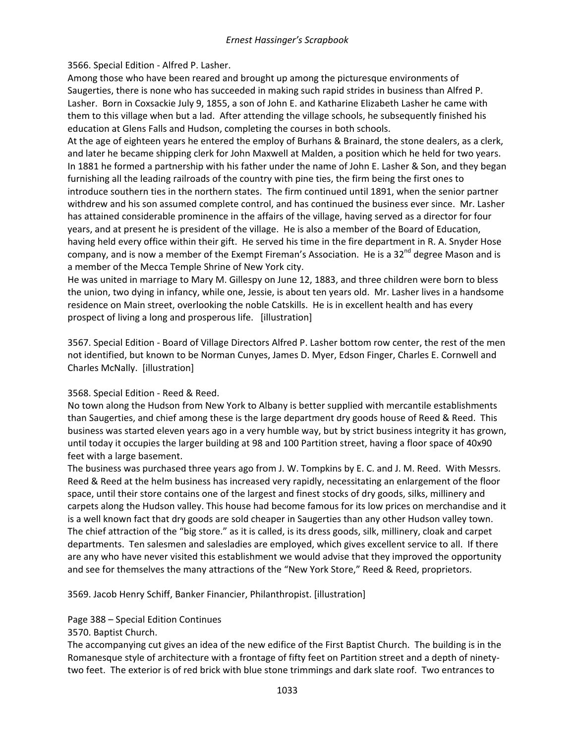### 3566. Special Edition - Alfred P. Lasher.

Among those who have been reared and brought up among the picturesque environments of Saugerties, there is none who has succeeded in making such rapid strides in business than Alfred P. Lasher. Born in Coxsackie July 9, 1855, a son of John E. and Katharine Elizabeth Lasher he came with them to this village when but a lad. After attending the village schools, he subsequently finished his education at Glens Falls and Hudson, completing the courses in both schools.

At the age of eighteen years he entered the employ of Burhans & Brainard, the stone dealers, as a clerk, and later he became shipping clerk for John Maxwell at Malden, a position which he held for two years. In 1881 he formed a partnership with his father under the name of John E. Lasher & Son, and they began furnishing all the leading railroads of the country with pine ties, the firm being the first ones to introduce southern ties in the northern states. The firm continued until 1891, when the senior partner withdrew and his son assumed complete control, and has continued the business ever since. Mr. Lasher has attained considerable prominence in the affairs of the village, having served as a director for four years, and at present he is president of the village. He is also a member of the Board of Education, having held every office within their gift. He served his time in the fire department in R. A. Snyder Hose company, and is now a member of the Exempt Fireman's Association. He is a  $32^{nd}$  degree Mason and is a member of the Mecca Temple Shrine of New York city.

He was united in marriage to Mary M. Gillespy on June 12, 1883, and three children were born to bless the union, two dying in infancy, while one, Jessie, is about ten years old. Mr. Lasher lives in a handsome residence on Main street, overlooking the noble Catskills. He is in excellent health and has every prospect of living a long and prosperous life. [illustration]

3567. Special Edition - Board of Village Directors Alfred P. Lasher bottom row center, the rest of the men not identified, but known to be Norman Cunyes, James D. Myer, Edson Finger, Charles E. Cornwell and Charles McNally. [illustration]

# 3568. Special Edition - Reed & Reed.

No town along the Hudson from New York to Albany is better supplied with mercantile establishments than Saugerties, and chief among these is the large department dry goods house of Reed & Reed. This business was started eleven years ago in a very humble way, but by strict business integrity it has grown, until today it occupies the larger building at 98 and 100 Partition street, having a floor space of 40x90 feet with a large basement.

The business was purchased three years ago from J. W. Tompkins by E. C. and J. M. Reed. With Messrs. Reed & Reed at the helm business has increased very rapidly, necessitating an enlargement of the floor space, until their store contains one of the largest and finest stocks of dry goods, silks, millinery and carpets along the Hudson valley. This house had become famous for its low prices on merchandise and it is a well known fact that dry goods are sold cheaper in Saugerties than any other Hudson valley town. The chief attraction of the "big store." as it is called, is its dress goods, silk, millinery, cloak and carpet departments. Ten salesmen and salesladies are employed, which gives excellent service to all. If there are any who have never visited this establishment we would advise that they improved the opportunity and see for themselves the many attractions of the "New York Store," Reed & Reed, proprietors.

3569. Jacob Henry Schiff, Banker Financier, Philanthropist. [illustration]

### Page 388 – Special Edition Continues

3570. Baptist Church.

The accompanying cut gives an idea of the new edifice of the First Baptist Church. The building is in the Romanesque style of architecture with a frontage of fifty feet on Partition street and a depth of ninetytwo feet. The exterior is of red brick with blue stone trimmings and dark slate roof. Two entrances to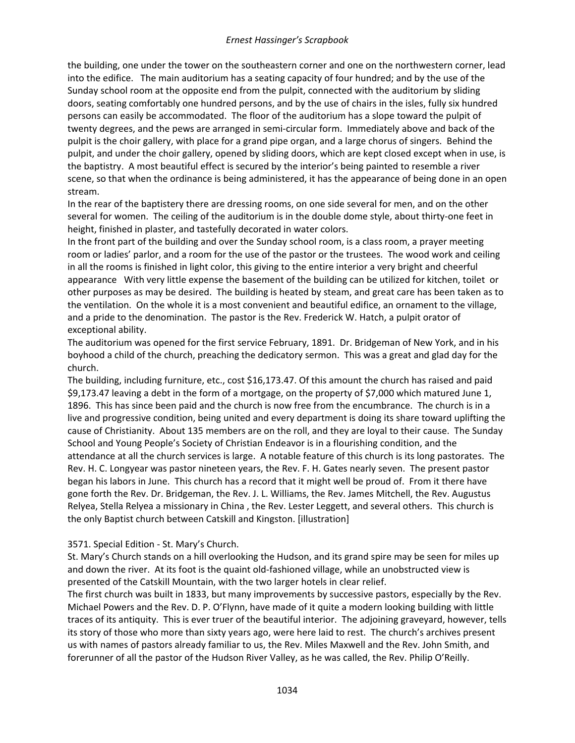the building, one under the tower on the southeastern corner and one on the northwestern corner, lead into the edifice. The main auditorium has a seating capacity of four hundred; and by the use of the Sunday school room at the opposite end from the pulpit, connected with the auditorium by sliding doors, seating comfortably one hundred persons, and by the use of chairs in the isles, fully six hundred persons can easily be accommodated. The floor of the auditorium has a slope toward the pulpit of twenty degrees, and the pews are arranged in semi-circular form. Immediately above and back of the pulpit is the choir gallery, with place for a grand pipe organ, and a large chorus of singers. Behind the pulpit, and under the choir gallery, opened by sliding doors, which are kept closed except when in use, is the baptistry. A most beautiful effect is secured by the interior's being painted to resemble a river scene, so that when the ordinance is being administered, it has the appearance of being done in an open stream.

In the rear of the baptistery there are dressing rooms, on one side several for men, and on the other several for women. The ceiling of the auditorium is in the double dome style, about thirty-one feet in height, finished in plaster, and tastefully decorated in water colors.

In the front part of the building and over the Sunday school room, is a class room, a prayer meeting room or ladies' parlor, and a room for the use of the pastor or the trustees. The wood work and ceiling in all the rooms is finished in light color, this giving to the entire interior a very bright and cheerful appearance With very little expense the basement of the building can be utilized for kitchen, toilet or other purposes as may be desired. The building is heated by steam, and great care has been taken as to the ventilation. On the whole it is a most convenient and beautiful edifice, an ornament to the village, and a pride to the denomination. The pastor is the Rev. Frederick W. Hatch, a pulpit orator of exceptional ability.

The auditorium was opened for the first service February, 1891. Dr. Bridgeman of New York, and in his boyhood a child of the church, preaching the dedicatory sermon. This was a great and glad day for the church.

The building, including furniture, etc., cost \$16,173.47. Of this amount the church has raised and paid \$9,173.47 leaving a debt in the form of a mortgage, on the property of \$7,000 which matured June 1, 1896. This has since been paid and the church is now free from the encumbrance. The church is in a live and progressive condition, being united and every department is doing its share toward uplifting the cause of Christianity. About 135 members are on the roll, and they are loyal to their cause. The Sunday School and Young People's Society of Christian Endeavor is in a flourishing condition, and the attendance at all the church services is large. A notable feature of this church is its long pastorates. The Rev. H. C. Longyear was pastor nineteen years, the Rev. F. H. Gates nearly seven. The present pastor began his labors in June. This church has a record that it might well be proud of. From it there have gone forth the Rev. Dr. Bridgeman, the Rev. J. L. Williams, the Rev. James Mitchell, the Rev. Augustus Relyea, Stella Relyea a missionary in China , the Rev. Lester Leggett, and several others. This church is the only Baptist church between Catskill and Kingston. [illustration]

# 3571. Special Edition - St. Mary's Church.

St. Mary's Church stands on a hill overlooking the Hudson, and its grand spire may be seen for miles up and down the river. At its foot is the quaint old-fashioned village, while an unobstructed view is presented of the Catskill Mountain, with the two larger hotels in clear relief.

The first church was built in 1833, but many improvements by successive pastors, especially by the Rev. Michael Powers and the Rev. D. P. O'Flynn, have made of it quite a modern looking building with little traces of its antiquity. This is ever truer of the beautiful interior. The adjoining graveyard, however, tells its story of those who more than sixty years ago, were here laid to rest. The church's archives present us with names of pastors already familiar to us, the Rev. Miles Maxwell and the Rev. John Smith, and forerunner of all the pastor of the Hudson River Valley, as he was called, the Rev. Philip O'Reilly.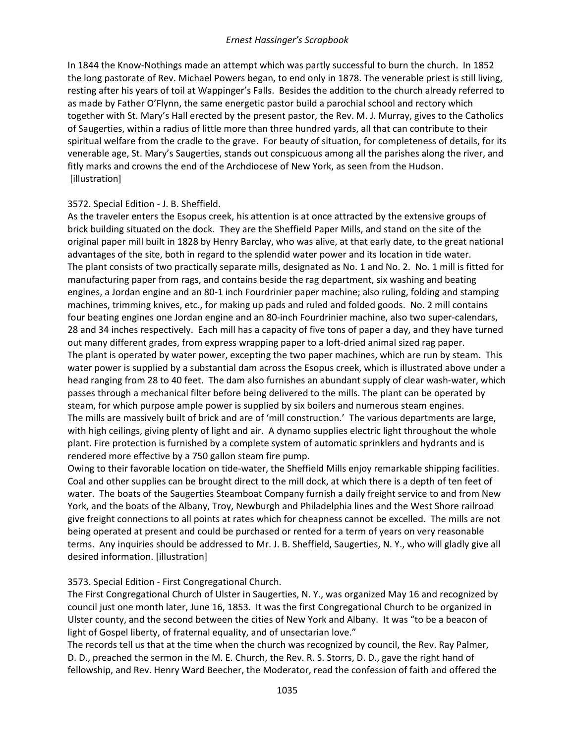In 1844 the Know-Nothings made an attempt which was partly successful to burn the church. In 1852 the long pastorate of Rev. Michael Powers began, to end only in 1878. The venerable priest is still living, resting after his years of toil at Wappinger's Falls. Besides the addition to the church already referred to as made by Father O'Flynn, the same energetic pastor build a parochial school and rectory which together with St. Mary's Hall erected by the present pastor, the Rev. M. J. Murray, gives to the Catholics of Saugerties, within a radius of little more than three hundred yards, all that can contribute to their spiritual welfare from the cradle to the grave. For beauty of situation, for completeness of details, for its venerable age, St. Mary's Saugerties, stands out conspicuous among all the parishes along the river, and fitly marks and crowns the end of the Archdiocese of New York, as seen from the Hudson. [illustration]

### 3572. Special Edition - J. B. Sheffield.

As the traveler enters the Esopus creek, his attention is at once attracted by the extensive groups of brick building situated on the dock. They are the Sheffield Paper Mills, and stand on the site of the original paper mill built in 1828 by Henry Barclay, who was alive, at that early date, to the great national advantages of the site, both in regard to the splendid water power and its location in tide water. The plant consists of two practically separate mills, designated as No. 1 and No. 2. No. 1 mill is fitted for manufacturing paper from rags, and contains beside the rag department, six washing and beating engines, a Jordan engine and an 80-1 inch Fourdrinier paper machine; also ruling, folding and stamping machines, trimming knives, etc., for making up pads and ruled and folded goods. No. 2 mill contains four beating engines one Jordan engine and an 80-inch Fourdrinier machine, also two super-calendars, 28 and 34 inches respectively. Each mill has a capacity of five tons of paper a day, and they have turned out many different grades, from express wrapping paper to a loft-dried animal sized rag paper. The plant is operated by water power, excepting the two paper machines, which are run by steam. This water power is supplied by a substantial dam across the Esopus creek, which is illustrated above under a head ranging from 28 to 40 feet. The dam also furnishes an abundant supply of clear wash-water, which passes through a mechanical filter before being delivered to the mills. The plant can be operated by steam, for which purpose ample power is supplied by six boilers and numerous steam engines. The mills are massively built of brick and are of 'mill construction.' The various departments are large, with high ceilings, giving plenty of light and air. A dynamo supplies electric light throughout the whole plant. Fire protection is furnished by a complete system of automatic sprinklers and hydrants and is rendered more effective by a 750 gallon steam fire pump.

Owing to their favorable location on tide-water, the Sheffield Mills enjoy remarkable shipping facilities. Coal and other supplies can be brought direct to the mill dock, at which there is a depth of ten feet of water. The boats of the Saugerties Steamboat Company furnish a daily freight service to and from New York, and the boats of the Albany, Troy, Newburgh and Philadelphia lines and the West Shore railroad give freight connections to all points at rates which for cheapness cannot be excelled. The mills are not being operated at present and could be purchased or rented for a term of years on very reasonable terms. Any inquiries should be addressed to Mr. J. B. Sheffield, Saugerties, N. Y., who will gladly give all desired information. [illustration]

# 3573. Special Edition - First Congregational Church.

The First Congregational Church of Ulster in Saugerties, N. Y., was organized May 16 and recognized by council just one month later, June 16, 1853. It was the first Congregational Church to be organized in Ulster county, and the second between the cities of New York and Albany. It was "to be a beacon of light of Gospel liberty, of fraternal equality, and of unsectarian love."

The records tell us that at the time when the church was recognized by council, the Rev. Ray Palmer, D. D., preached the sermon in the M. E. Church, the Rev. R. S. Storrs, D. D., gave the right hand of fellowship, and Rev. Henry Ward Beecher, the Moderator, read the confession of faith and offered the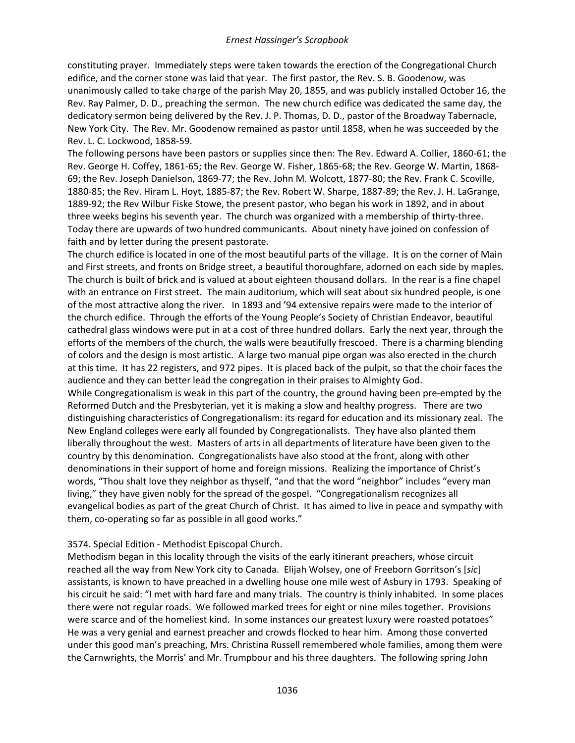constituting prayer. Immediately steps were taken towards the erection of the Congregational Church edifice, and the corner stone was laid that year. The first pastor, the Rev. S. B. Goodenow, was unanimously called to take charge of the parish May 20, 1855, and was publicly installed October 16, the Rev. Ray Palmer, D. D., preaching the sermon. The new church edifice was dedicated the same day, the dedicatory sermon being delivered by the Rev. J. P. Thomas, D. D., pastor of the Broadway Tabernacle, New York City. The Rev. Mr. Goodenow remained as pastor until 1858, when he was succeeded by the Rev. L. C. Lockwood, 1858-59.

The following persons have been pastors or supplies since then: The Rev. Edward A. Collier, 1860-61; the Rev. George H. Coffey, 1861-65; the Rev. George W. Fisher, 1865-68; the Rev. George W. Martin, 1868- 69; the Rev. Joseph Danielson, 1869-77; the Rev. John M. Wolcott, 1877-80; the Rev. Frank C. Scoville, 1880-85; the Rev. Hiram L. Hoyt, 1885-87; the Rev. Robert W. Sharpe, 1887-89; the Rev. J. H. LaGrange, 1889-92; the Rev Wilbur Fiske Stowe, the present pastor, who began his work in 1892, and in about three weeks begins his seventh year. The church was organized with a membership of thirty-three. Today there are upwards of two hundred communicants. About ninety have joined on confession of faith and by letter during the present pastorate.

The church edifice is located in one of the most beautiful parts of the village. It is on the corner of Main and First streets, and fronts on Bridge street, a beautiful thoroughfare, adorned on each side by maples. The church is built of brick and is valued at about eighteen thousand dollars. In the rear is a fine chapel with an entrance on First street. The main auditorium, which will seat about six hundred people, is one of the most attractive along the river. In 1893 and '94 extensive repairs were made to the interior of the church edifice. Through the efforts of the Young People's Society of Christian Endeavor, beautiful cathedral glass windows were put in at a cost of three hundred dollars. Early the next year, through the efforts of the members of the church, the walls were beautifully frescoed. There is a charming blending of colors and the design is most artistic. A large two manual pipe organ was also erected in the church at this time. It has 22 registers, and 972 pipes. It is placed back of the pulpit, so that the choir faces the audience and they can better lead the congregation in their praises to Almighty God.

While Congregationalism is weak in this part of the country, the ground having been pre-empted by the Reformed Dutch and the Presbyterian, yet it is making a slow and healthy progress. There are two distinguishing characteristics of Congregationalism: its regard for education and its missionary zeal. The New England colleges were early all founded by Congregationalists. They have also planted them liberally throughout the west. Masters of arts in all departments of literature have been given to the country by this denomination. Congregationalists have also stood at the front, along with other denominations in their support of home and foreign missions. Realizing the importance of Christ's words, "Thou shalt love they neighbor as thyself, "and that the word "neighbor" includes "every man living," they have given nobly for the spread of the gospel. "Congregationalism recognizes all evangelical bodies as part of the great Church of Christ. It has aimed to live in peace and sympathy with them, co-operating so far as possible in all good works."

### 3574. Special Edition - Methodist Episcopal Church.

Methodism began in this locality through the visits of the early itinerant preachers, whose circuit reached all the way from New York city to Canada. Elijah Wolsey, one of Freeborn Gorritson's [*sic*] assistants, is known to have preached in a dwelling house one mile west of Asbury in 1793. Speaking of his circuit he said: "I met with hard fare and many trials. The country is thinly inhabited. In some places there were not regular roads. We followed marked trees for eight or nine miles together. Provisions were scarce and of the homeliest kind. In some instances our greatest luxury were roasted potatoes" He was a very genial and earnest preacher and crowds flocked to hear him. Among those converted under this good man's preaching, Mrs. Christina Russell remembered whole families, among them were the Carnwrights, the Morris' and Mr. Trumpbour and his three daughters. The following spring John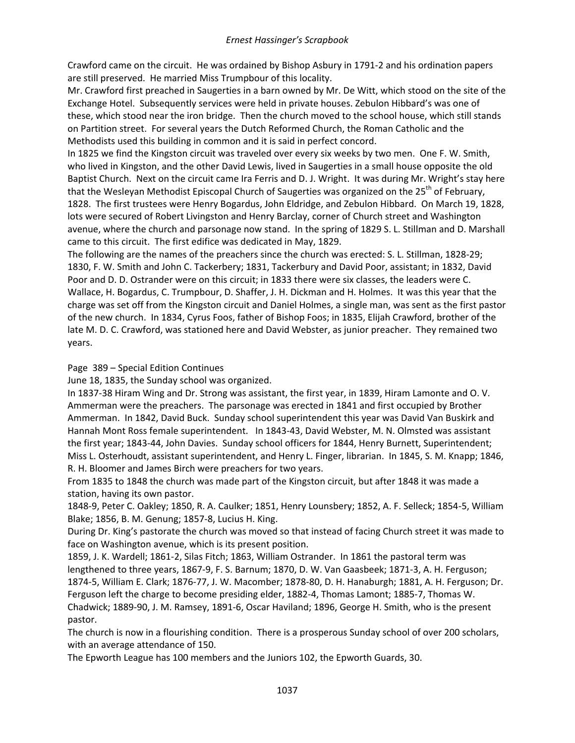Crawford came on the circuit. He was ordained by Bishop Asbury in 1791-2 and his ordination papers are still preserved. He married Miss Trumpbour of this locality.

Mr. Crawford first preached in Saugerties in a barn owned by Mr. De Witt, which stood on the site of the Exchange Hotel. Subsequently services were held in private houses. Zebulon Hibbard's was one of these, which stood near the iron bridge. Then the church moved to the school house, which still stands on Partition street. For several years the Dutch Reformed Church, the Roman Catholic and the Methodists used this building in common and it is said in perfect concord.

In 1825 we find the Kingston circuit was traveled over every six weeks by two men. One F. W. Smith, who lived in Kingston, and the other David Lewis, lived in Saugerties in a small house opposite the old Baptist Church. Next on the circuit came Ira Ferris and D. J. Wright. It was during Mr. Wright's stay here that the Wesleyan Methodist Episcopal Church of Saugerties was organized on the 25<sup>th</sup> of February, 1828. The first trustees were Henry Bogardus, John Eldridge, and Zebulon Hibbard. On March 19, 1828, lots were secured of Robert Livingston and Henry Barclay, corner of Church street and Washington avenue, where the church and parsonage now stand. In the spring of 1829 S. L. Stillman and D. Marshall came to this circuit. The first edifice was dedicated in May, 1829.

The following are the names of the preachers since the church was erected: S. L. Stillman, 1828-29; 1830, F. W. Smith and John C. Tackerbery; 1831, Tackerbury and David Poor, assistant; in 1832, David Poor and D. D. Ostrander were on this circuit; in 1833 there were six classes, the leaders were C. Wallace, H. Bogardus, C. Trumpbour, D. Shaffer, J. H. Dickman and H. Holmes. It was this year that the charge was set off from the Kingston circuit and Daniel Holmes, a single man, was sent as the first pastor of the new church. In 1834, Cyrus Foos, father of Bishop Foos; in 1835, Elijah Crawford, brother of the late M. D. C. Crawford, was stationed here and David Webster, as junior preacher. They remained two years.

# Page 389 – Special Edition Continues

June 18, 1835, the Sunday school was organized.

In 1837-38 Hiram Wing and Dr. Strong was assistant, the first year, in 1839, Hiram Lamonte and O. V. Ammerman were the preachers. The parsonage was erected in 1841 and first occupied by Brother Ammerman. In 1842, David Buck. Sunday school superintendent this year was David Van Buskirk and Hannah Mont Ross female superintendent. In 1843-43, David Webster, M. N. Olmsted was assistant the first year; 1843-44, John Davies. Sunday school officers for 1844, Henry Burnett, Superintendent; Miss L. Osterhoudt, assistant superintendent, and Henry L. Finger, librarian. In 1845, S. M. Knapp; 1846, R. H. Bloomer and James Birch were preachers for two years.

From 1835 to 1848 the church was made part of the Kingston circuit, but after 1848 it was made a station, having its own pastor.

1848-9, Peter C. Oakley; 1850, R. A. Caulker; 1851, Henry Lounsbery; 1852, A. F. Selleck; 1854-5, William Blake; 1856, B. M. Genung; 1857-8, Lucius H. King.

During Dr. King's pastorate the church was moved so that instead of facing Church street it was made to face on Washington avenue, which is its present position.

1859, J. K. Wardell; 1861-2, Silas Fitch; 1863, William Ostrander. In 1861 the pastoral term was lengthened to three years, 1867-9, F. S. Barnum; 1870, D. W. Van Gaasbeek; 1871-3, A. H. Ferguson; 1874-5, William E. Clark; 1876-77, J. W. Macomber; 1878-80, D. H. Hanaburgh; 1881, A. H. Ferguson; Dr. Ferguson left the charge to become presiding elder, 1882-4, Thomas Lamont; 1885-7, Thomas W. Chadwick; 1889-90, J. M. Ramsey, 1891-6, Oscar Haviland; 1896, George H. Smith, who is the present pastor.

The church is now in a flourishing condition. There is a prosperous Sunday school of over 200 scholars, with an average attendance of 150.

The Epworth League has 100 members and the Juniors 102, the Epworth Guards, 30.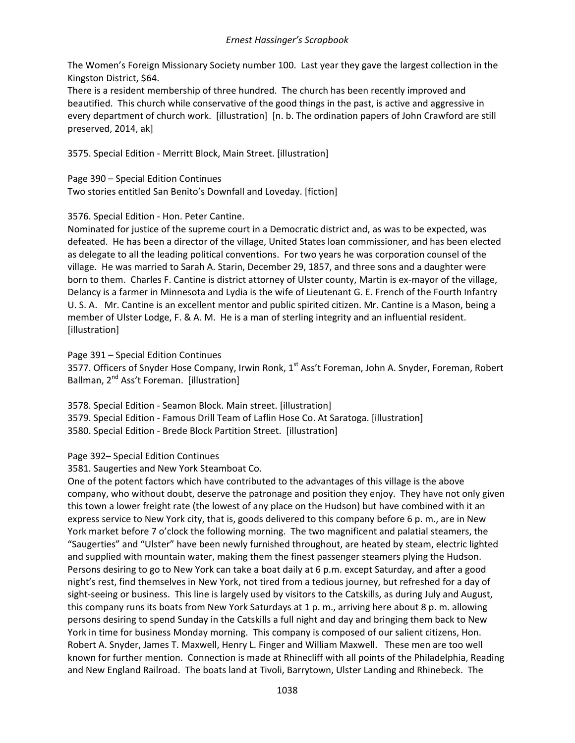The Women's Foreign Missionary Society number 100. Last year they gave the largest collection in the Kingston District, \$64.

There is a resident membership of three hundred. The church has been recently improved and beautified. This church while conservative of the good things in the past, is active and aggressive in every department of church work. [illustration] [n. b. The ordination papers of John Crawford are still preserved, 2014, ak]

3575. Special Edition - Merritt Block, Main Street. [illustration]

Page 390 – Special Edition Continues Two stories entitled San Benito's Downfall and Loveday. [fiction]

3576. Special Edition - Hon. Peter Cantine.

Nominated for justice of the supreme court in a Democratic district and, as was to be expected, was defeated. He has been a director of the village, United States loan commissioner, and has been elected as delegate to all the leading political conventions. For two years he was corporation counsel of the village. He was married to Sarah A. Starin, December 29, 1857, and three sons and a daughter were born to them. Charles F. Cantine is district attorney of Ulster county, Martin is ex-mayor of the village, Delancy is a farmer in Minnesota and Lydia is the wife of Lieutenant G. E. French of the Fourth Infantry U. S. A. Mr. Cantine is an excellent mentor and public spirited citizen. Mr. Cantine is a Mason, being a member of Ulster Lodge, F. & A. M. He is a man of sterling integrity and an influential resident. [illustration]

Page 391 – Special Edition Continues

3577. Officers of Snyder Hose Company, Irwin Ronk, 1<sup>st</sup> Ass't Foreman, John A. Snyder, Foreman, Robert Ballman, 2<sup>nd</sup> Ass't Foreman. [illustration]

3578. Special Edition - Seamon Block. Main street. [illustration] 3579. Special Edition - Famous Drill Team of Laflin Hose Co. At Saratoga. [illustration] 3580. Special Edition - Brede Block Partition Street. [illustration]

Page 392– Special Edition Continues

3581. Saugerties and New York Steamboat Co.

One of the potent factors which have contributed to the advantages of this village is the above company, who without doubt, deserve the patronage and position they enjoy. They have not only given this town a lower freight rate (the lowest of any place on the Hudson) but have combined with it an express service to New York city, that is, goods delivered to this company before 6 p. m., are in New York market before 7 o'clock the following morning. The two magnificent and palatial steamers, the "Saugerties" and "Ulster" have been newly furnished throughout, are heated by steam, electric lighted and supplied with mountain water, making them the finest passenger steamers plying the Hudson. Persons desiring to go to New York can take a boat daily at 6 p.m. except Saturday, and after a good night's rest, find themselves in New York, not tired from a tedious journey, but refreshed for a day of sight-seeing or business. This line is largely used by visitors to the Catskills, as during July and August, this company runs its boats from New York Saturdays at 1 p. m., arriving here about 8 p. m. allowing persons desiring to spend Sunday in the Catskills a full night and day and bringing them back to New York in time for business Monday morning. This company is composed of our salient citizens, Hon. Robert A. Snyder, James T. Maxwell, Henry L. Finger and William Maxwell. These men are too well known for further mention. Connection is made at Rhinecliff with all points of the Philadelphia, Reading and New England Railroad. The boats land at Tivoli, Barrytown, Ulster Landing and Rhinebeck. The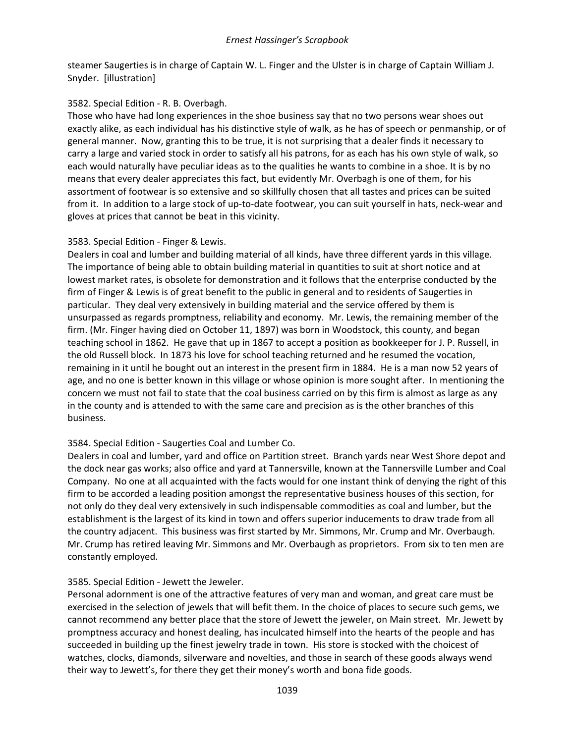steamer Saugerties is in charge of Captain W. L. Finger and the Ulster is in charge of Captain William J. Snyder. [illustration]

# 3582. Special Edition - R. B. Overbagh.

Those who have had long experiences in the shoe business say that no two persons wear shoes out exactly alike, as each individual has his distinctive style of walk, as he has of speech or penmanship, or of general manner. Now, granting this to be true, it is not surprising that a dealer finds it necessary to carry a large and varied stock in order to satisfy all his patrons, for as each has his own style of walk, so each would naturally have peculiar ideas as to the qualities he wants to combine in a shoe. It is by no means that every dealer appreciates this fact, but evidently Mr. Overbagh is one of them, for his assortment of footwear is so extensive and so skillfully chosen that all tastes and prices can be suited from it. In addition to a large stock of up-to-date footwear, you can suit yourself in hats, neck-wear and gloves at prices that cannot be beat in this vicinity.

# 3583. Special Edition - Finger & Lewis.

Dealers in coal and lumber and building material of all kinds, have three different yards in this village. The importance of being able to obtain building material in quantities to suit at short notice and at lowest market rates, is obsolete for demonstration and it follows that the enterprise conducted by the firm of Finger & Lewis is of great benefit to the public in general and to residents of Saugerties in particular. They deal very extensively in building material and the service offered by them is unsurpassed as regards promptness, reliability and economy. Mr. Lewis, the remaining member of the firm. (Mr. Finger having died on October 11, 1897) was born in Woodstock, this county, and began teaching school in 1862. He gave that up in 1867 to accept a position as bookkeeper for J. P. Russell, in the old Russell block. In 1873 his love for school teaching returned and he resumed the vocation, remaining in it until he bought out an interest in the present firm in 1884. He is a man now 52 years of age, and no one is better known in this village or whose opinion is more sought after. In mentioning the concern we must not fail to state that the coal business carried on by this firm is almost as large as any in the county and is attended to with the same care and precision as is the other branches of this business.

# 3584. Special Edition - Saugerties Coal and Lumber Co.

Dealers in coal and lumber, yard and office on Partition street. Branch yards near West Shore depot and the dock near gas works; also office and yard at Tannersville, known at the Tannersville Lumber and Coal Company. No one at all acquainted with the facts would for one instant think of denying the right of this firm to be accorded a leading position amongst the representative business houses of this section, for not only do they deal very extensively in such indispensable commodities as coal and lumber, but the establishment is the largest of its kind in town and offers superior inducements to draw trade from all the country adjacent. This business was first started by Mr. Simmons, Mr. Crump and Mr. Overbaugh. Mr. Crump has retired leaving Mr. Simmons and Mr. Overbaugh as proprietors. From six to ten men are constantly employed.

# 3585. Special Edition - Jewett the Jeweler.

Personal adornment is one of the attractive features of very man and woman, and great care must be exercised in the selection of jewels that will befit them. In the choice of places to secure such gems, we cannot recommend any better place that the store of Jewett the jeweler, on Main street. Mr. Jewett by promptness accuracy and honest dealing, has inculcated himself into the hearts of the people and has succeeded in building up the finest jewelry trade in town. His store is stocked with the choicest of watches, clocks, diamonds, silverware and novelties, and those in search of these goods always wend their way to Jewett's, for there they get their money's worth and bona fide goods.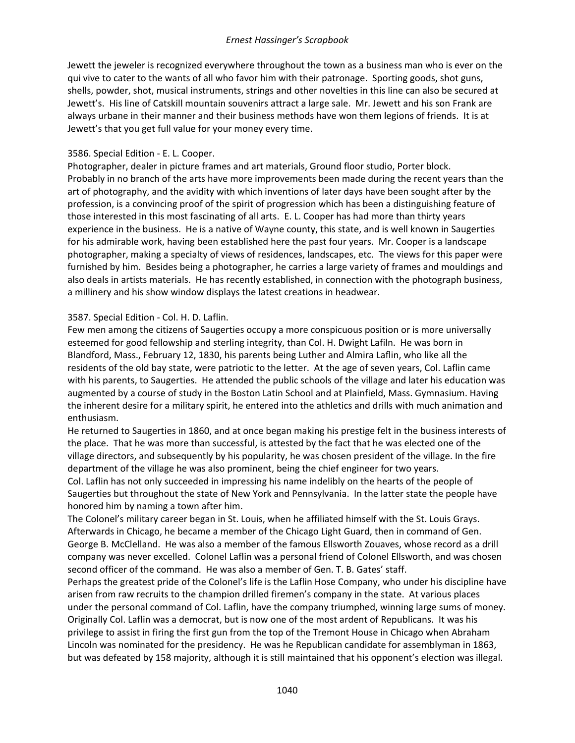Jewett the jeweler is recognized everywhere throughout the town as a business man who is ever on the qui vive to cater to the wants of all who favor him with their patronage. Sporting goods, shot guns, shells, powder, shot, musical instruments, strings and other novelties in this line can also be secured at Jewett's. His line of Catskill mountain souvenirs attract a large sale. Mr. Jewett and his son Frank are always urbane in their manner and their business methods have won them legions of friends. It is at Jewett's that you get full value for your money every time.

# 3586. Special Edition - E. L. Cooper.

Photographer, dealer in picture frames and art materials, Ground floor studio, Porter block. Probably in no branch of the arts have more improvements been made during the recent years than the art of photography, and the avidity with which inventions of later days have been sought after by the profession, is a convincing proof of the spirit of progression which has been a distinguishing feature of those interested in this most fascinating of all arts. E. L. Cooper has had more than thirty years experience in the business. He is a native of Wayne county, this state, and is well known in Saugerties for his admirable work, having been established here the past four years. Mr. Cooper is a landscape photographer, making a specialty of views of residences, landscapes, etc. The views for this paper were furnished by him. Besides being a photographer, he carries a large variety of frames and mouldings and also deals in artists materials. He has recently established, in connection with the photograph business, a millinery and his show window displays the latest creations in headwear.

# 3587. Special Edition - Col. H. D. Laflin.

Few men among the citizens of Saugerties occupy a more conspicuous position or is more universally esteemed for good fellowship and sterling integrity, than Col. H. Dwight Lafiln. He was born in Blandford, Mass., February 12, 1830, his parents being Luther and Almira Laflin, who like all the residents of the old bay state, were patriotic to the letter. At the age of seven years, Col. Laflin came with his parents, to Saugerties. He attended the public schools of the village and later his education was augmented by a course of study in the Boston Latin School and at Plainfield, Mass. Gymnasium. Having the inherent desire for a military spirit, he entered into the athletics and drills with much animation and enthusiasm.

He returned to Saugerties in 1860, and at once began making his prestige felt in the business interests of the place. That he was more than successful, is attested by the fact that he was elected one of the village directors, and subsequently by his popularity, he was chosen president of the village. In the fire department of the village he was also prominent, being the chief engineer for two years.

Col. Laflin has not only succeeded in impressing his name indelibly on the hearts of the people of Saugerties but throughout the state of New York and Pennsylvania. In the latter state the people have honored him by naming a town after him.

The Colonel's military career began in St. Louis, when he affiliated himself with the St. Louis Grays. Afterwards in Chicago, he became a member of the Chicago Light Guard, then in command of Gen. George B. McClelland. He was also a member of the famous Ellsworth Zouaves, whose record as a drill company was never excelled. Colonel Laflin was a personal friend of Colonel Ellsworth, and was chosen second officer of the command. He was also a member of Gen. T. B. Gates' staff.

Perhaps the greatest pride of the Colonel's life is the Laflin Hose Company, who under his discipline have arisen from raw recruits to the champion drilled firemen's company in the state. At various places under the personal command of Col. Laflin, have the company triumphed, winning large sums of money. Originally Col. Laflin was a democrat, but is now one of the most ardent of Republicans. It was his privilege to assist in firing the first gun from the top of the Tremont House in Chicago when Abraham Lincoln was nominated for the presidency. He was he Republican candidate for assemblyman in 1863, but was defeated by 158 majority, although it is still maintained that his opponent's election was illegal.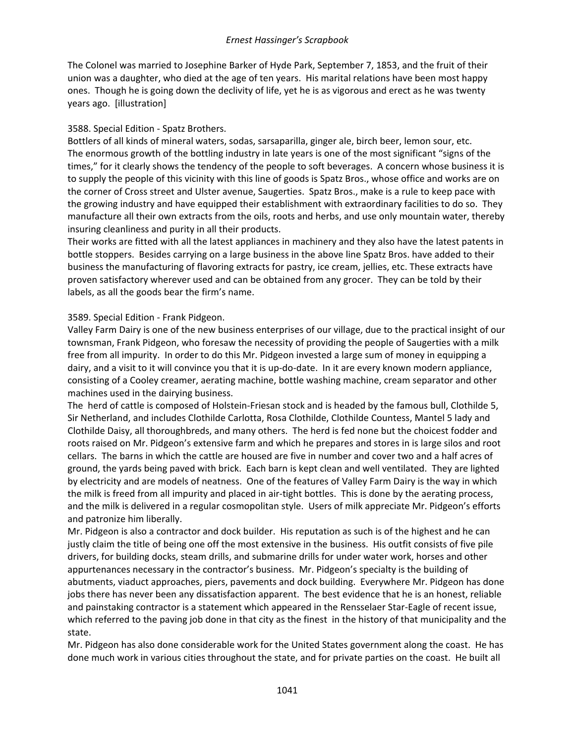The Colonel was married to Josephine Barker of Hyde Park, September 7, 1853, and the fruit of their union was a daughter, who died at the age of ten years. His marital relations have been most happy ones. Though he is going down the declivity of life, yet he is as vigorous and erect as he was twenty years ago. [illustration]

### 3588. Special Edition - Spatz Brothers.

Bottlers of all kinds of mineral waters, sodas, sarsaparilla, ginger ale, birch beer, lemon sour, etc. The enormous growth of the bottling industry in late years is one of the most significant "signs of the times," for it clearly shows the tendency of the people to soft beverages. A concern whose business it is to supply the people of this vicinity with this line of goods is Spatz Bros., whose office and works are on the corner of Cross street and Ulster avenue, Saugerties. Spatz Bros., make is a rule to keep pace with the growing industry and have equipped their establishment with extraordinary facilities to do so. They manufacture all their own extracts from the oils, roots and herbs, and use only mountain water, thereby insuring cleanliness and purity in all their products.

Their works are fitted with all the latest appliances in machinery and they also have the latest patents in bottle stoppers. Besides carrying on a large business in the above line Spatz Bros. have added to their business the manufacturing of flavoring extracts for pastry, ice cream, jellies, etc. These extracts have proven satisfactory wherever used and can be obtained from any grocer. They can be told by their labels, as all the goods bear the firm's name.

### 3589. Special Edition - Frank Pidgeon.

Valley Farm Dairy is one of the new business enterprises of our village, due to the practical insight of our townsman, Frank Pidgeon, who foresaw the necessity of providing the people of Saugerties with a milk free from all impurity. In order to do this Mr. Pidgeon invested a large sum of money in equipping a dairy, and a visit to it will convince you that it is up-do-date. In it are every known modern appliance, consisting of a Cooley creamer, aerating machine, bottle washing machine, cream separator and other machines used in the dairying business.

The herd of cattle is composed of Holstein-Friesan stock and is headed by the famous bull, Clothilde 5, Sir Netherland, and includes Clothilde Carlotta, Rosa Clothilde, Clothilde Countess, Mantel 5 lady and Clothilde Daisy, all thoroughbreds, and many others. The herd is fed none but the choicest fodder and roots raised on Mr. Pidgeon's extensive farm and which he prepares and stores in is large silos and root cellars. The barns in which the cattle are housed are five in number and cover two and a half acres of ground, the yards being paved with brick. Each barn is kept clean and well ventilated. They are lighted by electricity and are models of neatness. One of the features of Valley Farm Dairy is the way in which the milk is freed from all impurity and placed in air-tight bottles. This is done by the aerating process, and the milk is delivered in a regular cosmopolitan style. Users of milk appreciate Mr. Pidgeon's efforts and patronize him liberally.

Mr. Pidgeon is also a contractor and dock builder. His reputation as such is of the highest and he can justly claim the title of being one off the most extensive in the business. His outfit consists of five pile drivers, for building docks, steam drills, and submarine drills for under water work, horses and other appurtenances necessary in the contractor's business. Mr. Pidgeon's specialty is the building of abutments, viaduct approaches, piers, pavements and dock building. Everywhere Mr. Pidgeon has done jobs there has never been any dissatisfaction apparent. The best evidence that he is an honest, reliable and painstaking contractor is a statement which appeared in the Rensselaer Star-Eagle of recent issue, which referred to the paving job done in that city as the finest in the history of that municipality and the state.

Mr. Pidgeon has also done considerable work for the United States government along the coast. He has done much work in various cities throughout the state, and for private parties on the coast. He built all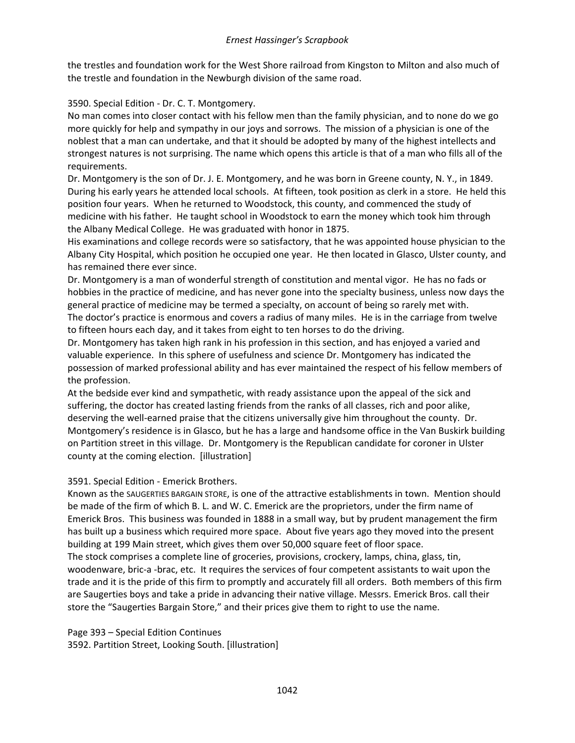the trestles and foundation work for the West Shore railroad from Kingston to Milton and also much of the trestle and foundation in the Newburgh division of the same road.

3590. Special Edition - Dr. C. T. Montgomery.

No man comes into closer contact with his fellow men than the family physician, and to none do we go more quickly for help and sympathy in our joys and sorrows. The mission of a physician is one of the noblest that a man can undertake, and that it should be adopted by many of the highest intellects and strongest natures is not surprising. The name which opens this article is that of a man who fills all of the requirements.

Dr. Montgomery is the son of Dr. J. E. Montgomery, and he was born in Greene county, N. Y., in 1849. During his early years he attended local schools. At fifteen, took position as clerk in a store. He held this position four years. When he returned to Woodstock, this county, and commenced the study of medicine with his father. He taught school in Woodstock to earn the money which took him through the Albany Medical College. He was graduated with honor in 1875.

His examinations and college records were so satisfactory, that he was appointed house physician to the Albany City Hospital, which position he occupied one year. He then located in Glasco, Ulster county, and has remained there ever since.

Dr. Montgomery is a man of wonderful strength of constitution and mental vigor. He has no fads or hobbies in the practice of medicine, and has never gone into the specialty business, unless now days the general practice of medicine may be termed a specialty, on account of being so rarely met with. The doctor's practice is enormous and covers a radius of many miles. He is in the carriage from twelve to fifteen hours each day, and it takes from eight to ten horses to do the driving.

Dr. Montgomery has taken high rank in his profession in this section, and has enjoyed a varied and valuable experience. In this sphere of usefulness and science Dr. Montgomery has indicated the possession of marked professional ability and has ever maintained the respect of his fellow members of the profession.

At the bedside ever kind and sympathetic, with ready assistance upon the appeal of the sick and suffering, the doctor has created lasting friends from the ranks of all classes, rich and poor alike, deserving the well-earned praise that the citizens universally give him throughout the county. Dr. Montgomery's residence is in Glasco, but he has a large and handsome office in the Van Buskirk building on Partition street in this village. Dr. Montgomery is the Republican candidate for coroner in Ulster county at the coming election. [illustration]

# 3591. Special Edition - Emerick Brothers.

Known as the SAUGERTIES BARGAIN STORE, is one of the attractive establishments in town. Mention should be made of the firm of which B. L. and W. C. Emerick are the proprietors, under the firm name of Emerick Bros. This business was founded in 1888 in a small way, but by prudent management the firm has built up a business which required more space. About five years ago they moved into the present building at 199 Main street, which gives them over 50,000 square feet of floor space. The stock comprises a complete line of groceries, provisions, crockery, lamps, china, glass, tin,

woodenware, bric-a -brac, etc. It requires the services of four competent assistants to wait upon the trade and it is the pride of this firm to promptly and accurately fill all orders. Both members of this firm are Saugerties boys and take a pride in advancing their native village. Messrs. Emerick Bros. call their store the "Saugerties Bargain Store," and their prices give them to right to use the name.

Page 393 – Special Edition Continues 3592. Partition Street, Looking South. [illustration]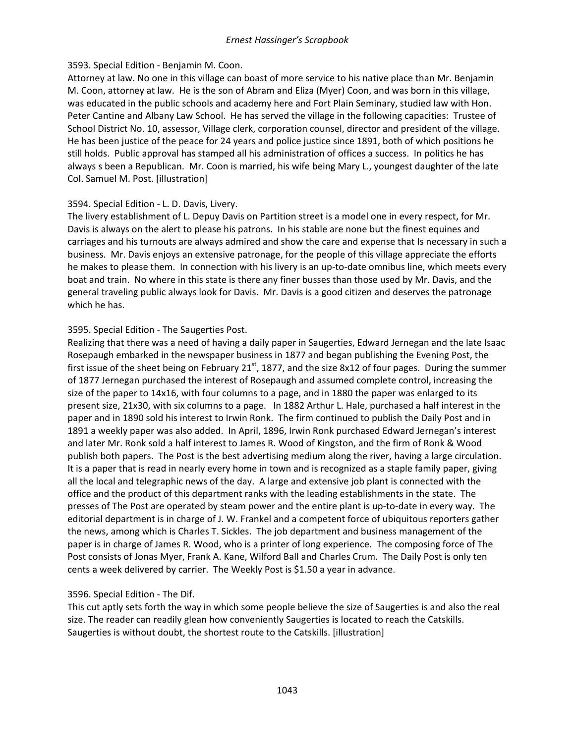### 3593. Special Edition - Benjamin M. Coon.

Attorney at law. No one in this village can boast of more service to his native place than Mr. Benjamin M. Coon, attorney at law. He is the son of Abram and Eliza (Myer) Coon, and was born in this village, was educated in the public schools and academy here and Fort Plain Seminary, studied law with Hon. Peter Cantine and Albany Law School. He has served the village in the following capacities: Trustee of School District No. 10, assessor, Village clerk, corporation counsel, director and president of the village. He has been justice of the peace for 24 years and police justice since 1891, both of which positions he still holds. Public approval has stamped all his administration of offices a success. In politics he has always s been a Republican. Mr. Coon is married, his wife being Mary L., youngest daughter of the late Col. Samuel M. Post. [illustration]

### 3594. Special Edition - L. D. Davis, Livery.

The livery establishment of L. Depuy Davis on Partition street is a model one in every respect, for Mr. Davis is always on the alert to please his patrons. In his stable are none but the finest equines and carriages and his turnouts are always admired and show the care and expense that Is necessary in such a business. Mr. Davis enjoys an extensive patronage, for the people of this village appreciate the efforts he makes to please them. In connection with his livery is an up-to-date omnibus line, which meets every boat and train. No where in this state is there any finer busses than those used by Mr. Davis, and the general traveling public always look for Davis. Mr. Davis is a good citizen and deserves the patronage which he has.

### 3595. Special Edition - The Saugerties Post.

Realizing that there was a need of having a daily paper in Saugerties, Edward Jernegan and the late Isaac Rosepaugh embarked in the newspaper business in 1877 and began publishing the Evening Post, the first issue of the sheet being on February  $21^{st}$ , 1877, and the size 8x12 of four pages. During the summer of 1877 Jernegan purchased the interest of Rosepaugh and assumed complete control, increasing the size of the paper to 14x16, with four columns to a page, and in 1880 the paper was enlarged to its present size, 21x30, with six columns to a page. In 1882 Arthur L. Hale, purchased a half interest in the paper and in 1890 sold his interest to Irwin Ronk. The firm continued to publish the Daily Post and in 1891 a weekly paper was also added. In April, 1896, Irwin Ronk purchased Edward Jernegan's interest and later Mr. Ronk sold a half interest to James R. Wood of Kingston, and the firm of Ronk & Wood publish both papers. The Post is the best advertising medium along the river, having a large circulation. It is a paper that is read in nearly every home in town and is recognized as a staple family paper, giving all the local and telegraphic news of the day. A large and extensive job plant is connected with the office and the product of this department ranks with the leading establishments in the state. The presses of The Post are operated by steam power and the entire plant is up-to-date in every way. The editorial department is in charge of J. W. Frankel and a competent force of ubiquitous reporters gather the news, among which is Charles T. Sickles. The job department and business management of the paper is in charge of James R. Wood, who is a printer of long experience. The composing force of The Post consists of Jonas Myer, Frank A. Kane, Wilford Ball and Charles Crum. The Daily Post is only ten cents a week delivered by carrier. The Weekly Post is \$1.50 a year in advance.

# 3596. Special Edition - The Dif.

This cut aptly sets forth the way in which some people believe the size of Saugerties is and also the real size. The reader can readily glean how conveniently Saugerties is located to reach the Catskills. Saugerties is without doubt, the shortest route to the Catskills. [illustration]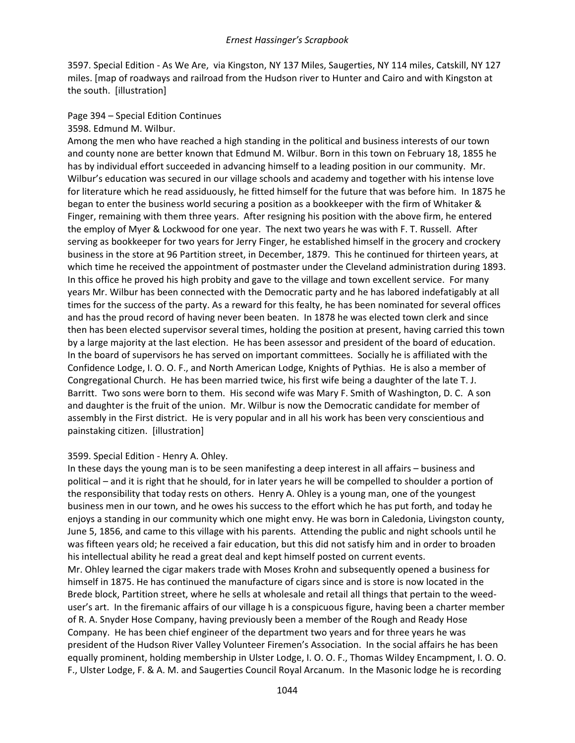3597. Special Edition - As We Are, via Kingston, NY 137 Miles, Saugerties, NY 114 miles, Catskill, NY 127 miles. [map of roadways and railroad from the Hudson river to Hunter and Cairo and with Kingston at the south. [illustration]

#### Page 394 – Special Edition Continues

#### 3598. Edmund M. Wilbur.

Among the men who have reached a high standing in the political and business interests of our town and county none are better known that Edmund M. Wilbur. Born in this town on February 18, 1855 he has by individual effort succeeded in advancing himself to a leading position in our community. Mr. Wilbur's education was secured in our village schools and academy and together with his intense love for literature which he read assiduously, he fitted himself for the future that was before him. In 1875 he began to enter the business world securing a position as a bookkeeper with the firm of Whitaker & Finger, remaining with them three years. After resigning his position with the above firm, he entered the employ of Myer & Lockwood for one year. The next two years he was with F. T. Russell. After serving as bookkeeper for two years for Jerry Finger, he established himself in the grocery and crockery business in the store at 96 Partition street, in December, 1879. This he continued for thirteen years, at which time he received the appointment of postmaster under the Cleveland administration during 1893. In this office he proved his high probity and gave to the village and town excellent service. For many years Mr. Wilbur has been connected with the Democratic party and he has labored indefatigably at all times for the success of the party. As a reward for this fealty, he has been nominated for several offices and has the proud record of having never been beaten. In 1878 he was elected town clerk and since then has been elected supervisor several times, holding the position at present, having carried this town by a large majority at the last election. He has been assessor and president of the board of education. In the board of supervisors he has served on important committees. Socially he is affiliated with the Confidence Lodge, I. O. O. F., and North American Lodge, Knights of Pythias. He is also a member of Congregational Church. He has been married twice, his first wife being a daughter of the late T. J. Barritt. Two sons were born to them. His second wife was Mary F. Smith of Washington, D. C. A son and daughter is the fruit of the union. Mr. Wilbur is now the Democratic candidate for member of assembly in the First district. He is very popular and in all his work has been very conscientious and painstaking citizen. [illustration]

### 3599. Special Edition - Henry A. Ohley.

In these days the young man is to be seen manifesting a deep interest in all affairs – business and political – and it is right that he should, for in later years he will be compelled to shoulder a portion of the responsibility that today rests on others. Henry A. Ohley is a young man, one of the youngest business men in our town, and he owes his success to the effort which he has put forth, and today he enjoys a standing in our community which one might envy. He was born in Caledonia, Livingston county, June 5, 1856, and came to this village with his parents. Attending the public and night schools until he was fifteen years old; he received a fair education, but this did not satisfy him and in order to broaden his intellectual ability he read a great deal and kept himself posted on current events. Mr. Ohley learned the cigar makers trade with Moses Krohn and subsequently opened a business for himself in 1875. He has continued the manufacture of cigars since and is store is now located in the Brede block, Partition street, where he sells at wholesale and retail all things that pertain to the weeduser's art. In the firemanic affairs of our village h is a conspicuous figure, having been a charter member of R. A. Snyder Hose Company, having previously been a member of the Rough and Ready Hose Company. He has been chief engineer of the department two years and for three years he was president of the Hudson River Valley Volunteer Firemen's Association. In the social affairs he has been equally prominent, holding membership in Ulster Lodge, I. O. O. F., Thomas Wildey Encampment, I. O. O. F., Ulster Lodge, F. & A. M. and Saugerties Council Royal Arcanum. In the Masonic lodge he is recording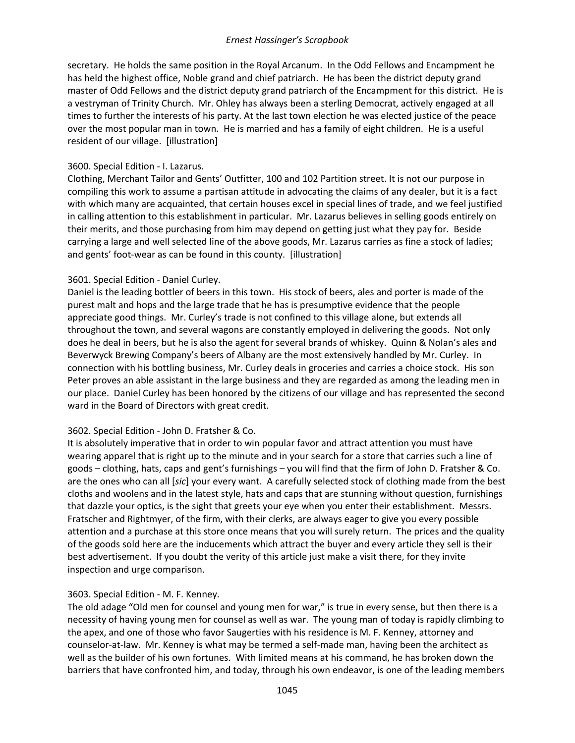secretary. He holds the same position in the Royal Arcanum. In the Odd Fellows and Encampment he has held the highest office, Noble grand and chief patriarch. He has been the district deputy grand master of Odd Fellows and the district deputy grand patriarch of the Encampment for this district. He is a vestryman of Trinity Church. Mr. Ohley has always been a sterling Democrat, actively engaged at all times to further the interests of his party. At the last town election he was elected justice of the peace over the most popular man in town. He is married and has a family of eight children. He is a useful resident of our village. [illustration]

### 3600. Special Edition - I. Lazarus.

Clothing, Merchant Tailor and Gents' Outfitter, 100 and 102 Partition street. It is not our purpose in compiling this work to assume a partisan attitude in advocating the claims of any dealer, but it is a fact with which many are acquainted, that certain houses excel in special lines of trade, and we feel justified in calling attention to this establishment in particular. Mr. Lazarus believes in selling goods entirely on their merits, and those purchasing from him may depend on getting just what they pay for. Beside carrying a large and well selected line of the above goods, Mr. Lazarus carries as fine a stock of ladies; and gents' foot-wear as can be found in this county. [illustration]

#### 3601. Special Edition - Daniel Curley.

Daniel is the leading bottler of beers in this town. His stock of beers, ales and porter is made of the purest malt and hops and the large trade that he has is presumptive evidence that the people appreciate good things. Mr. Curley's trade is not confined to this village alone, but extends all throughout the town, and several wagons are constantly employed in delivering the goods. Not only does he deal in beers, but he is also the agent for several brands of whiskey. Quinn & Nolan's ales and Beverwyck Brewing Company's beers of Albany are the most extensively handled by Mr. Curley. In connection with his bottling business, Mr. Curley deals in groceries and carries a choice stock. His son Peter proves an able assistant in the large business and they are regarded as among the leading men in our place. Daniel Curley has been honored by the citizens of our village and has represented the second ward in the Board of Directors with great credit.

### 3602. Special Edition - John D. Fratsher & Co.

It is absolutely imperative that in order to win popular favor and attract attention you must have wearing apparel that is right up to the minute and in your search for a store that carries such a line of goods – clothing, hats, caps and gent's furnishings – you will find that the firm of John D. Fratsher & Co. are the ones who can all [*sic*] your every want. A carefully selected stock of clothing made from the best cloths and woolens and in the latest style, hats and caps that are stunning without question, furnishings that dazzle your optics, is the sight that greets your eye when you enter their establishment. Messrs. Fratscher and Rightmyer, of the firm, with their clerks, are always eager to give you every possible attention and a purchase at this store once means that you will surely return. The prices and the quality of the goods sold here are the inducements which attract the buyer and every article they sell is their best advertisement. If you doubt the verity of this article just make a visit there, for they invite inspection and urge comparison.

#### 3603. Special Edition - M. F. Kenney.

The old adage "Old men for counsel and young men for war," is true in every sense, but then there is a necessity of having young men for counsel as well as war. The young man of today is rapidly climbing to the apex, and one of those who favor Saugerties with his residence is M. F. Kenney, attorney and counselor-at-law. Mr. Kenney is what may be termed a self-made man, having been the architect as well as the builder of his own fortunes. With limited means at his command, he has broken down the barriers that have confronted him, and today, through his own endeavor, is one of the leading members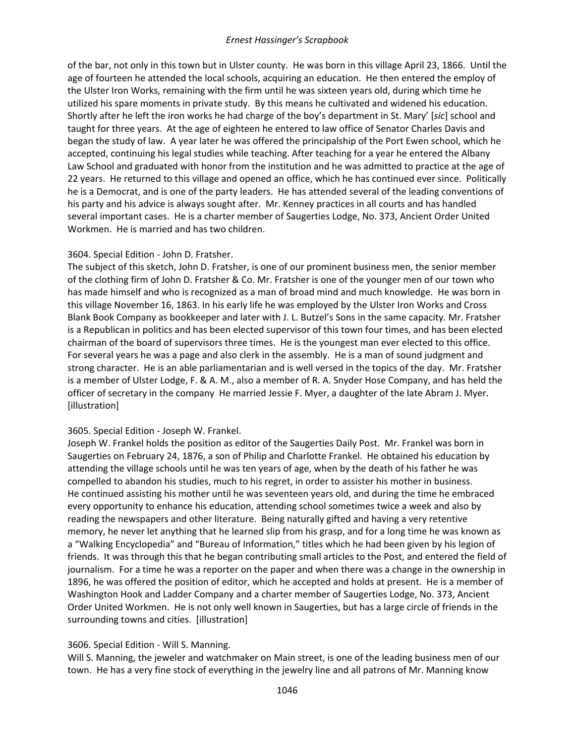of the bar, not only in this town but in Ulster county. He was born in this village April 23, 1866. Until the age of fourteen he attended the local schools, acquiring an education. He then entered the employ of the Ulster Iron Works, remaining with the firm until he was sixteen years old, during which time he utilized his spare moments in private study. By this means he cultivated and widened his education. Shortly after he left the iron works he had charge of the boy's department in St. Mary' [*sic*] school and taught for three years. At the age of eighteen he entered to law office of Senator Charles Davis and began the study of law. A year later he was offered the principalship of the Port Ewen school, which he accepted, continuing his legal studies while teaching. After teaching for a year he entered the Albany Law School and graduated with honor from the institution and he was admitted to practice at the age of 22 years. He returned to this village and opened an office, which he has continued ever since. Politically he is a Democrat, and is one of the party leaders. He has attended several of the leading conventions of his party and his advice is always sought after. Mr. Kenney practices in all courts and has handled several important cases. He is a charter member of Saugerties Lodge, No. 373, Ancient Order United Workmen. He is married and has two children.

### 3604. Special Edition - John D. Fratsher.

The subject of this sketch, John D. Fratsher, is one of our prominent business men, the senior member of the clothing firm of John D. Fratsher & Co. Mr. Fratsher is one of the younger men of our town who has made himself and who is recognized as a man of broad mind and much knowledge. He was born in this village November 16, 1863. In his early life he was employed by the Ulster Iron Works and Cross Blank Book Company as bookkeeper and later with J. L. Butzel's Sons in the same capacity. Mr. Fratsher is a Republican in politics and has been elected supervisor of this town four times, and has been elected chairman of the board of supervisors three times. He is the youngest man ever elected to this office. For several years he was a page and also clerk in the assembly. He is a man of sound judgment and strong character. He is an able parliamentarian and is well versed in the topics of the day. Mr. Fratsher is a member of Ulster Lodge, F. & A. M., also a member of R. A. Snyder Hose Company, and has held the officer of secretary in the company He married Jessie F. Myer, a daughter of the late Abram J. Myer. [illustration]

### 3605. Special Edition - Joseph W. Frankel.

Joseph W. Frankel holds the position as editor of the Saugerties Daily Post. Mr. Frankel was born in Saugerties on February 24, 1876, a son of Philip and Charlotte Frankel. He obtained his education by attending the village schools until he was ten years of age, when by the death of his father he was compelled to abandon his studies, much to his regret, in order to assister his mother in business. He continued assisting his mother until he was seventeen years old, and during the time he embraced every opportunity to enhance his education, attending school sometimes twice a week and also by reading the newspapers and other literature. Being naturally gifted and having a very retentive memory, he never let anything that he learned slip from his grasp, and for a long time he was known as a "Walking Encyclopedia" and "Bureau of Information," titles which he had been given by his legion of friends. It was through this that he began contributing small articles to the Post, and entered the field of journalism. For a time he was a reporter on the paper and when there was a change in the ownership in 1896, he was offered the position of editor, which he accepted and holds at present. He is a member of Washington Hook and Ladder Company and a charter member of Saugerties Lodge, No. 373, Ancient Order United Workmen. He is not only well known in Saugerties, but has a large circle of friends in the surrounding towns and cities. [illustration]

### 3606. Special Edition - Will S. Manning.

Will S. Manning, the jeweler and watchmaker on Main street, is one of the leading business men of our town. He has a very fine stock of everything in the jewelry line and all patrons of Mr. Manning know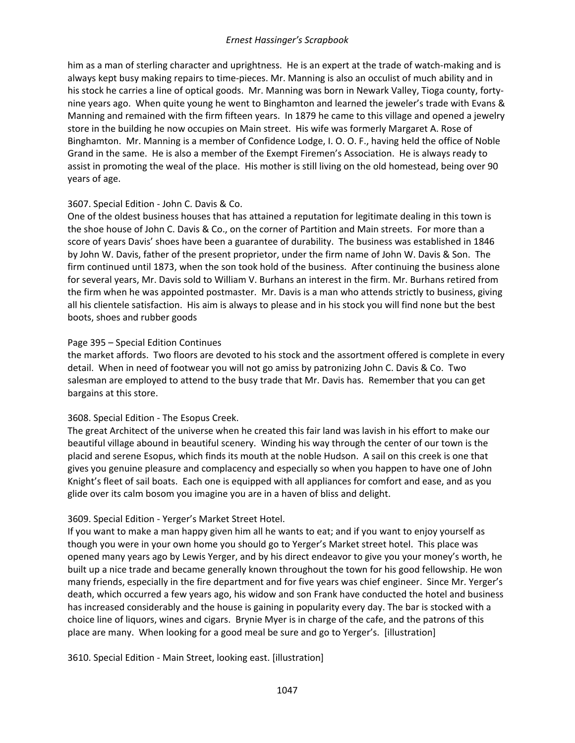him as a man of sterling character and uprightness. He is an expert at the trade of watch-making and is always kept busy making repairs to time-pieces. Mr. Manning is also an occulist of much ability and in his stock he carries a line of optical goods. Mr. Manning was born in Newark Valley, Tioga county, fortynine years ago. When quite young he went to Binghamton and learned the jeweler's trade with Evans & Manning and remained with the firm fifteen years. In 1879 he came to this village and opened a jewelry store in the building he now occupies on Main street. His wife was formerly Margaret A. Rose of Binghamton. Mr. Manning is a member of Confidence Lodge, I. O. O. F., having held the office of Noble Grand in the same. He is also a member of the Exempt Firemen's Association. He is always ready to assist in promoting the weal of the place. His mother is still living on the old homestead, being over 90 years of age.

# 3607. Special Edition - John C. Davis & Co.

One of the oldest business houses that has attained a reputation for legitimate dealing in this town is the shoe house of John C. Davis & Co., on the corner of Partition and Main streets. For more than a score of years Davis' shoes have been a guarantee of durability. The business was established in 1846 by John W. Davis, father of the present proprietor, under the firm name of John W. Davis & Son. The firm continued until 1873, when the son took hold of the business. After continuing the business alone for several years, Mr. Davis sold to William V. Burhans an interest in the firm. Mr. Burhans retired from the firm when he was appointed postmaster. Mr. Davis is a man who attends strictly to business, giving all his clientele satisfaction. His aim is always to please and in his stock you will find none but the best boots, shoes and rubber goods

### Page 395 – Special Edition Continues

the market affords. Two floors are devoted to his stock and the assortment offered is complete in every detail. When in need of footwear you will not go amiss by patronizing John C. Davis & Co. Two salesman are employed to attend to the busy trade that Mr. Davis has. Remember that you can get bargains at this store.

# 3608. Special Edition - The Esopus Creek.

The great Architect of the universe when he created this fair land was lavish in his effort to make our beautiful village abound in beautiful scenery. Winding his way through the center of our town is the placid and serene Esopus, which finds its mouth at the noble Hudson. A sail on this creek is one that gives you genuine pleasure and complacency and especially so when you happen to have one of John Knight's fleet of sail boats. Each one is equipped with all appliances for comfort and ease, and as you glide over its calm bosom you imagine you are in a haven of bliss and delight.

# 3609. Special Edition - Yerger's Market Street Hotel.

If you want to make a man happy given him all he wants to eat; and if you want to enjoy yourself as though you were in your own home you should go to Yerger's Market street hotel. This place was opened many years ago by Lewis Yerger, and by his direct endeavor to give you your money's worth, he built up a nice trade and became generally known throughout the town for his good fellowship. He won many friends, especially in the fire department and for five years was chief engineer. Since Mr. Yerger's death, which occurred a few years ago, his widow and son Frank have conducted the hotel and business has increased considerably and the house is gaining in popularity every day. The bar is stocked with a choice line of liquors, wines and cigars. Brynie Myer is in charge of the cafe, and the patrons of this place are many. When looking for a good meal be sure and go to Yerger's. [illustration]

3610. Special Edition - Main Street, looking east. [illustration]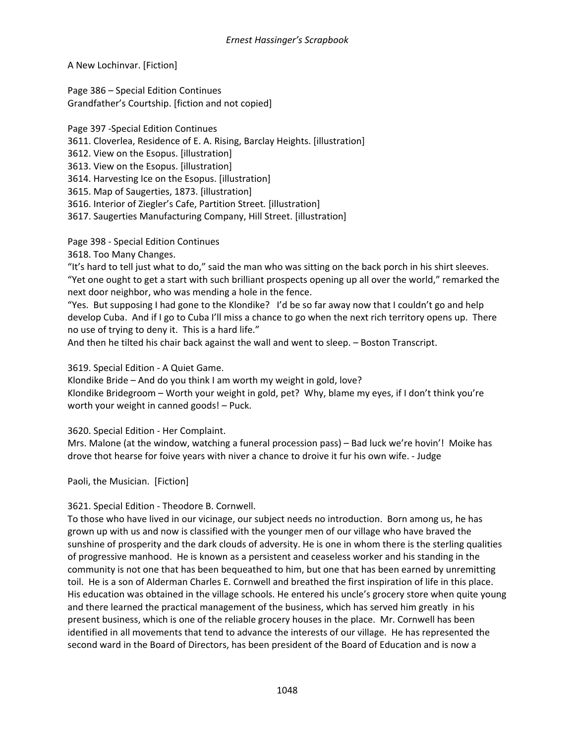A New Lochinvar. [Fiction]

Page 386 – Special Edition Continues Grandfather's Courtship. [fiction and not copied]

Page 397 -Special Edition Continues 3611. Cloverlea, Residence of E. A. Rising, Barclay Heights. [illustration] 3612. View on the Esopus. [illustration] 3613. View on the Esopus. [illustration] 3614. Harvesting Ice on the Esopus. [illustration] 3615. Map of Saugerties, 1873. [illustration] 3616. Interior of Ziegler's Cafe, Partition Street*.* [illustration] 3617. Saugerties Manufacturing Company, Hill Street. [illustration]

Page 398 - Special Edition Continues

3618. Too Many Changes.

"It's hard to tell just what to do," said the man who was sitting on the back porch in his shirt sleeves. "Yet one ought to get a start with such brilliant prospects opening up all over the world," remarked the next door neighbor, who was mending a hole in the fence.

"Yes. But supposing I had gone to the Klondike? I'd be so far away now that I couldn't go and help develop Cuba. And if I go to Cuba I'll miss a chance to go when the next rich territory opens up. There no use of trying to deny it. This is a hard life."

And then he tilted his chair back against the wall and went to sleep. – Boston Transcript.

3619. Special Edition - A Quiet Game.

Klondike Bride – And do you think I am worth my weight in gold, love? Klondike Bridegroom – Worth your weight in gold, pet? Why, blame my eyes, if I don't think you're worth your weight in canned goods! – Puck.

3620. Special Edition - Her Complaint.

Mrs. Malone (at the window, watching a funeral procession pass) – Bad luck we're hovin'! Moike has drove thot hearse for foive years with niver a chance to droive it fur his own wife. - Judge

Paoli, the Musician. [Fiction]

3621. Special Edition - Theodore B. Cornwell.

To those who have lived in our vicinage, our subject needs no introduction. Born among us, he has grown up with us and now is classified with the younger men of our village who have braved the sunshine of prosperity and the dark clouds of adversity. He is one in whom there is the sterling qualities of progressive manhood. He is known as a persistent and ceaseless worker and his standing in the community is not one that has been bequeathed to him, but one that has been earned by unremitting toil. He is a son of Alderman Charles E. Cornwell and breathed the first inspiration of life in this place. His education was obtained in the village schools. He entered his uncle's grocery store when quite young and there learned the practical management of the business, which has served him greatly in his present business, which is one of the reliable grocery houses in the place. Mr. Cornwell has been identified in all movements that tend to advance the interests of our village. He has represented the second ward in the Board of Directors, has been president of the Board of Education and is now a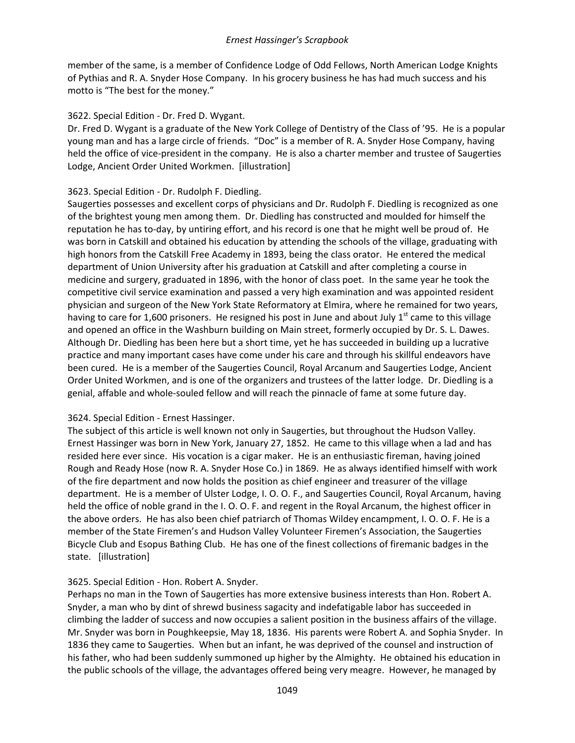member of the same, is a member of Confidence Lodge of Odd Fellows, North American Lodge Knights of Pythias and R. A. Snyder Hose Company. In his grocery business he has had much success and his motto is "The best for the money."

### 3622. Special Edition - Dr. Fred D. Wygant.

Dr. Fred D. Wygant is a graduate of the New York College of Dentistry of the Class of '95. He is a popular young man and has a large circle of friends. "Doc" is a member of R. A. Snyder Hose Company, having held the office of vice-president in the company. He is also a charter member and trustee of Saugerties Lodge, Ancient Order United Workmen. [illustration]

### 3623. Special Edition - Dr. Rudolph F. Diedling.

Saugerties possesses and excellent corps of physicians and Dr. Rudolph F. Diedling is recognized as one of the brightest young men among them. Dr. Diedling has constructed and moulded for himself the reputation he has to-day, by untiring effort, and his record is one that he might well be proud of. He was born in Catskill and obtained his education by attending the schools of the village, graduating with high honors from the Catskill Free Academy in 1893, being the class orator. He entered the medical department of Union University after his graduation at Catskill and after completing a course in medicine and surgery, graduated in 1896, with the honor of class poet. In the same year he took the competitive civil service examination and passed a very high examination and was appointed resident physician and surgeon of the New York State Reformatory at Elmira, where he remained for two years, having to care for 1,600 prisoners. He resigned his post in June and about July  $1<sup>st</sup>$  came to this village and opened an office in the Washburn building on Main street, formerly occupied by Dr. S. L. Dawes. Although Dr. Diedling has been here but a short time, yet he has succeeded in building up a lucrative practice and many important cases have come under his care and through his skillful endeavors have been cured. He is a member of the Saugerties Council, Royal Arcanum and Saugerties Lodge, Ancient Order United Workmen, and is one of the organizers and trustees of the latter lodge. Dr. Diedling is a genial, affable and whole-souled fellow and will reach the pinnacle of fame at some future day.

# 3624. Special Edition - Ernest Hassinger.

The subject of this article is well known not only in Saugerties, but throughout the Hudson Valley. Ernest Hassinger was born in New York, January 27, 1852. He came to this village when a lad and has resided here ever since. His vocation is a cigar maker. He is an enthusiastic fireman, having joined Rough and Ready Hose (now R. A. Snyder Hose Co.) in 1869. He as always identified himself with work of the fire department and now holds the position as chief engineer and treasurer of the village department. He is a member of Ulster Lodge, I. O. O. F., and Saugerties Council, Royal Arcanum, having held the office of noble grand in the I. O. O. F. and regent in the Royal Arcanum, the highest officer in the above orders. He has also been chief patriarch of Thomas Wildey encampment, I. O. O. F. He is a member of the State Firemen's and Hudson Valley Volunteer Firemen's Association, the Saugerties Bicycle Club and Esopus Bathing Club. He has one of the finest collections of firemanic badges in the state. [illustration]

# 3625. Special Edition - Hon. Robert A. Snyder.

Perhaps no man in the Town of Saugerties has more extensive business interests than Hon. Robert A. Snyder, a man who by dint of shrewd business sagacity and indefatigable labor has succeeded in climbing the ladder of success and now occupies a salient position in the business affairs of the village. Mr. Snyder was born in Poughkeepsie, May 18, 1836. His parents were Robert A. and Sophia Snyder. In 1836 they came to Saugerties. When but an infant, he was deprived of the counsel and instruction of his father, who had been suddenly summoned up higher by the Almighty. He obtained his education in the public schools of the village, the advantages offered being very meagre. However, he managed by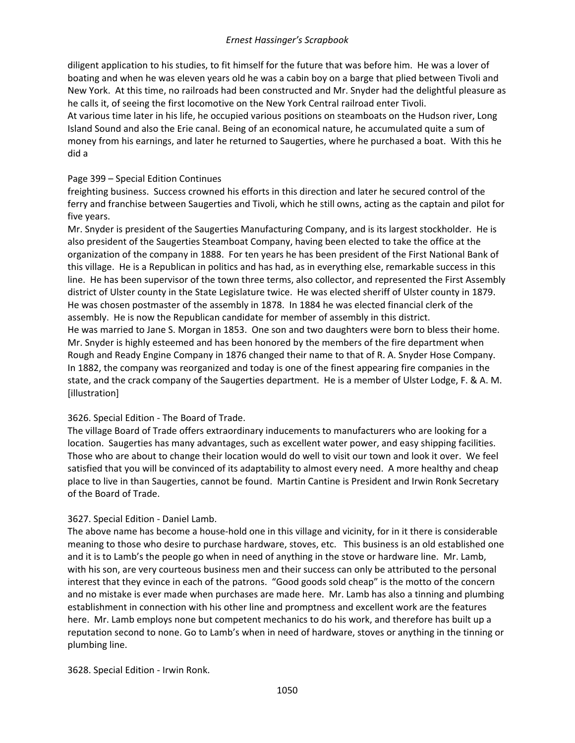diligent application to his studies, to fit himself for the future that was before him. He was a lover of boating and when he was eleven years old he was a cabin boy on a barge that plied between Tivoli and New York. At this time, no railroads had been constructed and Mr. Snyder had the delightful pleasure as he calls it, of seeing the first locomotive on the New York Central railroad enter Tivoli.

At various time later in his life, he occupied various positions on steamboats on the Hudson river, Long Island Sound and also the Erie canal. Being of an economical nature, he accumulated quite a sum of money from his earnings, and later he returned to Saugerties, where he purchased a boat. With this he did a

## Page 399 – Special Edition Continues

freighting business. Success crowned his efforts in this direction and later he secured control of the ferry and franchise between Saugerties and Tivoli, which he still owns, acting as the captain and pilot for five years.

Mr. Snyder is president of the Saugerties Manufacturing Company, and is its largest stockholder. He is also president of the Saugerties Steamboat Company, having been elected to take the office at the organization of the company in 1888. For ten years he has been president of the First National Bank of this village. He is a Republican in politics and has had, as in everything else, remarkable success in this line. He has been supervisor of the town three terms, also collector, and represented the First Assembly district of Ulster county in the State Legislature twice. He was elected sheriff of Ulster county in 1879. He was chosen postmaster of the assembly in 1878. In 1884 he was elected financial clerk of the assembly. He is now the Republican candidate for member of assembly in this district. He was married to Jane S. Morgan in 1853. One son and two daughters were born to bless their home. Mr. Snyder is highly esteemed and has been honored by the members of the fire department when Rough and Ready Engine Company in 1876 changed their name to that of R. A. Snyder Hose Company. In 1882, the company was reorganized and today is one of the finest appearing fire companies in the state, and the crack company of the Saugerties department. He is a member of Ulster Lodge, F. & A. M. [illustration]

# 3626. Special Edition - The Board of Trade.

The village Board of Trade offers extraordinary inducements to manufacturers who are looking for a location. Saugerties has many advantages, such as excellent water power, and easy shipping facilities. Those who are about to change their location would do well to visit our town and look it over. We feel satisfied that you will be convinced of its adaptability to almost every need. A more healthy and cheap place to live in than Saugerties, cannot be found. Martin Cantine is President and Irwin Ronk Secretary of the Board of Trade.

### 3627. Special Edition - Daniel Lamb.

The above name has become a house-hold one in this village and vicinity, for in it there is considerable meaning to those who desire to purchase hardware, stoves, etc. This business is an old established one and it is to Lamb's the people go when in need of anything in the stove or hardware line. Mr. Lamb, with his son, are very courteous business men and their success can only be attributed to the personal interest that they evince in each of the patrons. "Good goods sold cheap" is the motto of the concern and no mistake is ever made when purchases are made here. Mr. Lamb has also a tinning and plumbing establishment in connection with his other line and promptness and excellent work are the features here. Mr. Lamb employs none but competent mechanics to do his work, and therefore has built up a reputation second to none. Go to Lamb's when in need of hardware, stoves or anything in the tinning or plumbing line.

3628. Special Edition - Irwin Ronk.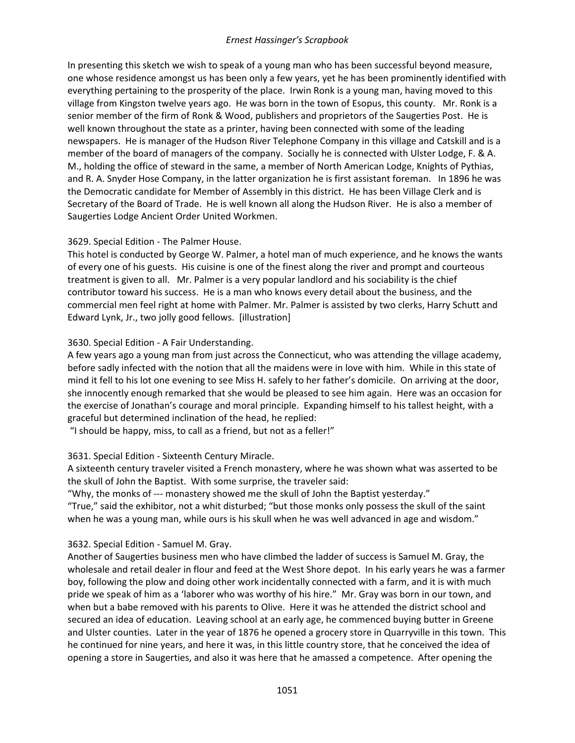In presenting this sketch we wish to speak of a young man who has been successful beyond measure, one whose residence amongst us has been only a few years, yet he has been prominently identified with everything pertaining to the prosperity of the place. Irwin Ronk is a young man, having moved to this village from Kingston twelve years ago. He was born in the town of Esopus, this county. Mr. Ronk is a senior member of the firm of Ronk & Wood, publishers and proprietors of the Saugerties Post. He is well known throughout the state as a printer, having been connected with some of the leading newspapers. He is manager of the Hudson River Telephone Company in this village and Catskill and is a member of the board of managers of the company. Socially he is connected with Ulster Lodge, F. & A. M., holding the office of steward in the same, a member of North American Lodge, Knights of Pythias, and R. A. Snyder Hose Company, in the latter organization he is first assistant foreman. In 1896 he was the Democratic candidate for Member of Assembly in this district. He has been Village Clerk and is Secretary of the Board of Trade. He is well known all along the Hudson River. He is also a member of Saugerties Lodge Ancient Order United Workmen.

### 3629. Special Edition - The Palmer House.

This hotel is conducted by George W. Palmer, a hotel man of much experience, and he knows the wants of every one of his guests. His cuisine is one of the finest along the river and prompt and courteous treatment is given to all. Mr. Palmer is a very popular landlord and his sociability is the chief contributor toward his success. He is a man who knows every detail about the business, and the commercial men feel right at home with Palmer. Mr. Palmer is assisted by two clerks, Harry Schutt and Edward Lynk, Jr., two jolly good fellows. [illustration]

# 3630. Special Edition - A Fair Understanding.

A few years ago a young man from just across the Connecticut, who was attending the village academy, before sadly infected with the notion that all the maidens were in love with him. While in this state of mind it fell to his lot one evening to see Miss H. safely to her father's domicile. On arriving at the door, she innocently enough remarked that she would be pleased to see him again. Here was an occasion for the exercise of Jonathan's courage and moral principle. Expanding himself to his tallest height, with a graceful but determined inclination of the head, he replied:

"I should be happy, miss, to call as a friend, but not as a feller!"

# 3631. Special Edition - Sixteenth Century Miracle.

A sixteenth century traveler visited a French monastery, where he was shown what was asserted to be the skull of John the Baptist. With some surprise, the traveler said:

"Why, the monks of --- monastery showed me the skull of John the Baptist yesterday." "True," said the exhibitor, not a whit disturbed; "but those monks only possess the skull of the saint when he was a young man, while ours is his skull when he was well advanced in age and wisdom."

# 3632. Special Edition - Samuel M. Gray.

Another of Saugerties business men who have climbed the ladder of success is Samuel M. Gray, the wholesale and retail dealer in flour and feed at the West Shore depot. In his early years he was a farmer boy, following the plow and doing other work incidentally connected with a farm, and it is with much pride we speak of him as a 'laborer who was worthy of his hire." Mr. Gray was born in our town, and when but a babe removed with his parents to Olive. Here it was he attended the district school and secured an idea of education. Leaving school at an early age, he commenced buying butter in Greene and Ulster counties. Later in the year of 1876 he opened a grocery store in Quarryville in this town. This he continued for nine years, and here it was, in this little country store, that he conceived the idea of opening a store in Saugerties, and also it was here that he amassed a competence. After opening the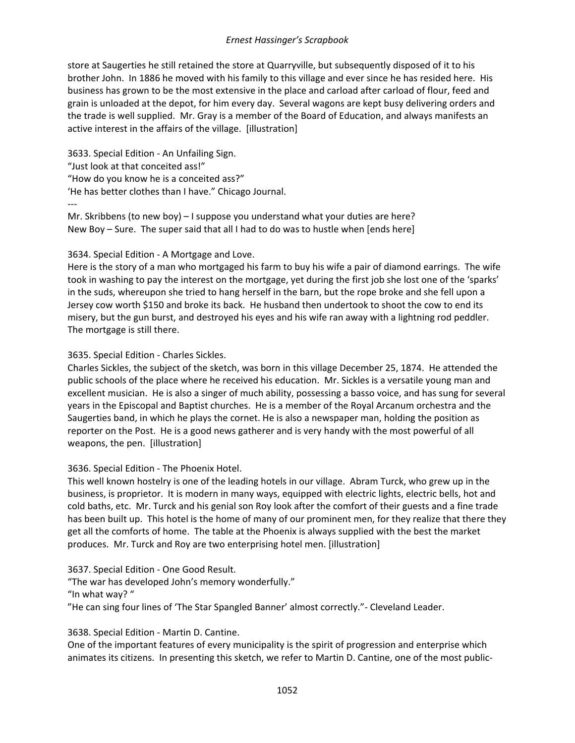store at Saugerties he still retained the store at Quarryville, but subsequently disposed of it to his brother John. In 1886 he moved with his family to this village and ever since he has resided here. His business has grown to be the most extensive in the place and carload after carload of flour, feed and grain is unloaded at the depot, for him every day. Several wagons are kept busy delivering orders and the trade is well supplied. Mr. Gray is a member of the Board of Education, and always manifests an active interest in the affairs of the village. [illustration]

3633. Special Edition - An Unfailing Sign. "Just look at that conceited ass!" "How do you know he is a conceited ass?" 'He has better clothes than I have." Chicago Journal. --- Mr. Skribbens (to new boy) – I suppose you understand what your duties are here?

New Boy – Sure. The super said that all I had to do was to hustle when [ends here]

# 3634. Special Edition - A Mortgage and Love.

Here is the story of a man who mortgaged his farm to buy his wife a pair of diamond earrings. The wife took in washing to pay the interest on the mortgage, yet during the first job she lost one of the 'sparks' in the suds, whereupon she tried to hang herself in the barn, but the rope broke and she fell upon a Jersey cow worth \$150 and broke its back. He husband then undertook to shoot the cow to end its misery, but the gun burst, and destroyed his eyes and his wife ran away with a lightning rod peddler. The mortgage is still there.

### 3635. Special Edition - Charles Sickles.

Charles Sickles, the subject of the sketch, was born in this village December 25, 1874. He attended the public schools of the place where he received his education. Mr. Sickles is a versatile young man and excellent musician. He is also a singer of much ability, possessing a basso voice, and has sung for several years in the Episcopal and Baptist churches. He is a member of the Royal Arcanum orchestra and the Saugerties band, in which he plays the cornet. He is also a newspaper man, holding the position as reporter on the Post. He is a good news gatherer and is very handy with the most powerful of all weapons, the pen. [illustration]

# 3636. Special Edition - The Phoenix Hotel.

This well known hostelry is one of the leading hotels in our village. Abram Turck, who grew up in the business, is proprietor. It is modern in many ways, equipped with electric lights, electric bells, hot and cold baths, etc. Mr. Turck and his genial son Roy look after the comfort of their guests and a fine trade has been built up. This hotel is the home of many of our prominent men, for they realize that there they get all the comforts of home. The table at the Phoenix is always supplied with the best the market produces. Mr. Turck and Roy are two enterprising hotel men. [illustration]

3637. Special Edition - One Good Result. "The war has developed John's memory wonderfully." "In what way? " "He can sing four lines of 'The Star Spangled Banner' almost correctly."- Cleveland Leader.

### 3638. Special Edition - Martin D. Cantine.

One of the important features of every municipality is the spirit of progression and enterprise which animates its citizens. In presenting this sketch, we refer to Martin D. Cantine, one of the most public-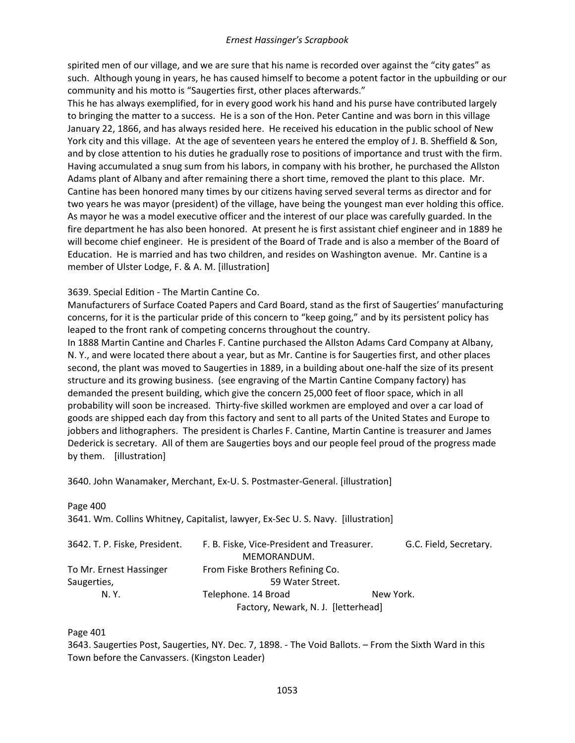spirited men of our village, and we are sure that his name is recorded over against the "city gates" as such. Although young in years, he has caused himself to become a potent factor in the upbuilding or our community and his motto is "Saugerties first, other places afterwards."

This he has always exemplified, for in every good work his hand and his purse have contributed largely to bringing the matter to a success. He is a son of the Hon. Peter Cantine and was born in this village January 22, 1866, and has always resided here. He received his education in the public school of New York city and this village. At the age of seventeen years he entered the employ of J. B. Sheffield & Son, and by close attention to his duties he gradually rose to positions of importance and trust with the firm. Having accumulated a snug sum from his labors, in company with his brother, he purchased the Allston Adams plant of Albany and after remaining there a short time, removed the plant to this place. Mr. Cantine has been honored many times by our citizens having served several terms as director and for two years he was mayor (president) of the village, have being the youngest man ever holding this office. As mayor he was a model executive officer and the interest of our place was carefully guarded. In the fire department he has also been honored. At present he is first assistant chief engineer and in 1889 he will become chief engineer. He is president of the Board of Trade and is also a member of the Board of Education. He is married and has two children, and resides on Washington avenue. Mr. Cantine is a member of Ulster Lodge, F. & A. M. [illustration]

### 3639. Special Edition - The Martin Cantine Co.

Manufacturers of Surface Coated Papers and Card Board, stand as the first of Saugerties' manufacturing concerns, for it is the particular pride of this concern to "keep going," and by its persistent policy has leaped to the front rank of competing concerns throughout the country.

In 1888 Martin Cantine and Charles F. Cantine purchased the Allston Adams Card Company at Albany, N. Y., and were located there about a year, but as Mr. Cantine is for Saugerties first, and other places second, the plant was moved to Saugerties in 1889, in a building about one-half the size of its present structure and its growing business. (see engraving of the Martin Cantine Company factory) has demanded the present building, which give the concern 25,000 feet of floor space, which in all probability will soon be increased. Thirty-five skilled workmen are employed and over a car load of goods are shipped each day from this factory and sent to all parts of the United States and Europe to jobbers and lithographers. The president is Charles F. Cantine, Martin Cantine is treasurer and James Dederick is secretary. All of them are Saugerties boys and our people feel proud of the progress made by them. [illustration]

3640. John Wanamaker, Merchant, Ex-U. S. Postmaster-General. [illustration]

Page 400 3641. Wm. Collins Whitney, Capitalist, lawyer, Ex-Sec U. S. Navy. [illustration] 3642. T. P. Fiske, President. F. B. Fiske, Vice-President and Treasurer. G.C. Field, Secretary. MEMORANDUM. To Mr. Ernest Hassinger From Fiske Brothers Refining Co. Saugerties, Saugerties, Saugerties, Saugerties, Saugerties, Saugerties, Saugerties, Saugerties, Saugerties, S N. Y. Telephone. 14 Broad New York. Factory, Newark, N. J. [letterhead]

Page 401

3643. Saugerties Post, Saugerties, NY. Dec. 7, 1898. - The Void Ballots. – From the Sixth Ward in this Town before the Canvassers. (Kingston Leader)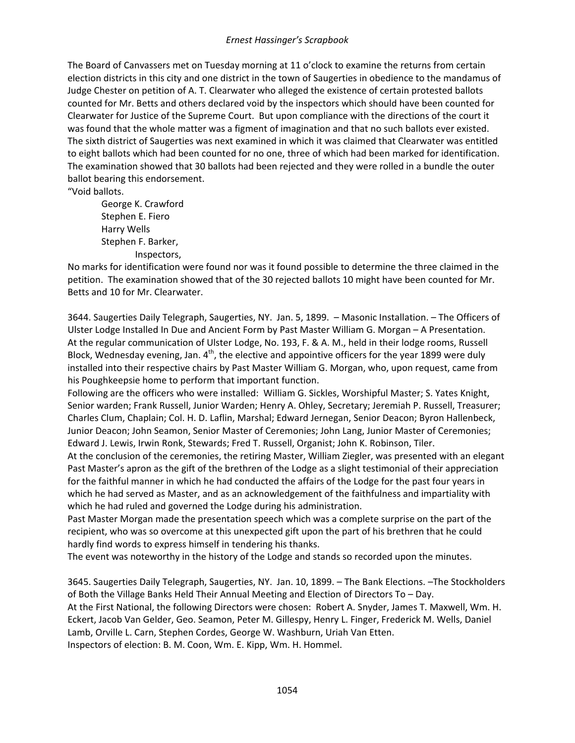The Board of Canvassers met on Tuesday morning at 11 o'clock to examine the returns from certain election districts in this city and one district in the town of Saugerties in obedience to the mandamus of Judge Chester on petition of A. T. Clearwater who alleged the existence of certain protested ballots counted for Mr. Betts and others declared void by the inspectors which should have been counted for Clearwater for Justice of the Supreme Court. But upon compliance with the directions of the court it was found that the whole matter was a figment of imagination and that no such ballots ever existed. The sixth district of Saugerties was next examined in which it was claimed that Clearwater was entitled to eight ballots which had been counted for no one, three of which had been marked for identification. The examination showed that 30 ballots had been rejected and they were rolled in a bundle the outer ballot bearing this endorsement.

"Void ballots.

George K. Crawford Stephen E. Fiero Harry Wells Stephen F. Barker, Inspectors,

No marks for identification were found nor was it found possible to determine the three claimed in the petition. The examination showed that of the 30 rejected ballots 10 might have been counted for Mr. Betts and 10 for Mr. Clearwater.

3644. Saugerties Daily Telegraph, Saugerties, NY. Jan. 5, 1899. – Masonic Installation. – The Officers of Ulster Lodge Installed In Due and Ancient Form by Past Master William G. Morgan – A Presentation. At the regular communication of Ulster Lodge, No. 193, F. & A. M., held in their lodge rooms, Russell Block, Wednesday evening, Jan.  $4<sup>th</sup>$ , the elective and appointive officers for the year 1899 were duly installed into their respective chairs by Past Master William G. Morgan, who, upon request, came from his Poughkeepsie home to perform that important function.

Following are the officers who were installed: William G. Sickles, Worshipful Master; S. Yates Knight, Senior warden; Frank Russell, Junior Warden; Henry A. Ohley, Secretary; Jeremiah P. Russell, Treasurer; Charles Clum, Chaplain; Col. H. D. Laflin, Marshal; Edward Jernegan, Senior Deacon; Byron Hallenbeck, Junior Deacon; John Seamon, Senior Master of Ceremonies; John Lang, Junior Master of Ceremonies; Edward J. Lewis, Irwin Ronk, Stewards; Fred T. Russell, Organist; John K. Robinson, Tiler.

At the conclusion of the ceremonies, the retiring Master, William Ziegler, was presented with an elegant Past Master's apron as the gift of the brethren of the Lodge as a slight testimonial of their appreciation for the faithful manner in which he had conducted the affairs of the Lodge for the past four years in which he had served as Master, and as an acknowledgement of the faithfulness and impartiality with which he had ruled and governed the Lodge during his administration.

Past Master Morgan made the presentation speech which was a complete surprise on the part of the recipient, who was so overcome at this unexpected gift upon the part of his brethren that he could hardly find words to express himself in tendering his thanks.

The event was noteworthy in the history of the Lodge and stands so recorded upon the minutes.

3645. Saugerties Daily Telegraph, Saugerties, NY. Jan. 10, 1899. – The Bank Elections. –The Stockholders of Both the Village Banks Held Their Annual Meeting and Election of Directors To – Day. At the First National, the following Directors were chosen: Robert A. Snyder, James T. Maxwell, Wm. H. Eckert, Jacob Van Gelder, Geo. Seamon, Peter M. Gillespy, Henry L. Finger, Frederick M. Wells, Daniel Lamb, Orville L. Carn, Stephen Cordes, George W. Washburn, Uriah Van Etten. Inspectors of election: B. M. Coon, Wm. E. Kipp, Wm. H. Hommel.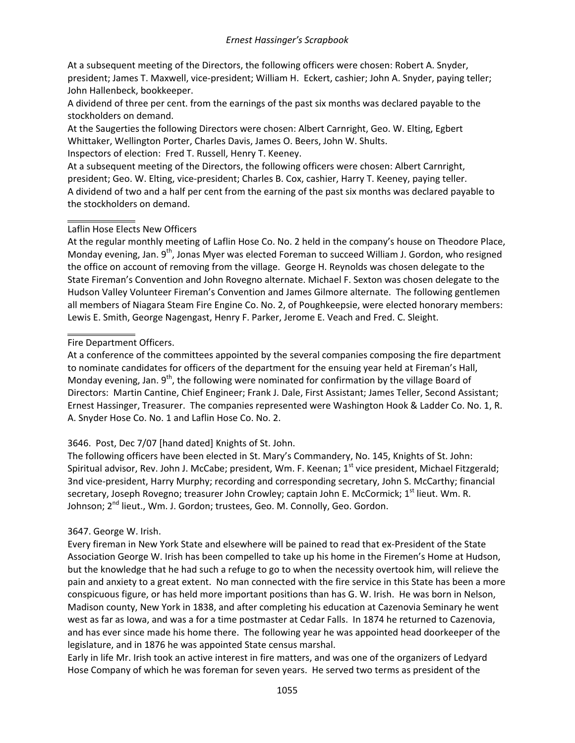At a subsequent meeting of the Directors, the following officers were chosen: Robert A. Snyder, president; James T. Maxwell, vice-president; William H. Eckert, cashier; John A. Snyder, paying teller; John Hallenbeck, bookkeeper.

A dividend of three per cent. from the earnings of the past six months was declared payable to the stockholders on demand.

At the Saugerties the following Directors were chosen: Albert Carnright, Geo. W. Elting, Egbert Whittaker, Wellington Porter, Charles Davis, James O. Beers, John W. Shults.

Inspectors of election: Fred T. Russell, Henry T. Keeney.

At a subsequent meeting of the Directors, the following officers were chosen: Albert Carnright, president; Geo. W. Elting, vice-president; Charles B. Cox, cashier, Harry T. Keeney, paying teller. A dividend of two and a half per cent from the earning of the past six months was declared payable to the stockholders on demand.

# Laflin Hose Elects New Officers

At the regular monthly meeting of Laflin Hose Co. No. 2 held in the company's house on Theodore Place, Monday evening, Jan. 9<sup>th</sup>, Jonas Myer was elected Foreman to succeed William J. Gordon, who resigned the office on account of removing from the village. George H. Reynolds was chosen delegate to the State Fireman's Convention and John Rovegno alternate. Michael F. Sexton was chosen delegate to the Hudson Valley Volunteer Fireman's Convention and James Gilmore alternate. The following gentlemen all members of Niagara Steam Fire Engine Co. No. 2, of Poughkeepsie, were elected honorary members: Lewis E. Smith, George Nagengast, Henry F. Parker, Jerome E. Veach and Fred. C. Sleight.

# Fire Department Officers.

At a conference of the committees appointed by the several companies composing the fire department to nominate candidates for officers of the department for the ensuing year held at Fireman's Hall, Monday evening, Jan. 9<sup>th</sup>, the following were nominated for confirmation by the village Board of Directors: Martin Cantine, Chief Engineer; Frank J. Dale, First Assistant; James Teller, Second Assistant; Ernest Hassinger, Treasurer. The companies represented were Washington Hook & Ladder Co. No. 1, R. A. Snyder Hose Co. No. 1 and Laflin Hose Co. No. 2.

# 3646. Post, Dec 7/07 [hand dated] Knights of St. John.

The following officers have been elected in St. Mary's Commandery, No. 145, Knights of St. John: Spiritual advisor, Rev. John J. McCabe; president, Wm. F. Keenan; 1<sup>st</sup> vice president, Michael Fitzgerald; 3nd vice-president, Harry Murphy; recording and corresponding secretary, John S. McCarthy; financial secretary, Joseph Rovegno; treasurer John Crowley; captain John E. McCormick; 1<sup>st</sup> lieut. Wm. R. Johnson; 2<sup>nd</sup> lieut., Wm. J. Gordon; trustees, Geo. M. Connolly, Geo. Gordon.

# 3647. George W. Irish.

Every fireman in New York State and elsewhere will be pained to read that ex-President of the State Association George W. Irish has been compelled to take up his home in the Firemen's Home at Hudson, but the knowledge that he had such a refuge to go to when the necessity overtook him, will relieve the pain and anxiety to a great extent. No man connected with the fire service in this State has been a more conspicuous figure, or has held more important positions than has G. W. Irish. He was born in Nelson, Madison county, New York in 1838, and after completing his education at Cazenovia Seminary he went west as far as Iowa, and was a for a time postmaster at Cedar Falls. In 1874 he returned to Cazenovia, and has ever since made his home there. The following year he was appointed head doorkeeper of the legislature, and in 1876 he was appointed State census marshal.

Early in life Mr. Irish took an active interest in fire matters, and was one of the organizers of Ledyard Hose Company of which he was foreman for seven years. He served two terms as president of the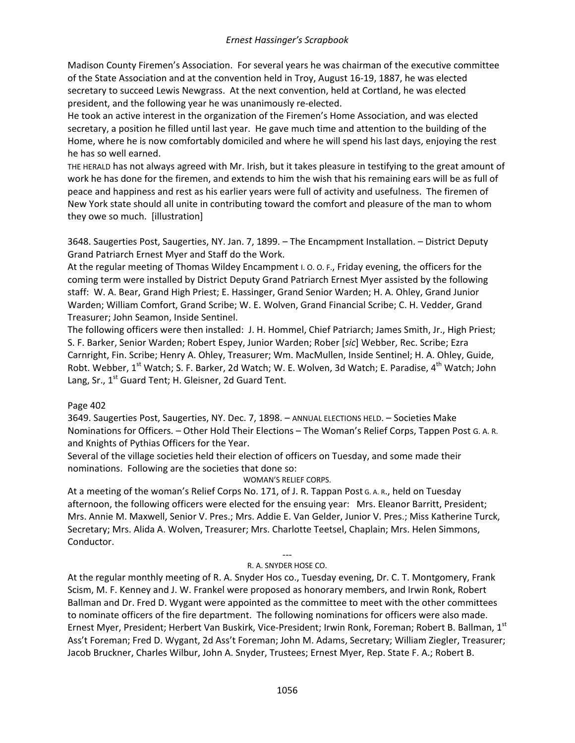Madison County Firemen's Association. For several years he was chairman of the executive committee of the State Association and at the convention held in Troy, August 16-19, 1887, he was elected secretary to succeed Lewis Newgrass. At the next convention, held at Cortland, he was elected president, and the following year he was unanimously re-elected.

He took an active interest in the organization of the Firemen's Home Association, and was elected secretary, a position he filled until last year. He gave much time and attention to the building of the Home, where he is now comfortably domiciled and where he will spend his last days, enjoying the rest he has so well earned.

THE HERALD has not always agreed with Mr. Irish, but it takes pleasure in testifying to the great amount of work he has done for the firemen, and extends to him the wish that his remaining ears will be as full of peace and happiness and rest as his earlier years were full of activity and usefulness. The firemen of New York state should all unite in contributing toward the comfort and pleasure of the man to whom they owe so much. [illustration]

3648. Saugerties Post, Saugerties, NY. Jan. 7, 1899. – The Encampment Installation. – District Deputy Grand Patriarch Ernest Myer and Staff do the Work.

At the regular meeting of Thomas Wildey Encampment I. O. O. F., Friday evening, the officers for the coming term were installed by District Deputy Grand Patriarch Ernest Myer assisted by the following staff: W. A. Bear, Grand High Priest; E. Hassinger, Grand Senior Warden; H. A. Ohley, Grand Junior Warden; William Comfort, Grand Scribe; W. E. Wolven, Grand Financial Scribe; C. H. Vedder, Grand Treasurer; John Seamon, Inside Sentinel.

The following officers were then installed: J. H. Hommel, Chief Patriarch; James Smith, Jr., High Priest; S. F. Barker, Senior Warden; Robert Espey, Junior Warden; Rober [*sic*] Webber, Rec. Scribe; Ezra Carnright, Fin. Scribe; Henry A. Ohley, Treasurer; Wm. MacMullen, Inside Sentinel; H. A. Ohley, Guide, Robt. Webber, 1<sup>st</sup> Watch; S. F. Barker, 2d Watch; W. E. Wolven, 3d Watch; E. Paradise, 4<sup>th</sup> Watch; John Lang, Sr., 1<sup>st</sup> Guard Tent; H. Gleisner, 2d Guard Tent.

# Page 402

3649. Saugerties Post, Saugerties, NY. Dec. 7, 1898. – ANNUAL ELECTIONS HELD. – Societies Make Nominations for Officers. – Other Hold Their Elections – The Woman's Relief Corps, Tappen Post G. A. R. and Knights of Pythias Officers for the Year.

Several of the village societies held their election of officers on Tuesday, and some made their nominations. Following are the societies that done so:

### WOMAN'S RELIEF CORPS.

At a meeting of the woman's Relief Corps No. 171, of J. R. Tappan Post G. A. R., held on Tuesday afternoon, the following officers were elected for the ensuing year: Mrs. Eleanor Barritt, President; Mrs. Annie M. Maxwell, Senior V. Pres.; Mrs. Addie E. Van Gelder, Junior V. Pres.; Miss Katherine Turck, Secretary; Mrs. Alida A. Wolven, Treasurer; Mrs. Charlotte Teetsel, Chaplain; Mrs. Helen Simmons, Conductor.

#### --- R. A. SNYDER HOSE CO.

At the regular monthly meeting of R. A. Snyder Hos co., Tuesday evening, Dr. C. T. Montgomery, Frank Scism, M. F. Kenney and J. W. Frankel were proposed as honorary members, and Irwin Ronk, Robert Ballman and Dr. Fred D. Wygant were appointed as the committee to meet with the other committees to nominate officers of the fire department. The following nominations for officers were also made. Ernest Myer, President; Herbert Van Buskirk, Vice-President; Irwin Ronk, Foreman; Robert B. Ballman, 1st Ass't Foreman; Fred D. Wygant, 2d Ass't Foreman; John M. Adams, Secretary; William Ziegler, Treasurer; Jacob Bruckner, Charles Wilbur, John A. Snyder, Trustees; Ernest Myer, Rep. State F. A.; Robert B.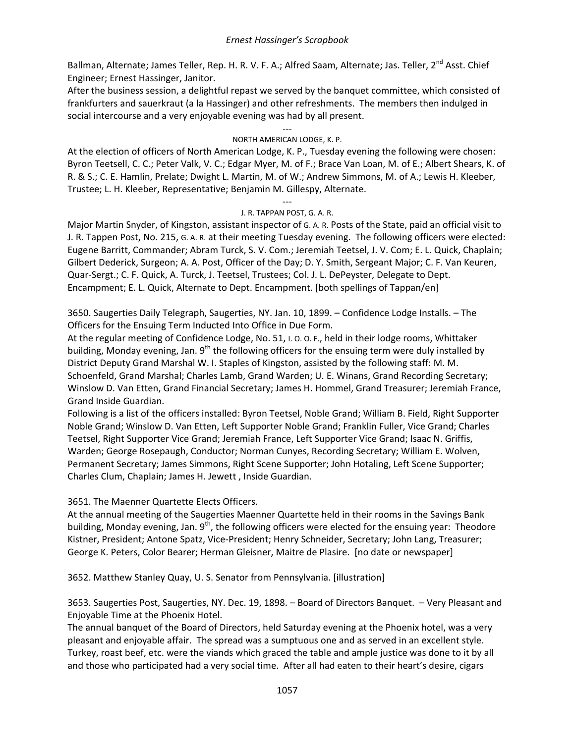Ballman, Alternate; James Teller, Rep. H. R. V. F. A.; Alfred Saam, Alternate; Jas. Teller, 2<sup>nd</sup> Asst. Chief Engineer; Ernest Hassinger, Janitor.

After the business session, a delightful repast we served by the banquet committee, which consisted of frankfurters and sauerkraut (a la Hassinger) and other refreshments. The members then indulged in social intercourse and a very enjoyable evening was had by all present.

#### --- NORTH AMERICAN LODGE, K. P.

At the election of officers of North American Lodge, K. P., Tuesday evening the following were chosen: Byron Teetsell, C. C.; Peter Valk, V. C.; Edgar Myer, M. of F.; Brace Van Loan, M. of E.; Albert Shears, K. of R. & S.; C. E. Hamlin, Prelate; Dwight L. Martin, M. of W.; Andrew Simmons, M. of A.; Lewis H. Kleeber, Trustee; L. H. Kleeber, Representative; Benjamin M. Gillespy, Alternate.

#### --- J. R. TAPPAN POST, G. A. R.

Major Martin Snyder, of Kingston, assistant inspector of G. A. R. Posts of the State, paid an official visit to J. R. Tappen Post, No. 215, G. A. R. at their meeting Tuesday evening. The following officers were elected: Eugene Barritt, Commander; Abram Turck, S. V. Com.; Jeremiah Teetsel, J. V. Com; E. L. Quick, Chaplain; Gilbert Dederick, Surgeon; A. A. Post, Officer of the Day; D. Y. Smith, Sergeant Major; C. F. Van Keuren, Quar-Sergt.; C. F. Quick, A. Turck, J. Teetsel, Trustees; Col. J. L. DePeyster, Delegate to Dept. Encampment; E. L. Quick, Alternate to Dept. Encampment. [both spellings of Tappan/en]

3650. Saugerties Daily Telegraph, Saugerties, NY. Jan. 10, 1899. – Confidence Lodge Installs. – The Officers for the Ensuing Term Inducted Into Office in Due Form.

At the regular meeting of Confidence Lodge, No. 51, I. O. O. F., held in their lodge rooms, Whittaker building, Monday evening, Jan.  $9<sup>th</sup>$  the following officers for the ensuing term were duly installed by District Deputy Grand Marshal W. I. Staples of Kingston, assisted by the following staff: M. M. Schoenfeld, Grand Marshal; Charles Lamb, Grand Warden; U. E. Winans, Grand Recording Secretary; Winslow D. Van Etten, Grand Financial Secretary; James H. Hommel, Grand Treasurer; Jeremiah France, Grand Inside Guardian.

Following is a list of the officers installed: Byron Teetsel, Noble Grand; William B. Field, Right Supporter Noble Grand; Winslow D. Van Etten, Left Supporter Noble Grand; Franklin Fuller, Vice Grand; Charles Teetsel, Right Supporter Vice Grand; Jeremiah France, Left Supporter Vice Grand; Isaac N. Griffis, Warden; George Rosepaugh, Conductor; Norman Cunyes, Recording Secretary; William E. Wolven, Permanent Secretary; James Simmons, Right Scene Supporter; John Hotaling, Left Scene Supporter; Charles Clum, Chaplain; James H. Jewett , Inside Guardian.

### 3651. The Maenner Quartette Elects Officers.

At the annual meeting of the Saugerties Maenner Quartette held in their rooms in the Savings Bank building, Monday evening, Jan.  $9<sup>th</sup>$ , the following officers were elected for the ensuing year: Theodore Kistner, President; Antone Spatz, Vice-President; Henry Schneider, Secretary; John Lang, Treasurer; George K. Peters, Color Bearer; Herman Gleisner, Maitre de Plasire. [no date or newspaper]

3652. Matthew Stanley Quay, U. S. Senator from Pennsylvania. [illustration]

3653. Saugerties Post, Saugerties, NY. Dec. 19, 1898. – Board of Directors Banquet. – Very Pleasant and Enjoyable Time at the Phoenix Hotel.

The annual banquet of the Board of Directors, held Saturday evening at the Phoenix hotel, was a very pleasant and enjoyable affair. The spread was a sumptuous one and as served in an excellent style. Turkey, roast beef, etc. were the viands which graced the table and ample justice was done to it by all and those who participated had a very social time. After all had eaten to their heart's desire, cigars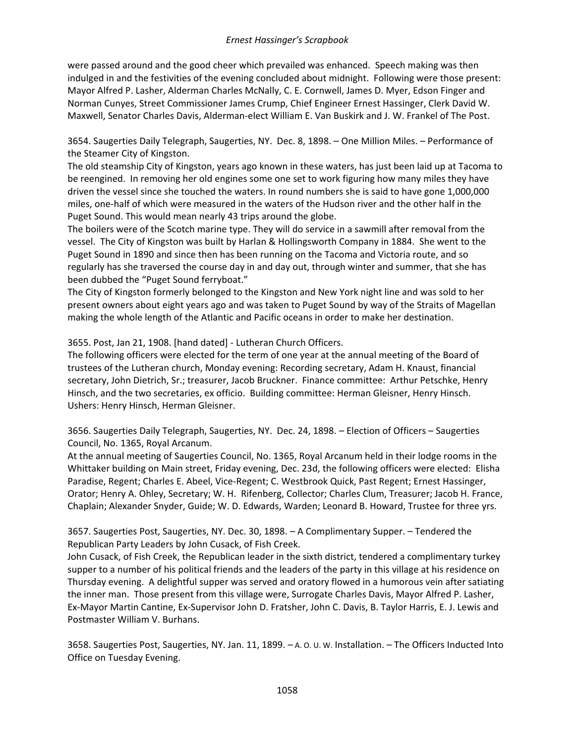were passed around and the good cheer which prevailed was enhanced. Speech making was then indulged in and the festivities of the evening concluded about midnight. Following were those present: Mayor Alfred P. Lasher, Alderman Charles McNally, C. E. Cornwell, James D. Myer, Edson Finger and Norman Cunyes, Street Commissioner James Crump, Chief Engineer Ernest Hassinger, Clerk David W. Maxwell, Senator Charles Davis, Alderman-elect William E. Van Buskirk and J. W. Frankel of The Post.

3654. Saugerties Daily Telegraph, Saugerties, NY. Dec. 8, 1898. – One Million Miles. – Performance of the Steamer City of Kingston.

The old steamship City of Kingston, years ago known in these waters, has just been laid up at Tacoma to be reengined. In removing her old engines some one set to work figuring how many miles they have driven the vessel since she touched the waters. In round numbers she is said to have gone 1,000,000 miles, one-half of which were measured in the waters of the Hudson river and the other half in the Puget Sound. This would mean nearly 43 trips around the globe.

The boilers were of the Scotch marine type. They will do service in a sawmill after removal from the vessel. The City of Kingston was built by Harlan & Hollingsworth Company in 1884. She went to the Puget Sound in 1890 and since then has been running on the Tacoma and Victoria route, and so regularly has she traversed the course day in and day out, through winter and summer, that she has been dubbed the "Puget Sound ferryboat."

The City of Kingston formerly belonged to the Kingston and New York night line and was sold to her present owners about eight years ago and was taken to Puget Sound by way of the Straits of Magellan making the whole length of the Atlantic and Pacific oceans in order to make her destination.

3655. Post, Jan 21, 1908. [hand dated] - Lutheran Church Officers.

The following officers were elected for the term of one year at the annual meeting of the Board of trustees of the Lutheran church, Monday evening: Recording secretary, Adam H. Knaust, financial secretary, John Dietrich, Sr.; treasurer, Jacob Bruckner. Finance committee: Arthur Petschke, Henry Hinsch, and the two secretaries, ex officio. Building committee: Herman Gleisner, Henry Hinsch. Ushers: Henry Hinsch, Herman Gleisner.

3656. Saugerties Daily Telegraph, Saugerties, NY. Dec. 24, 1898. – Election of Officers – Saugerties Council, No. 1365, Royal Arcanum.

At the annual meeting of Saugerties Council, No. 1365, Royal Arcanum held in their lodge rooms in the Whittaker building on Main street, Friday evening, Dec. 23d, the following officers were elected: Elisha Paradise, Regent; Charles E. Abeel, Vice-Regent; C. Westbrook Quick, Past Regent; Ernest Hassinger, Orator; Henry A. Ohley, Secretary; W. H. Rifenberg, Collector; Charles Clum, Treasurer; Jacob H. France, Chaplain; Alexander Snyder, Guide; W. D. Edwards, Warden; Leonard B. Howard, Trustee for three yrs.

3657. Saugerties Post, Saugerties, NY. Dec. 30, 1898. – A Complimentary Supper. – Tendered the Republican Party Leaders by John Cusack, of Fish Creek.

John Cusack, of Fish Creek, the Republican leader in the sixth district, tendered a complimentary turkey supper to a number of his political friends and the leaders of the party in this village at his residence on Thursday evening. A delightful supper was served and oratory flowed in a humorous vein after satiating the inner man. Those present from this village were, Surrogate Charles Davis, Mayor Alfred P. Lasher, Ex-Mayor Martin Cantine, Ex-Supervisor John D. Fratsher, John C. Davis, B. Taylor Harris, E. J. Lewis and Postmaster William V. Burhans.

3658. Saugerties Post, Saugerties, NY. Jan. 11, 1899. – A. O. U. W. Installation. – The Officers Inducted Into Office on Tuesday Evening.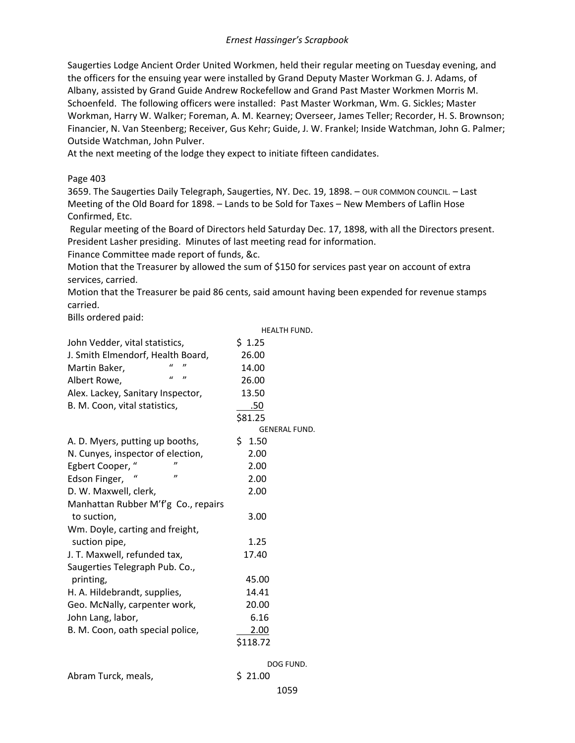Saugerties Lodge Ancient Order United Workmen, held their regular meeting on Tuesday evening, and the officers for the ensuing year were installed by Grand Deputy Master Workman G. J. Adams, of Albany, assisted by Grand Guide Andrew Rockefellow and Grand Past Master Workmen Morris M. Schoenfeld. The following officers were installed: Past Master Workman, Wm. G. Sickles; Master Workman, Harry W. Walker; Foreman, A. M. Kearney; Overseer, James Teller; Recorder, H. S. Brownson; Financier, N. Van Steenberg; Receiver, Gus Kehr; Guide, J. W. Frankel; Inside Watchman, John G. Palmer; Outside Watchman, John Pulver.

At the next meeting of the lodge they expect to initiate fifteen candidates.

#### Page 403

3659. The Saugerties Daily Telegraph, Saugerties, NY. Dec. 19, 1898. – OUR COMMON COUNCIL. – Last Meeting of the Old Board for 1898. – Lands to be Sold for Taxes – New Members of Laflin Hose Confirmed, Etc.

Regular meeting of the Board of Directors held Saturday Dec. 17, 1898, with all the Directors present. President Lasher presiding. Minutes of last meeting read for information.

Finance Committee made report of funds, &c.

Motion that the Treasurer by allowed the sum of \$150 for services past year on account of extra services, carried.

Motion that the Treasurer be paid 86 cents, said amount having been expended for revenue stamps carried.

Bills ordered paid:

|                                                     | <b>HEALTH FUND.</b>  |
|-----------------------------------------------------|----------------------|
| John Vedder, vital statistics,                      | \$1.25               |
| J. Smith Elmendorf, Health Board,                   | 26.00                |
| "<br>Martin Baker,                                  | 14.00                |
| $\boldsymbol{\eta}$<br>$\mathbf{u}$<br>Albert Rowe, | 26.00                |
| Alex. Lackey, Sanitary Inspector,                   | 13.50                |
| B. M. Coon, vital statistics,                       | .50                  |
|                                                     | \$81.25              |
|                                                     | <b>GENERAL FUND.</b> |
| A. D. Myers, putting up booths,                     | \$1.50               |
| N. Cunyes, inspector of election,                   | 2.00                 |
| Egbert Cooper,                                      | 2.00                 |
| "<br>Edson Finger,                                  | 2.00                 |
| D. W. Maxwell, clerk,                               | 2.00                 |
| Manhattan Rubber M'f'g Co., repairs                 |                      |
| to suction,                                         | 3.00                 |
| Wm. Doyle, carting and freight,                     |                      |
| suction pipe,                                       | 1.25                 |
| J. T. Maxwell, refunded tax,                        | 17.40                |
| Saugerties Telegraph Pub. Co.,                      |                      |
| printing,                                           | 45.00                |
| H. A. Hildebrandt, supplies,                        | 14.41                |
| Geo. McNally, carpenter work,                       | 20.00                |
| John Lang, labor,                                   | 6.16                 |
| B. M. Coon, oath special police,                    | 2.00                 |
|                                                     | \$118.72             |
|                                                     | DOG FUND.            |
|                                                     |                      |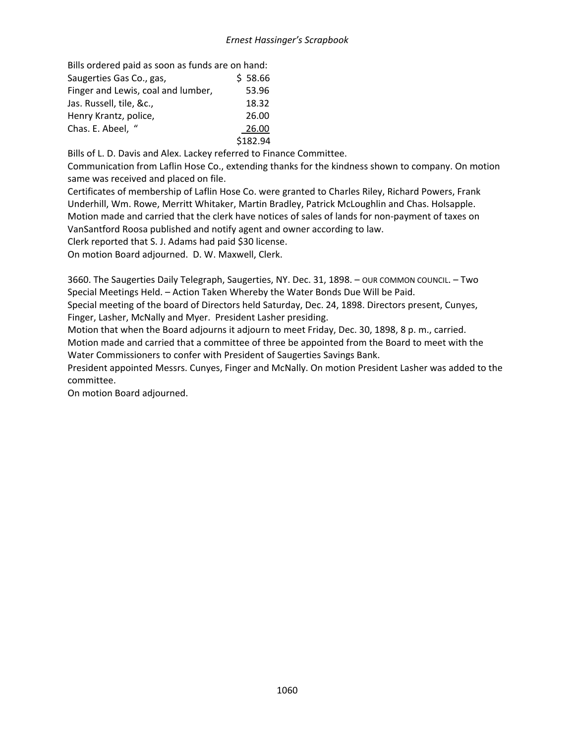Bills ordered paid as soon as funds are on hand: Saugerties Gas Co., gas,  $$58.66$ Finger and Lewis, coal and lumber, 53.96 Jas. Russell, tile, &c., 18.32 Henry Krantz, police, 26.00 Chas. E. Abeel, " 26.00 \$182.94

Bills of L. D. Davis and Alex. Lackey referred to Finance Committee.

Communication from Laflin Hose Co., extending thanks for the kindness shown to company. On motion same was received and placed on file.

Certificates of membership of Laflin Hose Co. were granted to Charles Riley, Richard Powers, Frank Underhill, Wm. Rowe, Merritt Whitaker, Martin Bradley, Patrick McLoughlin and Chas. Holsapple. Motion made and carried that the clerk have notices of sales of lands for non-payment of taxes on VanSantford Roosa published and notify agent and owner according to law.

Clerk reported that S. J. Adams had paid \$30 license.

On motion Board adjourned. D. W. Maxwell, Clerk.

3660. The Saugerties Daily Telegraph, Saugerties, NY. Dec. 31, 1898. – OUR COMMON COUNCIL. – Two Special Meetings Held. – Action Taken Whereby the Water Bonds Due Will be Paid.

Special meeting of the board of Directors held Saturday, Dec. 24, 1898. Directors present, Cunyes, Finger, Lasher, McNally and Myer. President Lasher presiding.

Motion that when the Board adjourns it adjourn to meet Friday, Dec. 30, 1898, 8 p. m., carried.

Motion made and carried that a committee of three be appointed from the Board to meet with the Water Commissioners to confer with President of Saugerties Savings Bank.

President appointed Messrs. Cunyes, Finger and McNally. On motion President Lasher was added to the committee.

On motion Board adjourned.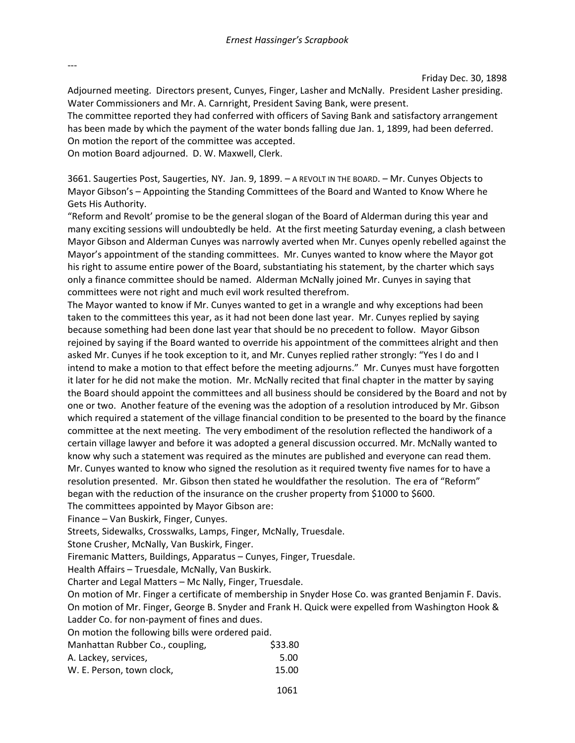---

Friday Dec. 30, 1898

Adjourned meeting. Directors present, Cunyes, Finger, Lasher and McNally. President Lasher presiding. Water Commissioners and Mr. A. Carnright, President Saving Bank, were present.

The committee reported they had conferred with officers of Saving Bank and satisfactory arrangement has been made by which the payment of the water bonds falling due Jan. 1, 1899, had been deferred. On motion the report of the committee was accepted.

On motion Board adjourned. D. W. Maxwell, Clerk.

3661. Saugerties Post, Saugerties, NY. Jan. 9, 1899. – A REVOLT IN THE BOARD. – Mr. Cunyes Objects to Mayor Gibson's – Appointing the Standing Committees of the Board and Wanted to Know Where he Gets His Authority.

"Reform and Revolt' promise to be the general slogan of the Board of Alderman during this year and many exciting sessions will undoubtedly be held. At the first meeting Saturday evening, a clash between Mayor Gibson and Alderman Cunyes was narrowly averted when Mr. Cunyes openly rebelled against the Mayor's appointment of the standing committees. Mr. Cunyes wanted to know where the Mayor got his right to assume entire power of the Board, substantiating his statement, by the charter which says only a finance committee should be named. Alderman McNally joined Mr. Cunyes in saying that committees were not right and much evil work resulted therefrom.

The Mayor wanted to know if Mr. Cunyes wanted to get in a wrangle and why exceptions had been taken to the committees this year, as it had not been done last year. Mr. Cunyes replied by saying because something had been done last year that should be no precedent to follow. Mayor Gibson rejoined by saying if the Board wanted to override his appointment of the committees alright and then asked Mr. Cunyes if he took exception to it, and Mr. Cunyes replied rather strongly: "Yes I do and I intend to make a motion to that effect before the meeting adjourns." Mr. Cunyes must have forgotten it later for he did not make the motion. Mr. McNally recited that final chapter in the matter by saying the Board should appoint the committees and all business should be considered by the Board and not by one or two. Another feature of the evening was the adoption of a resolution introduced by Mr. Gibson which required a statement of the village financial condition to be presented to the board by the finance committee at the next meeting. The very embodiment of the resolution reflected the handiwork of a certain village lawyer and before it was adopted a general discussion occurred. Mr. McNally wanted to know why such a statement was required as the minutes are published and everyone can read them. Mr. Cunyes wanted to know who signed the resolution as it required twenty five names for to have a resolution presented. Mr. Gibson then stated he wouldfather the resolution. The era of "Reform" began with the reduction of the insurance on the crusher property from \$1000 to \$600.

The committees appointed by Mayor Gibson are:

Finance – Van Buskirk, Finger, Cunyes.

Streets, Sidewalks, Crosswalks, Lamps, Finger, McNally, Truesdale.

Stone Crusher, McNally, Van Buskirk, Finger.

Firemanic Matters, Buildings, Apparatus – Cunyes, Finger, Truesdale.

Health Affairs – Truesdale, McNally, Van Buskirk.

Charter and Legal Matters – Mc Nally, Finger, Truesdale.

On motion of Mr. Finger a certificate of membership in Snyder Hose Co. was granted Benjamin F. Davis. On motion of Mr. Finger, George B. Snyder and Frank H. Quick were expelled from Washington Hook & Ladder Co. for non-payment of fines and dues.

On motion the following bills were ordered paid.

| Manhattan Rubber Co., coupling, | \$33.80 |
|---------------------------------|---------|
| A. Lackey, services,            | 5.00    |
| W. E. Person, town clock,       | 15.00   |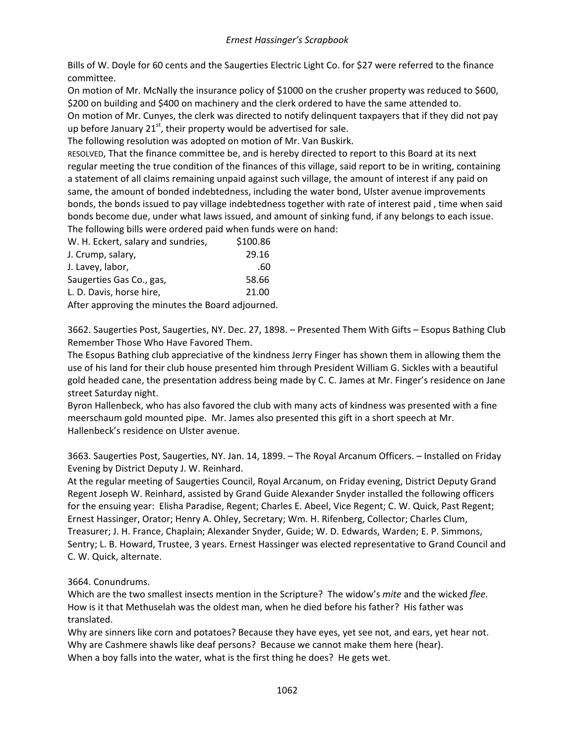Bills of W. Doyle for 60 cents and the Saugerties Electric Light Co. for \$27 were referred to the finance committee.

On motion of Mr. McNally the insurance policy of \$1000 on the crusher property was reduced to \$600, \$200 on building and \$400 on machinery and the clerk ordered to have the same attended to.

On motion of Mr. Cunyes, the clerk was directed to notify delinquent taxpayers that if they did not pay up before January  $21^{st}$ , their property would be advertised for sale.

The following resolution was adopted on motion of Mr. Van Buskirk.

RESOLVED, That the finance committee be, and is hereby directed to report to this Board at its next regular meeting the true condition of the finances of this village, said report to be in writing, containing a statement of all claims remaining unpaid against such village, the amount of interest if any paid on same, the amount of bonded indebtedness, including the water bond, Ulster avenue improvements bonds, the bonds issued to pay village indebtedness together with rate of interest paid , time when said bonds become due, under what laws issued, and amount of sinking fund, if any belongs to each issue. The following bills were ordered paid when funds were on hand:

| W. H. Eckert, salary and sundries,               | \$100.86 |
|--------------------------------------------------|----------|
| J. Crump, salary,                                | 29.16    |
| J. Lavey, labor,                                 | .60      |
| Saugerties Gas Co., gas,                         | 58.66    |
| L. D. Davis, horse hire,                         | 21.00    |
| After approving the minutes the Board adjourned. |          |

3662. Saugerties Post, Saugerties, NY. Dec. 27, 1898. – Presented Them With Gifts – Esopus Bathing Club Remember Those Who Have Favored Them.

The Esopus Bathing club appreciative of the kindness Jerry Finger has shown them in allowing them the use of his land for their club house presented him through President William G. Sickles with a beautiful gold headed cane, the presentation address being made by C. C. James at Mr. Finger's residence on Jane street Saturday night.

Byron Hallenbeck, who has also favored the club with many acts of kindness was presented with a fine meerschaum gold mounted pipe. Mr. James also presented this gift in a short speech at Mr. Hallenbeck's residence on Ulster avenue.

3663. Saugerties Post, Saugerties, NY. Jan. 14, 1899. – The Royal Arcanum Officers. – Installed on Friday Evening by District Deputy J. W. Reinhard.

At the regular meeting of Saugerties Council, Royal Arcanum, on Friday evening, District Deputy Grand Regent Joseph W. Reinhard, assisted by Grand Guide Alexander Snyder installed the following officers for the ensuing year: Elisha Paradise, Regent; Charles E. Abeel, Vice Regent; C. W. Quick, Past Regent; Ernest Hassinger, Orator; Henry A. Ohley, Secretary; Wm. H. Rifenberg, Collector; Charles Clum, Treasurer; J. H. France, Chaplain; Alexander Snyder, Guide; W. D. Edwards, Warden; E. P. Simmons, Sentry; L. B. Howard, Trustee, 3 years. Ernest Hassinger was elected representative to Grand Council and C. W. Quick, alternate.

# 3664. Conundrums.

Which are the two smallest insects mention in the Scripture? The widow's *mite* and the wicked *flee*. How is it that Methuselah was the oldest man, when he died before his father? His father was translated.

Why are sinners like corn and potatoes? Because they have eyes, yet see not, and ears, yet hear not. Why are Cashmere shawls like deaf persons? Because we cannot make them here (hear). When a boy falls into the water, what is the first thing he does? He gets wet.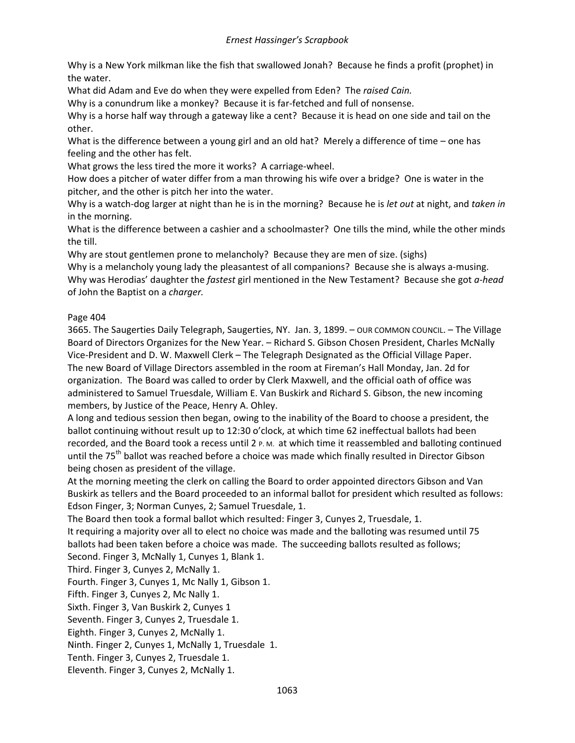Why is a New York milkman like the fish that swallowed Jonah? Because he finds a profit (prophet) in the water.

What did Adam and Eve do when they were expelled from Eden? The *raised Cain.*

Why is a conundrum like a monkey? Because it is far-fetched and full of nonsense.

Why is a horse half way through a gateway like a cent? Because it is head on one side and tail on the other.

What is the difference between a young girl and an old hat? Merely a difference of time – one has feeling and the other has felt.

What grows the less tired the more it works? A carriage-wheel.

How does a pitcher of water differ from a man throwing his wife over a bridge? One is water in the pitcher, and the other is pitch her into the water.

Why is a watch-dog larger at night than he is in the morning? Because he is *let out* at night, and *taken in*  in the morning.

What is the difference between a cashier and a schoolmaster? One tills the mind, while the other minds the till.

Why are stout gentlemen prone to melancholy? Because they are men of size. (sighs)

Why is a melancholy young lady the pleasantest of all companions? Because she is always a-musing. Why was Herodias' daughter the *fastest* girl mentioned in the New Testament? Because she got *a-head* of John the Baptist on a *charger.*

# Page 404

3665. The Saugerties Daily Telegraph, Saugerties, NY. Jan. 3, 1899. – OUR COMMON COUNCIL. – The Village Board of Directors Organizes for the New Year. – Richard S. Gibson Chosen President, Charles McNally Vice-President and D. W. Maxwell Clerk – The Telegraph Designated as the Official Village Paper. The new Board of Village Directors assembled in the room at Fireman's Hall Monday, Jan. 2d for organization. The Board was called to order by Clerk Maxwell, and the official oath of office was administered to Samuel Truesdale, William E. Van Buskirk and Richard S. Gibson, the new incoming members, by Justice of the Peace, Henry A. Ohley.

A long and tedious session then began, owing to the inability of the Board to choose a president, the ballot continuing without result up to 12:30 o'clock, at which time 62 ineffectual ballots had been recorded, and the Board took a recess until 2 P.M. at which time it reassembled and balloting continued until the 75<sup>th</sup> ballot was reached before a choice was made which finally resulted in Director Gibson being chosen as president of the village.

At the morning meeting the clerk on calling the Board to order appointed directors Gibson and Van Buskirk as tellers and the Board proceeded to an informal ballot for president which resulted as follows: Edson Finger, 3; Norman Cunyes, 2; Samuel Truesdale, 1.

The Board then took a formal ballot which resulted: Finger 3, Cunyes 2, Truesdale, 1.

It requiring a majority over all to elect no choice was made and the balloting was resumed until 75 ballots had been taken before a choice was made. The succeeding ballots resulted as follows;

Second. Finger 3, McNally 1, Cunyes 1, Blank 1.

Third. Finger 3, Cunyes 2, McNally 1.

Fourth. Finger 3, Cunyes 1, Mc Nally 1, Gibson 1.

Fifth. Finger 3, Cunyes 2, Mc Nally 1.

Sixth. Finger 3, Van Buskirk 2, Cunyes 1

Seventh. Finger 3, Cunyes 2, Truesdale 1.

Eighth. Finger 3, Cunyes 2, McNally 1.

Ninth. Finger 2, Cunyes 1, McNally 1, Truesdale 1.

Tenth. Finger 3, Cunyes 2, Truesdale 1.

Eleventh. Finger 3, Cunyes 2, McNally 1.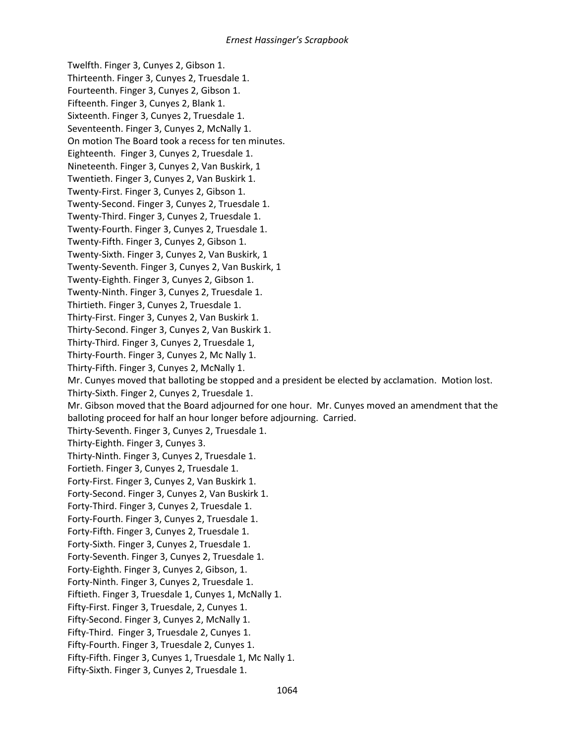Twelfth. Finger 3, Cunyes 2, Gibson 1. Thirteenth. Finger 3, Cunyes 2, Truesdale 1. Fourteenth. Finger 3, Cunyes 2, Gibson 1. Fifteenth. Finger 3, Cunyes 2, Blank 1. Sixteenth. Finger 3, Cunyes 2, Truesdale 1. Seventeenth. Finger 3, Cunyes 2, McNally 1. On motion The Board took a recess for ten minutes. Eighteenth. Finger 3, Cunyes 2, Truesdale 1. Nineteenth. Finger 3, Cunyes 2, Van Buskirk, 1 Twentieth. Finger 3, Cunyes 2, Van Buskirk 1. Twenty-First. Finger 3, Cunyes 2, Gibson 1. Twenty-Second. Finger 3, Cunyes 2, Truesdale 1. Twenty-Third. Finger 3, Cunyes 2, Truesdale 1. Twenty-Fourth. Finger 3, Cunyes 2, Truesdale 1. Twenty-Fifth. Finger 3, Cunyes 2, Gibson 1. Twenty-Sixth. Finger 3, Cunyes 2, Van Buskirk, 1 Twenty-Seventh. Finger 3, Cunyes 2, Van Buskirk, 1 Twenty-Eighth. Finger 3, Cunyes 2, Gibson 1. Twenty-Ninth. Finger 3, Cunyes 2, Truesdale 1. Thirtieth. Finger 3, Cunyes 2, Truesdale 1. Thirty-First. Finger 3, Cunyes 2, Van Buskirk 1. Thirty-Second. Finger 3, Cunyes 2, Van Buskirk 1. Thirty-Third. Finger 3, Cunyes 2, Truesdale 1, Thirty-Fourth. Finger 3, Cunyes 2, Mc Nally 1. Thirty-Fifth. Finger 3, Cunyes 2, McNally 1. Mr. Cunyes moved that balloting be stopped and a president be elected by acclamation. Motion lost. Thirty-Sixth. Finger 2, Cunyes 2, Truesdale 1. Mr. Gibson moved that the Board adjourned for one hour. Mr. Cunyes moved an amendment that the balloting proceed for half an hour longer before adjourning. Carried. Thirty-Seventh. Finger 3, Cunyes 2, Truesdale 1. Thirty-Eighth. Finger 3, Cunyes 3. Thirty-Ninth. Finger 3, Cunyes 2, Truesdale 1. Fortieth. Finger 3, Cunyes 2, Truesdale 1. Forty-First. Finger 3, Cunyes 2, Van Buskirk 1. Forty-Second. Finger 3, Cunyes 2, Van Buskirk 1. Forty-Third. Finger 3, Cunyes 2, Truesdale 1. Forty-Fourth. Finger 3, Cunyes 2, Truesdale 1. Forty-Fifth. Finger 3, Cunyes 2, Truesdale 1. Forty-Sixth. Finger 3, Cunyes 2, Truesdale 1. Forty-Seventh. Finger 3, Cunyes 2, Truesdale 1. Forty-Eighth. Finger 3, Cunyes 2, Gibson, 1. Forty-Ninth. Finger 3, Cunyes 2, Truesdale 1. Fiftieth. Finger 3, Truesdale 1, Cunyes 1, McNally 1. Fifty-First. Finger 3, Truesdale, 2, Cunyes 1. Fifty-Second. Finger 3, Cunyes 2, McNally 1. Fifty-Third. Finger 3, Truesdale 2, Cunyes 1. Fifty-Fourth. Finger 3, Truesdale 2, Cunyes 1. Fifty-Fifth. Finger 3, Cunyes 1, Truesdale 1, Mc Nally 1.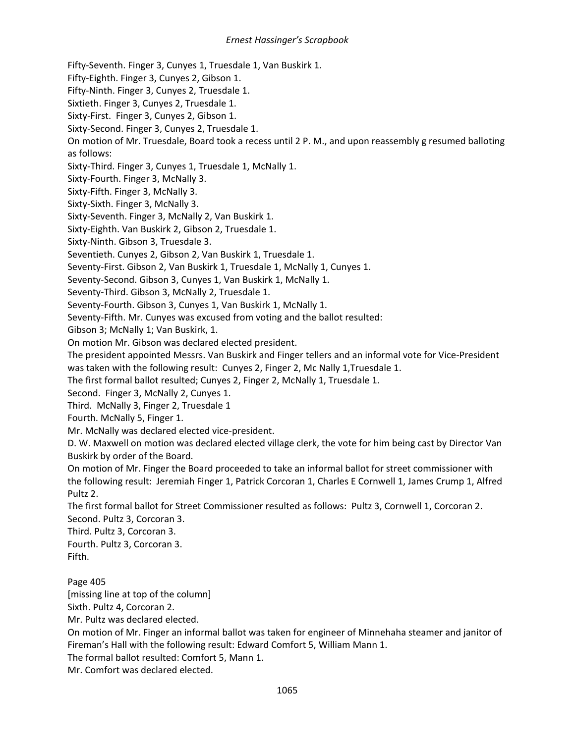Fifty-Seventh. Finger 3, Cunyes 1, Truesdale 1, Van Buskirk 1.

Fifty-Eighth. Finger 3, Cunyes 2, Gibson 1.

Fifty-Ninth. Finger 3, Cunyes 2, Truesdale 1.

Sixtieth. Finger 3, Cunyes 2, Truesdale 1.

Sixty-First. Finger 3, Cunyes 2, Gibson 1.

Sixty-Second. Finger 3, Cunyes 2, Truesdale 1.

On motion of Mr. Truesdale, Board took a recess until 2 P. M., and upon reassembly g resumed balloting as follows:

Sixty-Third. Finger 3, Cunyes 1, Truesdale 1, McNally 1.

Sixty-Fourth. Finger 3, McNally 3.

Sixty-Fifth. Finger 3, McNally 3.

Sixty-Sixth. Finger 3, McNally 3.

Sixty-Seventh. Finger 3, McNally 2, Van Buskirk 1.

Sixty-Eighth. Van Buskirk 2, Gibson 2, Truesdale 1.

Sixty-Ninth. Gibson 3, Truesdale 3.

Seventieth. Cunyes 2, Gibson 2, Van Buskirk 1, Truesdale 1.

Seventy-First. Gibson 2, Van Buskirk 1, Truesdale 1, McNally 1, Cunyes 1.

Seventy-Second. Gibson 3, Cunyes 1, Van Buskirk 1, McNally 1.

Seventy-Third. Gibson 3, McNally 2, Truesdale 1.

Seventy-Fourth. Gibson 3, Cunyes 1, Van Buskirk 1, McNally 1.

Seventy-Fifth. Mr. Cunyes was excused from voting and the ballot resulted:

Gibson 3; McNally 1; Van Buskirk, 1.

On motion Mr. Gibson was declared elected president.

The president appointed Messrs. Van Buskirk and Finger tellers and an informal vote for Vice-President was taken with the following result: Cunyes 2, Finger 2, Mc Nally 1,Truesdale 1.

The first formal ballot resulted; Cunyes 2, Finger 2, McNally 1, Truesdale 1.

Second. Finger 3, McNally 2, Cunyes 1.

Third. McNally 3, Finger 2, Truesdale 1

Fourth. McNally 5, Finger 1.

Mr. McNally was declared elected vice-president.

D. W. Maxwell on motion was declared elected village clerk, the vote for him being cast by Director Van Buskirk by order of the Board.

On motion of Mr. Finger the Board proceeded to take an informal ballot for street commissioner with the following result: Jeremiah Finger 1, Patrick Corcoran 1, Charles E Cornwell 1, James Crump 1, Alfred Pultz 2.

The first formal ballot for Street Commissioner resulted as follows: Pultz 3, Cornwell 1, Corcoran 2. Second. Pultz 3, Corcoran 3.

Third. Pultz 3, Corcoran 3.

Fourth. Pultz 3, Corcoran 3. Fifth.

Page 405

[missing line at top of the column]

Sixth. Pultz 4, Corcoran 2.

Mr. Pultz was declared elected.

On motion of Mr. Finger an informal ballot was taken for engineer of Minnehaha steamer and janitor of Fireman's Hall with the following result: Edward Comfort 5, William Mann 1.

The formal ballot resulted: Comfort 5, Mann 1.

Mr. Comfort was declared elected.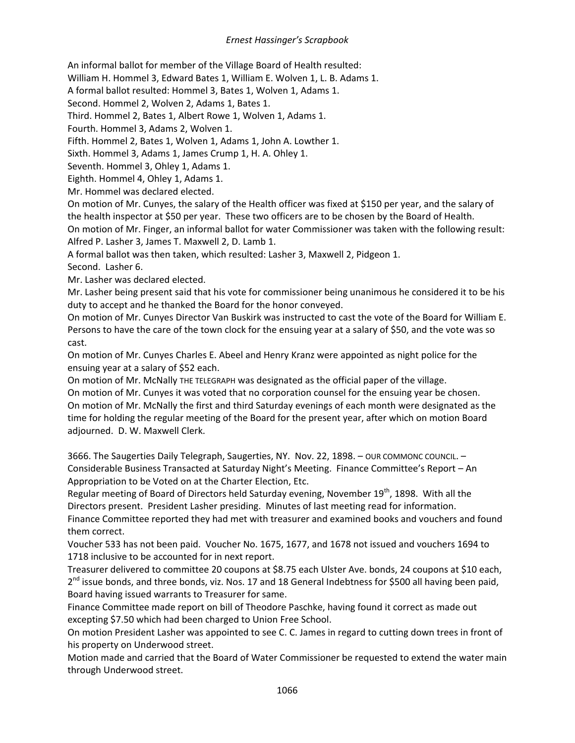An informal ballot for member of the Village Board of Health resulted:

William H. Hommel 3, Edward Bates 1, William E. Wolven 1, L. B. Adams 1.

A formal ballot resulted: Hommel 3, Bates 1, Wolven 1, Adams 1.

Second. Hommel 2, Wolven 2, Adams 1, Bates 1.

Third. Hommel 2, Bates 1, Albert Rowe 1, Wolven 1, Adams 1.

Fourth. Hommel 3, Adams 2, Wolven 1.

Fifth. Hommel 2, Bates 1, Wolven 1, Adams 1, John A. Lowther 1.

Sixth. Hommel 3, Adams 1, James Crump 1, H. A. Ohley 1.

Seventh. Hommel 3, Ohley 1, Adams 1.

Eighth. Hommel 4, Ohley 1, Adams 1.

Mr. Hommel was declared elected.

On motion of Mr. Cunyes, the salary of the Health officer was fixed at \$150 per year, and the salary of the health inspector at \$50 per year. These two officers are to be chosen by the Board of Health. On motion of Mr. Finger, an informal ballot for water Commissioner was taken with the following result: Alfred P. Lasher 3, James T. Maxwell 2, D. Lamb 1.

A formal ballot was then taken, which resulted: Lasher 3, Maxwell 2, Pidgeon 1.

Second. Lasher 6.

Mr. Lasher was declared elected.

Mr. Lasher being present said that his vote for commissioner being unanimous he considered it to be his duty to accept and he thanked the Board for the honor conveyed.

On motion of Mr. Cunyes Director Van Buskirk was instructed to cast the vote of the Board for William E. Persons to have the care of the town clock for the ensuing year at a salary of \$50, and the vote was so cast.

On motion of Mr. Cunyes Charles E. Abeel and Henry Kranz were appointed as night police for the ensuing year at a salary of \$52 each.

On motion of Mr. McNally THE TELEGRAPH was designated as the official paper of the village.

On motion of Mr. Cunyes it was voted that no corporation counsel for the ensuing year be chosen. On motion of Mr. McNally the first and third Saturday evenings of each month were designated as the time for holding the regular meeting of the Board for the present year, after which on motion Board adjourned. D. W. Maxwell Clerk.

3666. The Saugerties Daily Telegraph, Saugerties, NY. Nov. 22, 1898. – OUR COMMONC COUNCIL. – Considerable Business Transacted at Saturday Night's Meeting. Finance Committee's Report – An Appropriation to be Voted on at the Charter Election, Etc.

Regular meeting of Board of Directors held Saturday evening, November 19<sup>th</sup>, 1898. With all the Directors present. President Lasher presiding. Minutes of last meeting read for information.

Finance Committee reported they had met with treasurer and examined books and vouchers and found them correct.

Voucher 533 has not been paid. Voucher No. 1675, 1677, and 1678 not issued and vouchers 1694 to 1718 inclusive to be accounted for in next report.

Treasurer delivered to committee 20 coupons at \$8.75 each Ulster Ave. bonds, 24 coupons at \$10 each, 2<sup>nd</sup> issue bonds, and three bonds, viz. Nos. 17 and 18 General Indebtness for \$500 all having been paid, Board having issued warrants to Treasurer for same.

Finance Committee made report on bill of Theodore Paschke, having found it correct as made out excepting \$7.50 which had been charged to Union Free School.

On motion President Lasher was appointed to see C. C. James in regard to cutting down trees in front of his property on Underwood street.

Motion made and carried that the Board of Water Commissioner be requested to extend the water main through Underwood street.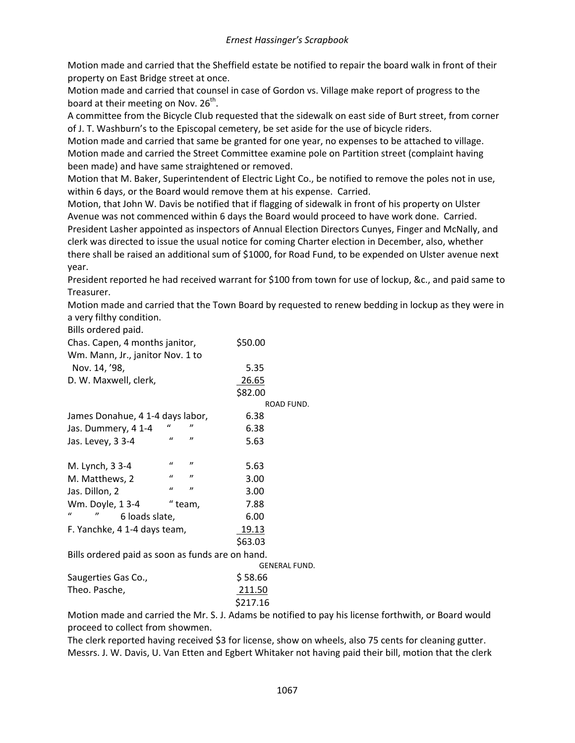Motion made and carried that the Sheffield estate be notified to repair the board walk in front of their property on East Bridge street at once.

Motion made and carried that counsel in case of Gordon vs. Village make report of progress to the board at their meeting on Nov.  $26^{th}$ .

A committee from the Bicycle Club requested that the sidewalk on east side of Burt street, from corner of J. T. Washburn's to the Episcopal cemetery, be set aside for the use of bicycle riders.

Motion made and carried that same be granted for one year, no expenses to be attached to village. Motion made and carried the Street Committee examine pole on Partition street (complaint having been made) and have same straightened or removed.

Motion that M. Baker, Superintendent of Electric Light Co., be notified to remove the poles not in use, within 6 days, or the Board would remove them at his expense. Carried.

Motion, that John W. Davis be notified that if flagging of sidewalk in front of his property on Ulster Avenue was not commenced within 6 days the Board would proceed to have work done. Carried. President Lasher appointed as inspectors of Annual Election Directors Cunyes, Finger and McNally, and clerk was directed to issue the usual notice for coming Charter election in December, also, whether there shall be raised an additional sum of \$1000, for Road Fund, to be expended on Ulster avenue next year.

President reported he had received warrant for \$100 from town for use of lockup, &c., and paid same to Treasurer.

Motion made and carried that the Town Board by requested to renew bedding in lockup as they were in a very filthy condition.

| Chas. Capen, 4 months janitor,                  |              | \$50.00 |            |  |
|-------------------------------------------------|--------------|---------|------------|--|
| Wm. Mann, Jr., janitor Nov. 1 to                |              |         |            |  |
| Nov. 14, '98,                                   |              |         | 5.35       |  |
| D. W. Maxwell, clerk,                           |              |         | 26.65      |  |
|                                                 |              |         | \$82.00    |  |
|                                                 |              |         | ROAD FUND. |  |
| James Donahue, 4 1-4 days labor,                |              |         | 6.38       |  |
| Jas. Dummery, 4 1-4                             | $\mathbf{u}$ | "       | 6.38       |  |
| Jas. Levey, 3 3-4                               | $\mathbf{u}$ | "       | 5.63       |  |
| M. Lynch, 3 3-4                                 | $\iota$      | "       | 5.63       |  |
| M. Matthews, 2                                  | $\iota$      | "       | 3.00       |  |
| Jas. Dillon, 2                                  | $\mathbf{u}$ | "       | 3.00       |  |
| Wm. Doyle, 13-4                                 |              | " team, | 7.88       |  |
| $\iota$<br>$^{\prime\prime}$<br>6 loads slate,  |              |         | 6.00       |  |
| F. Yanchke, 4 1-4 days team,                    |              |         | 19.13      |  |
|                                                 |              |         | \$63.03    |  |
| Bills ordered paid as soon as funds are on hand |              |         |            |  |

Bills ordered paid as soon as funds are on hand. GENERAL FUND. Saugerties Gas Co., \$58.66 Theo. Pasche, 211.50 \$217.16

Motion made and carried the Mr. S. J. Adams be notified to pay his license forthwith, or Board would proceed to collect from showmen.

The clerk reported having received \$3 for license, show on wheels, also 75 cents for cleaning gutter. Messrs. J. W. Davis, U. Van Etten and Egbert Whitaker not having paid their bill, motion that the clerk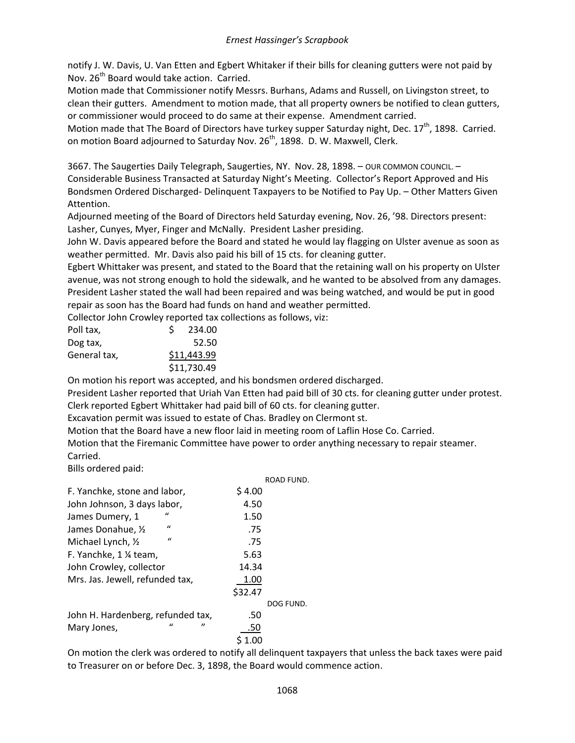notify J. W. Davis, U. Van Etten and Egbert Whitaker if their bills for cleaning gutters were not paid by Nov. 26<sup>th</sup> Board would take action. Carried.

Motion made that Commissioner notify Messrs. Burhans, Adams and Russell, on Livingston street, to clean their gutters. Amendment to motion made, that all property owners be notified to clean gutters, or commissioner would proceed to do same at their expense. Amendment carried.

Motion made that The Board of Directors have turkey supper Saturday night, Dec. 17<sup>th</sup>, 1898. Carried. on motion Board adjourned to Saturday Nov. 26<sup>th</sup>, 1898. D. W. Maxwell, Clerk.

3667. The Saugerties Daily Telegraph, Saugerties, NY. Nov. 28, 1898. – OUR COMMON COUNCIL. – Considerable Business Transacted at Saturday Night's Meeting. Collector's Report Approved and His Bondsmen Ordered Discharged- Delinquent Taxpayers to be Notified to Pay Up. – Other Matters Given Attention.

Adjourned meeting of the Board of Directors held Saturday evening, Nov. 26, '98. Directors present: Lasher, Cunyes, Myer, Finger and McNally. President Lasher presiding.

John W. Davis appeared before the Board and stated he would lay flagging on Ulster avenue as soon as weather permitted. Mr. Davis also paid his bill of 15 cts. for cleaning gutter.

Egbert Whittaker was present, and stated to the Board that the retaining wall on his property on Ulster avenue, was not strong enough to hold the sidewalk, and he wanted to be absolved from any damages. President Lasher stated the wall had been repaired and was being watched, and would be put in good repair as soon has the Board had funds on hand and weather permitted.

Collector John Crowley reported tax collections as follows, viz:

| Poll tax,    | 234.00      |
|--------------|-------------|
| Dog tax,     | 52.50       |
| General tax, | \$11,443.99 |
|              | \$11,730.49 |

On motion his report was accepted, and his bondsmen ordered discharged.

President Lasher reported that Uriah Van Etten had paid bill of 30 cts. for cleaning gutter under protest. Clerk reported Egbert Whittaker had paid bill of 60 cts. for cleaning gutter.

Excavation permit was issued to estate of Chas. Bradley on Clermont st.

Motion that the Board have a new floor laid in meeting room of Laflin Hose Co. Carried.

Motion that the Firemanic Committee have power to order anything necessary to repair steamer. Carried.

Bills ordered paid:

|                                    | ROAD FUND.               |
|------------------------------------|--------------------------|
| F. Yanchke, stone and labor,       | \$4.00                   |
| John Johnson, 3 days labor,        | 4.50                     |
| $\iota$<br>James Dumery, 1         | 1.50                     |
| $\iota$<br>James Donahue, 1/2      | .75                      |
| $\mathbf{u}$<br>Michael Lynch, 1/2 | .75                      |
| F. Yanchke, 1 % team,              | 5.63                     |
| John Crowley, collector            | 14.34                    |
| Mrs. Jas. Jewell, refunded tax,    | 1.00                     |
|                                    | \$32.47                  |
|                                    | DOG FUND.                |
| John H. Hardenberg, refunded tax,  | .50                      |
| $\mathbf{u}$<br>Mary Jones,        | $^{\prime\prime}$<br>.50 |
|                                    |                          |

On motion the clerk was ordered to notify all delinquent taxpayers that unless the back taxes were paid to Treasurer on or before Dec. 3, 1898, the Board would commence action.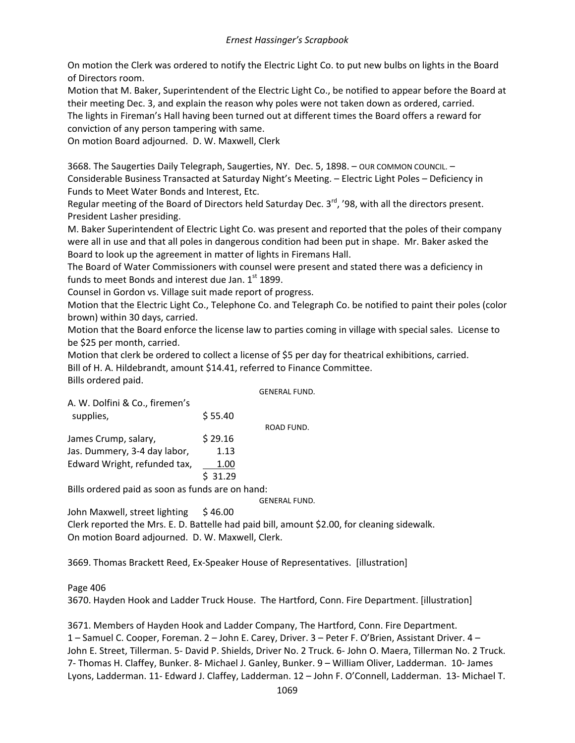On motion the Clerk was ordered to notify the Electric Light Co. to put new bulbs on lights in the Board of Directors room.

Motion that M. Baker, Superintendent of the Electric Light Co., be notified to appear before the Board at their meeting Dec. 3, and explain the reason why poles were not taken down as ordered, carried.

The lights in Fireman's Hall having been turned out at different times the Board offers a reward for conviction of any person tampering with same.

On motion Board adjourned. D. W. Maxwell, Clerk

3668. The Saugerties Daily Telegraph, Saugerties, NY. Dec. 5, 1898. – OUR COMMON COUNCIL. – Considerable Business Transacted at Saturday Night's Meeting. – Electric Light Poles – Deficiency in Funds to Meet Water Bonds and Interest, Etc.

Regular meeting of the Board of Directors held Saturday Dec.  $3^{rd}$ , '98, with all the directors present. President Lasher presiding.

M. Baker Superintendent of Electric Light Co. was present and reported that the poles of their company were all in use and that all poles in dangerous condition had been put in shape. Mr. Baker asked the Board to look up the agreement in matter of lights in Firemans Hall.

The Board of Water Commissioners with counsel were present and stated there was a deficiency in funds to meet Bonds and interest due Jan. 1st 1899.

Counsel in Gordon vs. Village suit made report of progress.

Motion that the Electric Light Co., Telephone Co. and Telegraph Co. be notified to paint their poles (color brown) within 30 days, carried.

Motion that the Board enforce the license law to parties coming in village with special sales. License to be \$25 per month, carried.

Motion that clerk be ordered to collect a license of \$5 per day for theatrical exhibitions, carried. Bill of H. A. Hildebrandt, amount \$14.41, referred to Finance Committee. Bills ordered paid.

GENERAL FUND.

| A. W. Dolfini & Co., firemen's |         |            |
|--------------------------------|---------|------------|
| supplies,                      | \$55.40 |            |
|                                |         | ROAD FUND. |
| James Crump, salary,           | \$29.16 |            |
| Jas. Dummery, 3-4 day labor,   | 1.13    |            |
| Edward Wright, refunded tax,   | 1.00    |            |
|                                | \$31.29 |            |

Bills ordered paid as soon as funds are on hand:

GENERAL FUND.

John Maxwell, street lighting  $$46.00$ 

Clerk reported the Mrs. E. D. Battelle had paid bill, amount \$2.00, for cleaning sidewalk. On motion Board adjourned. D. W. Maxwell, Clerk.

3669. Thomas Brackett Reed, Ex-Speaker House of Representatives. [illustration]

Page 406

3670. Hayden Hook and Ladder Truck House. The Hartford, Conn. Fire Department. [illustration]

3671. Members of Hayden Hook and Ladder Company, The Hartford, Conn. Fire Department. 1 – Samuel C. Cooper, Foreman. 2 – John E. Carey, Driver. 3 – Peter F. O'Brien, Assistant Driver. 4 – John E. Street, Tillerman. 5- David P. Shields, Driver No. 2 Truck. 6- John O. Maera, Tillerman No. 2 Truck. 7- Thomas H. Claffey, Bunker. 8- Michael J. Ganley, Bunker. 9 – William Oliver, Ladderman. 10- James Lyons, Ladderman. 11- Edward J. Claffey, Ladderman. 12 – John F. O'Connell, Ladderman. 13- Michael T.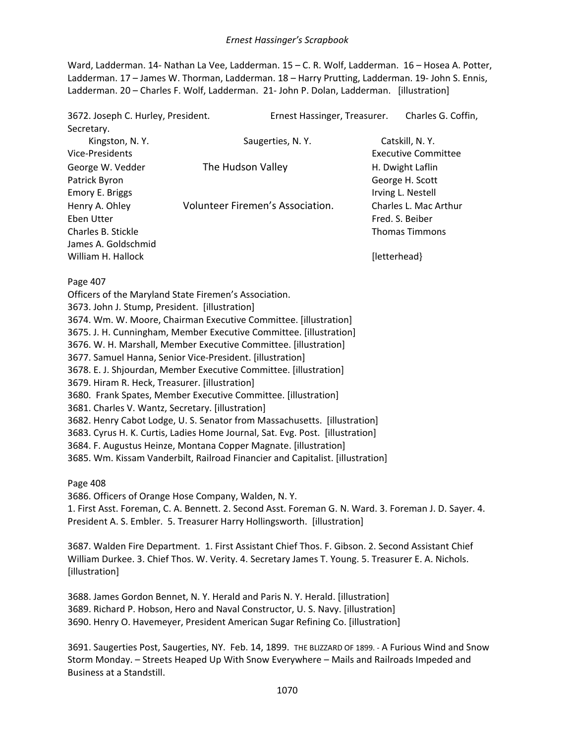Ward, Ladderman. 14- Nathan La Vee, Ladderman. 15 – C. R. Wolf, Ladderman. 16 – Hosea A. Potter, Ladderman. 17 – James W. Thorman, Ladderman. 18 – Harry Prutting, Ladderman. 19- John S. Ennis, Ladderman. 20 – Charles F. Wolf, Ladderman. 21- John P. Dolan, Ladderman. [illustration]

| 3672. Joseph C. Hurley, President. |                                  | Ernest Hassinger, Treasurer. |              | Charles G. Coffin,    |
|------------------------------------|----------------------------------|------------------------------|--------------|-----------------------|
| Secretary.                         |                                  |                              |              |                       |
| Kingston, N.Y.                     |                                  | Saugerties, N.Y.             |              | Catskill, N.Y.        |
| Vice-Presidents                    |                                  |                              |              | Executive Committee   |
| George W. Vedder                   | The Hudson Valley                |                              |              | H. Dwight Laflin      |
| Patrick Byron                      |                                  |                              |              | George H. Scott       |
| Emory E. Briggs                    |                                  |                              |              | Irving L. Nestell     |
| Henry A. Ohley                     | Volunteer Firemen's Association. |                              |              | Charles L. Mac Arthur |
| Eben Utter                         |                                  |                              |              | Fred. S. Beiber       |
| Charles B. Stickle                 |                                  |                              |              | <b>Thomas Timmons</b> |
| James A. Goldschmid                |                                  |                              |              |                       |
| William H. Hallock                 |                                  |                              | [letterhead} |                       |

Page 407

Officers of the Maryland State Firemen's Association.

3673. John J. Stump, President. [illustration]

3674. Wm. W. Moore, Chairman Executive Committee. [illustration]

3675. J. H. Cunningham, Member Executive Committee. [illustration]

3676. W. H. Marshall, Member Executive Committee. [illustration]

3677. Samuel Hanna, Senior Vice-President. [illustration]

3678. E. J. Shjourdan, Member Executive Committee. [illustration]

3679. Hiram R. Heck, Treasurer. [illustration]

3680. Frank Spates, Member Executive Committee. [illustration]

3681. Charles V. Wantz, Secretary. [illustration]

3682. Henry Cabot Lodge, U. S. Senator from Massachusetts. [illustration]

3683. Cyrus H. K. Curtis, Ladies Home Journal, Sat. Evg. Post. [illustration]

3684. F. Augustus Heinze, Montana Copper Magnate. [illustration]

3685. Wm. Kissam Vanderbilt, Railroad Financier and Capitalist. [illustration]

Page 408

3686. Officers of Orange Hose Company, Walden, N. Y.

1. First Asst. Foreman, C. A. Bennett. 2. Second Asst. Foreman G. N. Ward. 3. Foreman J. D. Sayer. 4. President A. S. Embler. 5. Treasurer Harry Hollingsworth. [illustration]

3687. Walden Fire Department. 1. First Assistant Chief Thos. F. Gibson. 2. Second Assistant Chief William Durkee. 3. Chief Thos. W. Verity. 4. Secretary James T. Young. 5. Treasurer E. A. Nichols. [illustration]

3688. James Gordon Bennet, N. Y. Herald and Paris N. Y. Herald. [illustration] 3689. Richard P. Hobson, Hero and Naval Constructor, U. S. Navy. [illustration] 3690. Henry O. Havemeyer, President American Sugar Refining Co. [illustration]

3691. Saugerties Post, Saugerties, NY. Feb. 14, 1899. THE BLIZZARD OF 1899. - A Furious Wind and Snow Storm Monday. – Streets Heaped Up With Snow Everywhere – Mails and Railroads Impeded and Business at a Standstill.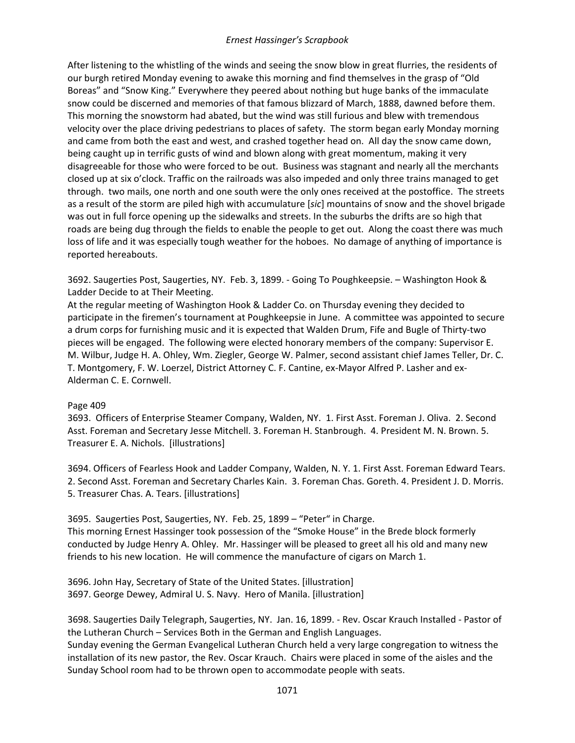After listening to the whistling of the winds and seeing the snow blow in great flurries, the residents of our burgh retired Monday evening to awake this morning and find themselves in the grasp of "Old Boreas" and "Snow King." Everywhere they peered about nothing but huge banks of the immaculate snow could be discerned and memories of that famous blizzard of March, 1888, dawned before them. This morning the snowstorm had abated, but the wind was still furious and blew with tremendous velocity over the place driving pedestrians to places of safety. The storm began early Monday morning and came from both the east and west, and crashed together head on. All day the snow came down, being caught up in terrific gusts of wind and blown along with great momentum, making it very disagreeable for those who were forced to be out. Business was stagnant and nearly all the merchants closed up at six o'clock. Traffic on the railroads was also impeded and only three trains managed to get through. two mails, one north and one south were the only ones received at the postoffice. The streets as a result of the storm are piled high with accumulature [*sic*] mountains of snow and the shovel brigade was out in full force opening up the sidewalks and streets. In the suburbs the drifts are so high that roads are being dug through the fields to enable the people to get out. Along the coast there was much loss of life and it was especially tough weather for the hoboes. No damage of anything of importance is reported hereabouts.

3692. Saugerties Post, Saugerties, NY. Feb. 3, 1899. - Going To Poughkeepsie. – Washington Hook & Ladder Decide to at Their Meeting.

At the regular meeting of Washington Hook & Ladder Co. on Thursday evening they decided to participate in the firemen's tournament at Poughkeepsie in June. A committee was appointed to secure a drum corps for furnishing music and it is expected that Walden Drum, Fife and Bugle of Thirty-two pieces will be engaged. The following were elected honorary members of the company: Supervisor E. M. Wilbur, Judge H. A. Ohley, Wm. Ziegler, George W. Palmer, second assistant chief James Teller, Dr. C. T. Montgomery, F. W. Loerzel, District Attorney C. F. Cantine, ex-Mayor Alfred P. Lasher and ex-Alderman C. E. Cornwell.

### Page 409

3693. Officers of Enterprise Steamer Company, Walden, NY. 1. First Asst. Foreman J. Oliva. 2. Second Asst. Foreman and Secretary Jesse Mitchell. 3. Foreman H. Stanbrough. 4. President M. N. Brown. 5. Treasurer E. A. Nichols. [illustrations]

3694. Officers of Fearless Hook and Ladder Company, Walden, N. Y. 1. First Asst. Foreman Edward Tears. 2. Second Asst. Foreman and Secretary Charles Kain. 3. Foreman Chas. Goreth. 4. President J. D. Morris. 5. Treasurer Chas. A. Tears. [illustrations]

3695. Saugerties Post, Saugerties, NY. Feb. 25, 1899 – "Peter" in Charge. This morning Ernest Hassinger took possession of the "Smoke House" in the Brede block formerly conducted by Judge Henry A. Ohley. Mr. Hassinger will be pleased to greet all his old and many new friends to his new location. He will commence the manufacture of cigars on March 1.

3696. John Hay, Secretary of State of the United States. [illustration] 3697. George Dewey, Admiral U. S. Navy. Hero of Manila. [illustration]

Sunday School room had to be thrown open to accommodate people with seats.

3698. Saugerties Daily Telegraph, Saugerties, NY. Jan. 16, 1899. - Rev. Oscar Krauch Installed - Pastor of the Lutheran Church – Services Both in the German and English Languages. Sunday evening the German Evangelical Lutheran Church held a very large congregation to witness the installation of its new pastor, the Rev. Oscar Krauch. Chairs were placed in some of the aisles and the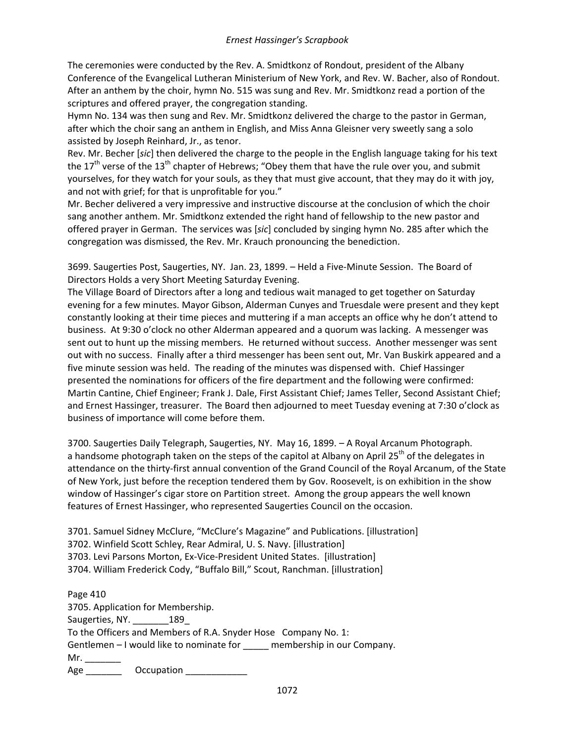The ceremonies were conducted by the Rev. A. Smidtkonz of Rondout, president of the Albany Conference of the Evangelical Lutheran Ministerium of New York, and Rev. W. Bacher, also of Rondout. After an anthem by the choir, hymn No. 515 was sung and Rev. Mr. Smidtkonz read a portion of the scriptures and offered prayer, the congregation standing.

Hymn No. 134 was then sung and Rev. Mr. Smidtkonz delivered the charge to the pastor in German, after which the choir sang an anthem in English, and Miss Anna Gleisner very sweetly sang a solo assisted by Joseph Reinhard, Jr., as tenor.

Rev. Mr. Becher [*sic*] then delivered the charge to the people in the English language taking for his text the  $17<sup>th</sup>$  verse of the  $13<sup>th</sup>$  chapter of Hebrews; "Obey them that have the rule over you, and submit yourselves, for they watch for your souls, as they that must give account, that they may do it with joy, and not with grief; for that is unprofitable for you."

Mr. Becher delivered a very impressive and instructive discourse at the conclusion of which the choir sang another anthem. Mr. Smidtkonz extended the right hand of fellowship to the new pastor and offered prayer in German. The services was [*sic*] concluded by singing hymn No. 285 after which the congregation was dismissed, the Rev. Mr. Krauch pronouncing the benediction.

3699. Saugerties Post, Saugerties, NY. Jan. 23, 1899. – Held a Five-Minute Session. The Board of Directors Holds a very Short Meeting Saturday Evening.

The Village Board of Directors after a long and tedious wait managed to get together on Saturday evening for a few minutes. Mayor Gibson, Alderman Cunyes and Truesdale were present and they kept constantly looking at their time pieces and muttering if a man accepts an office why he don't attend to business. At 9:30 o'clock no other Alderman appeared and a quorum was lacking. A messenger was sent out to hunt up the missing members. He returned without success. Another messenger was sent out with no success. Finally after a third messenger has been sent out, Mr. Van Buskirk appeared and a five minute session was held. The reading of the minutes was dispensed with. Chief Hassinger presented the nominations for officers of the fire department and the following were confirmed: Martin Cantine, Chief Engineer; Frank J. Dale, First Assistant Chief; James Teller, Second Assistant Chief; and Ernest Hassinger, treasurer. The Board then adjourned to meet Tuesday evening at 7:30 o'clock as business of importance will come before them.

3700. Saugerties Daily Telegraph, Saugerties, NY. May 16, 1899. – A Royal Arcanum Photograph. a handsome photograph taken on the steps of the capitol at Albany on April 25<sup>th</sup> of the delegates in attendance on the thirty-first annual convention of the Grand Council of the Royal Arcanum, of the State of New York, just before the reception tendered them by Gov. Roosevelt, is on exhibition in the show window of Hassinger's cigar store on Partition street. Among the group appears the well known features of Ernest Hassinger, who represented Saugerties Council on the occasion.

3701. Samuel Sidney McClure, "McClure's Magazine" and Publications. [illustration] 3702. Winfield Scott Schley, Rear Admiral, U. S. Navy. [illustration] 3703. Levi Parsons Morton, Ex-Vice-President United States. [illustration] 3704. William Frederick Cody, "Buffalo Bill," Scout, Ranchman. [illustration]

Page 410 3705. Application for Membership. Saugerties, NY. 189 To the Officers and Members of R.A. Snyder Hose Company No. 1: Gentlemen – I would like to nominate for \_\_\_\_\_ membership in our Company.  $Mr.$ Age **Occupation**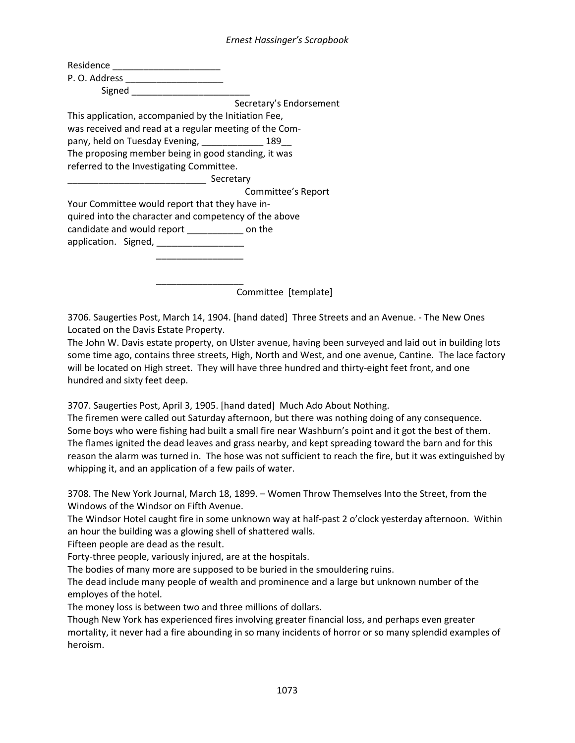|                                                        | Secretary's Endorsement |
|--------------------------------------------------------|-------------------------|
| This application, accompanied by the Initiation Fee,   |                         |
| was received and read at a regular meeting of the Com- |                         |
| pany, held on Tuesday Evening, ______________ 189__    |                         |
| The proposing member being in good standing, it was    |                         |
| referred to the Investigating Committee.               |                         |
| Secretary                                              |                         |
|                                                        | Committee's Report      |
| Your Committee would report that they have in-         |                         |
| quired into the character and competency of the above  |                         |
| candidate and would report _______________ on the      |                         |
| application. Signed, __________________                |                         |
|                                                        |                         |
|                                                        |                         |
|                                                        |                         |
|                                                        | Committee [template]    |

3706. Saugerties Post, March 14, 1904. [hand dated] Three Streets and an Avenue. - The New Ones Located on the Davis Estate Property.

The John W. Davis estate property, on Ulster avenue, having been surveyed and laid out in building lots some time ago, contains three streets, High, North and West, and one avenue, Cantine. The lace factory will be located on High street. They will have three hundred and thirty-eight feet front, and one hundred and sixty feet deep.

3707. Saugerties Post, April 3, 1905. [hand dated] Much Ado About Nothing.

The firemen were called out Saturday afternoon, but there was nothing doing of any consequence. Some boys who were fishing had built a small fire near Washburn's point and it got the best of them. The flames ignited the dead leaves and grass nearby, and kept spreading toward the barn and for this reason the alarm was turned in. The hose was not sufficient to reach the fire, but it was extinguished by whipping it, and an application of a few pails of water.

3708. The New York Journal, March 18, 1899. – Women Throw Themselves Into the Street, from the Windows of the Windsor on Fifth Avenue.

The Windsor Hotel caught fire in some unknown way at half-past 2 o'clock yesterday afternoon. Within an hour the building was a glowing shell of shattered walls.

Fifteen people are dead as the result.

Forty-three people, variously injured, are at the hospitals.

The bodies of many more are supposed to be buried in the smouldering ruins.

The dead include many people of wealth and prominence and a large but unknown number of the employes of the hotel.

The money loss is between two and three millions of dollars.

Though New York has experienced fires involving greater financial loss, and perhaps even greater mortality, it never had a fire abounding in so many incidents of horror or so many splendid examples of heroism.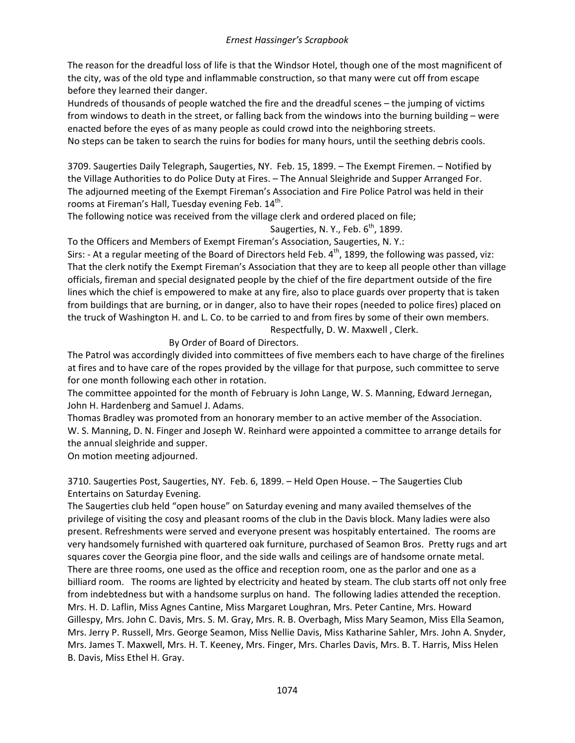The reason for the dreadful loss of life is that the Windsor Hotel, though one of the most magnificent of the city, was of the old type and inflammable construction, so that many were cut off from escape before they learned their danger.

Hundreds of thousands of people watched the fire and the dreadful scenes – the jumping of victims from windows to death in the street, or falling back from the windows into the burning building – were enacted before the eyes of as many people as could crowd into the neighboring streets.

No steps can be taken to search the ruins for bodies for many hours, until the seething debris cools.

3709. Saugerties Daily Telegraph, Saugerties, NY. Feb. 15, 1899. – The Exempt Firemen. – Notified by the Village Authorities to do Police Duty at Fires. – The Annual Sleighride and Supper Arranged For. The adjourned meeting of the Exempt Fireman's Association and Fire Police Patrol was held in their rooms at Fireman's Hall, Tuesday evening Feb. 14<sup>th</sup>.

The following notice was received from the village clerk and ordered placed on file; Saugerties, N. Y., Feb.  $6<sup>th</sup>$ , 1899.

To the Officers and Members of Exempt Fireman's Association, Saugerties, N. Y.:

Sirs: - At a regular meeting of the Board of Directors held Feb.  $4<sup>th</sup>$ , 1899, the following was passed, viz: That the clerk notify the Exempt Fireman's Association that they are to keep all people other than village officials, fireman and special designated people by the chief of the fire department outside of the fire lines which the chief is empowered to make at any fire, also to place guards over property that is taken from buildings that are burning, or in danger, also to have their ropes (needed to police fires) placed on the truck of Washington H. and L. Co. to be carried to and from fires by some of their own members.

Respectfully, D. W. Maxwell , Clerk.

By Order of Board of Directors.

The Patrol was accordingly divided into committees of five members each to have charge of the firelines at fires and to have care of the ropes provided by the village for that purpose, such committee to serve for one month following each other in rotation.

The committee appointed for the month of February is John Lange, W. S. Manning, Edward Jernegan, John H. Hardenberg and Samuel J. Adams.

Thomas Bradley was promoted from an honorary member to an active member of the Association. W. S. Manning, D. N. Finger and Joseph W. Reinhard were appointed a committee to arrange details for the annual sleighride and supper.

On motion meeting adjourned.

3710. Saugerties Post, Saugerties, NY. Feb. 6, 1899. – Held Open House. – The Saugerties Club Entertains on Saturday Evening.

The Saugerties club held "open house" on Saturday evening and many availed themselves of the privilege of visiting the cosy and pleasant rooms of the club in the Davis block. Many ladies were also present. Refreshments were served and everyone present was hospitably entertained. The rooms are very handsomely furnished with quartered oak furniture, purchased of Seamon Bros. Pretty rugs and art squares cover the Georgia pine floor, and the side walls and ceilings are of handsome ornate metal. There are three rooms, one used as the office and reception room, one as the parlor and one as a billiard room. The rooms are lighted by electricity and heated by steam. The club starts off not only free from indebtedness but with a handsome surplus on hand. The following ladies attended the reception. Mrs. H. D. Laflin, Miss Agnes Cantine, Miss Margaret Loughran, Mrs. Peter Cantine, Mrs. Howard Gillespy, Mrs. John C. Davis, Mrs. S. M. Gray, Mrs. R. B. Overbagh, Miss Mary Seamon, Miss Ella Seamon, Mrs. Jerry P. Russell, Mrs. George Seamon, Miss Nellie Davis, Miss Katharine Sahler, Mrs. John A. Snyder, Mrs. James T. Maxwell, Mrs. H. T. Keeney, Mrs. Finger, Mrs. Charles Davis, Mrs. B. T. Harris, Miss Helen B. Davis, Miss Ethel H. Gray.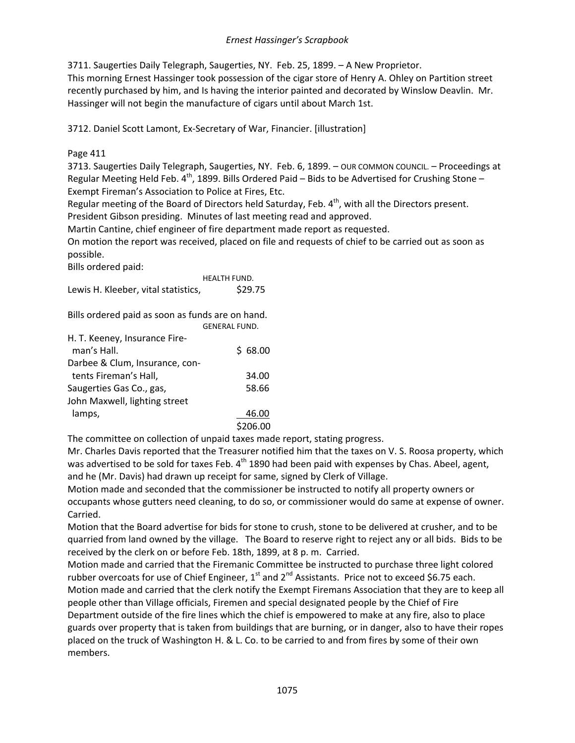3711. Saugerties Daily Telegraph, Saugerties, NY. Feb. 25, 1899. – A New Proprietor.

This morning Ernest Hassinger took possession of the cigar store of Henry A. Ohley on Partition street recently purchased by him, and Is having the interior painted and decorated by Winslow Deavlin. Mr. Hassinger will not begin the manufacture of cigars until about March 1st.

3712. Daniel Scott Lamont, Ex-Secretary of War, Financier. [illustration]

# Page 411

3713. Saugerties Daily Telegraph, Saugerties, NY. Feb. 6, 1899. – OUR COMMON COUNCIL. – Proceedings at Regular Meeting Held Feb.  $4^{th}$ , 1899. Bills Ordered Paid – Bids to be Advertised for Crushing Stone – Exempt Fireman's Association to Police at Fires, Etc.

Regular meeting of the Board of Directors held Saturday, Feb.  $4<sup>th</sup>$ , with all the Directors present. President Gibson presiding. Minutes of last meeting read and approved.

Martin Cantine, chief engineer of fire department made report as requested.

On motion the report was received, placed on file and requests of chief to be carried out as soon as possible.

Bills ordered paid:

HEALTH FUND. Lewis H. Kleeber, vital statistics, \$29.75

Bills ordered paid as soon as funds are on hand.

|                                | <b>GENERAL FUND.</b> |
|--------------------------------|----------------------|
| H. T. Keeney, Insurance Fire-  |                      |
| man's Hall.                    | \$68.00              |
| Darbee & Clum, Insurance, con- |                      |
| tents Fireman's Hall,          | 34.00                |
| Saugerties Gas Co., gas,       | 58.66                |
| John Maxwell, lighting street  |                      |
| lamps,                         | 46.00                |
|                                | \$206.00             |

The committee on collection of unpaid taxes made report, stating progress.

Mr. Charles Davis reported that the Treasurer notified him that the taxes on V. S. Roosa property, which was advertised to be sold for taxes Feb. 4<sup>th</sup> 1890 had been paid with expenses by Chas. Abeel, agent, and he (Mr. Davis) had drawn up receipt for same, signed by Clerk of Village.

Motion made and seconded that the commissioner be instructed to notify all property owners or occupants whose gutters need cleaning, to do so, or commissioner would do same at expense of owner. Carried.

Motion that the Board advertise for bids for stone to crush, stone to be delivered at crusher, and to be quarried from land owned by the village. The Board to reserve right to reject any or all bids. Bids to be received by the clerk on or before Feb. 18th, 1899, at 8 p. m. Carried.

Motion made and carried that the Firemanic Committee be instructed to purchase three light colored rubber overcoats for use of Chief Engineer,  $1<sup>st</sup>$  and  $2<sup>nd</sup>$  Assistants. Price not to exceed \$6.75 each. Motion made and carried that the clerk notify the Exempt Firemans Association that they are to keep all people other than Village officials, Firemen and special designated people by the Chief of Fire Department outside of the fire lines which the chief is empowered to make at any fire, also to place guards over property that is taken from buildings that are burning, or in danger, also to have their ropes placed on the truck of Washington H. & L. Co. to be carried to and from fires by some of their own members.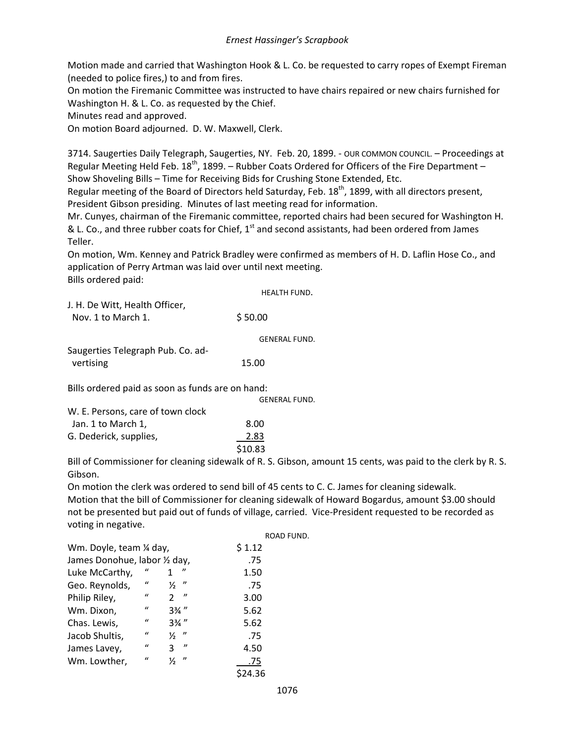Motion made and carried that Washington Hook & L. Co. be requested to carry ropes of Exempt Fireman (needed to police fires,) to and from fires.

On motion the Firemanic Committee was instructed to have chairs repaired or new chairs furnished for Washington H. & L. Co. as requested by the Chief.

Minutes read and approved.

On motion Board adjourned. D. W. Maxwell, Clerk.

3714. Saugerties Daily Telegraph, Saugerties, NY. Feb. 20, 1899. - OUR COMMON COUNCIL. – Proceedings at Regular Meeting Held Feb.  $18<sup>th</sup>$ , 1899. – Rubber Coats Ordered for Officers of the Fire Department – Show Shoveling Bills – Time for Receiving Bids for Crushing Stone Extended, Etc.

Regular meeting of the Board of Directors held Saturday, Feb. 18<sup>th</sup>, 1899, with all directors present, President Gibson presiding. Minutes of last meeting read for information.

Mr. Cunyes, chairman of the Firemanic committee, reported chairs had been secured for Washington H. & L. Co., and three rubber coats for Chief,  $1<sup>st</sup>$  and second assistants, had been ordered from James Teller.

On motion, Wm. Kenney and Patrick Bradley were confirmed as members of H. D. Laflin Hose Co., and application of Perry Artman was laid over until next meeting. Bills ordered paid:

HEALTH FUND.

| J. H. De Witt, Health Officer, |         |
|--------------------------------|---------|
| Nov. 1 to March 1.             | \$50.00 |

| Saugerties Telegraph Pub. Co. ad- |       |  |
|-----------------------------------|-------|--|
| vertising                         | 15.00 |  |

Bills ordered paid as soon as funds are on hand:

GENERAL FUND. W. E. Persons, care of town clock  $\lambda$  Jan. 1 to March 1,  $\lambda$  8.00

| $JUII. + UUIUII UII + J$ | o.vv    |
|--------------------------|---------|
| G. Dederick, supplies,   | 2.83    |
|                          | \$10.83 |

Bill of Commissioner for cleaning sidewalk of R. S. Gibson, amount 15 cents, was paid to the clerk by R. S. Gibson.

On motion the clerk was ordered to send bill of 45 cents to C. C. James for cleaning sidewalk.

Motion that the bill of Commissioner for cleaning sidewalk of Howard Bogardus, amount \$3.00 should not be presented but paid out of funds of village, carried. Vice-President requested to be recorded as voting in negative.

|                               |                  |                                    |         | ROAD FUND. |
|-------------------------------|------------------|------------------------------------|---------|------------|
|                               |                  |                                    |         |            |
| Wm. Doyle, team 1/4 day,      |                  |                                    | \$1.12  |            |
| James Donohue, labor 1/2 day, |                  |                                    | .75     |            |
| Luke McCarthy,                | $\iota$          | "                                  | 1.50    |            |
| Geo. Reynolds,                | $\iota$          | $\boldsymbol{v}$<br>$\frac{1}{2}$  | .75     |            |
| Philip Riley,                 | $\boldsymbol{u}$ | $^{\prime\prime}$<br>$\mathcal{P}$ | 3.00    |            |
| Wm. Dixon,                    | $\iota$          | $3\frac{3}{4}$ "                   | 5.62    |            |
| Chas. Lewis,                  | $\iota$          | $3\frac{3}{4}$ "                   | 5.62    |            |
| Jacob Shultis,                | $\iota$          | $^{\prime\prime}$<br>⅓             | .75     |            |
| James Lavey,                  | $\boldsymbol{u}$ | $\boldsymbol{\eta}$<br>3           | 4.50    |            |
| Wm. Lowther,                  | $\iota$          | $^{\prime\prime}$<br>⅓             | .75     |            |
|                               |                  |                                    | \$24.36 |            |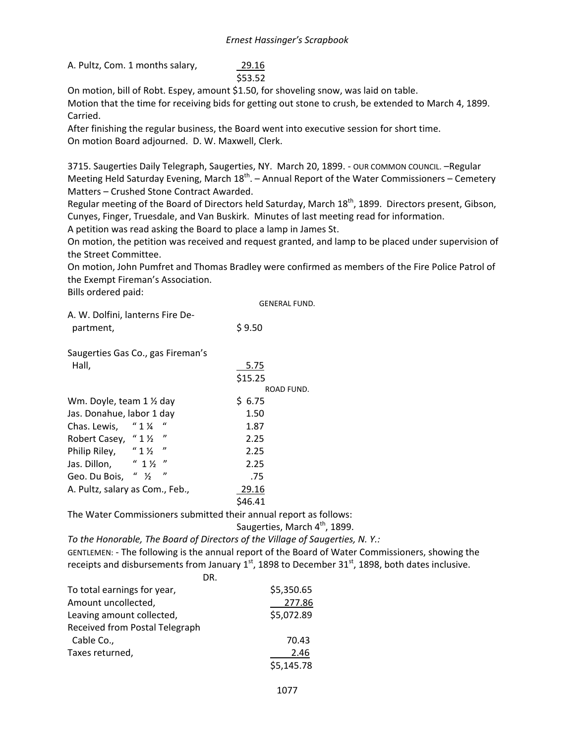A. Pultz, Com. 1 months salary,

\$53.52

On motion, bill of Robt. Espey, amount \$1.50, for shoveling snow, was laid on table. Motion that the time for receiving bids for getting out stone to crush, be extended to March 4, 1899. Carried.

After finishing the regular business, the Board went into executive session for short time. On motion Board adjourned. D. W. Maxwell, Clerk.

3715. Saugerties Daily Telegraph, Saugerties, NY. March 20, 1899. - OUR COMMON COUNCIL. –Regular Meeting Held Saturday Evening, March  $18^{th}$ . – Annual Report of the Water Commissioners – Cemetery Matters – Crushed Stone Contract Awarded.

Regular meeting of the Board of Directors held Saturday, March 18<sup>th</sup>, 1899. Directors present, Gibson, Cunyes, Finger, Truesdale, and Van Buskirk. Minutes of last meeting read for information. A petition was read asking the Board to place a lamp in James St.

On motion, the petition was received and request granted, and lamp to be placed under supervision of the Street Committee.

On motion, John Pumfret and Thomas Bradley were confirmed as members of the Fire Police Patrol of the Exempt Fireman's Association.

Bills ordered paid:

|                                                       | <b>GENERAL FUND.</b> |
|-------------------------------------------------------|----------------------|
| A. W. Dolfini, lanterns Fire De-<br>partment,         | \$9.50               |
| Saugerties Gas Co., gas Fireman's                     |                      |
| Hall,                                                 | 5.75                 |
|                                                       | \$15.25              |
|                                                       | ROAD FUND.           |
| Wm. Doyle, team 1 1/2 day                             | \$6.75               |
| Jas. Donahue, labor 1 day                             | 1.50                 |
| "<br>$''1\frac{1}{4}$<br>Chas. Lewis,                 | 1.87                 |
| $^{\prime\prime}$<br>Robert Casey, "11/2              | 2.25                 |
| "<br>Philip Riley, "1 1/2                             | 2.25                 |
| $" 1\frac{1}{2}$<br>"<br>Jas. Dillon,                 | 2.25                 |
| "<br>$^{\prime\prime}$ $\frac{1}{2}$<br>Geo. Du Bois, | .75                  |
| A. Pultz, salary as Com., Feb.,                       | 29.16                |
|                                                       | \$46.41              |

The Water Commissioners submitted their annual report as follows:

Saugerties, March 4<sup>th</sup>, 1899.

*To the Honorable, The Board of Directors of the Village of Saugerties, N. Y.:* GENTLEMEN: - The following is the annual report of the Board of Water Commissioners, showing the receipts and disbursements from January  $1<sup>st</sup>$ , 1898 to December 31 $<sup>st</sup>$ , 1898, both dates inclusive.</sup>

| DR.                            |            |
|--------------------------------|------------|
| To total earnings for year,    | \$5,350.65 |
| Amount uncollected,            | 277.86     |
| Leaving amount collected,      | \$5,072.89 |
| Received from Postal Telegraph |            |
| Cable Co.,                     | 70.43      |
| Taxes returned,                | 2.46       |
|                                | \$5,145.78 |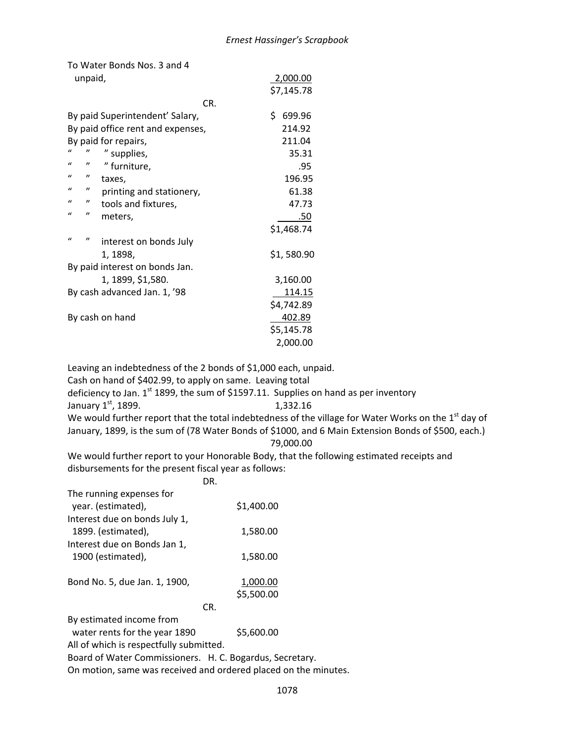To Water Bonds Nos. 3 and 4

| unpaid,                                       | 2,000.00     |
|-----------------------------------------------|--------------|
|                                               | \$7,145.78   |
| CR.                                           |              |
| By paid Superintendent' Salary,               | \$<br>699.96 |
| By paid office rent and expenses,             | 214.92       |
| By paid for repairs,                          | 211.04       |
| $\mathcal{U}$<br>" supplies,                  | 35.31        |
| $\mathcal{U}$<br>"<br>" furniture,            | .95          |
| $\mathcal{U}$<br>"<br>taxes,                  | 196.95       |
| $\mathbf{u}$<br>"<br>printing and stationery, | 61.38        |
| $\mathcal{U}$<br>"<br>tools and fixtures,     | 47.73        |
| "<br>"<br>meters,                             | .50          |
|                                               | \$1,468.74   |
| $\mathcal{U}$<br>"<br>interest on bonds July  |              |
| 1, 1898,                                      | \$1,580.90   |
| By paid interest on bonds Jan.                |              |
| 1, 1899, \$1,580.                             | 3,160.00     |
| By cash advanced Jan. 1, '98                  | 114.15       |
|                                               | \$4,742.89   |
| By cash on hand                               | 402.89       |
|                                               | \$5,145.78   |
|                                               | 2,000.00     |

Leaving an indebtedness of the 2 bonds of \$1,000 each, unpaid.

Cash on hand of \$402.99, to apply on same. Leaving total

deficiency to Jan.  $1<sup>st</sup>$  1899, the sum of \$1597.11. Supplies on hand as per inventory

January  $1^{st}$ , 1899. 1,332.16

We would further report that the total indebtedness of the village for Water Works on the  $1<sup>st</sup>$  day of January, 1899, is the sum of (78 Water Bonds of \$1000, and 6 Main Extension Bonds of \$500, each.)

# 79,000.00

We would further report to your Honorable Body, that the following estimated receipts and disbursements for the present fiscal year as follows:

# DR.

| The running expenses for      |            |
|-------------------------------|------------|
| year. (estimated),            | \$1,400.00 |
| Interest due on bonds July 1, |            |
| 1899. (estimated),            | 1,580.00   |
| Interest due on Bonds Jan 1,  |            |
| 1900 (estimated),             | 1,580.00   |
|                               |            |
| Bond No. 5, due Jan. 1, 1900, | 1,000.00   |
|                               | \$5,500.00 |
|                               |            |
|                               |            |

By estimated income from

water rents for the year 1890 \$5,600.00

All of which is respectfully submitted.

Board of Water Commissioners. H. C. Bogardus, Secretary.

On motion, same was received and ordered placed on the minutes.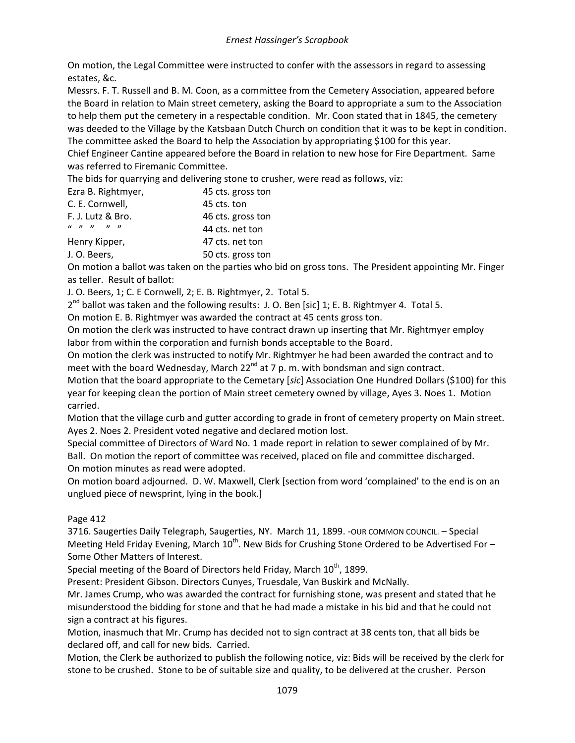On motion, the Legal Committee were instructed to confer with the assessors in regard to assessing estates, &c.

Messrs. F. T. Russell and B. M. Coon, as a committee from the Cemetery Association, appeared before the Board in relation to Main street cemetery, asking the Board to appropriate a sum to the Association to help them put the cemetery in a respectable condition. Mr. Coon stated that in 1845, the cemetery was deeded to the Village by the Katsbaan Dutch Church on condition that it was to be kept in condition. The committee asked the Board to help the Association by appropriating \$100 for this year.

Chief Engineer Cantine appeared before the Board in relation to new hose for Fire Department. Same was referred to Firemanic Committee.

The bids for quarrying and delivering stone to crusher, were read as follows, viz:

| Ezra B. Rightmyer,                                   | 45 cts. gross ton |
|------------------------------------------------------|-------------------|
| C. E. Cornwell,                                      | 45 cts. ton       |
| F. J. Lutz & Bro.                                    | 46 cts. gross ton |
| $\begin{array}{ccccc} u & n & n & n & n \end{array}$ | 44 cts. net ton   |
| Henry Kipper,                                        | 47 cts. net ton   |
| J. O. Beers,                                         | 50 cts. gross ton |

On motion a ballot was taken on the parties who bid on gross tons. The President appointing Mr. Finger as teller. Result of ballot:

J. O. Beers, 1; C. E Cornwell, 2; E. B. Rightmyer, 2. Total 5.

 $2^{nd}$  ballot was taken and the following results: J. O. Ben [sic] 1; E. B. Rightmyer 4. Total 5.

On motion E. B. Rightmyer was awarded the contract at 45 cents gross ton.

On motion the clerk was instructed to have contract drawn up inserting that Mr. Rightmyer employ labor from within the corporation and furnish bonds acceptable to the Board.

On motion the clerk was instructed to notify Mr. Rightmyer he had been awarded the contract and to meet with the board Wednesday, March 22<sup>nd</sup> at 7 p.m. with bondsman and sign contract.

Motion that the board appropriate to the Cemetary [*sic*] Association One Hundred Dollars (\$100) for this year for keeping clean the portion of Main street cemetery owned by village, Ayes 3. Noes 1. Motion carried.

Motion that the village curb and gutter according to grade in front of cemetery property on Main street. Ayes 2. Noes 2. President voted negative and declared motion lost.

Special committee of Directors of Ward No. 1 made report in relation to sewer complained of by Mr. Ball. On motion the report of committee was received, placed on file and committee discharged. On motion minutes as read were adopted.

On motion board adjourned. D. W. Maxwell, Clerk [section from word 'complained' to the end is on an unglued piece of newsprint, lying in the book.]

### Page 412

3716. Saugerties Daily Telegraph, Saugerties, NY. March 11, 1899. - OUR COMMON COUNCIL. - Special Meeting Held Friday Evening, March  $10^{th}$ . New Bids for Crushing Stone Ordered to be Advertised For – Some Other Matters of Interest.

Special meeting of the Board of Directors held Friday, March 10<sup>th</sup>, 1899.

Present: President Gibson. Directors Cunyes, Truesdale, Van Buskirk and McNally.

Mr. James Crump, who was awarded the contract for furnishing stone, was present and stated that he misunderstood the bidding for stone and that he had made a mistake in his bid and that he could not sign a contract at his figures.

Motion, inasmuch that Mr. Crump has decided not to sign contract at 38 cents ton, that all bids be declared off, and call for new bids. Carried.

Motion, the Clerk be authorized to publish the following notice, viz: Bids will be received by the clerk for stone to be crushed. Stone to be of suitable size and quality, to be delivered at the crusher. Person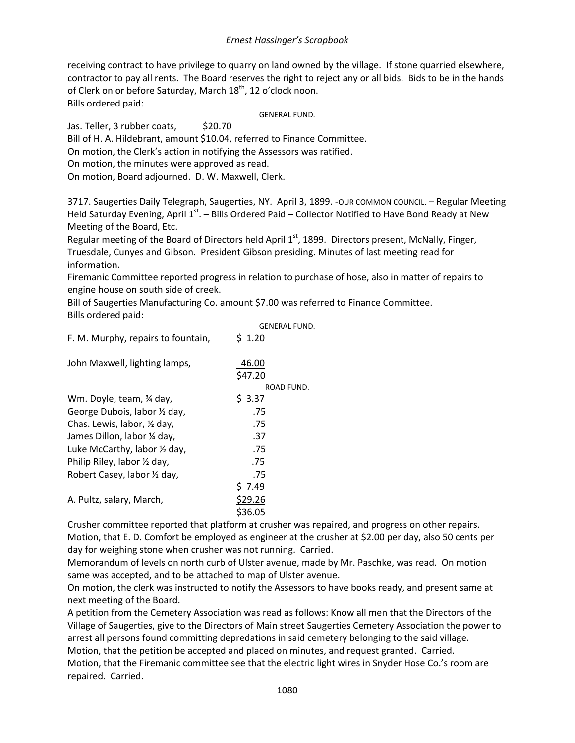receiving contract to have privilege to quarry on land owned by the village. If stone quarried elsewhere, contractor to pay all rents. The Board reserves the right to reject any or all bids. Bids to be in the hands of Clerk on or before Saturday, March 18<sup>th</sup>, 12 o'clock noon. Bills ordered paid:

GENERAL FUND.

Jas. Teller, 3 rubber coats, \$20.70

Bill of H. A. Hildebrant, amount \$10.04, referred to Finance Committee.

On motion, the Clerk's action in notifying the Assessors was ratified.

On motion, the minutes were approved as read.

On motion, Board adjourned. D. W. Maxwell, Clerk.

3717. Saugerties Daily Telegraph, Saugerties, NY. April 3, 1899. -OUR COMMON COUNCIL. - Regular Meeting Held Saturday Evening, April 1<sup>st</sup>. – Bills Ordered Paid – Collector Notified to Have Bond Ready at New Meeting of the Board, Etc.

Regular meeting of the Board of Directors held April 1<sup>st</sup>, 1899. Directors present, McNally, Finger, Truesdale, Cunyes and Gibson. President Gibson presiding. Minutes of last meeting read for information.

Firemanic Committee reported progress in relation to purchase of hose, also in matter of repairs to engine house on south side of creek.

Bill of Saugerties Manufacturing Co. amount \$7.00 was referred to Finance Committee. Bills ordered paid:

|                                    | <b>GENERAL FUND.</b> |
|------------------------------------|----------------------|
| F. M. Murphy, repairs to fountain, | $5 \; 1.20$          |
| John Maxwell, lighting lamps,      | 46.00                |
|                                    | \$47.20              |
|                                    | ROAD FUND.           |
| Wm. Doyle, team, 34 day,           | \$3.37               |
| George Dubois, labor 1/2 day,      | .75                  |
| Chas. Lewis, labor, 1/2 day,       | .75                  |
| James Dillon, labor ¼ day,         | .37                  |
| Luke McCarthy, labor 1/2 day,      | .75                  |
| Philip Riley, labor 1/2 day,       | .75                  |
| Robert Casey, labor 1/2 day,       | .75                  |
|                                    | \$7.49               |
| A. Pultz, salary, March,           | \$29.26              |
|                                    | \$36.05              |
|                                    |                      |

Crusher committee reported that platform at crusher was repaired, and progress on other repairs. Motion, that E. D. Comfort be employed as engineer at the crusher at \$2.00 per day, also 50 cents per day for weighing stone when crusher was not running. Carried.

Memorandum of levels on north curb of Ulster avenue, made by Mr. Paschke, was read. On motion same was accepted, and to be attached to map of Ulster avenue.

On motion, the clerk was instructed to notify the Assessors to have books ready, and present same at next meeting of the Board.

A petition from the Cemetery Association was read as follows: Know all men that the Directors of the Village of Saugerties, give to the Directors of Main street Saugerties Cemetery Association the power to arrest all persons found committing depredations in said cemetery belonging to the said village. Motion, that the petition be accepted and placed on minutes, and request granted. Carried.

Motion, that the Firemanic committee see that the electric light wires in Snyder Hose Co.'s room are repaired. Carried.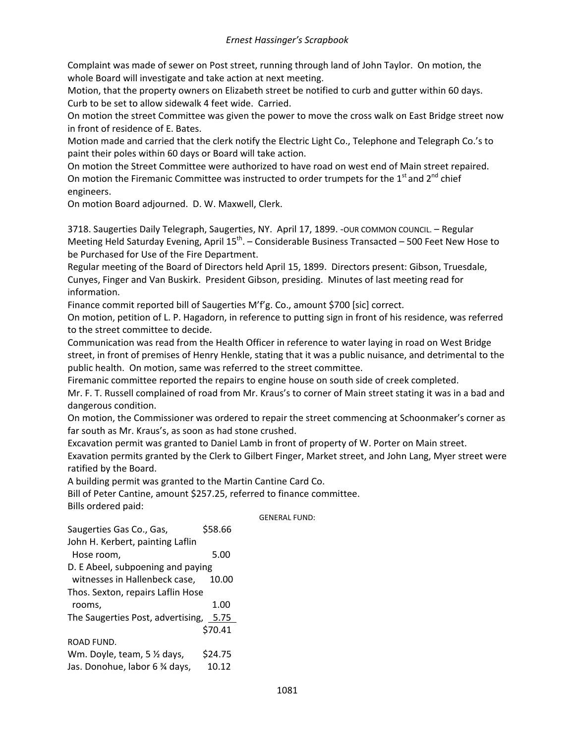Complaint was made of sewer on Post street, running through land of John Taylor. On motion, the whole Board will investigate and take action at next meeting.

Motion, that the property owners on Elizabeth street be notified to curb and gutter within 60 days. Curb to be set to allow sidewalk 4 feet wide. Carried.

On motion the street Committee was given the power to move the cross walk on East Bridge street now in front of residence of E. Bates.

Motion made and carried that the clerk notify the Electric Light Co., Telephone and Telegraph Co.'s to paint their poles within 60 days or Board will take action.

On motion the Street Committee were authorized to have road on west end of Main street repaired. On motion the Firemanic Committee was instructed to order trumpets for the  $1<sup>st</sup>$  and  $2<sup>nd</sup>$  chief engineers.

On motion Board adjourned. D. W. Maxwell, Clerk.

3718. Saugerties Daily Telegraph, Saugerties, NY. April 17, 1899. -OUR COMMON COUNCIL. – Regular Meeting Held Saturday Evening, April  $15^{th}$ . – Considerable Business Transacted – 500 Feet New Hose to be Purchased for Use of the Fire Department.

Regular meeting of the Board of Directors held April 15, 1899. Directors present: Gibson, Truesdale, Cunyes, Finger and Van Buskirk. President Gibson, presiding. Minutes of last meeting read for information.

Finance commit reported bill of Saugerties M'f'g. Co., amount \$700 [sic] correct.

On motion, petition of L. P. Hagadorn, in reference to putting sign in front of his residence, was referred to the street committee to decide.

Communication was read from the Health Officer in reference to water laying in road on West Bridge street, in front of premises of Henry Henkle, stating that it was a public nuisance, and detrimental to the public health. On motion, same was referred to the street committee.

Firemanic committee reported the repairs to engine house on south side of creek completed.

Mr. F. T. Russell complained of road from Mr. Kraus's to corner of Main street stating it was in a bad and dangerous condition.

On motion, the Commissioner was ordered to repair the street commencing at Schoonmaker's corner as far south as Mr. Kraus's, as soon as had stone crushed.

Excavation permit was granted to Daniel Lamb in front of property of W. Porter on Main street.

Exavation permits granted by the Clerk to Gilbert Finger, Market street, and John Lang, Myer street were ratified by the Board.

A building permit was granted to the Martin Cantine Card Co.

Bill of Peter Cantine, amount \$257.25, referred to finance committee. Bills ordered paid:

GENERAL FUND:

Saugerties Gas Co., Gas, \$58.66 John H. Kerbert, painting Laflin Hose room, 5.00 D. E Abeel, subpoening and paying witnesses in Hallenbeck case, 10.00 Thos. Sexton, repairs Laflin Hose rooms, 1.00 The Saugerties Post, advertising, 5.75 \$70.41 ROAD FUND. Wm. Doyle, team,  $5\frac{1}{2}$  days, \$24.75 Jas. Donohue, labor 6 % days, 10.12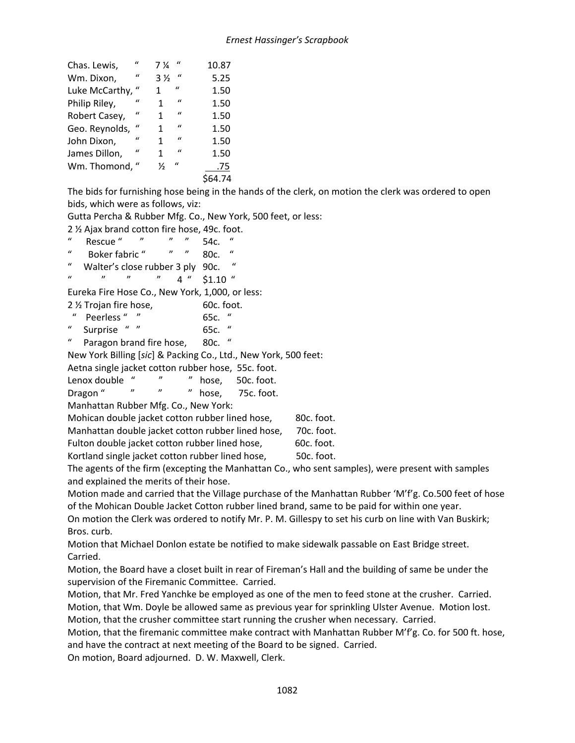| Chas. Lewis,   | $\epsilon$   | 7 ¼            | $\mathbf{u}$  | 10.87 |
|----------------|--------------|----------------|---------------|-------|
| Wm. Dixon,     | $\mathbf{u}$ | $3\frac{1}{2}$ | $\mathcal{U}$ | 5.25  |
| Luke McCarthy, | "            | 1              | $\epsilon$    | 1.50  |
| Philip Riley,  | $\mathbf{u}$ | 1              | $\mathbf{u}$  | 1.50  |
| Robert Casey,  | $\mathbf{u}$ | 1              | $\mathbf{u}$  | 1.50  |
| Geo. Reynolds, | $\mathbf{u}$ | 1              | $\mathbf{u}$  | 1.50  |
| John Dixon,    | $\mathbf{u}$ | 1              | $\mathbf{u}$  | 1.50  |
| James Dillon,  | $\mathbf{u}$ | 1              | $\mathcal{U}$ | 1.50  |
| Wm. Thomond,   |              | $\frac{1}{2}$  | $\mathbf{u}$  | .75   |
|                |              |                |               | 64.74 |

The bids for furnishing hose being in the hands of the clerk, on motion the clerk was ordered to open bids, which were as follows, viz:

Gutta Percha & Rubber Mfg. Co., New York, 500 feet, or less:

| 2 % Ajax brand cotton fire hose, 49c. foot.                     |                     |                                                                                             |
|-----------------------------------------------------------------|---------------------|---------------------------------------------------------------------------------------------|
| $\bf{a}$<br>Rescue " " "                                        | 54c.                |                                                                                             |
| $\boldsymbol{u}$<br>Boker fabric " " "                          | $\mathbf u$<br>80c. |                                                                                             |
| $\boldsymbol{u}$<br>Walter's close rubber 3 ply 90c.            |                     |                                                                                             |
| $\boldsymbol{\eta}$<br>$\mathcal{U}$<br>$^{\prime\prime}$       | $4$ " $$1.10$ "     |                                                                                             |
| Eureka Fire Hose Co., New York, 1,000, or less:                 |                     |                                                                                             |
| 2 % Trojan fire hose,                                           | 60c. foot.          |                                                                                             |
| Peerless " "                                                    | 65c. $"$            |                                                                                             |
| $\boldsymbol{u}$<br>Surprise " "                                | 65c. $''$           |                                                                                             |
| $\boldsymbol{u}$<br>Paragon brand fire hose, 80c. "             |                     |                                                                                             |
| New York Billing [sic] & Packing Co., Ltd., New York, 500 feet: |                     |                                                                                             |
| Aetna single jacket cotton rubber hose, 55c. foot.              |                     |                                                                                             |
| $^{\prime\prime}$<br>$^{\prime\prime}$<br>Lenox double "        | hose,<br>50c. foot. |                                                                                             |
| " " " hose,<br>Dragon "                                         | 75c. foot.          |                                                                                             |
| Manhattan Rubber Mfg. Co., New York:                            |                     |                                                                                             |
| Mohican double jacket cotton rubber lined hose,                 |                     | 80c. foot.                                                                                  |
| Manhattan double jacket cotton rubber lined hose,               |                     | 70c. foot.                                                                                  |
| Fulton double jacket cotton rubber lined hose,                  |                     | 60c. foot.                                                                                  |
| Kortland single jacket cotton rubber lined hose,                |                     | 50c. foot.                                                                                  |
|                                                                 |                     | The constant the fine fouranting the Manhatten Counted contracted at uses measure with anno |

The agents of the firm (excepting the Manhattan Co., who sent samples), were present with samples and explained the merits of their hose.

Motion made and carried that the Village purchase of the Manhattan Rubber 'M'f'g. Co.500 feet of hose of the Mohican Double Jacket Cotton rubber lined brand, same to be paid for within one year.

On motion the Clerk was ordered to notify Mr. P. M. Gillespy to set his curb on line with Van Buskirk; Bros. curb.

Motion that Michael Donlon estate be notified to make sidewalk passable on East Bridge street. Carried.

Motion, the Board have a closet built in rear of Fireman's Hall and the building of same be under the supervision of the Firemanic Committee. Carried.

Motion, that Mr. Fred Yanchke be employed as one of the men to feed stone at the crusher. Carried. Motion, that Wm. Doyle be allowed same as previous year for sprinkling Ulster Avenue. Motion lost. Motion, that the crusher committee start running the crusher when necessary. Carried.

Motion, that the firemanic committee make contract with Manhattan Rubber M'f'g. Co. for 500 ft. hose, and have the contract at next meeting of the Board to be signed. Carried.

On motion, Board adjourned. D. W. Maxwell, Clerk.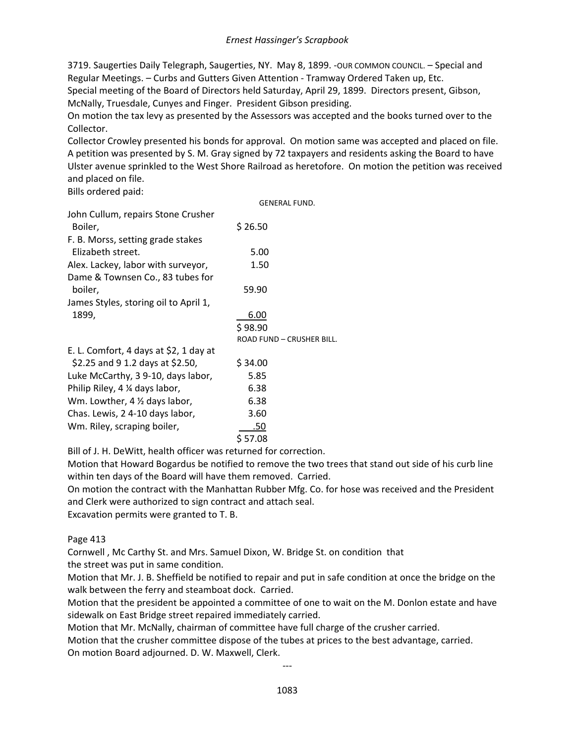3719. Saugerties Daily Telegraph, Saugerties, NY. May 8, 1899. -OUR COMMON COUNCIL. - Special and Regular Meetings. – Curbs and Gutters Given Attention - Tramway Ordered Taken up, Etc. Special meeting of the Board of Directors held Saturday, April 29, 1899. Directors present, Gibson, McNally, Truesdale, Cunyes and Finger. President Gibson presiding.

On motion the tax levy as presented by the Assessors was accepted and the books turned over to the Collector.

Collector Crowley presented his bonds for approval. On motion same was accepted and placed on file. A petition was presented by S. M. Gray signed by 72 taxpayers and residents asking the Board to have Ulster avenue sprinkled to the West Shore Railroad as heretofore. On motion the petition was received and placed on file.

Bills ordered paid:

GENERAL FUND.

| John Cullum, repairs Stone Crusher       |                           |
|------------------------------------------|---------------------------|
| Boiler,                                  | \$26.50                   |
| F. B. Morss, setting grade stakes        |                           |
| Elizabeth street.                        | 5.00                      |
| Alex. Lackey, labor with surveyor,       | 1.50                      |
| Dame & Townsen Co., 83 tubes for         |                           |
| boiler,                                  | 59.90                     |
| James Styles, storing oil to April 1,    |                           |
| 1899,                                    | 6.00                      |
|                                          | \$98.90                   |
|                                          | ROAD FUND - CRUSHER BILL. |
| E. L. Comfort, 4 days at \$2, 1 day at   |                           |
| \$2.25 and 9 1.2 days at \$2.50,         | \$34.00                   |
| Luke McCarthy, 3 9-10, days labor,       | 5.85                      |
| Philip Riley, 4 % days labor,            | 6.38                      |
| Wm. Lowther, $4 \frac{1}{2}$ days labor, | 6.38                      |
| Chas. Lewis, 2 4-10 days labor,          | 3.60                      |
| Wm. Riley, scraping boiler,              | .50                       |
|                                          | \$ 57.08                  |

Bill of J. H. DeWitt, health officer was returned for correction.

Motion that Howard Bogardus be notified to remove the two trees that stand out side of his curb line within ten days of the Board will have them removed. Carried.

On motion the contract with the Manhattan Rubber Mfg. Co. for hose was received and the President and Clerk were authorized to sign contract and attach seal.

Excavation permits were granted to T. B.

Page 413

Cornwell , Mc Carthy St. and Mrs. Samuel Dixon, W. Bridge St. on condition that the street was put in same condition.

Motion that Mr. J. B. Sheffield be notified to repair and put in safe condition at once the bridge on the walk between the ferry and steamboat dock. Carried.

Motion that the president be appointed a committee of one to wait on the M. Donlon estate and have sidewalk on East Bridge street repaired immediately carried.

Motion that Mr. McNally, chairman of committee have full charge of the crusher carried.

Motion that the crusher committee dispose of the tubes at prices to the best advantage, carried. On motion Board adjourned. D. W. Maxwell, Clerk.

---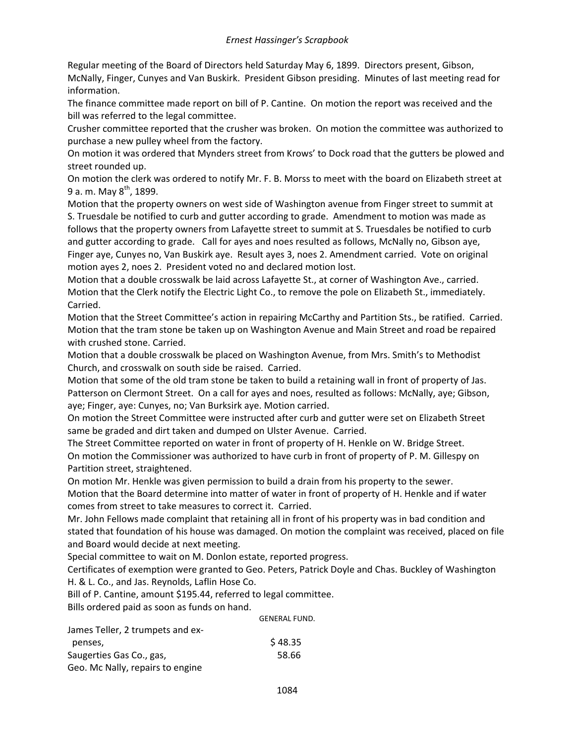Regular meeting of the Board of Directors held Saturday May 6, 1899. Directors present, Gibson, McNally, Finger, Cunyes and Van Buskirk. President Gibson presiding. Minutes of last meeting read for information.

The finance committee made report on bill of P. Cantine. On motion the report was received and the bill was referred to the legal committee.

Crusher committee reported that the crusher was broken. On motion the committee was authorized to purchase a new pulley wheel from the factory.

On motion it was ordered that Mynders street from Krows' to Dock road that the gutters be plowed and street rounded up.

On motion the clerk was ordered to notify Mr. F. B. Morss to meet with the board on Elizabeth street at 9 a. m. May  $8^{th}$ , 1899.

Motion that the property owners on west side of Washington avenue from Finger street to summit at S. Truesdale be notified to curb and gutter according to grade. Amendment to motion was made as follows that the property owners from Lafayette street to summit at S. Truesdales be notified to curb and gutter according to grade. Call for ayes and noes resulted as follows, McNally no, Gibson aye, Finger aye, Cunyes no, Van Buskirk aye. Result ayes 3, noes 2. Amendment carried. Vote on original motion ayes 2, noes 2. President voted no and declared motion lost.

Motion that a double crosswalk be laid across Lafayette St., at corner of Washington Ave., carried. Motion that the Clerk notify the Electric Light Co., to remove the pole on Elizabeth St., immediately. Carried.

Motion that the Street Committee's action in repairing McCarthy and Partition Sts., be ratified. Carried. Motion that the tram stone be taken up on Washington Avenue and Main Street and road be repaired with crushed stone. Carried.

Motion that a double crosswalk be placed on Washington Avenue, from Mrs. Smith's to Methodist Church, and crosswalk on south side be raised. Carried.

Motion that some of the old tram stone be taken to build a retaining wall in front of property of Jas. Patterson on Clermont Street. On a call for ayes and noes, resulted as follows: McNally, aye; Gibson, aye; Finger, aye: Cunyes, no; Van Burksirk aye. Motion carried.

On motion the Street Committee were instructed after curb and gutter were set on Elizabeth Street same be graded and dirt taken and dumped on Ulster Avenue. Carried.

The Street Committee reported on water in front of property of H. Henkle on W. Bridge Street. On motion the Commissioner was authorized to have curb in front of property of P. M. Gillespy on Partition street, straightened.

On motion Mr. Henkle was given permission to build a drain from his property to the sewer. Motion that the Board determine into matter of water in front of property of H. Henkle and if water comes from street to take measures to correct it. Carried.

Mr. John Fellows made complaint that retaining all in front of his property was in bad condition and stated that foundation of his house was damaged. On motion the complaint was received, placed on file and Board would decide at next meeting.

Special committee to wait on M. Donlon estate, reported progress.

Certificates of exemption were granted to Geo. Peters, Patrick Doyle and Chas. Buckley of Washington H. & L. Co., and Jas. Reynolds, Laflin Hose Co.

Bill of P. Cantine, amount \$195.44, referred to legal committee.

Bills ordered paid as soon as funds on hand.

|                                  | <b>GENERAL FUND.</b> |
|----------------------------------|----------------------|
| James Teller, 2 trumpets and ex- |                      |
| penses,                          | \$48.35              |
| Saugerties Gas Co., gas,         | 58.66                |
| Geo. Mc Nally, repairs to engine |                      |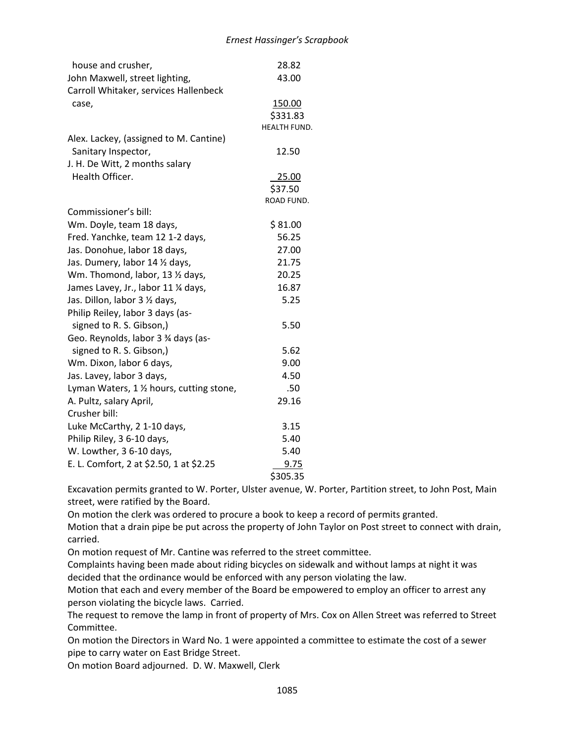| house and crusher,                                  | 28.82               |
|-----------------------------------------------------|---------------------|
| John Maxwell, street lighting,                      | 43.00               |
| Carroll Whitaker, services Hallenbeck               |                     |
| case,                                               | 150.00              |
|                                                     | \$331.83            |
|                                                     | <b>HEALTH FUND.</b> |
| Alex. Lackey, (assigned to M. Cantine)              |                     |
| Sanitary Inspector,                                 | 12.50               |
| J. H. De Witt, 2 months salary                      |                     |
| Health Officer.                                     | 25.00               |
|                                                     | \$37.50             |
|                                                     | ROAD FUND.          |
| Commissioner's bill:                                |                     |
| Wm. Doyle, team 18 days,                            | \$81.00             |
| Fred. Yanchke, team 12 1-2 days,                    | 56.25               |
| Jas. Donohue, labor 18 days,                        | 27.00               |
| Jas. Dumery, labor 14 1/2 days,                     | 21.75               |
| Wm. Thomond, labor, 13 1/2 days,                    | 20.25               |
| James Lavey, Jr., labor 11 % days,                  | 16.87               |
| Jas. Dillon, labor 3 1/2 days,                      | 5.25                |
| Philip Reiley, labor 3 days (as-                    |                     |
| signed to R. S. Gibson,)                            | 5.50                |
| Geo. Reynolds, labor 3 % days (as-                  |                     |
|                                                     |                     |
| signed to R. S. Gibson,)                            | 5.62                |
| Wm. Dixon, labor 6 days,                            | 9.00                |
| Jas. Lavey, labor 3 days,                           | 4.50                |
| Lyman Waters, $1 \frac{1}{2}$ hours, cutting stone, | .50                 |
| A. Pultz, salary April,                             | 29.16               |
| Crusher bill:                                       |                     |
| Luke McCarthy, 2 1-10 days,                         | 3.15                |
| Philip Riley, 3 6-10 days,                          | 5.40                |
| W. Lowther, 3 6-10 days,                            | 5.40                |
| E. L. Comfort, 2 at \$2.50, 1 at \$2.25             | 9.75                |
|                                                     | \$305.35            |

Excavation permits granted to W. Porter, Ulster avenue, W. Porter, Partition street, to John Post, Main street, were ratified by the Board.

On motion the clerk was ordered to procure a book to keep a record of permits granted.

Motion that a drain pipe be put across the property of John Taylor on Post street to connect with drain, carried.

On motion request of Mr. Cantine was referred to the street committee.

Complaints having been made about riding bicycles on sidewalk and without lamps at night it was decided that the ordinance would be enforced with any person violating the law.

Motion that each and every member of the Board be empowered to employ an officer to arrest any person violating the bicycle laws. Carried.

The request to remove the lamp in front of property of Mrs. Cox on Allen Street was referred to Street Committee.

On motion the Directors in Ward No. 1 were appointed a committee to estimate the cost of a sewer pipe to carry water on East Bridge Street.

On motion Board adjourned. D. W. Maxwell, Clerk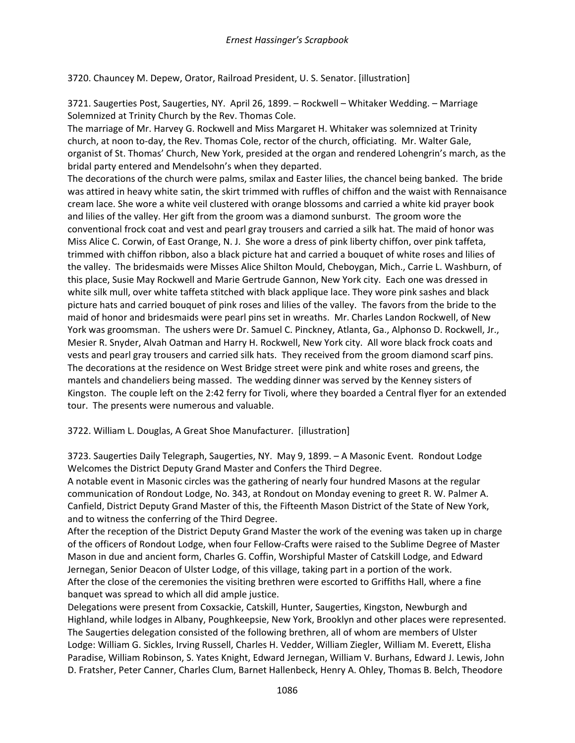3720. Chauncey M. Depew, Orator, Railroad President, U. S. Senator. [illustration]

3721. Saugerties Post, Saugerties, NY. April 26, 1899. – Rockwell – Whitaker Wedding. – Marriage Solemnized at Trinity Church by the Rev. Thomas Cole.

The marriage of Mr. Harvey G. Rockwell and Miss Margaret H. Whitaker was solemnized at Trinity church, at noon to-day, the Rev. Thomas Cole, rector of the church, officiating. Mr. Walter Gale, organist of St. Thomas' Church, New York, presided at the organ and rendered Lohengrin's march, as the bridal party entered and Mendelsohn's when they departed.

The decorations of the church were palms, smilax and Easter lilies, the chancel being banked. The bride was attired in heavy white satin, the skirt trimmed with ruffles of chiffon and the waist with Rennaisance cream lace. She wore a white veil clustered with orange blossoms and carried a white kid prayer book and lilies of the valley. Her gift from the groom was a diamond sunburst. The groom wore the conventional frock coat and vest and pearl gray trousers and carried a silk hat. The maid of honor was Miss Alice C. Corwin, of East Orange, N. J. She wore a dress of pink liberty chiffon, over pink taffeta, trimmed with chiffon ribbon, also a black picture hat and carried a bouquet of white roses and lilies of the valley. The bridesmaids were Misses Alice Shilton Mould, Cheboygan, Mich., Carrie L. Washburn, of this place, Susie May Rockwell and Marie Gertrude Gannon, New York city. Each one was dressed in white silk mull, over white taffeta stitched with black applique lace. They wore pink sashes and black picture hats and carried bouquet of pink roses and lilies of the valley. The favors from the bride to the maid of honor and bridesmaids were pearl pins set in wreaths. Mr. Charles Landon Rockwell, of New York was groomsman. The ushers were Dr. Samuel C. Pinckney, Atlanta, Ga., Alphonso D. Rockwell, Jr., Mesier R. Snyder, Alvah Oatman and Harry H. Rockwell, New York city. All wore black frock coats and vests and pearl gray trousers and carried silk hats. They received from the groom diamond scarf pins. The decorations at the residence on West Bridge street were pink and white roses and greens, the mantels and chandeliers being massed. The wedding dinner was served by the Kenney sisters of Kingston. The couple left on the 2:42 ferry for Tivoli, where they boarded a Central flyer for an extended tour. The presents were numerous and valuable.

3722. William L. Douglas, A Great Shoe Manufacturer. [illustration]

3723. Saugerties Daily Telegraph, Saugerties, NY. May 9, 1899. – A Masonic Event. Rondout Lodge Welcomes the District Deputy Grand Master and Confers the Third Degree.

A notable event in Masonic circles was the gathering of nearly four hundred Masons at the regular communication of Rondout Lodge, No. 343, at Rondout on Monday evening to greet R. W. Palmer A. Canfield, District Deputy Grand Master of this, the Fifteenth Mason District of the State of New York, and to witness the conferring of the Third Degree.

After the reception of the District Deputy Grand Master the work of the evening was taken up in charge of the officers of Rondout Lodge, when four Fellow-Crafts were raised to the Sublime Degree of Master Mason in due and ancient form, Charles G. Coffin, Worshipful Master of Catskill Lodge, and Edward Jernegan, Senior Deacon of Ulster Lodge, of this village, taking part in a portion of the work. After the close of the ceremonies the visiting brethren were escorted to Griffiths Hall, where a fine banquet was spread to which all did ample justice.

Delegations were present from Coxsackie, Catskill, Hunter, Saugerties, Kingston, Newburgh and Highland, while lodges in Albany, Poughkeepsie, New York, Brooklyn and other places were represented. The Saugerties delegation consisted of the following brethren, all of whom are members of Ulster Lodge: William G. Sickles, Irving Russell, Charles H. Vedder, William Ziegler, William M. Everett, Elisha Paradise, William Robinson, S. Yates Knight, Edward Jernegan, William V. Burhans, Edward J. Lewis, John D. Fratsher, Peter Canner, Charles Clum, Barnet Hallenbeck, Henry A. Ohley, Thomas B. Belch, Theodore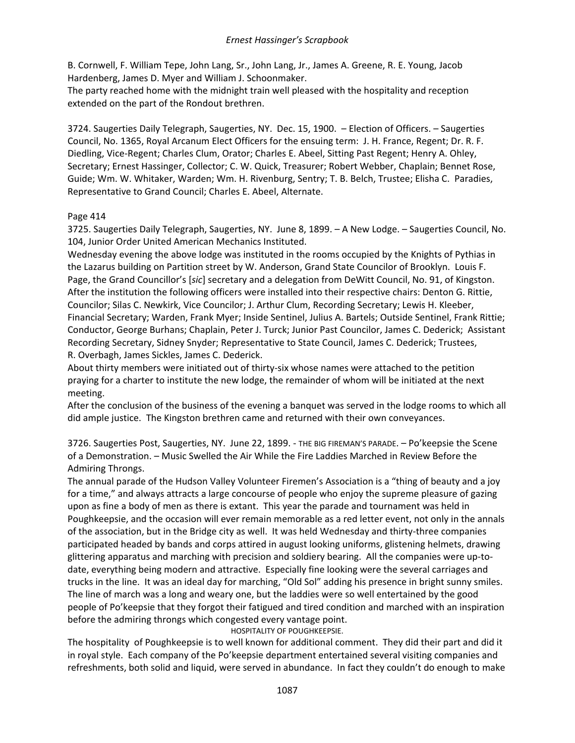B. Cornwell, F. William Tepe, John Lang, Sr., John Lang, Jr., James A. Greene, R. E. Young, Jacob Hardenberg, James D. Myer and William J. Schoonmaker.

The party reached home with the midnight train well pleased with the hospitality and reception extended on the part of the Rondout brethren.

3724. Saugerties Daily Telegraph, Saugerties, NY. Dec. 15, 1900. – Election of Officers. – Saugerties Council, No. 1365, Royal Arcanum Elect Officers for the ensuing term: J. H. France, Regent; Dr. R. F. Diedling, Vice-Regent; Charles Clum, Orator; Charles E. Abeel, Sitting Past Regent; Henry A. Ohley, Secretary; Ernest Hassinger, Collector; C. W. Quick, Treasurer; Robert Webber, Chaplain; Bennet Rose, Guide; Wm. W. Whitaker, Warden; Wm. H. Rivenburg, Sentry; T. B. Belch, Trustee; Elisha C. Paradies, Representative to Grand Council; Charles E. Abeel, Alternate.

# Page 414

3725. Saugerties Daily Telegraph, Saugerties, NY. June 8, 1899. – A New Lodge. – Saugerties Council, No. 104, Junior Order United American Mechanics Instituted.

Wednesday evening the above lodge was instituted in the rooms occupied by the Knights of Pythias in the Lazarus building on Partition street by W. Anderson, Grand State Councilor of Brooklyn. Louis F. Page, the Grand Councillor's [*sic*] secretary and a delegation from DeWitt Council, No. 91, of Kingston. After the institution the following officers were installed into their respective chairs: Denton G. Rittie, Councilor; Silas C. Newkirk, Vice Councilor; J. Arthur Clum, Recording Secretary; Lewis H. Kleeber, Financial Secretary; Warden, Frank Myer; Inside Sentinel, Julius A. Bartels; Outside Sentinel, Frank Rittie; Conductor, George Burhans; Chaplain, Peter J. Turck; Junior Past Councilor, James C. Dederick; Assistant Recording Secretary, Sidney Snyder; Representative to State Council, James C. Dederick; Trustees, R. Overbagh, James Sickles, James C. Dederick.

About thirty members were initiated out of thirty-six whose names were attached to the petition praying for a charter to institute the new lodge, the remainder of whom will be initiated at the next meeting.

After the conclusion of the business of the evening a banquet was served in the lodge rooms to which all did ample justice. The Kingston brethren came and returned with their own conveyances.

3726. Saugerties Post, Saugerties, NY. June 22, 1899. - THE BIG FIREMAN'S PARADE. – Po'keepsie the Scene of a Demonstration. – Music Swelled the Air While the Fire Laddies Marched in Review Before the Admiring Throngs.

The annual parade of the Hudson Valley Volunteer Firemen's Association is a "thing of beauty and a joy for a time," and always attracts a large concourse of people who enjoy the supreme pleasure of gazing upon as fine a body of men as there is extant. This year the parade and tournament was held in Poughkeepsie, and the occasion will ever remain memorable as a red letter event, not only in the annals of the association, but in the Bridge city as well. It was held Wednesday and thirty-three companies participated headed by bands and corps attired in august looking uniforms, glistening helmets, drawing glittering apparatus and marching with precision and soldiery bearing. All the companies were up-todate, everything being modern and attractive. Especially fine looking were the several carriages and trucks in the line. It was an ideal day for marching, "Old Sol" adding his presence in bright sunny smiles. The line of march was a long and weary one, but the laddies were so well entertained by the good people of Po'keepsie that they forgot their fatigued and tired condition and marched with an inspiration before the admiring throngs which congested every vantage point.

HOSPITALITY OF POUGHKEEPSIE.

The hospitality of Poughkeepsie is to well known for additional comment. They did their part and did it in royal style. Each company of the Po'keepsie department entertained several visiting companies and refreshments, both solid and liquid, were served in abundance. In fact they couldn't do enough to make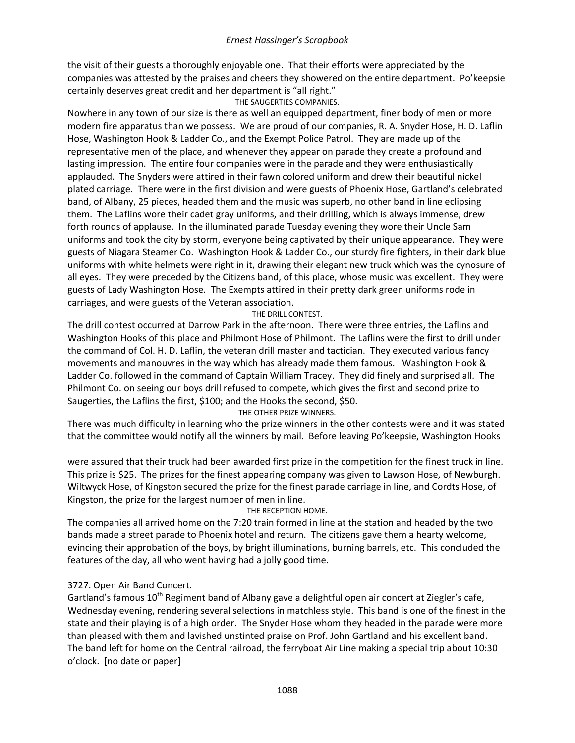the visit of their guests a thoroughly enjoyable one. That their efforts were appreciated by the companies was attested by the praises and cheers they showered on the entire department. Po'keepsie certainly deserves great credit and her department is "all right." THE SAUGERTIES COMPANIES.

Nowhere in any town of our size is there as well an equipped department, finer body of men or more modern fire apparatus than we possess. We are proud of our companies, R. A. Snyder Hose, H. D. Laflin Hose, Washington Hook & Ladder Co., and the Exempt Police Patrol. They are made up of the representative men of the place, and whenever they appear on parade they create a profound and lasting impression. The entire four companies were in the parade and they were enthusiastically applauded. The Snyders were attired in their fawn colored uniform and drew their beautiful nickel plated carriage. There were in the first division and were guests of Phoenix Hose, Gartland's celebrated band, of Albany, 25 pieces, headed them and the music was superb, no other band in line eclipsing them. The Laflins wore their cadet gray uniforms, and their drilling, which is always immense, drew forth rounds of applause. In the illuminated parade Tuesday evening they wore their Uncle Sam uniforms and took the city by storm, everyone being captivated by their unique appearance. They were guests of Niagara Steamer Co. Washington Hook & Ladder Co., our sturdy fire fighters, in their dark blue uniforms with white helmets were right in it, drawing their elegant new truck which was the cynosure of all eyes. They were preceded by the Citizens band, of this place, whose music was excellent. They were guests of Lady Washington Hose. The Exempts attired in their pretty dark green uniforms rode in carriages, and were guests of the Veteran association.

#### THE DRILL CONTEST.

The drill contest occurred at Darrow Park in the afternoon. There were three entries, the Laflins and Washington Hooks of this place and Philmont Hose of Philmont. The Laflins were the first to drill under the command of Col. H. D. Laflin, the veteran drill master and tactician. They executed various fancy movements and manouvres in the way which has already made them famous. Washington Hook & Ladder Co. followed in the command of Captain William Tracey. They did finely and surprised all. The Philmont Co. on seeing our boys drill refused to compete, which gives the first and second prize to Saugerties, the Laflins the first, \$100; and the Hooks the second, \$50.

THE OTHER PRIZE WINNERS.

There was much difficulty in learning who the prize winners in the other contests were and it was stated that the committee would notify all the winners by mail. Before leaving Po'keepsie, Washington Hooks

were assured that their truck had been awarded first prize in the competition for the finest truck in line. This prize is \$25. The prizes for the finest appearing company was given to Lawson Hose, of Newburgh. Wiltwyck Hose, of Kingston secured the prize for the finest parade carriage in line, and Cordts Hose, of Kingston, the prize for the largest number of men in line.

#### THE RECEPTION HOME.

The companies all arrived home on the 7:20 train formed in line at the station and headed by the two bands made a street parade to Phoenix hotel and return. The citizens gave them a hearty welcome, evincing their approbation of the boys, by bright illuminations, burning barrels, etc. This concluded the features of the day, all who went having had a jolly good time.

### 3727. Open Air Band Concert.

Gartland's famous 10<sup>th</sup> Regiment band of Albany gave a delightful open air concert at Ziegler's cafe, Wednesday evening, rendering several selections in matchless style. This band is one of the finest in the state and their playing is of a high order. The Snyder Hose whom they headed in the parade were more than pleased with them and lavished unstinted praise on Prof. John Gartland and his excellent band. The band left for home on the Central railroad, the ferryboat Air Line making a special trip about 10:30 o'clock. [no date or paper]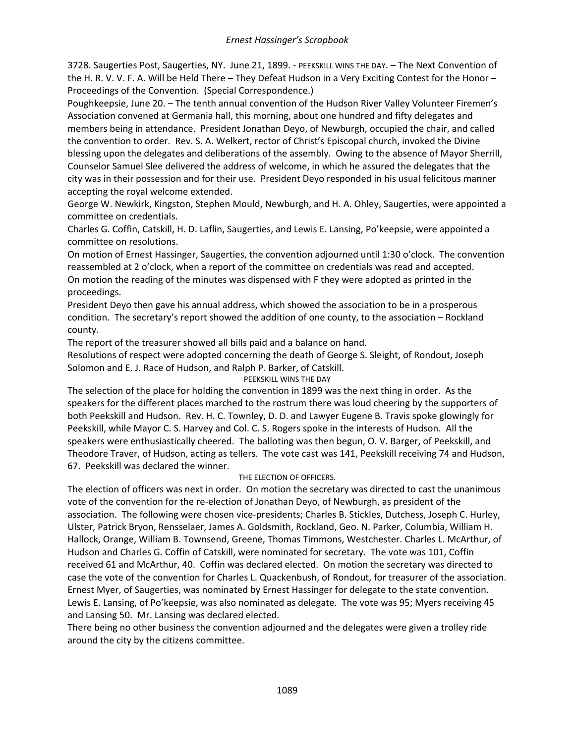3728. Saugerties Post, Saugerties, NY. June 21, 1899. - PEEKSKILL WINS THE DAY. – The Next Convention of the H. R. V. V. F. A. Will be Held There – They Defeat Hudson in a Very Exciting Contest for the Honor – Proceedings of the Convention. (Special Correspondence.)

Poughkeepsie, June 20. – The tenth annual convention of the Hudson River Valley Volunteer Firemen's Association convened at Germania hall, this morning, about one hundred and fifty delegates and members being in attendance. President Jonathan Deyo, of Newburgh, occupied the chair, and called the convention to order. Rev. S. A. Welkert, rector of Christ's Episcopal church, invoked the Divine blessing upon the delegates and deliberations of the assembly. Owing to the absence of Mayor Sherrill, Counselor Samuel Slee delivered the address of welcome, in which he assured the delegates that the city was in their possession and for their use. President Deyo responded in his usual felicitous manner accepting the royal welcome extended.

George W. Newkirk, Kingston, Stephen Mould, Newburgh, and H. A. Ohley, Saugerties, were appointed a committee on credentials.

Charles G. Coffin, Catskill, H. D. Laflin, Saugerties, and Lewis E. Lansing, Po'keepsie, were appointed a committee on resolutions.

On motion of Ernest Hassinger, Saugerties, the convention adjourned until 1:30 o'clock. The convention reassembled at 2 o'clock, when a report of the committee on credentials was read and accepted. On motion the reading of the minutes was dispensed with F they were adopted as printed in the proceedings.

President Deyo then gave his annual address, which showed the association to be in a prosperous condition. The secretary's report showed the addition of one county, to the association – Rockland county.

The report of the treasurer showed all bills paid and a balance on hand.

Resolutions of respect were adopted concerning the death of George S. Sleight, of Rondout, Joseph Solomon and E. J. Race of Hudson, and Ralph P. Barker, of Catskill.

### PEEKSKILL WINS THE DAY

The selection of the place for holding the convention in 1899 was the next thing in order. As the speakers for the different places marched to the rostrum there was loud cheering by the supporters of both Peekskill and Hudson. Rev. H. C. Townley, D. D. and Lawyer Eugene B. Travis spoke glowingly for Peekskill, while Mayor C. S. Harvey and Col. C. S. Rogers spoke in the interests of Hudson. All the speakers were enthusiastically cheered. The balloting was then begun, O. V. Barger, of Peekskill, and Theodore Traver, of Hudson, acting as tellers. The vote cast was 141, Peekskill receiving 74 and Hudson, 67. Peekskill was declared the winner.

### THE ELECTION OF OFFICERS.

The election of officers was next in order. On motion the secretary was directed to cast the unanimous vote of the convention for the re-election of Jonathan Deyo, of Newburgh, as president of the association. The following were chosen vice-presidents; Charles B. Stickles, Dutchess, Joseph C. Hurley, Ulster, Patrick Bryon, Rensselaer, James A. Goldsmith, Rockland, Geo. N. Parker, Columbia, William H. Hallock, Orange, William B. Townsend, Greene, Thomas Timmons, Westchester. Charles L. McArthur, of Hudson and Charles G. Coffin of Catskill, were nominated for secretary. The vote was 101, Coffin received 61 and McArthur, 40. Coffin was declared elected. On motion the secretary was directed to case the vote of the convention for Charles L. Quackenbush, of Rondout, for treasurer of the association. Ernest Myer, of Saugerties, was nominated by Ernest Hassinger for delegate to the state convention. Lewis E. Lansing, of Po'keepsie, was also nominated as delegate. The vote was 95; Myers receiving 45 and Lansing 50. Mr. Lansing was declared elected.

There being no other business the convention adjourned and the delegates were given a trolley ride around the city by the citizens committee.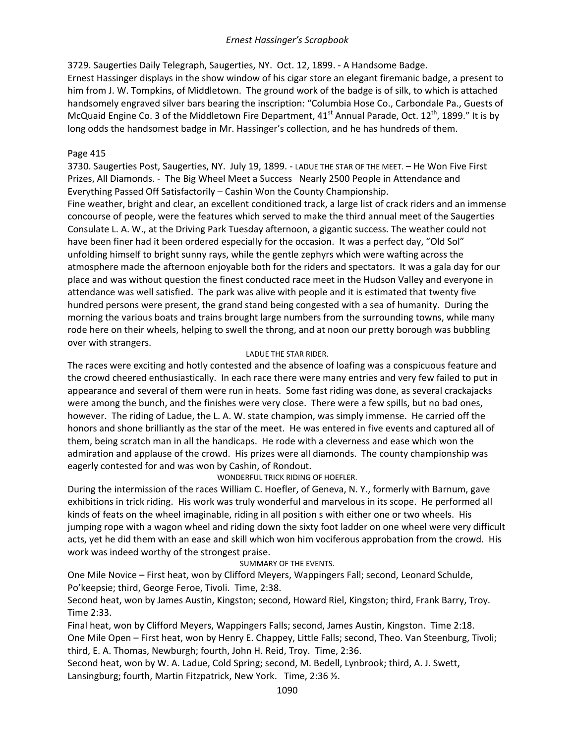3729. Saugerties Daily Telegraph, Saugerties, NY. Oct. 12, 1899. - A Handsome Badge. Ernest Hassinger displays in the show window of his cigar store an elegant firemanic badge, a present to him from J. W. Tompkins, of Middletown. The ground work of the badge is of silk, to which is attached handsomely engraved silver bars bearing the inscription: "Columbia Hose Co., Carbondale Pa., Guests of McQuaid Engine Co. 3 of the Middletown Fire Department,  $41<sup>st</sup>$  Annual Parade, Oct.  $12<sup>th</sup>$ , 1899." It is by long odds the handsomest badge in Mr. Hassinger's collection, and he has hundreds of them.

# Page 415

3730. Saugerties Post, Saugerties, NY. July 19, 1899. - LADUE THE STAR OF THE MEET. – He Won Five First Prizes, All Diamonds. - The Big Wheel Meet a Success Nearly 2500 People in Attendance and Everything Passed Off Satisfactorily – Cashin Won the County Championship.

Fine weather, bright and clear, an excellent conditioned track, a large list of crack riders and an immense concourse of people, were the features which served to make the third annual meet of the Saugerties Consulate L. A. W., at the Driving Park Tuesday afternoon, a gigantic success. The weather could not have been finer had it been ordered especially for the occasion. It was a perfect day, "Old Sol" unfolding himself to bright sunny rays, while the gentle zephyrs which were wafting across the atmosphere made the afternoon enjoyable both for the riders and spectators. It was a gala day for our place and was without question the finest conducted race meet in the Hudson Valley and everyone in attendance was well satisfied. The park was alive with people and it is estimated that twenty five hundred persons were present, the grand stand being congested with a sea of humanity. During the morning the various boats and trains brought large numbers from the surrounding towns, while many rode here on their wheels, helping to swell the throng, and at noon our pretty borough was bubbling over with strangers.

# LADUE THE STAR RIDER.

The races were exciting and hotly contested and the absence of loafing was a conspicuous feature and the crowd cheered enthusiastically. In each race there were many entries and very few failed to put in appearance and several of them were run in heats. Some fast riding was done, as several crackajacks were among the bunch, and the finishes were very close. There were a few spills, but no bad ones, however. The riding of Ladue, the L. A. W. state champion, was simply immense. He carried off the honors and shone brilliantly as the star of the meet. He was entered in five events and captured all of them, being scratch man in all the handicaps. He rode with a cleverness and ease which won the admiration and applause of the crowd. His prizes were all diamonds. The county championship was eagerly contested for and was won by Cashin, of Rondout.

# WONDERFUL TRICK RIDING OF HOEFLER.

During the intermission of the races William C. Hoefler, of Geneva, N. Y., formerly with Barnum, gave exhibitions in trick riding. His work was truly wonderful and marvelous in its scope. He performed all kinds of feats on the wheel imaginable, riding in all position s with either one or two wheels. His jumping rope with a wagon wheel and riding down the sixty foot ladder on one wheel were very difficult acts, yet he did them with an ease and skill which won him vociferous approbation from the crowd. His work was indeed worthy of the strongest praise.

# SUMMARY OF THE EVENTS.

One Mile Novice – First heat, won by Clifford Meyers, Wappingers Fall; second, Leonard Schulde, Po'keepsie; third, George Feroe, Tivoli. Time, 2:38.

Second heat, won by James Austin, Kingston; second, Howard Riel, Kingston; third, Frank Barry, Troy. Time 2:33.

Final heat, won by Clifford Meyers, Wappingers Falls; second, James Austin, Kingston. Time 2:18. One Mile Open – First heat, won by Henry E. Chappey, Little Falls; second, Theo. Van Steenburg, Tivoli; third, E. A. Thomas, Newburgh; fourth, John H. Reid, Troy. Time, 2:36.

Second heat, won by W. A. Ladue, Cold Spring; second, M. Bedell, Lynbrook; third, A. J. Swett, Lansingburg; fourth, Martin Fitzpatrick, New York. Time, 2:36 ½.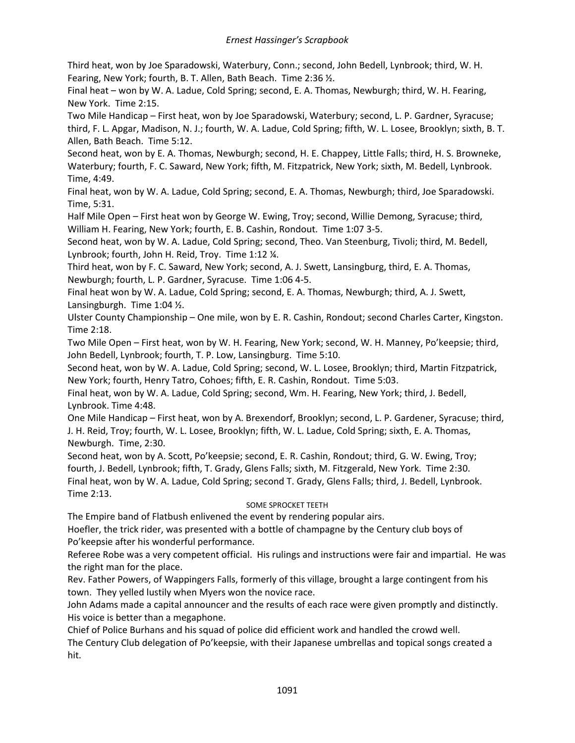Third heat, won by Joe Sparadowski, Waterbury, Conn.; second, John Bedell, Lynbrook; third, W. H. Fearing, New York; fourth, B. T. Allen, Bath Beach. Time 2:36 ½.

Final heat – won by W. A. Ladue, Cold Spring; second, E. A. Thomas, Newburgh; third, W. H. Fearing, New York. Time 2:15.

Two Mile Handicap – First heat, won by Joe Sparadowski, Waterbury; second, L. P. Gardner, Syracuse; third, F. L. Apgar, Madison, N. J.; fourth, W. A. Ladue, Cold Spring; fifth, W. L. Losee, Brooklyn; sixth, B. T. Allen, Bath Beach. Time 5:12.

Second heat, won by E. A. Thomas, Newburgh; second, H. E. Chappey, Little Falls; third, H. S. Browneke, Waterbury; fourth, F. C. Saward, New York; fifth, M. Fitzpatrick, New York; sixth, M. Bedell, Lynbrook. Time, 4:49.

Final heat, won by W. A. Ladue, Cold Spring; second, E. A. Thomas, Newburgh; third, Joe Sparadowski. Time, 5:31.

Half Mile Open – First heat won by George W. Ewing, Troy; second, Willie Demong, Syracuse; third, William H. Fearing, New York; fourth, E. B. Cashin, Rondout. Time 1:07 3-5.

Second heat, won by W. A. Ladue, Cold Spring; second, Theo. Van Steenburg, Tivoli; third, M. Bedell, Lynbrook; fourth, John H. Reid, Troy. Time 1:12 ¼.

Third heat, won by F. C. Saward, New York; second, A. J. Swett, Lansingburg, third, E. A. Thomas, Newburgh; fourth, L. P. Gardner, Syracuse. Time 1:06 4-5.

Final heat won by W. A. Ladue, Cold Spring; second, E. A. Thomas, Newburgh; third, A. J. Swett, Lansingburgh. Time 1:04 ½.

Ulster County Championship – One mile, won by E. R. Cashin, Rondout; second Charles Carter, Kingston. Time 2:18.

Two Mile Open – First heat, won by W. H. Fearing, New York; second, W. H. Manney, Po'keepsie; third, John Bedell, Lynbrook; fourth, T. P. Low, Lansingburg. Time 5:10.

Second heat, won by W. A. Ladue, Cold Spring; second, W. L. Losee, Brooklyn; third, Martin Fitzpatrick, New York; fourth, Henry Tatro, Cohoes; fifth, E. R. Cashin, Rondout. Time 5:03.

Final heat, won by W. A. Ladue, Cold Spring; second, Wm. H. Fearing, New York; third, J. Bedell, Lynbrook. Time 4:48.

One Mile Handicap – First heat, won by A. Brexendorf, Brooklyn; second, L. P. Gardener, Syracuse; third, J. H. Reid, Troy; fourth, W. L. Losee, Brooklyn; fifth, W. L. Ladue, Cold Spring; sixth, E. A. Thomas, Newburgh. Time, 2:30.

Second heat, won by A. Scott, Po'keepsie; second, E. R. Cashin, Rondout; third, G. W. Ewing, Troy; fourth, J. Bedell, Lynbrook; fifth, T. Grady, Glens Falls; sixth, M. Fitzgerald, New York. Time 2:30. Final heat, won by W. A. Ladue, Cold Spring; second T. Grady, Glens Falls; third, J. Bedell, Lynbrook. Time 2:13.

### SOME SPROCKET TEETH

The Empire band of Flatbush enlivened the event by rendering popular airs.

Hoefler, the trick rider, was presented with a bottle of champagne by the Century club boys of Po'keepsie after his wonderful performance.

Referee Robe was a very competent official. His rulings and instructions were fair and impartial. He was the right man for the place.

Rev. Father Powers, of Wappingers Falls, formerly of this village, brought a large contingent from his town. They yelled lustily when Myers won the novice race.

John Adams made a capital announcer and the results of each race were given promptly and distinctly. His voice is better than a megaphone.

Chief of Police Burhans and his squad of police did efficient work and handled the crowd well.

The Century Club delegation of Po'keepsie, with their Japanese umbrellas and topical songs created a hit.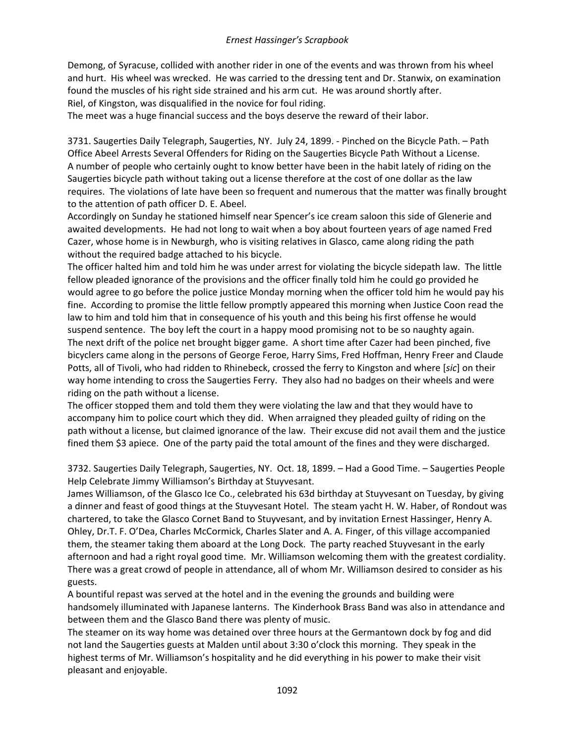Demong, of Syracuse, collided with another rider in one of the events and was thrown from his wheel and hurt. His wheel was wrecked. He was carried to the dressing tent and Dr. Stanwix, on examination found the muscles of his right side strained and his arm cut. He was around shortly after. Riel, of Kingston, was disqualified in the novice for foul riding.

The meet was a huge financial success and the boys deserve the reward of their labor.

3731. Saugerties Daily Telegraph, Saugerties, NY. July 24, 1899. - Pinched on the Bicycle Path. – Path Office Abeel Arrests Several Offenders for Riding on the Saugerties Bicycle Path Without a License. A number of people who certainly ought to know better have been in the habit lately of riding on the Saugerties bicycle path without taking out a license therefore at the cost of one dollar as the law requires. The violations of late have been so frequent and numerous that the matter was finally brought to the attention of path officer D. E. Abeel.

Accordingly on Sunday he stationed himself near Spencer's ice cream saloon this side of Glenerie and awaited developments. He had not long to wait when a boy about fourteen years of age named Fred Cazer, whose home is in Newburgh, who is visiting relatives in Glasco, came along riding the path without the required badge attached to his bicycle.

The officer halted him and told him he was under arrest for violating the bicycle sidepath law. The little fellow pleaded ignorance of the provisions and the officer finally told him he could go provided he would agree to go before the police justice Monday morning when the officer told him he would pay his fine. According to promise the little fellow promptly appeared this morning when Justice Coon read the law to him and told him that in consequence of his youth and this being his first offense he would suspend sentence. The boy left the court in a happy mood promising not to be so naughty again. The next drift of the police net brought bigger game. A short time after Cazer had been pinched, five bicyclers came along in the persons of George Feroe, Harry Sims, Fred Hoffman, Henry Freer and Claude Potts, all of Tivoli, who had ridden to Rhinebeck, crossed the ferry to Kingston and where [*sic*] on their way home intending to cross the Saugerties Ferry. They also had no badges on their wheels and were riding on the path without a license.

The officer stopped them and told them they were violating the law and that they would have to accompany him to police court which they did. When arraigned they pleaded guilty of riding on the path without a license, but claimed ignorance of the law. Their excuse did not avail them and the justice fined them \$3 apiece. One of the party paid the total amount of the fines and they were discharged.

3732. Saugerties Daily Telegraph, Saugerties, NY. Oct. 18, 1899. – Had a Good Time. – Saugerties People Help Celebrate Jimmy Williamson's Birthday at Stuyvesant.

James Williamson, of the Glasco Ice Co., celebrated his 63d birthday at Stuyvesant on Tuesday, by giving a dinner and feast of good things at the Stuyvesant Hotel. The steam yacht H. W. Haber, of Rondout was chartered, to take the Glasco Cornet Band to Stuyvesant, and by invitation Ernest Hassinger, Henry A. Ohley, Dr.T. F. O'Dea, Charles McCormick, Charles Slater and A. A. Finger, of this village accompanied them, the steamer taking them aboard at the Long Dock. The party reached Stuyvesant in the early afternoon and had a right royal good time. Mr. Williamson welcoming them with the greatest cordiality. There was a great crowd of people in attendance, all of whom Mr. Williamson desired to consider as his guests.

A bountiful repast was served at the hotel and in the evening the grounds and building were handsomely illuminated with Japanese lanterns. The Kinderhook Brass Band was also in attendance and between them and the Glasco Band there was plenty of music.

The steamer on its way home was detained over three hours at the Germantown dock by fog and did not land the Saugerties guests at Malden until about 3:30 o'clock this morning. They speak in the highest terms of Mr. Williamson's hospitality and he did everything in his power to make their visit pleasant and enjoyable.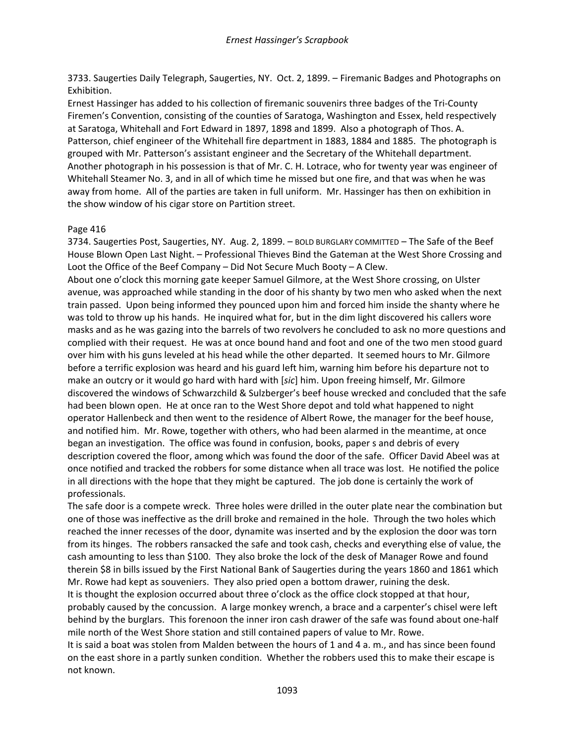3733. Saugerties Daily Telegraph, Saugerties, NY. Oct. 2, 1899. – Firemanic Badges and Photographs on Exhibition.

Ernest Hassinger has added to his collection of firemanic souvenirs three badges of the Tri-County Firemen's Convention, consisting of the counties of Saratoga, Washington and Essex, held respectively at Saratoga, Whitehall and Fort Edward in 1897, 1898 and 1899. Also a photograph of Thos. A. Patterson, chief engineer of the Whitehall fire department in 1883, 1884 and 1885. The photograph is grouped with Mr. Patterson's assistant engineer and the Secretary of the Whitehall department. Another photograph in his possession is that of Mr. C. H. Lotrace, who for twenty year was engineer of Whitehall Steamer No. 3, and in all of which time he missed but one fire, and that was when he was away from home. All of the parties are taken in full uniform. Mr. Hassinger has then on exhibition in the show window of his cigar store on Partition street.

### Page 416

3734. Saugerties Post, Saugerties, NY. Aug. 2, 1899. – BOLD BURGLARY COMMITTED – The Safe of the Beef House Blown Open Last Night. – Professional Thieves Bind the Gateman at the West Shore Crossing and Loot the Office of the Beef Company – Did Not Secure Much Booty – A Clew.

About one o'clock this morning gate keeper Samuel Gilmore, at the West Shore crossing, on Ulster avenue, was approached while standing in the door of his shanty by two men who asked when the next train passed. Upon being informed they pounced upon him and forced him inside the shanty where he was told to throw up his hands. He inquired what for, but in the dim light discovered his callers wore masks and as he was gazing into the barrels of two revolvers he concluded to ask no more questions and complied with their request. He was at once bound hand and foot and one of the two men stood guard over him with his guns leveled at his head while the other departed. It seemed hours to Mr. Gilmore before a terrific explosion was heard and his guard left him, warning him before his departure not to make an outcry or it would go hard with hard with [*sic*] him. Upon freeing himself, Mr. Gilmore discovered the windows of Schwarzchild & Sulzberger's beef house wrecked and concluded that the safe had been blown open. He at once ran to the West Shore depot and told what happened to night operator Hallenbeck and then went to the residence of Albert Rowe, the manager for the beef house, and notified him. Mr. Rowe, together with others, who had been alarmed in the meantime, at once began an investigation. The office was found in confusion, books, paper s and debris of every description covered the floor, among which was found the door of the safe. Officer David Abeel was at once notified and tracked the robbers for some distance when all trace was lost. He notified the police in all directions with the hope that they might be captured. The job done is certainly the work of professionals.

The safe door is a compete wreck. Three holes were drilled in the outer plate near the combination but one of those was ineffective as the drill broke and remained in the hole. Through the two holes which reached the inner recesses of the door, dynamite was inserted and by the explosion the door was torn from its hinges. The robbers ransacked the safe and took cash, checks and everything else of value, the cash amounting to less than \$100. They also broke the lock of the desk of Manager Rowe and found therein \$8 in bills issued by the First National Bank of Saugerties during the years 1860 and 1861 which Mr. Rowe had kept as souveniers. They also pried open a bottom drawer, ruining the desk.

It is thought the explosion occurred about three o'clock as the office clock stopped at that hour, probably caused by the concussion. A large monkey wrench, a brace and a carpenter's chisel were left behind by the burglars. This forenoon the inner iron cash drawer of the safe was found about one-half mile north of the West Shore station and still contained papers of value to Mr. Rowe.

It is said a boat was stolen from Malden between the hours of 1 and 4 a. m., and has since been found on the east shore in a partly sunken condition. Whether the robbers used this to make their escape is not known.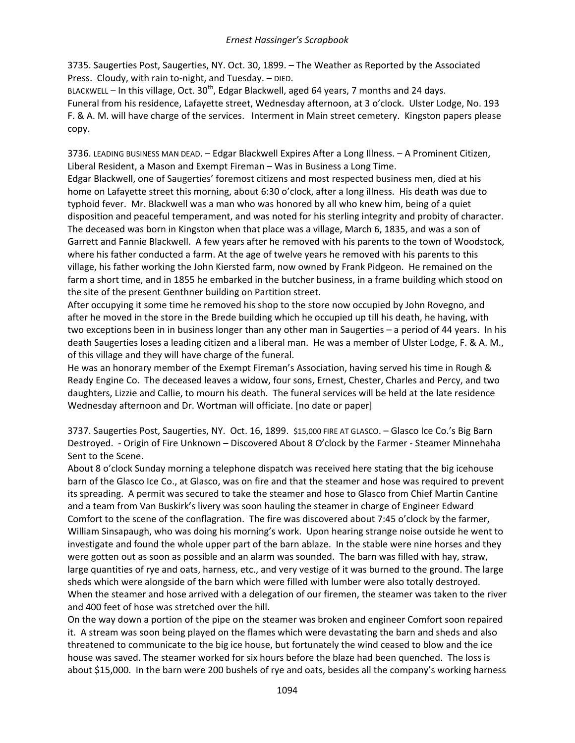3735. Saugerties Post, Saugerties, NY. Oct. 30, 1899. – The Weather as Reported by the Associated Press. Cloudy, with rain to-night, and Tuesday. – DIED.

BLACKWELL – In this village, Oct.  $30<sup>th</sup>$ , Edgar Blackwell, aged 64 years, 7 months and 24 days. Funeral from his residence, Lafayette street, Wednesday afternoon, at 3 o'clock. Ulster Lodge, No. 193 F. & A. M. will have charge of the services. Interment in Main street cemetery. Kingston papers please copy.

3736. LEADING BUSINESS MAN DEAD. – Edgar Blackwell Expires After a Long Illness. – A Prominent Citizen, Liberal Resident, a Mason and Exempt Fireman – Was in Business a Long Time.

Edgar Blackwell, one of Saugerties' foremost citizens and most respected business men, died at his home on Lafayette street this morning, about 6:30 o'clock, after a long illness. His death was due to typhoid fever. Mr. Blackwell was a man who was honored by all who knew him, being of a quiet disposition and peaceful temperament, and was noted for his sterling integrity and probity of character. The deceased was born in Kingston when that place was a village, March 6, 1835, and was a son of Garrett and Fannie Blackwell. A few years after he removed with his parents to the town of Woodstock, where his father conducted a farm. At the age of twelve years he removed with his parents to this village, his father working the John Kiersted farm, now owned by Frank Pidgeon. He remained on the farm a short time, and in 1855 he embarked in the butcher business, in a frame building which stood on the site of the present Genthner building on Partition street.

After occupying it some time he removed his shop to the store now occupied by John Rovegno, and after he moved in the store in the Brede building which he occupied up till his death, he having, with two exceptions been in in business longer than any other man in Saugerties – a period of 44 years. In his death Saugerties loses a leading citizen and a liberal man. He was a member of Ulster Lodge, F. & A. M., of this village and they will have charge of the funeral.

He was an honorary member of the Exempt Fireman's Association, having served his time in Rough & Ready Engine Co. The deceased leaves a widow, four sons, Ernest, Chester, Charles and Percy, and two daughters, Lizzie and Callie, to mourn his death. The funeral services will be held at the late residence Wednesday afternoon and Dr. Wortman will officiate. [no date or paper]

3737. Saugerties Post, Saugerties, NY. Oct. 16, 1899. \$15,000 FIRE AT GLASCO. – Glasco Ice Co.'s Big Barn Destroyed. - Origin of Fire Unknown – Discovered About 8 O'clock by the Farmer - Steamer Minnehaha Sent to the Scene.

About 8 o'clock Sunday morning a telephone dispatch was received here stating that the big icehouse barn of the Glasco Ice Co., at Glasco, was on fire and that the steamer and hose was required to prevent its spreading. A permit was secured to take the steamer and hose to Glasco from Chief Martin Cantine and a team from Van Buskirk's livery was soon hauling the steamer in charge of Engineer Edward Comfort to the scene of the conflagration. The fire was discovered about 7:45 o'clock by the farmer, William Sinsapaugh, who was doing his morning's work. Upon hearing strange noise outside he went to investigate and found the whole upper part of the barn ablaze. In the stable were nine horses and they were gotten out as soon as possible and an alarm was sounded. The barn was filled with hay, straw, large quantities of rye and oats, harness, etc., and very vestige of it was burned to the ground. The large sheds which were alongside of the barn which were filled with lumber were also totally destroyed. When the steamer and hose arrived with a delegation of our firemen, the steamer was taken to the river and 400 feet of hose was stretched over the hill.

On the way down a portion of the pipe on the steamer was broken and engineer Comfort soon repaired it. A stream was soon being played on the flames which were devastating the barn and sheds and also threatened to communicate to the big ice house, but fortunately the wind ceased to blow and the ice house was saved. The steamer worked for six hours before the blaze had been quenched. The loss is about \$15,000. In the barn were 200 bushels of rye and oats, besides all the company's working harness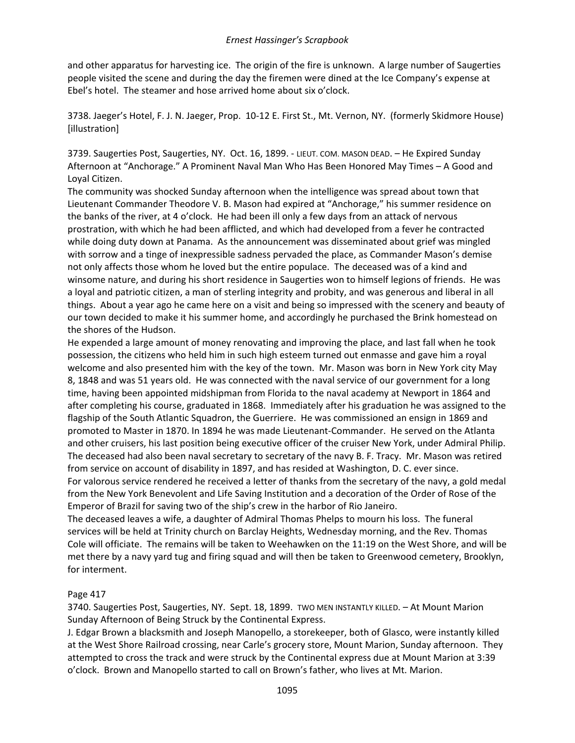and other apparatus for harvesting ice. The origin of the fire is unknown. A large number of Saugerties people visited the scene and during the day the firemen were dined at the Ice Company's expense at Ebel's hotel. The steamer and hose arrived home about six o'clock.

3738. Jaeger's Hotel, F. J. N. Jaeger, Prop. 10-12 E. First St., Mt. Vernon, NY. (formerly Skidmore House) [illustration]

3739. Saugerties Post, Saugerties, NY. Oct. 16, 1899. - LIEUT. COM. MASON DEAD. – He Expired Sunday Afternoon at "Anchorage." A Prominent Naval Man Who Has Been Honored May Times – A Good and Loyal Citizen.

The community was shocked Sunday afternoon when the intelligence was spread about town that Lieutenant Commander Theodore V. B. Mason had expired at "Anchorage," his summer residence on the banks of the river, at 4 o'clock. He had been ill only a few days from an attack of nervous prostration, with which he had been afflicted, and which had developed from a fever he contracted while doing duty down at Panama. As the announcement was disseminated about grief was mingled with sorrow and a tinge of inexpressible sadness pervaded the place, as Commander Mason's demise not only affects those whom he loved but the entire populace. The deceased was of a kind and winsome nature, and during his short residence in Saugerties won to himself legions of friends. He was a loyal and patriotic citizen, a man of sterling integrity and probity, and was generous and liberal in all things. About a year ago he came here on a visit and being so impressed with the scenery and beauty of our town decided to make it his summer home, and accordingly he purchased the Brink homestead on the shores of the Hudson.

He expended a large amount of money renovating and improving the place, and last fall when he took possession, the citizens who held him in such high esteem turned out enmasse and gave him a royal welcome and also presented him with the key of the town. Mr. Mason was born in New York city May 8, 1848 and was 51 years old. He was connected with the naval service of our government for a long time, having been appointed midshipman from Florida to the naval academy at Newport in 1864 and after completing his course, graduated in 1868. Immediately after his graduation he was assigned to the flagship of the South Atlantic Squadron, the Guerriere. He was commissioned an ensign in 1869 and promoted to Master in 1870. In 1894 he was made Lieutenant-Commander. He served on the Atlanta and other cruisers, his last position being executive officer of the cruiser New York, under Admiral Philip. The deceased had also been naval secretary to secretary of the navy B. F. Tracy. Mr. Mason was retired from service on account of disability in 1897, and has resided at Washington, D. C. ever since. For valorous service rendered he received a letter of thanks from the secretary of the navy, a gold medal from the New York Benevolent and Life Saving Institution and a decoration of the Order of Rose of the Emperor of Brazil for saving two of the ship's crew in the harbor of Rio Janeiro.

The deceased leaves a wife, a daughter of Admiral Thomas Phelps to mourn his loss. The funeral services will be held at Trinity church on Barclay Heights, Wednesday morning, and the Rev. Thomas Cole will officiate. The remains will be taken to Weehawken on the 11:19 on the West Shore, and will be met there by a navy yard tug and firing squad and will then be taken to Greenwood cemetery, Brooklyn, for interment.

### Page 417

3740. Saugerties Post, Saugerties, NY. Sept. 18, 1899. TWO MEN INSTANTLY KILLED. – At Mount Marion Sunday Afternoon of Being Struck by the Continental Express.

J. Edgar Brown a blacksmith and Joseph Manopello, a storekeeper, both of Glasco, were instantly killed at the West Shore Railroad crossing, near Carle's grocery store, Mount Marion, Sunday afternoon. They attempted to cross the track and were struck by the Continental express due at Mount Marion at 3:39 o'clock. Brown and Manopello started to call on Brown's father, who lives at Mt. Marion.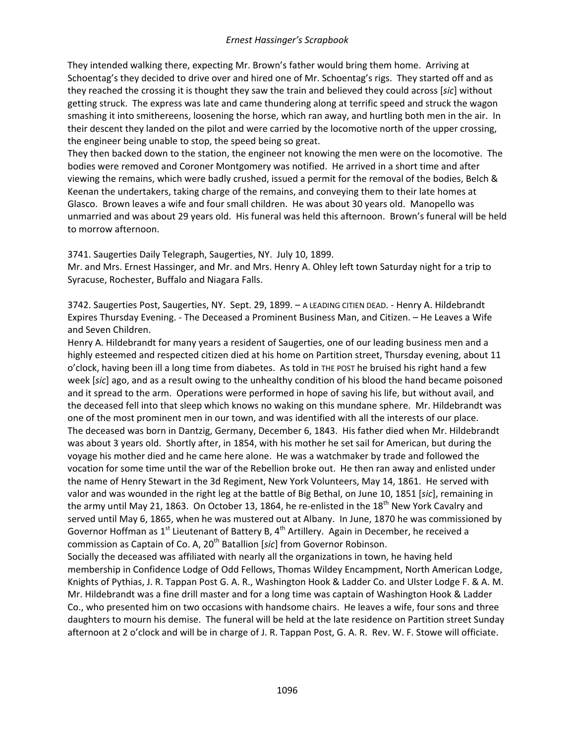They intended walking there, expecting Mr. Brown's father would bring them home. Arriving at Schoentag's they decided to drive over and hired one of Mr. Schoentag's rigs. They started off and as they reached the crossing it is thought they saw the train and believed they could across [*sic*] without getting struck. The express was late and came thundering along at terrific speed and struck the wagon smashing it into smithereens, loosening the horse, which ran away, and hurtling both men in the air. In their descent they landed on the pilot and were carried by the locomotive north of the upper crossing, the engineer being unable to stop, the speed being so great.

They then backed down to the station, the engineer not knowing the men were on the locomotive. The bodies were removed and Coroner Montgomery was notified. He arrived in a short time and after viewing the remains, which were badly crushed, issued a permit for the removal of the bodies, Belch & Keenan the undertakers, taking charge of the remains, and conveying them to their late homes at Glasco. Brown leaves a wife and four small children. He was about 30 years old. Manopello was unmarried and was about 29 years old. His funeral was held this afternoon. Brown's funeral will be held to morrow afternoon.

3741. Saugerties Daily Telegraph, Saugerties, NY. July 10, 1899.

Mr. and Mrs. Ernest Hassinger, and Mr. and Mrs. Henry A. Ohley left town Saturday night for a trip to Syracuse, Rochester, Buffalo and Niagara Falls.

3742. Saugerties Post, Saugerties, NY. Sept. 29, 1899. – A LEADING CITIEN DEAD. - Henry A. Hildebrandt Expires Thursday Evening. - The Deceased a Prominent Business Man, and Citizen. – He Leaves a Wife and Seven Children.

Henry A. Hildebrandt for many years a resident of Saugerties, one of our leading business men and a highly esteemed and respected citizen died at his home on Partition street, Thursday evening, about 11 o'clock, having been ill a long time from diabetes. As told in THE POST he bruised his right hand a few week [*sic*] ago, and as a result owing to the unhealthy condition of his blood the hand became poisoned and it spread to the arm. Operations were performed in hope of saving his life, but without avail, and the deceased fell into that sleep which knows no waking on this mundane sphere. Mr. Hildebrandt was one of the most prominent men in our town, and was identified with all the interests of our place. The deceased was born in Dantzig, Germany, December 6, 1843. His father died when Mr. Hildebrandt was about 3 years old. Shortly after, in 1854, with his mother he set sail for American, but during the voyage his mother died and he came here alone. He was a watchmaker by trade and followed the vocation for some time until the war of the Rebellion broke out. He then ran away and enlisted under the name of Henry Stewart in the 3d Regiment, New York Volunteers, May 14, 1861. He served with valor and was wounded in the right leg at the battle of Big Bethal, on June 10, 1851 [*sic*], remaining in the army until May 21, 1863. On October 13, 1864, he re-enlisted in the  $18<sup>th</sup>$  New York Cavalry and served until May 6, 1865, when he was mustered out at Albany. In June, 1870 he was commissioned by Governor Hoffman as  $1<sup>st</sup>$  Lieutenant of Battery B,  $4<sup>th</sup>$  Artillery. Again in December, he received a commission as Captain of Co. A, 20th Batallion [*sic*] from Governor Robinson. Socially the deceased was affiliated with nearly all the organizations in town, he having held

membership in Confidence Lodge of Odd Fellows, Thomas Wildey Encampment, North American Lodge, Knights of Pythias, J. R. Tappan Post G. A. R., Washington Hook & Ladder Co. and Ulster Lodge F. & A. M. Mr. Hildebrandt was a fine drill master and for a long time was captain of Washington Hook & Ladder Co., who presented him on two occasions with handsome chairs. He leaves a wife, four sons and three daughters to mourn his demise. The funeral will be held at the late residence on Partition street Sunday afternoon at 2 o'clock and will be in charge of J. R. Tappan Post, G. A. R. Rev. W. F. Stowe will officiate.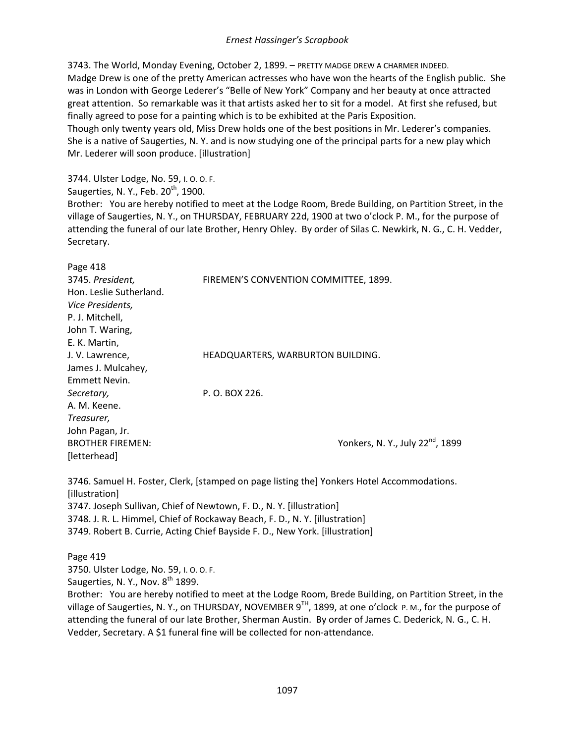3743. The World, Monday Evening, October 2, 1899. – PRETTY MADGE DREW A CHARMER INDEED. Madge Drew is one of the pretty American actresses who have won the hearts of the English public. She was in London with George Lederer's "Belle of New York" Company and her beauty at once attracted great attention. So remarkable was it that artists asked her to sit for a model. At first she refused, but finally agreed to pose for a painting which is to be exhibited at the Paris Exposition.

Though only twenty years old, Miss Drew holds one of the best positions in Mr. Lederer's companies. She is a native of Saugerties, N. Y. and is now studying one of the principal parts for a new play which Mr. Lederer will soon produce. [illustration]

3744. Ulster Lodge, No. 59, I. O. O. F. Saugerties, N. Y., Feb.  $20<sup>th</sup>$ , 1900. Brother: You are hereby notified to meet at the Lodge Room, Brede Building, on Partition Street, in the village of Saugerties, N. Y., on THURSDAY, FEBRUARY 22d, 1900 at two o'clock P. M., for the purpose of attending the funeral of our late Brother, Henry Ohley. By order of Silas C. Newkirk, N. G., C. H. Vedder, Secretary.

| Page 418                |                                             |
|-------------------------|---------------------------------------------|
| 3745. President,        | FIREMEN'S CONVENTION COMMITTEE, 1899.       |
| Hon. Leslie Sutherland. |                                             |
| Vice Presidents,        |                                             |
| P. J. Mitchell,         |                                             |
| John T. Waring,         |                                             |
| E. K. Martin,           |                                             |
| J. V. Lawrence,         | HEADQUARTERS, WARBURTON BUILDING.           |
| James J. Mulcahey,      |                                             |
| Emmett Nevin.           |                                             |
| Secretary,              | P. O. BOX 226.                              |
| A. M. Keene.            |                                             |
| Treasurer,              |                                             |
| John Pagan, Jr.         |                                             |
| <b>BROTHER FIREMEN:</b> | Yonkers, N.Y., July 22 <sup>nd</sup> , 1899 |
| [letterhead]            |                                             |
|                         |                                             |

3746. Samuel H. Foster, Clerk, [stamped on page listing the] Yonkers Hotel Accommodations. [illustration] 3747. Joseph Sullivan, Chief of Newtown, F. D., N. Y. [illustration] 3748. J. R. L. Himmel, Chief of Rockaway Beach, F. D., N. Y. [illustration] 3749. Robert B. Currie, Acting Chief Bayside F. D., New York. [illustration]

Page 419 3750. Ulster Lodge, No. 59, I. O. O. F. Saugerties, N. Y., Nov.  $8^{th}$  1899. Brother: You are hereby notified to meet at the Lodge Room, Brede Building, on Partition Street, in the village of Saugerties, N. Y., on THURSDAY, NOVEMBER 9<sup>TH</sup>, 1899, at one o'clock P. M., for the purpose of attending the funeral of our late Brother, Sherman Austin. By order of James C. Dederick, N. G., C. H. Vedder, Secretary. A \$1 funeral fine will be collected for non-attendance.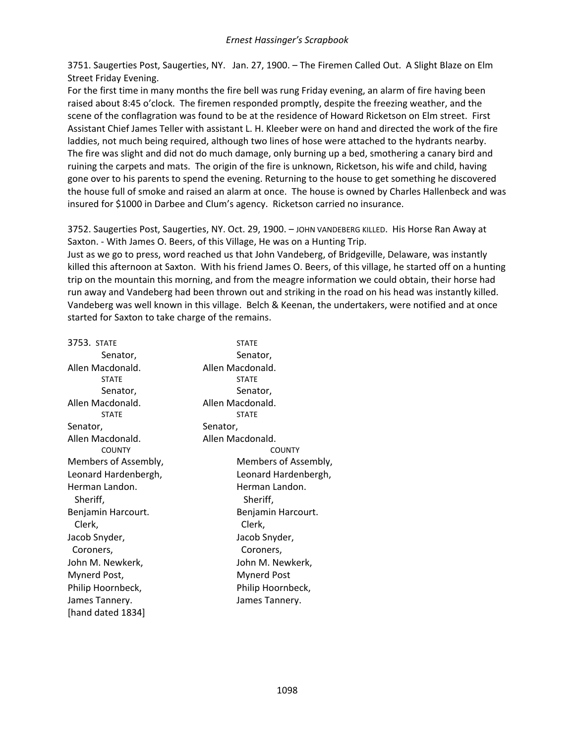3751. Saugerties Post, Saugerties, NY. Jan. 27, 1900. – The Firemen Called Out. A Slight Blaze on Elm Street Friday Evening.

For the first time in many months the fire bell was rung Friday evening, an alarm of fire having been raised about 8:45 o'clock. The firemen responded promptly, despite the freezing weather, and the scene of the conflagration was found to be at the residence of Howard Ricketson on Elm street. First Assistant Chief James Teller with assistant L. H. Kleeber were on hand and directed the work of the fire laddies, not much being required, although two lines of hose were attached to the hydrants nearby. The fire was slight and did not do much damage, only burning up a bed, smothering a canary bird and ruining the carpets and mats. The origin of the fire is unknown, Ricketson, his wife and child, having gone over to his parents to spend the evening. Returning to the house to get something he discovered the house full of smoke and raised an alarm at once. The house is owned by Charles Hallenbeck and was insured for \$1000 in Darbee and Clum's agency. Ricketson carried no insurance.

3752. Saugerties Post, Saugerties, NY. Oct. 29, 1900. - JOHN VANDEBERG KILLED. His Horse Ran Away at Saxton. - With James O. Beers, of this Village, He was on a Hunting Trip.

Just as we go to press, word reached us that John Vandeberg, of Bridgeville, Delaware, was instantly killed this afternoon at Saxton. With his friend James O. Beers, of this village, he started off on a hunting trip on the mountain this morning, and from the meagre information we could obtain, their horse had run away and Vandeberg had been thrown out and striking in the road on his head was instantly killed. Vandeberg was well known in this village. Belch & Keenan, the undertakers, were notified and at once started for Saxton to take charge of the remains.

| 3753. STATE          | <b>STATE</b>         |
|----------------------|----------------------|
| Senator,             | Senator,             |
| Allen Macdonald.     | Allen Macdonald.     |
| <b>STATE</b>         | <b>STATE</b>         |
| Senator,             | Senator,             |
| Allen Macdonald.     | Allen Macdonald.     |
| <b>STATE</b>         | <b>STATE</b>         |
| Senator,             | Senator,             |
| Allen Macdonald.     | Allen Macdonald.     |
| <b>COUNTY</b>        | <b>COUNTY</b>        |
| Members of Assembly, | Members of Assembly, |
| Leonard Hardenbergh, | Leonard Hardenbergh, |
| Herman Landon.       | Herman Landon.       |
| Sheriff,             | Sheriff,             |
| Benjamin Harcourt.   | Benjamin Harcourt.   |
| Clerk,               | Clerk,               |
| Jacob Snyder,        | Jacob Snyder,        |
| Coroners,            | Coroners,            |
| John M. Newkerk,     | John M. Newkerk,     |
| Mynerd Post,         | <b>Mynerd Post</b>   |
| Philip Hoornbeck,    | Philip Hoornbeck,    |
| James Tannery.       | James Tannery.       |
| [hand dated 1834]    |                      |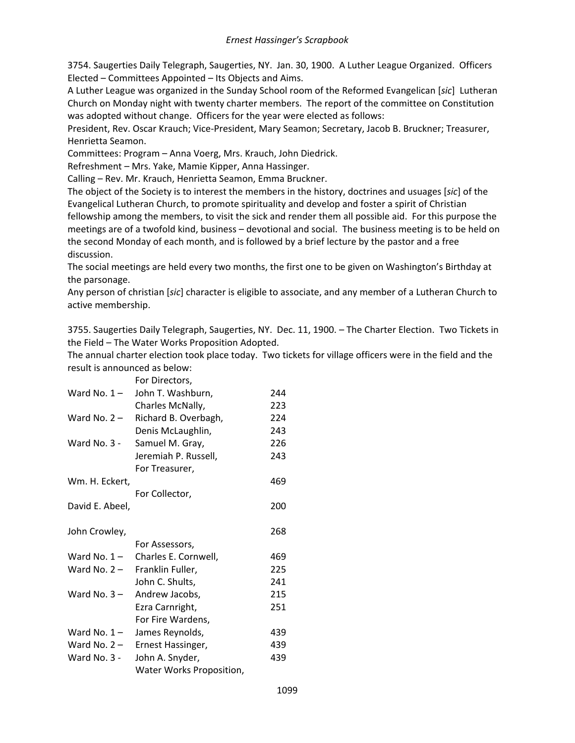3754. Saugerties Daily Telegraph, Saugerties, NY. Jan. 30, 1900. A Luther League Organized. Officers Elected – Committees Appointed – Its Objects and Aims.

A Luther League was organized in the Sunday School room of the Reformed Evangelican [*sic*] Lutheran Church on Monday night with twenty charter members. The report of the committee on Constitution was adopted without change. Officers for the year were elected as follows:

President, Rev. Oscar Krauch; Vice-President, Mary Seamon; Secretary, Jacob B. Bruckner; Treasurer, Henrietta Seamon.

Committees: Program – Anna Voerg, Mrs. Krauch, John Diedrick.

Refreshment – Mrs. Yake, Mamie Kipper, Anna Hassinger.

Calling – Rev. Mr. Krauch, Henrietta Seamon, Emma Bruckner.

The object of the Society is to interest the members in the history, doctrines and usuages [*sic*] of the Evangelical Lutheran Church, to promote spirituality and develop and foster a spirit of Christian fellowship among the members, to visit the sick and render them all possible aid. For this purpose the meetings are of a twofold kind, business – devotional and social. The business meeting is to be held on the second Monday of each month, and is followed by a brief lecture by the pastor and a free discussion.

The social meetings are held every two months, the first one to be given on Washington's Birthday at the parsonage.

Any person of christian [*sic*] character is eligible to associate, and any member of a Lutheran Church to active membership.

3755. Saugerties Daily Telegraph, Saugerties, NY. Dec. 11, 1900. – The Charter Election. Two Tickets in the Field – The Water Works Proposition Adopted.

The annual charter election took place today. Two tickets for village officers were in the field and the result is announced as below:

|                 | For Directors,           |     |
|-----------------|--------------------------|-----|
| Ward No. $1 -$  | John T. Washburn,        | 244 |
|                 | Charles McNally,         | 223 |
| Ward No. $2 -$  | Richard B. Overbagh,     | 224 |
|                 | Denis McLaughlin,        | 243 |
| Ward No. 3 -    | Samuel M. Gray,          | 226 |
|                 | Jeremiah P. Russell,     | 243 |
|                 | For Treasurer,           |     |
| Wm. H. Eckert,  |                          | 469 |
|                 | For Collector,           |     |
| David E. Abeel, |                          | 200 |
|                 |                          |     |
| John Crowley,   |                          | 268 |
|                 | For Assessors,           |     |
| Ward No. $1-$   | Charles E. Cornwell,     | 469 |
| Ward No. $2 -$  | Franklin Fuller,         | 225 |
|                 | John C. Shults,          | 241 |
| Ward No. $3 -$  | Andrew Jacobs,           | 215 |
|                 | Ezra Carnright,          | 251 |
|                 | For Fire Wardens,        |     |
| Ward No. $1 -$  | James Reynolds,          | 439 |
| Ward No. $2-$   | Ernest Hassinger,        | 439 |
| Ward No. $3 -$  | John A. Snyder,          | 439 |
|                 | Water Works Proposition, |     |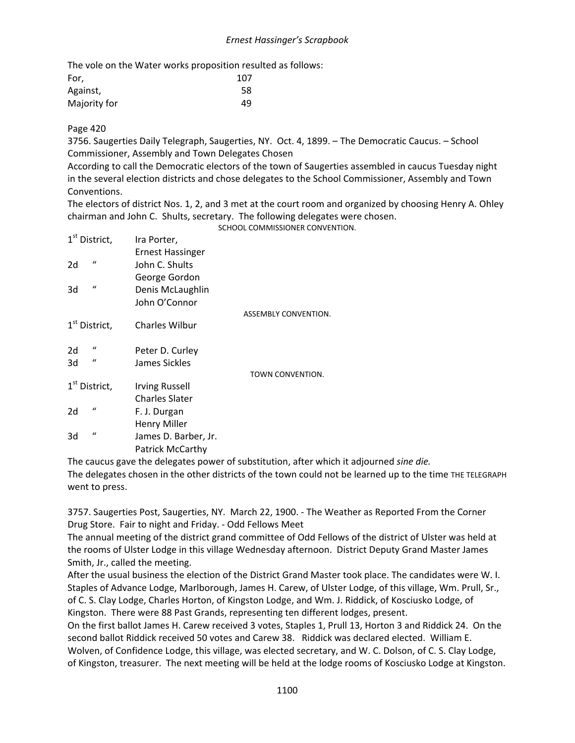The vole on the Water works proposition resulted as follows:

| For,         | 107 |
|--------------|-----|
| Against,     | 58  |
| Majority for | 49  |

# Page 420

3756. Saugerties Daily Telegraph, Saugerties, NY. Oct. 4, 1899. – The Democratic Caucus. – School Commissioner, Assembly and Town Delegates Chosen

According to call the Democratic electors of the town of Saugerties assembled in caucus Tuesday night in the several election districts and chose delegates to the School Commissioner, Assembly and Town Conventions.

The electors of district Nos. 1, 2, and 3 met at the court room and organized by choosing Henry A. Ohley chairman and John C. Shults, secretary. The following delegates were chosen. SCHOOL COMMISSIONER CONVENTION.

| 1 <sup>st</sup> District, | Ira Porter,             |                      |
|---------------------------|-------------------------|----------------------|
|                           | Ernest Hassinger        |                      |
| $\mathbf{u}$<br>2d        | John C. Shults          |                      |
|                           | George Gordon           |                      |
| $\mathcal{U}$<br>3d       | Denis McLaughlin        |                      |
|                           | John O'Connor           |                      |
|                           |                         | ASSEMBLY CONVENTION. |
| 1 <sup>st</sup> District, | <b>Charles Wilbur</b>   |                      |
| $\iota$<br>2d             | Peter D. Curley         |                      |
| $\iota$<br>3d             | James Sickles           |                      |
|                           |                         | TOWN CONVENTION.     |
| 1 <sup>st</sup> District, | <b>Irving Russell</b>   |                      |
|                           | <b>Charles Slater</b>   |                      |
| $\epsilon$<br>2d          | F. J. Durgan            |                      |
|                           | Henry Miller            |                      |
| $\mathbf{u}$<br>3d        | James D. Barber, Jr.    |                      |
|                           | <b>Patrick McCarthy</b> |                      |
|                           |                         |                      |

The caucus gave the delegates power of substitution, after which it adjourned *sine die.* The delegates chosen in the other districts of the town could not be learned up to the time THE TELEGRAPH went to press.

3757. Saugerties Post, Saugerties, NY. March 22, 1900. - The Weather as Reported From the Corner Drug Store. Fair to night and Friday. - Odd Fellows Meet

The annual meeting of the district grand committee of Odd Fellows of the district of Ulster was held at the rooms of Ulster Lodge in this village Wednesday afternoon. District Deputy Grand Master James Smith, Jr., called the meeting.

After the usual business the election of the District Grand Master took place. The candidates were W. I. Staples of Advance Lodge, Marlborough, James H. Carew, of Ulster Lodge, of this village, Wm. Prull, Sr., of C. S. Clay Lodge, Charles Horton, of Kingston Lodge, and Wm. J. Riddick, of Kosciusko Lodge, of Kingston. There were 88 Past Grands, representing ten different lodges, present.

On the first ballot James H. Carew received 3 votes, Staples 1, Prull 13, Horton 3 and Riddick 24. On the second ballot Riddick received 50 votes and Carew 38. Riddick was declared elected. William E. Wolven, of Confidence Lodge, this village, was elected secretary, and W. C. Dolson, of C. S. Clay Lodge, of Kingston, treasurer. The next meeting will be held at the lodge rooms of Kosciusko Lodge at Kingston.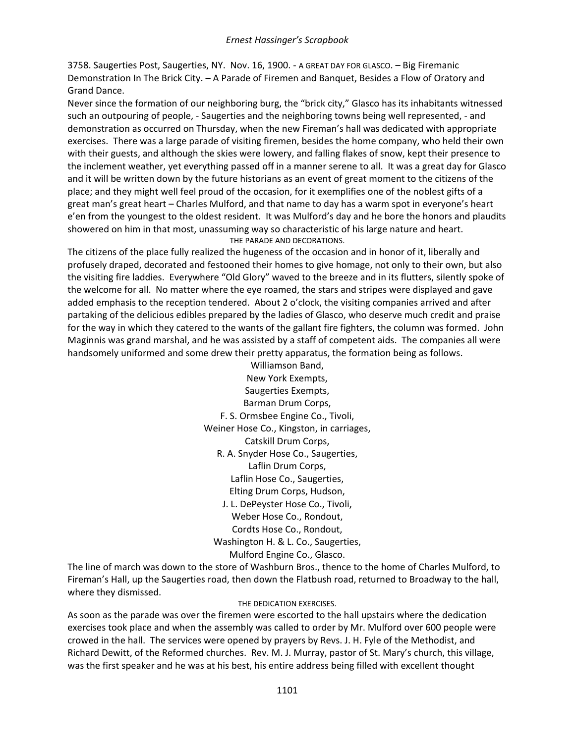3758. Saugerties Post, Saugerties, NY. Nov. 16, 1900. - A GREAT DAY FOR GLASCO. – Big Firemanic Demonstration In The Brick City. – A Parade of Firemen and Banquet, Besides a Flow of Oratory and Grand Dance.

Never since the formation of our neighboring burg, the "brick city," Glasco has its inhabitants witnessed such an outpouring of people, - Saugerties and the neighboring towns being well represented, - and demonstration as occurred on Thursday, when the new Fireman's hall was dedicated with appropriate exercises. There was a large parade of visiting firemen, besides the home company, who held their own with their guests, and although the skies were lowery, and falling flakes of snow, kept their presence to the inclement weather, yet everything passed off in a manner serene to all. It was a great day for Glasco and it will be written down by the future historians as an event of great moment to the citizens of the place; and they might well feel proud of the occasion, for it exemplifies one of the noblest gifts of a great man's great heart – Charles Mulford, and that name to day has a warm spot in everyone's heart e'en from the youngest to the oldest resident. It was Mulford's day and he bore the honors and plaudits showered on him in that most, unassuming way so characteristic of his large nature and heart. THE PARADE AND DECORATIONS.

The citizens of the place fully realized the hugeness of the occasion and in honor of it, liberally and profusely draped, decorated and festooned their homes to give homage, not only to their own, but also the visiting fire laddies. Everywhere "Old Glory" waved to the breeze and in its flutters, silently spoke of the welcome for all. No matter where the eye roamed, the stars and stripes were displayed and gave added emphasis to the reception tendered. About 2 o'clock, the visiting companies arrived and after partaking of the delicious edibles prepared by the ladies of Glasco, who deserve much credit and praise for the way in which they catered to the wants of the gallant fire fighters, the column was formed. John Maginnis was grand marshal, and he was assisted by a staff of competent aids. The companies all were handsomely uniformed and some drew their pretty apparatus, the formation being as follows.

> Williamson Band, New York Exempts, Saugerties Exempts, Barman Drum Corps, F. S. Ormsbee Engine Co., Tivoli, Weiner Hose Co., Kingston, in carriages, Catskill Drum Corps, R. A. Snyder Hose Co., Saugerties, Laflin Drum Corps, Laflin Hose Co., Saugerties, Elting Drum Corps, Hudson, J. L. DePeyster Hose Co., Tivoli, Weber Hose Co., Rondout, Cordts Hose Co., Rondout, Washington H. & L. Co., Saugerties, Mulford Engine Co., Glasco.

The line of march was down to the store of Washburn Bros., thence to the home of Charles Mulford, to Fireman's Hall, up the Saugerties road, then down the Flatbush road, returned to Broadway to the hall, where they dismissed.

#### THE DEDICATION EXERCISES.

As soon as the parade was over the firemen were escorted to the hall upstairs where the dedication exercises took place and when the assembly was called to order by Mr. Mulford over 600 people were crowed in the hall. The services were opened by prayers by Revs. J. H. Fyle of the Methodist, and Richard Dewitt, of the Reformed churches. Rev. M. J. Murray, pastor of St. Mary's church, this village, was the first speaker and he was at his best, his entire address being filled with excellent thought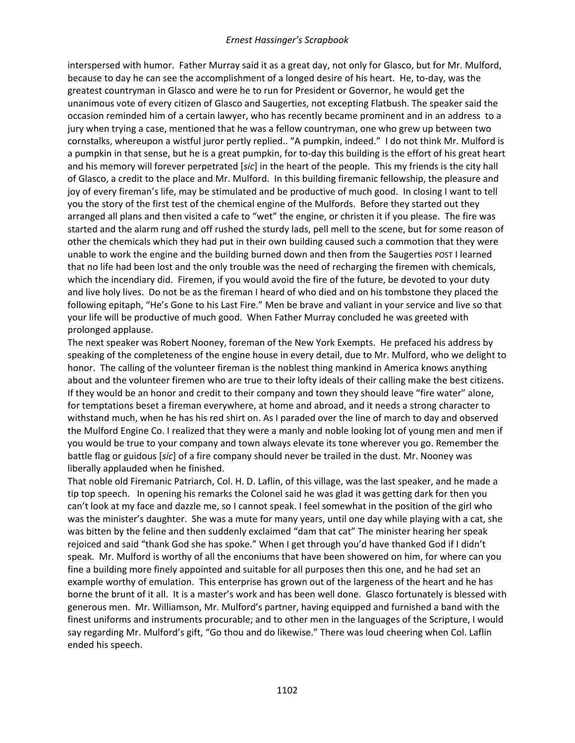interspersed with humor. Father Murray said it as a great day, not only for Glasco, but for Mr. Mulford, because to day he can see the accomplishment of a longed desire of his heart. He, to-day, was the greatest countryman in Glasco and were he to run for President or Governor, he would get the unanimous vote of every citizen of Glasco and Saugerties, not excepting Flatbush. The speaker said the occasion reminded him of a certain lawyer, who has recently became prominent and in an address to a jury when trying a case, mentioned that he was a fellow countryman, one who grew up between two cornstalks, whereupon a wistful juror pertly replied.. "A pumpkin, indeed." I do not think Mr. Mulford is a pumpkin in that sense, but he is a great pumpkin, for to-day this building is the effort of his great heart and his memory will forever perpetrated [*sic*] in the heart of the people. This my friends is the city hall of Glasco, a credit to the place and Mr. Mulford. In this building firemanic fellowship, the pleasure and joy of every fireman's life, may be stimulated and be productive of much good. In closing I want to tell you the story of the first test of the chemical engine of the Mulfords. Before they started out they arranged all plans and then visited a cafe to "wet" the engine, or christen it if you please. The fire was started and the alarm rung and off rushed the sturdy lads, pell mell to the scene, but for some reason of other the chemicals which they had put in their own building caused such a commotion that they were unable to work the engine and the building burned down and then from the Saugerties POST I learned that no life had been lost and the only trouble was the need of recharging the firemen with chemicals, which the incendiary did. Firemen, if you would avoid the fire of the future, be devoted to your duty and live holy lives. Do not be as the fireman I heard of who died and on his tombstone they placed the following epitaph, "He's Gone to his Last Fire." Men be brave and valiant in your service and live so that your life will be productive of much good. When Father Murray concluded he was greeted with prolonged applause.

The next speaker was Robert Nooney, foreman of the New York Exempts. He prefaced his address by speaking of the completeness of the engine house in every detail, due to Mr. Mulford, who we delight to honor. The calling of the volunteer fireman is the noblest thing mankind in America knows anything about and the volunteer firemen who are true to their lofty ideals of their calling make the best citizens. If they would be an honor and credit to their company and town they should leave "fire water" alone, for temptations beset a fireman everywhere, at home and abroad, and it needs a strong character to withstand much, when he has his red shirt on. As I paraded over the line of march to day and observed the Mulford Engine Co. I realized that they were a manly and noble looking lot of young men and men if you would be true to your company and town always elevate its tone wherever you go. Remember the battle flag or guidous [*sic*] of a fire company should never be trailed in the dust. Mr. Nooney was liberally applauded when he finished.

That noble old Firemanic Patriarch, Col. H. D. Laflin, of this village, was the last speaker, and he made a tip top speech. In opening his remarks the Colonel said he was glad it was getting dark for then you can't look at my face and dazzle me, so I cannot speak. I feel somewhat in the position of the girl who was the minister's daughter. She was a mute for many years, until one day while playing with a cat, she was bitten by the feline and then suddenly exclaimed "dam that cat" The minister hearing her speak rejoiced and said "thank God she has spoke." When I get through you'd have thanked God if I didn't speak. Mr. Mulford is worthy of all the enconiums that have been showered on him, for where can you fine a building more finely appointed and suitable for all purposes then this one, and he had set an example worthy of emulation. This enterprise has grown out of the largeness of the heart and he has borne the brunt of it all. It is a master's work and has been well done. Glasco fortunately is blessed with generous men. Mr. Williamson, Mr. Mulford's partner, having equipped and furnished a band with the finest uniforms and instruments procurable; and to other men in the languages of the Scripture, I would say regarding Mr. Mulford's gift, "Go thou and do likewise." There was loud cheering when Col. Laflin ended his speech.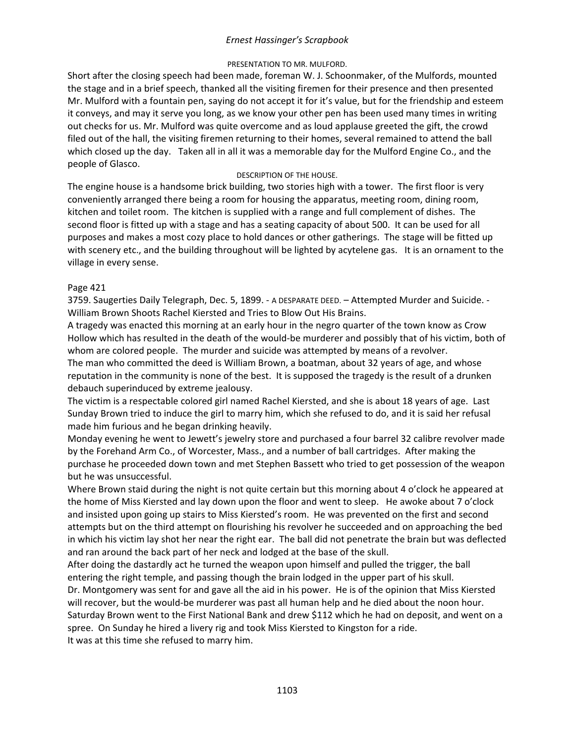## PRESENTATION TO MR. MULFORD.

Short after the closing speech had been made, foreman W. J. Schoonmaker, of the Mulfords, mounted the stage and in a brief speech, thanked all the visiting firemen for their presence and then presented Mr. Mulford with a fountain pen, saying do not accept it for it's value, but for the friendship and esteem it conveys, and may it serve you long, as we know your other pen has been used many times in writing out checks for us. Mr. Mulford was quite overcome and as loud applause greeted the gift, the crowd filed out of the hall, the visiting firemen returning to their homes, several remained to attend the ball which closed up the day. Taken all in all it was a memorable day for the Mulford Engine Co., and the people of Glasco.

## DESCRIPTION OF THE HOUSE.

The engine house is a handsome brick building, two stories high with a tower. The first floor is very conveniently arranged there being a room for housing the apparatus, meeting room, dining room, kitchen and toilet room. The kitchen is supplied with a range and full complement of dishes. The second floor is fitted up with a stage and has a seating capacity of about 500. It can be used for all purposes and makes a most cozy place to hold dances or other gatherings. The stage will be fitted up with scenery etc., and the building throughout will be lighted by acytelene gas. It is an ornament to the village in every sense.

### Page 421

3759. Saugerties Daily Telegraph, Dec. 5, 1899. - A DESPARATE DEED. – Attempted Murder and Suicide. - William Brown Shoots Rachel Kiersted and Tries to Blow Out His Brains.

A tragedy was enacted this morning at an early hour in the negro quarter of the town know as Crow Hollow which has resulted in the death of the would-be murderer and possibly that of his victim, both of whom are colored people. The murder and suicide was attempted by means of a revolver.

The man who committed the deed is William Brown, a boatman, about 32 years of age, and whose reputation in the community is none of the best. It is supposed the tragedy is the result of a drunken debauch superinduced by extreme jealousy.

The victim is a respectable colored girl named Rachel Kiersted, and she is about 18 years of age. Last Sunday Brown tried to induce the girl to marry him, which she refused to do, and it is said her refusal made him furious and he began drinking heavily.

Monday evening he went to Jewett's jewelry store and purchased a four barrel 32 calibre revolver made by the Forehand Arm Co., of Worcester, Mass., and a number of ball cartridges. After making the purchase he proceeded down town and met Stephen Bassett who tried to get possession of the weapon but he was unsuccessful.

Where Brown staid during the night is not quite certain but this morning about 4 o'clock he appeared at the home of Miss Kiersted and lay down upon the floor and went to sleep. He awoke about 7 o'clock and insisted upon going up stairs to Miss Kiersted's room. He was prevented on the first and second attempts but on the third attempt on flourishing his revolver he succeeded and on approaching the bed in which his victim lay shot her near the right ear. The ball did not penetrate the brain but was deflected and ran around the back part of her neck and lodged at the base of the skull.

After doing the dastardly act he turned the weapon upon himself and pulled the trigger, the ball entering the right temple, and passing though the brain lodged in the upper part of his skull.

Dr. Montgomery was sent for and gave all the aid in his power. He is of the opinion that Miss Kiersted will recover, but the would-be murderer was past all human help and he died about the noon hour. Saturday Brown went to the First National Bank and drew \$112 which he had on deposit, and went on a spree. On Sunday he hired a livery rig and took Miss Kiersted to Kingston for a ride. It was at this time she refused to marry him.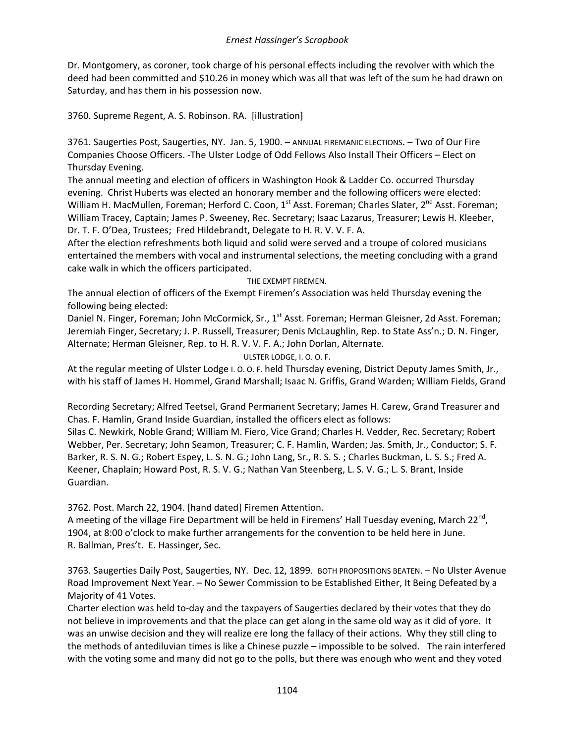Dr. Montgomery, as coroner, took charge of his personal effects including the revolver with which the deed had been committed and \$10.26 in money which was all that was left of the sum he had drawn on Saturday, and has them in his possession now.

3760. Supreme Regent, A. S. Robinson. RA. [illustration]

3761. Saugerties Post, Saugerties, NY. Jan. 5, 1900. – ANNUAL FIREMANIC ELECTIONS. – Two of Our Fire Companies Choose Officers. -The Ulster Lodge of Odd Fellows Also Install Their Officers – Elect on Thursday Evening.

The annual meeting and election of officers in Washington Hook & Ladder Co. occurred Thursday evening. Christ Huberts was elected an honorary member and the following officers were elected: William H. MacMullen, Foreman; Herford C. Coon, 1<sup>st</sup> Asst. Foreman; Charles Slater, 2<sup>nd</sup> Asst. Foreman; William Tracey, Captain; James P. Sweeney, Rec. Secretary; Isaac Lazarus, Treasurer; Lewis H. Kleeber, Dr. T. F. O'Dea, Trustees; Fred Hildebrandt, Delegate to H. R. V. V. F. A.

After the election refreshments both liquid and solid were served and a troupe of colored musicians entertained the members with vocal and instrumental selections, the meeting concluding with a grand cake walk in which the officers participated.

THE EXEMPT FIREMEN.

The annual election of officers of the Exempt Firemen's Association was held Thursday evening the following being elected:

Daniel N. Finger, Foreman; John McCormick, Sr., 1<sup>st</sup> Asst. Foreman; Herman Gleisner, 2d Asst. Foreman; Jeremiah Finger, Secretary; J. P. Russell, Treasurer; Denis McLaughlin, Rep. to State Ass'n.; D. N. Finger, Alternate; Herman Gleisner, Rep. to H. R. V. V. F. A.; John Dorlan, Alternate.

ULSTER LODGE, I. O. O. F.

At the regular meeting of Ulster Lodge I. O. O. F. held Thursday evening, District Deputy James Smith, Jr., with his staff of James H. Hommel, Grand Marshall; Isaac N. Griffis, Grand Warden; William Fields, Grand

Recording Secretary; Alfred Teetsel, Grand Permanent Secretary; James H. Carew, Grand Treasurer and Chas. F. Hamlin, Grand Inside Guardian, installed the officers elect as follows:

Silas C. Newkirk, Noble Grand; William M. Fiero, Vice Grand; Charles H. Vedder, Rec. Secretary; Robert Webber, Per. Secretary; John Seamon, Treasurer; C. F. Hamlin, Warden; Jas. Smith, Jr., Conductor; S. F. Barker, R. S. N. G.; Robert Espey, L. S. N. G.; John Lang, Sr., R. S. S. ; Charles Buckman, L. S. S.; Fred A. Keener, Chaplain; Howard Post, R. S. V. G.; Nathan Van Steenberg, L. S. V. G.; L. S. Brant, Inside Guardian.

3762. Post. March 22, 1904. [hand dated] Firemen Attention.

A meeting of the village Fire Department will be held in Firemens' Hall Tuesday evening, March 22<sup>nd</sup>, 1904, at 8:00 o'clock to make further arrangements for the convention to be held here in June. R. Ballman, Pres't. E. Hassinger, Sec.

3763. Saugerties Daily Post, Saugerties, NY. Dec. 12, 1899. BOTH PROPOSITIONS BEATEN. – No Ulster Avenue Road Improvement Next Year. – No Sewer Commission to be Established Either, It Being Defeated by a Majority of 41 Votes.

Charter election was held to-day and the taxpayers of Saugerties declared by their votes that they do not believe in improvements and that the place can get along in the same old way as it did of yore. It was an unwise decision and they will realize ere long the fallacy of their actions. Why they still cling to the methods of antediluvian times is like a Chinese puzzle – impossible to be solved. The rain interfered with the voting some and many did not go to the polls, but there was enough who went and they voted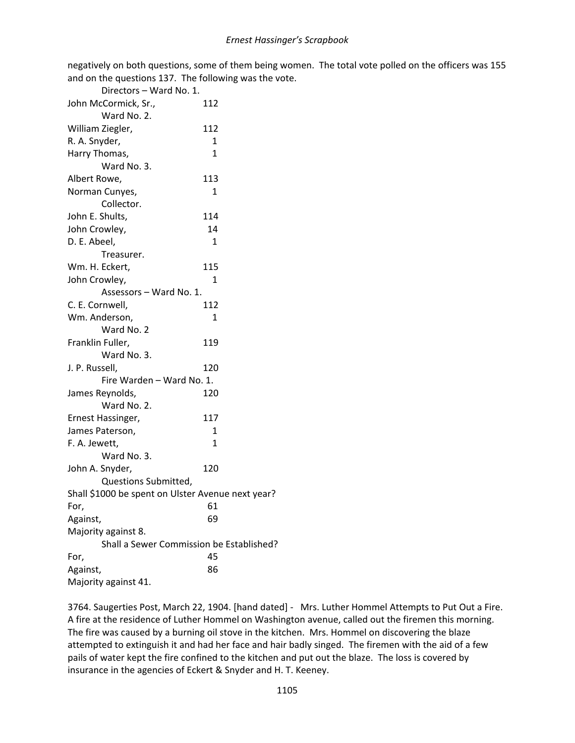negatively on both questions, some of them being women. The total vote polled on the officers was 155 and on the questions 137. The following was the vote.

| Directors - Ward No. 1.                           |                                          |
|---------------------------------------------------|------------------------------------------|
| John McCormick, Sr.,                              | 112                                      |
| Ward No. 2.                                       |                                          |
| William Ziegler,                                  | 112                                      |
| R. A. Snyder,                                     | 1                                        |
| Harry Thomas,                                     | 1                                        |
| Ward No. 3.                                       |                                          |
| Albert Rowe,                                      | 113                                      |
| Norman Cunyes,                                    | 1                                        |
| Collector.                                        |                                          |
| John E. Shults,                                   | 114                                      |
| John Crowley,                                     | 14                                       |
| D. E. Abeel,                                      | $\mathbf{1}$                             |
| Treasurer.                                        |                                          |
| Wm. H. Eckert,                                    | 115                                      |
| John Crowley,                                     | 1                                        |
| Assessors - Ward No. 1.                           |                                          |
| C. E. Cornwell,                                   | 112                                      |
| Wm. Anderson,                                     | $\mathbf{1}$                             |
| Ward No. 2                                        |                                          |
| Franklin Fuller,                                  | 119                                      |
| Ward No. 3.                                       |                                          |
| J. P. Russell,                                    | 120                                      |
| Fire Warden - Ward No. 1.                         |                                          |
| James Reynolds,                                   | 120                                      |
| Ward No. 2.                                       |                                          |
| Ernest Hassinger,                                 | 117                                      |
| James Paterson,                                   | 1                                        |
| F. A. Jewett,                                     | $\mathbf{1}$                             |
| Ward No. 3.                                       |                                          |
| John A. Snyder,                                   | 120                                      |
| Questions Submitted,                              |                                          |
| Shall \$1000 be spent on Ulster Avenue next year? |                                          |
| For,                                              | 61                                       |
| Against,                                          | 69                                       |
| Majority against 8.                               |                                          |
|                                                   | Shall a Sewer Commission be Established? |
| For,                                              | 45                                       |
| Against,                                          | 86                                       |
| Majority against 41.                              |                                          |

3764. Saugerties Post, March 22, 1904. [hand dated] - Mrs. Luther Hommel Attempts to Put Out a Fire. A fire at the residence of Luther Hommel on Washington avenue, called out the firemen this morning. The fire was caused by a burning oil stove in the kitchen. Mrs. Hommel on discovering the blaze attempted to extinguish it and had her face and hair badly singed. The firemen with the aid of a few pails of water kept the fire confined to the kitchen and put out the blaze. The loss is covered by insurance in the agencies of Eckert & Snyder and H. T. Keeney.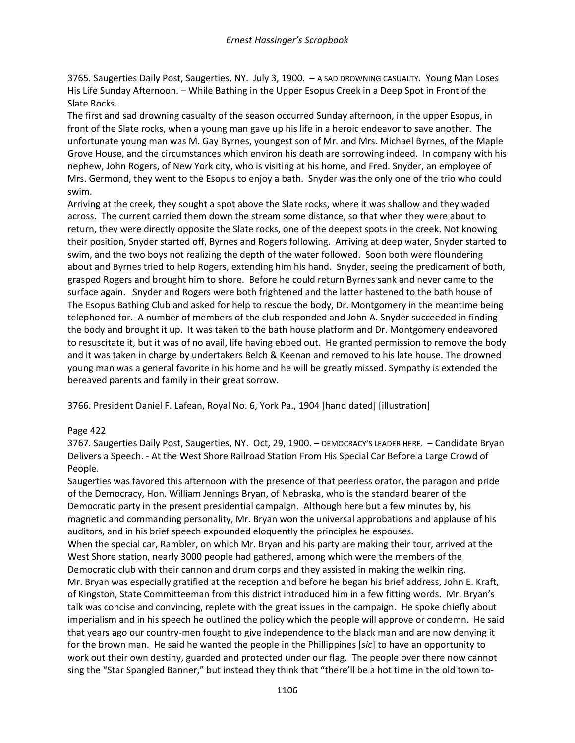3765. Saugerties Daily Post, Saugerties, NY. July 3, 1900. – A SAD DROWNING CASUALTY. Young Man Loses His Life Sunday Afternoon. – While Bathing in the Upper Esopus Creek in a Deep Spot in Front of the Slate Rocks.

The first and sad drowning casualty of the season occurred Sunday afternoon, in the upper Esopus, in front of the Slate rocks, when a young man gave up his life in a heroic endeavor to save another. The unfortunate young man was M. Gay Byrnes, youngest son of Mr. and Mrs. Michael Byrnes, of the Maple Grove House, and the circumstances which environ his death are sorrowing indeed. In company with his nephew, John Rogers, of New York city, who is visiting at his home, and Fred. Snyder, an employee of Mrs. Germond, they went to the Esopus to enjoy a bath. Snyder was the only one of the trio who could swim.

Arriving at the creek, they sought a spot above the Slate rocks, where it was shallow and they waded across. The current carried them down the stream some distance, so that when they were about to return, they were directly opposite the Slate rocks, one of the deepest spots in the creek. Not knowing their position, Snyder started off, Byrnes and Rogers following. Arriving at deep water, Snyder started to swim, and the two boys not realizing the depth of the water followed. Soon both were floundering about and Byrnes tried to help Rogers, extending him his hand. Snyder, seeing the predicament of both, grasped Rogers and brought him to shore. Before he could return Byrnes sank and never came to the surface again. Snyder and Rogers were both frightened and the latter hastened to the bath house of The Esopus Bathing Club and asked for help to rescue the body, Dr. Montgomery in the meantime being telephoned for. A number of members of the club responded and John A. Snyder succeeded in finding the body and brought it up. It was taken to the bath house platform and Dr. Montgomery endeavored to resuscitate it, but it was of no avail, life having ebbed out. He granted permission to remove the body and it was taken in charge by undertakers Belch & Keenan and removed to his late house. The drowned young man was a general favorite in his home and he will be greatly missed. Sympathy is extended the bereaved parents and family in their great sorrow.

3766. President Daniel F. Lafean, Royal No. 6, York Pa., 1904 [hand dated] [illustration]

# Page 422

3767. Saugerties Daily Post, Saugerties, NY. Oct, 29, 1900. – DEMOCRACY'S LEADER HERE. – Candidate Bryan Delivers a Speech. - At the West Shore Railroad Station From His Special Car Before a Large Crowd of People.

Saugerties was favored this afternoon with the presence of that peerless orator, the paragon and pride of the Democracy, Hon. William Jennings Bryan, of Nebraska, who is the standard bearer of the Democratic party in the present presidential campaign. Although here but a few minutes by, his magnetic and commanding personality, Mr. Bryan won the universal approbations and applause of his auditors, and in his brief speech expounded eloquently the principles he espouses.

When the special car, Rambler, on which Mr. Bryan and his party are making their tour, arrived at the West Shore station, nearly 3000 people had gathered, among which were the members of the Democratic club with their cannon and drum corps and they assisted in making the welkin ring. Mr. Bryan was especially gratified at the reception and before he began his brief address, John E. Kraft, of Kingston, State Committeeman from this district introduced him in a few fitting words. Mr. Bryan's talk was concise and convincing, replete with the great issues in the campaign. He spoke chiefly about imperialism and in his speech he outlined the policy which the people will approve or condemn. He said that years ago our country-men fought to give independence to the black man and are now denying it for the brown man. He said he wanted the people in the Phillippines [*sic*] to have an opportunity to work out their own destiny, guarded and protected under our flag. The people over there now cannot sing the "Star Spangled Banner," but instead they think that "there'll be a hot time in the old town to-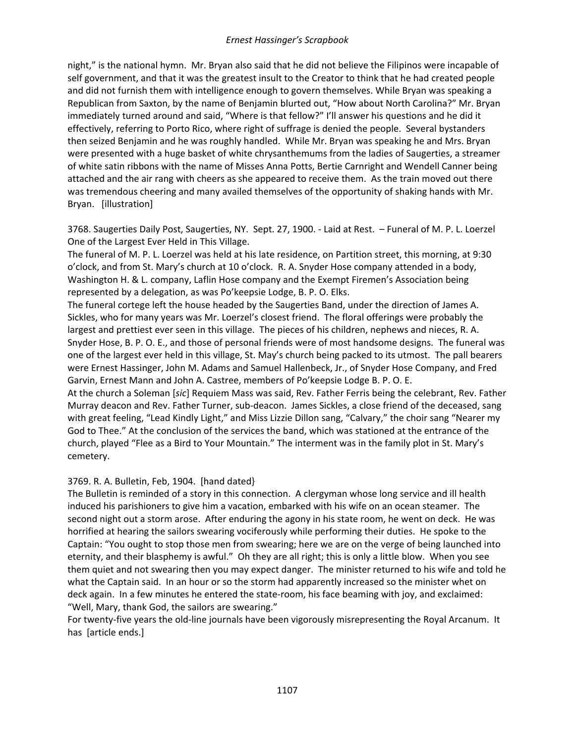night," is the national hymn. Mr. Bryan also said that he did not believe the Filipinos were incapable of self government, and that it was the greatest insult to the Creator to think that he had created people and did not furnish them with intelligence enough to govern themselves. While Bryan was speaking a Republican from Saxton, by the name of Benjamin blurted out, "How about North Carolina?" Mr. Bryan immediately turned around and said, "Where is that fellow?" I'll answer his questions and he did it effectively, referring to Porto Rico, where right of suffrage is denied the people. Several bystanders then seized Benjamin and he was roughly handled. While Mr. Bryan was speaking he and Mrs. Bryan were presented with a huge basket of white chrysanthemums from the ladies of Saugerties, a streamer of white satin ribbons with the name of Misses Anna Potts, Bertie Carnright and Wendell Canner being attached and the air rang with cheers as she appeared to receive them. As the train moved out there was tremendous cheering and many availed themselves of the opportunity of shaking hands with Mr. Bryan. [illustration]

3768. Saugerties Daily Post, Saugerties, NY. Sept. 27, 1900. - Laid at Rest. – Funeral of M. P. L. Loerzel One of the Largest Ever Held in This Village.

The funeral of M. P. L. Loerzel was held at his late residence, on Partition street, this morning, at 9:30 o'clock, and from St. Mary's church at 10 o'clock. R. A. Snyder Hose company attended in a body, Washington H. & L. company, Laflin Hose company and the Exempt Firemen's Association being represented by a delegation, as was Po'keepsie Lodge, B. P. O. Elks.

The funeral cortege left the house headed by the Saugerties Band, under the direction of James A. Sickles, who for many years was Mr. Loerzel's closest friend. The floral offerings were probably the largest and prettiest ever seen in this village. The pieces of his children, nephews and nieces, R. A. Snyder Hose, B. P. O. E., and those of personal friends were of most handsome designs. The funeral was one of the largest ever held in this village, St. May's church being packed to its utmost. The pall bearers were Ernest Hassinger, John M. Adams and Samuel Hallenbeck, Jr., of Snyder Hose Company, and Fred Garvin, Ernest Mann and John A. Castree, members of Po'keepsie Lodge B. P. O. E.

At the church a Soleman [*sic*] Requiem Mass was said, Rev. Father Ferris being the celebrant, Rev. Father Murray deacon and Rev. Father Turner, sub-deacon. James Sickles, a close friend of the deceased, sang with great feeling, "Lead Kindly Light," and Miss Lizzie Dillon sang, "Calvary," the choir sang "Nearer my God to Thee." At the conclusion of the services the band, which was stationed at the entrance of the church, played "Flee as a Bird to Your Mountain." The interment was in the family plot in St. Mary's cemetery.

### 3769. R. A. Bulletin, Feb, 1904. [hand dated}

The Bulletin is reminded of a story in this connection. A clergyman whose long service and ill health induced his parishioners to give him a vacation, embarked with his wife on an ocean steamer. The second night out a storm arose. After enduring the agony in his state room, he went on deck. He was horrified at hearing the sailors swearing vociferously while performing their duties. He spoke to the Captain: "You ought to stop those men from swearing; here we are on the verge of being launched into eternity, and their blasphemy is awful." Oh they are all right; this is only a little blow. When you see them quiet and not swearing then you may expect danger. The minister returned to his wife and told he what the Captain said. In an hour or so the storm had apparently increased so the minister whet on deck again. In a few minutes he entered the state-room, his face beaming with joy, and exclaimed: "Well, Mary, thank God, the sailors are swearing."

For twenty-five years the old-line journals have been vigorously misrepresenting the Royal Arcanum. It has [article ends.]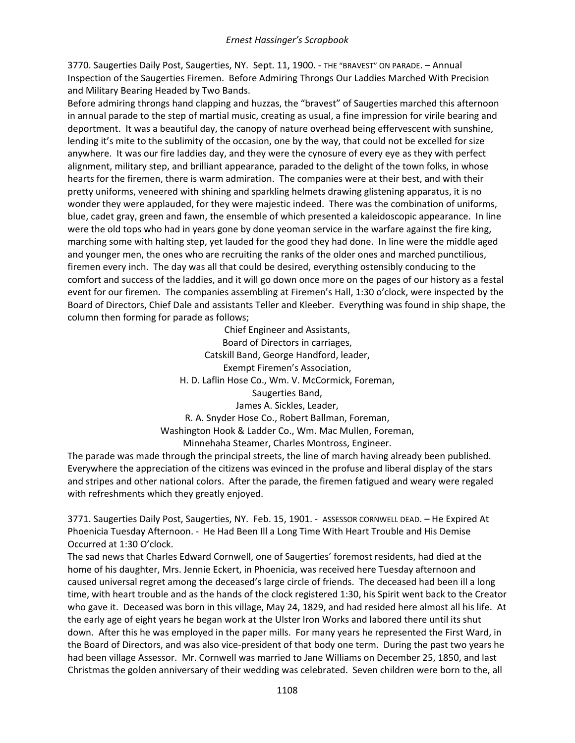3770. Saugerties Daily Post, Saugerties, NY. Sept. 11, 1900. - THE "BRAVEST" ON PARADE. – Annual Inspection of the Saugerties Firemen. Before Admiring Throngs Our Laddies Marched With Precision and Military Bearing Headed by Two Bands.

Before admiring throngs hand clapping and huzzas, the "bravest" of Saugerties marched this afternoon in annual parade to the step of martial music, creating as usual, a fine impression for virile bearing and deportment. It was a beautiful day, the canopy of nature overhead being effervescent with sunshine, lending it's mite to the sublimity of the occasion, one by the way, that could not be excelled for size anywhere. It was our fire laddies day, and they were the cynosure of every eye as they with perfect alignment, military step, and brilliant appearance, paraded to the delight of the town folks, in whose hearts for the firemen, there is warm admiration. The companies were at their best, and with their pretty uniforms, veneered with shining and sparkling helmets drawing glistening apparatus, it is no wonder they were applauded, for they were majestic indeed. There was the combination of uniforms, blue, cadet gray, green and fawn, the ensemble of which presented a kaleidoscopic appearance. In line were the old tops who had in years gone by done yeoman service in the warfare against the fire king, marching some with halting step, yet lauded for the good they had done. In line were the middle aged and younger men, the ones who are recruiting the ranks of the older ones and marched punctilious, firemen every inch. The day was all that could be desired, everything ostensibly conducing to the comfort and success of the laddies, and it will go down once more on the pages of our history as a festal event for our firemen. The companies assembling at Firemen's Hall, 1:30 o'clock, were inspected by the Board of Directors, Chief Dale and assistants Teller and Kleeber. Everything was found in ship shape, the column then forming for parade as follows;

> Chief Engineer and Assistants, Board of Directors in carriages, Catskill Band, George Handford, leader, Exempt Firemen's Association, H. D. Laflin Hose Co., Wm. V. McCormick, Foreman, Saugerties Band, James A. Sickles, Leader, R. A. Snyder Hose Co., Robert Ballman, Foreman, Washington Hook & Ladder Co., Wm. Mac Mullen, Foreman, Minnehaha Steamer, Charles Montross, Engineer.

The parade was made through the principal streets, the line of march having already been published. Everywhere the appreciation of the citizens was evinced in the profuse and liberal display of the stars and stripes and other national colors. After the parade, the firemen fatigued and weary were regaled with refreshments which they greatly enjoyed.

3771. Saugerties Daily Post, Saugerties, NY. Feb. 15, 1901. - ASSESSOR CORNWELL DEAD. – He Expired At Phoenicia Tuesday Afternoon. - He Had Been Ill a Long Time With Heart Trouble and His Demise Occurred at 1:30 O'clock.

The sad news that Charles Edward Cornwell, one of Saugerties' foremost residents, had died at the home of his daughter, Mrs. Jennie Eckert, in Phoenicia, was received here Tuesday afternoon and caused universal regret among the deceased's large circle of friends. The deceased had been ill a long time, with heart trouble and as the hands of the clock registered 1:30, his Spirit went back to the Creator who gave it. Deceased was born in this village, May 24, 1829, and had resided here almost all his life. At the early age of eight years he began work at the Ulster Iron Works and labored there until its shut down. After this he was employed in the paper mills. For many years he represented the First Ward, in the Board of Directors, and was also vice-president of that body one term. During the past two years he had been village Assessor. Mr. Cornwell was married to Jane Williams on December 25, 1850, and last Christmas the golden anniversary of their wedding was celebrated. Seven children were born to the, all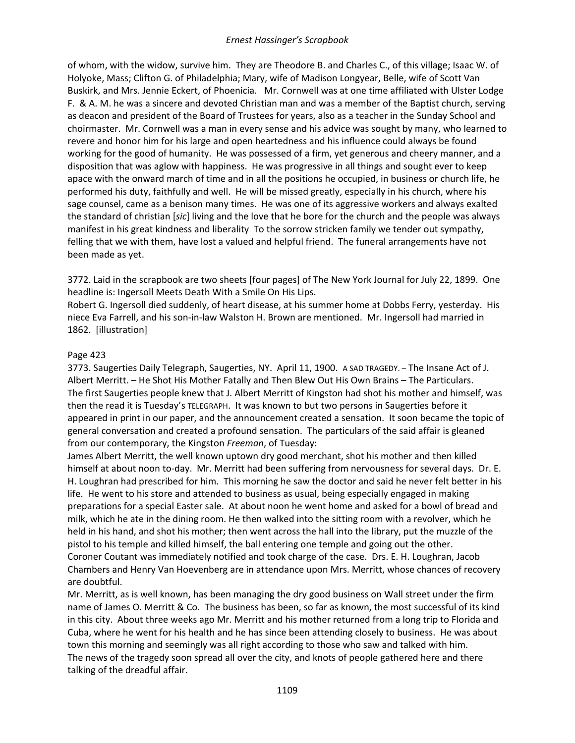of whom, with the widow, survive him. They are Theodore B. and Charles C., of this village; Isaac W. of Holyoke, Mass; Clifton G. of Philadelphia; Mary, wife of Madison Longyear, Belle, wife of Scott Van Buskirk, and Mrs. Jennie Eckert, of Phoenicia. Mr. Cornwell was at one time affiliated with Ulster Lodge F. & A. M. he was a sincere and devoted Christian man and was a member of the Baptist church, serving as deacon and president of the Board of Trustees for years, also as a teacher in the Sunday School and choirmaster. Mr. Cornwell was a man in every sense and his advice was sought by many, who learned to revere and honor him for his large and open heartedness and his influence could always be found working for the good of humanity. He was possessed of a firm, yet generous and cheery manner, and a disposition that was aglow with happiness. He was progressive in all things and sought ever to keep apace with the onward march of time and in all the positions he occupied, in business or church life, he performed his duty, faithfully and well. He will be missed greatly, especially in his church, where his sage counsel, came as a benison many times. He was one of its aggressive workers and always exalted the standard of christian [*sic*] living and the love that he bore for the church and the people was always manifest in his great kindness and liberality To the sorrow stricken family we tender out sympathy, felling that we with them, have lost a valued and helpful friend. The funeral arrangements have not been made as yet.

3772. Laid in the scrapbook are two sheets [four pages] of The New York Journal for July 22, 1899. One headline is: Ingersoll Meets Death With a Smile On His Lips.

Robert G. Ingersoll died suddenly, of heart disease, at his summer home at Dobbs Ferry, yesterday. His niece Eva Farrell, and his son-in-law Walston H. Brown are mentioned. Mr. Ingersoll had married in 1862. [illustration]

# Page 423

3773. Saugerties Daily Telegraph, Saugerties, NY. April 11, 1900. A SAD TRAGEDY. – The Insane Act of J. Albert Merritt. – He Shot His Mother Fatally and Then Blew Out His Own Brains – The Particulars. The first Saugerties people knew that J. Albert Merritt of Kingston had shot his mother and himself, was then the read it is Tuesday's TELEGRAPH. It was known to but two persons in Saugerties before it appeared in print in our paper, and the announcement created a sensation. It soon became the topic of general conversation and created a profound sensation. The particulars of the said affair is gleaned from our contemporary, the Kingston *Freeman*, of Tuesday:

James Albert Merritt, the well known uptown dry good merchant, shot his mother and then killed himself at about noon to-day. Mr. Merritt had been suffering from nervousness for several days. Dr. E. H. Loughran had prescribed for him. This morning he saw the doctor and said he never felt better in his life. He went to his store and attended to business as usual, being especially engaged in making preparations for a special Easter sale. At about noon he went home and asked for a bowl of bread and milk, which he ate in the dining room. He then walked into the sitting room with a revolver, which he held in his hand, and shot his mother; then went across the hall into the library, put the muzzle of the pistol to his temple and killed himself, the ball entering one temple and going out the other. Coroner Coutant was immediately notified and took charge of the case. Drs. E. H. Loughran, Jacob Chambers and Henry Van Hoevenberg are in attendance upon Mrs. Merritt, whose chances of recovery are doubtful.

Mr. Merritt, as is well known, has been managing the dry good business on Wall street under the firm name of James O. Merritt & Co. The business has been, so far as known, the most successful of its kind in this city. About three weeks ago Mr. Merritt and his mother returned from a long trip to Florida and Cuba, where he went for his health and he has since been attending closely to business. He was about town this morning and seemingly was all right according to those who saw and talked with him. The news of the tragedy soon spread all over the city, and knots of people gathered here and there talking of the dreadful affair.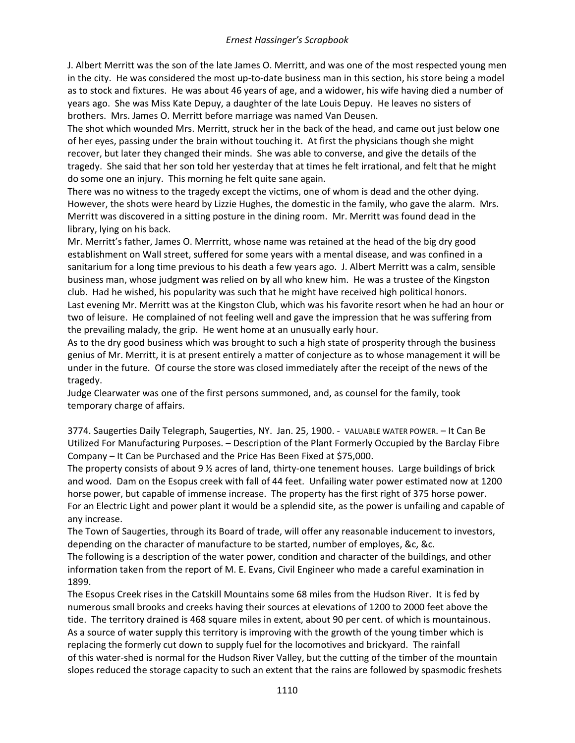J. Albert Merritt was the son of the late James O. Merritt, and was one of the most respected young men in the city. He was considered the most up-to-date business man in this section, his store being a model as to stock and fixtures. He was about 46 years of age, and a widower, his wife having died a number of years ago. She was Miss Kate Depuy, a daughter of the late Louis Depuy. He leaves no sisters of brothers. Mrs. James O. Merritt before marriage was named Van Deusen.

The shot which wounded Mrs. Merritt, struck her in the back of the head, and came out just below one of her eyes, passing under the brain without touching it. At first the physicians though she might recover, but later they changed their minds. She was able to converse, and give the details of the tragedy. She said that her son told her yesterday that at times he felt irrational, and felt that he might do some one an injury. This morning he felt quite sane again.

There was no witness to the tragedy except the victims, one of whom is dead and the other dying. However, the shots were heard by Lizzie Hughes, the domestic in the family, who gave the alarm. Mrs. Merritt was discovered in a sitting posture in the dining room. Mr. Merritt was found dead in the library, lying on his back.

Mr. Merritt's father, James O. Merrritt, whose name was retained at the head of the big dry good establishment on Wall street, suffered for some years with a mental disease, and was confined in a sanitarium for a long time previous to his death a few years ago. J. Albert Merritt was a calm, sensible business man, whose judgment was relied on by all who knew him. He was a trustee of the Kingston club. Had he wished, his popularity was such that he might have received high political honors. Last evening Mr. Merritt was at the Kingston Club, which was his favorite resort when he had an hour or two of leisure. He complained of not feeling well and gave the impression that he was suffering from the prevailing malady, the grip. He went home at an unusually early hour.

As to the dry good business which was brought to such a high state of prosperity through the business genius of Mr. Merritt, it is at present entirely a matter of conjecture as to whose management it will be under in the future. Of course the store was closed immediately after the receipt of the news of the tragedy.

Judge Clearwater was one of the first persons summoned, and, as counsel for the family, took temporary charge of affairs.

3774. Saugerties Daily Telegraph, Saugerties, NY. Jan. 25, 1900. - VALUABLE WATER POWER. – It Can Be Utilized For Manufacturing Purposes. – Description of the Plant Formerly Occupied by the Barclay Fibre Company – It Can be Purchased and the Price Has Been Fixed at \$75,000.

The property consists of about 9 ½ acres of land, thirty-one tenement houses. Large buildings of brick and wood. Dam on the Esopus creek with fall of 44 feet. Unfailing water power estimated now at 1200 horse power, but capable of immense increase. The property has the first right of 375 horse power. For an Electric Light and power plant it would be a splendid site, as the power is unfailing and capable of any increase.

The Town of Saugerties, through its Board of trade, will offer any reasonable inducement to investors, depending on the character of manufacture to be started, number of employes, &c, &c.

The following is a description of the water power, condition and character of the buildings, and other information taken from the report of M. E. Evans, Civil Engineer who made a careful examination in 1899.

The Esopus Creek rises in the Catskill Mountains some 68 miles from the Hudson River. It is fed by numerous small brooks and creeks having their sources at elevations of 1200 to 2000 feet above the tide. The territory drained is 468 square miles in extent, about 90 per cent. of which is mountainous. As a source of water supply this territory is improving with the growth of the young timber which is replacing the formerly cut down to supply fuel for the locomotives and brickyard. The rainfall of this water-shed is normal for the Hudson River Valley, but the cutting of the timber of the mountain slopes reduced the storage capacity to such an extent that the rains are followed by spasmodic freshets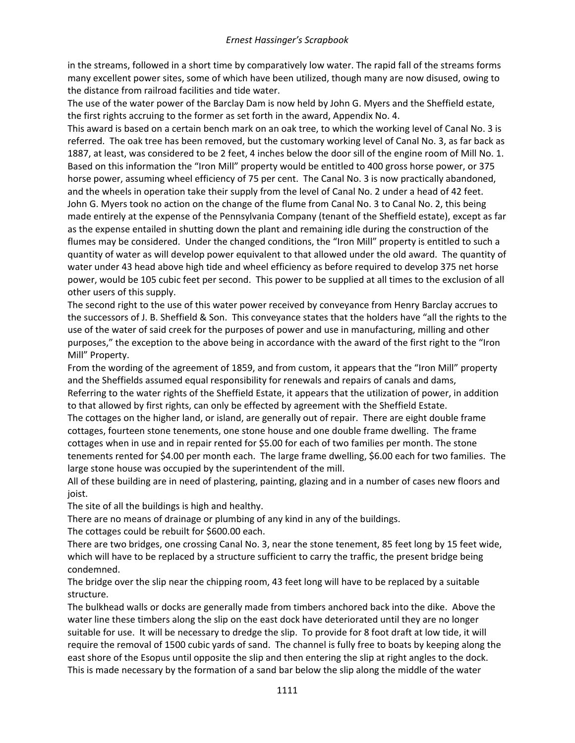in the streams, followed in a short time by comparatively low water. The rapid fall of the streams forms many excellent power sites, some of which have been utilized, though many are now disused, owing to the distance from railroad facilities and tide water.

The use of the water power of the Barclay Dam is now held by John G. Myers and the Sheffield estate, the first rights accruing to the former as set forth in the award, Appendix No. 4.

This award is based on a certain bench mark on an oak tree, to which the working level of Canal No. 3 is referred. The oak tree has been removed, but the customary working level of Canal No. 3, as far back as 1887, at least, was considered to be 2 feet, 4 inches below the door sill of the engine room of Mill No. 1. Based on this information the "Iron Mill" property would be entitled to 400 gross horse power, or 375 horse power, assuming wheel efficiency of 75 per cent. The Canal No. 3 is now practically abandoned, and the wheels in operation take their supply from the level of Canal No. 2 under a head of 42 feet. John G. Myers took no action on the change of the flume from Canal No. 3 to Canal No. 2, this being made entirely at the expense of the Pennsylvania Company (tenant of the Sheffield estate), except as far as the expense entailed in shutting down the plant and remaining idle during the construction of the flumes may be considered. Under the changed conditions, the "Iron Mill" property is entitled to such a quantity of water as will develop power equivalent to that allowed under the old award. The quantity of water under 43 head above high tide and wheel efficiency as before required to develop 375 net horse power, would be 105 cubic feet per second. This power to be supplied at all times to the exclusion of all other users of this supply.

The second right to the use of this water power received by conveyance from Henry Barclay accrues to the successors of J. B. Sheffield & Son. This conveyance states that the holders have "all the rights to the use of the water of said creek for the purposes of power and use in manufacturing, milling and other purposes," the exception to the above being in accordance with the award of the first right to the "Iron Mill" Property.

From the wording of the agreement of 1859, and from custom, it appears that the "Iron Mill" property and the Sheffields assumed equal responsibility for renewals and repairs of canals and dams, Referring to the water rights of the Sheffield Estate, it appears that the utilization of power, in addition

to that allowed by first rights, can only be effected by agreement with the Sheffield Estate. The cottages on the higher land, or island, are generally out of repair. There are eight double frame cottages, fourteen stone tenements, one stone house and one double frame dwelling. The frame cottages when in use and in repair rented for \$5.00 for each of two families per month. The stone tenements rented for \$4.00 per month each. The large frame dwelling, \$6.00 each for two families. The large stone house was occupied by the superintendent of the mill.

All of these building are in need of plastering, painting, glazing and in a number of cases new floors and joist.

The site of all the buildings is high and healthy.

There are no means of drainage or plumbing of any kind in any of the buildings.

The cottages could be rebuilt for \$600.00 each.

There are two bridges, one crossing Canal No. 3, near the stone tenement, 85 feet long by 15 feet wide, which will have to be replaced by a structure sufficient to carry the traffic, the present bridge being condemned.

The bridge over the slip near the chipping room, 43 feet long will have to be replaced by a suitable structure.

The bulkhead walls or docks are generally made from timbers anchored back into the dike. Above the water line these timbers along the slip on the east dock have deteriorated until they are no longer suitable for use. It will be necessary to dredge the slip. To provide for 8 foot draft at low tide, it will require the removal of 1500 cubic yards of sand. The channel is fully free to boats by keeping along the east shore of the Esopus until opposite the slip and then entering the slip at right angles to the dock. This is made necessary by the formation of a sand bar below the slip along the middle of the water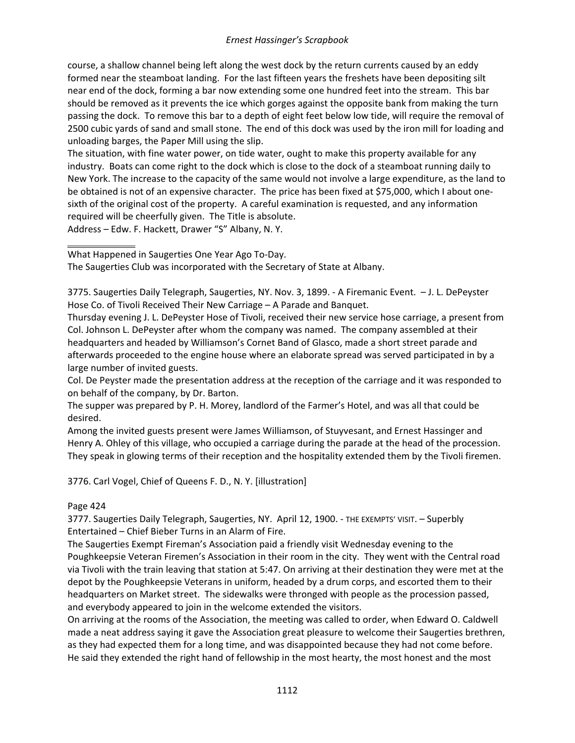course, a shallow channel being left along the west dock by the return currents caused by an eddy formed near the steamboat landing. For the last fifteen years the freshets have been depositing silt near end of the dock, forming a bar now extending some one hundred feet into the stream. This bar should be removed as it prevents the ice which gorges against the opposite bank from making the turn passing the dock. To remove this bar to a depth of eight feet below low tide, will require the removal of 2500 cubic yards of sand and small stone. The end of this dock was used by the iron mill for loading and unloading barges, the Paper Mill using the slip.

The situation, with fine water power, on tide water, ought to make this property available for any industry. Boats can come right to the dock which is close to the dock of a steamboat running daily to New York. The increase to the capacity of the same would not involve a large expenditure, as the land to be obtained is not of an expensive character. The price has been fixed at \$75,000, which I about onesixth of the original cost of the property. A careful examination is requested, and any information required will be cheerfully given. The Title is absolute.

Address – Edw. F. Hackett, Drawer "S" Albany, N. Y.

What Happened in Saugerties One Year Ago To-Day.

The Saugerties Club was incorporated with the Secretary of State at Albany.

3775. Saugerties Daily Telegraph, Saugerties, NY. Nov. 3, 1899. - A Firemanic Event. – J. L. DePeyster Hose Co. of Tivoli Received Their New Carriage – A Parade and Banquet.

Thursday evening J. L. DePeyster Hose of Tivoli, received their new service hose carriage, a present from Col. Johnson L. DePeyster after whom the company was named. The company assembled at their headquarters and headed by Williamson's Cornet Band of Glasco, made a short street parade and afterwards proceeded to the engine house where an elaborate spread was served participated in by a large number of invited guests.

Col. De Peyster made the presentation address at the reception of the carriage and it was responded to on behalf of the company, by Dr. Barton.

The supper was prepared by P. H. Morey, landlord of the Farmer's Hotel, and was all that could be desired.

Among the invited guests present were James Williamson, of Stuyvesant, and Ernest Hassinger and Henry A. Ohley of this village, who occupied a carriage during the parade at the head of the procession. They speak in glowing terms of their reception and the hospitality extended them by the Tivoli firemen.

3776. Carl Vogel, Chief of Queens F. D., N. Y. [illustration]

### Page 424

3777. Saugerties Daily Telegraph, Saugerties, NY. April 12, 1900. - THE EXEMPTS' VISIT. – Superbly Entertained – Chief Bieber Turns in an Alarm of Fire.

The Saugerties Exempt Fireman's Association paid a friendly visit Wednesday evening to the Poughkeepsie Veteran Firemen's Association in their room in the city. They went with the Central road via Tivoli with the train leaving that station at 5:47. On arriving at their destination they were met at the depot by the Poughkeepsie Veterans in uniform, headed by a drum corps, and escorted them to their headquarters on Market street. The sidewalks were thronged with people as the procession passed, and everybody appeared to join in the welcome extended the visitors.

On arriving at the rooms of the Association, the meeting was called to order, when Edward O. Caldwell made a neat address saying it gave the Association great pleasure to welcome their Saugerties brethren, as they had expected them for a long time, and was disappointed because they had not come before. He said they extended the right hand of fellowship in the most hearty, the most honest and the most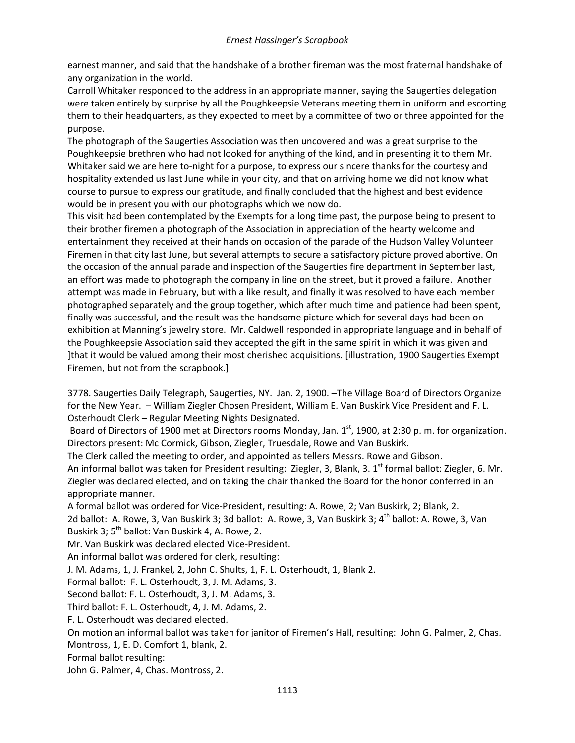earnest manner, and said that the handshake of a brother fireman was the most fraternal handshake of any organization in the world.

Carroll Whitaker responded to the address in an appropriate manner, saying the Saugerties delegation were taken entirely by surprise by all the Poughkeepsie Veterans meeting them in uniform and escorting them to their headquarters, as they expected to meet by a committee of two or three appointed for the purpose.

The photograph of the Saugerties Association was then uncovered and was a great surprise to the Poughkeepsie brethren who had not looked for anything of the kind, and in presenting it to them Mr. Whitaker said we are here to-night for a purpose, to express our sincere thanks for the courtesy and hospitality extended us last June while in your city, and that on arriving home we did not know what course to pursue to express our gratitude, and finally concluded that the highest and best evidence would be in present you with our photographs which we now do.

This visit had been contemplated by the Exempts for a long time past, the purpose being to present to their brother firemen a photograph of the Association in appreciation of the hearty welcome and entertainment they received at their hands on occasion of the parade of the Hudson Valley Volunteer Firemen in that city last June, but several attempts to secure a satisfactory picture proved abortive. On the occasion of the annual parade and inspection of the Saugerties fire department in September last, an effort was made to photograph the company in line on the street, but it proved a failure. Another attempt was made in February, but with a like result, and finally it was resolved to have each member photographed separately and the group together, which after much time and patience had been spent, finally was successful, and the result was the handsome picture which for several days had been on exhibition at Manning's jewelry store. Mr. Caldwell responded in appropriate language and in behalf of the Poughkeepsie Association said they accepted the gift in the same spirit in which it was given and ]that it would be valued among their most cherished acquisitions. [illustration, 1900 Saugerties Exempt Firemen, but not from the scrapbook.]

3778. Saugerties Daily Telegraph, Saugerties, NY. Jan. 2, 1900. –The Village Board of Directors Organize for the New Year. – William Ziegler Chosen President, William E. Van Buskirk Vice President and F. L. Osterhoudt Clerk – Regular Meeting Nights Designated.

Board of Directors of 1900 met at Directors rooms Monday, Jan. 1<sup>st</sup>, 1900, at 2:30 p. m. for organization. Directors present: Mc Cormick, Gibson, Ziegler, Truesdale, Rowe and Van Buskirk.

The Clerk called the meeting to order, and appointed as tellers Messrs. Rowe and Gibson.

An informal ballot was taken for President resulting: Ziegler, 3, Blank, 3. 1<sup>st</sup> formal ballot: Ziegler, 6. Mr. Ziegler was declared elected, and on taking the chair thanked the Board for the honor conferred in an appropriate manner.

A formal ballot was ordered for Vice-President, resulting: A. Rowe, 2; Van Buskirk, 2; Blank, 2.

2d ballot: A. Rowe, 3, Van Buskirk 3; 3d ballot: A. Rowe, 3, Van Buskirk 3; 4<sup>th</sup> ballot: A. Rowe, 3, Van Buskirk 3;  $5^{th}$  ballot: Van Buskirk 4, A. Rowe, 2.

Mr. Van Buskirk was declared elected Vice-President.

An informal ballot was ordered for clerk, resulting:

J. M. Adams, 1, J. Frankel, 2, John C. Shults, 1, F. L. Osterhoudt, 1, Blank 2.

Formal ballot: F. L. Osterhoudt, 3, J. M. Adams, 3.

Second ballot: F. L. Osterhoudt, 3, J. M. Adams, 3.

Third ballot: F. L. Osterhoudt, 4, J. M. Adams, 2.

F. L. Osterhoudt was declared elected.

On motion an informal ballot was taken for janitor of Firemen's Hall, resulting: John G. Palmer, 2, Chas.

Montross, 1, E. D. Comfort 1, blank, 2.

Formal ballot resulting:

John G. Palmer, 4, Chas. Montross, 2.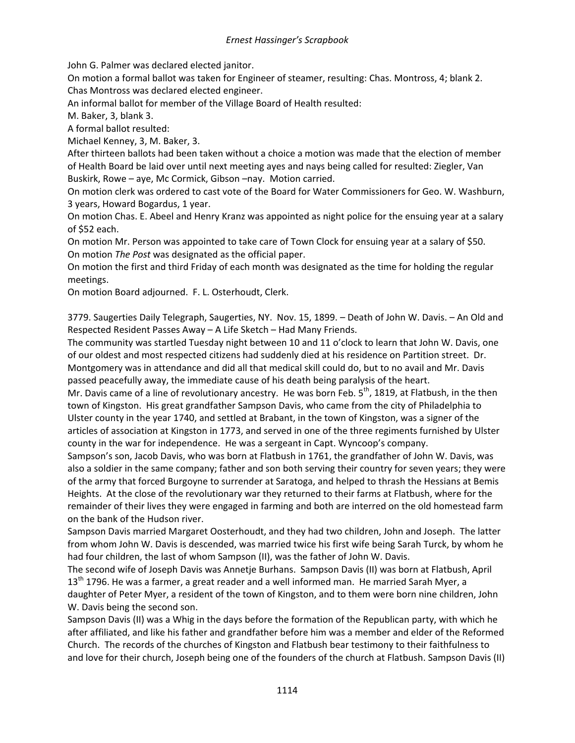John G. Palmer was declared elected janitor.

On motion a formal ballot was taken for Engineer of steamer, resulting: Chas. Montross, 4; blank 2. Chas Montross was declared elected engineer.

An informal ballot for member of the Village Board of Health resulted:

M. Baker, 3, blank 3.

A formal ballot resulted:

Michael Kenney, 3, M. Baker, 3.

After thirteen ballots had been taken without a choice a motion was made that the election of member of Health Board be laid over until next meeting ayes and nays being called for resulted: Ziegler, Van Buskirk, Rowe – aye, Mc Cormick, Gibson –nay. Motion carried.

On motion clerk was ordered to cast vote of the Board for Water Commissioners for Geo. W. Washburn, 3 years, Howard Bogardus, 1 year.

On motion Chas. E. Abeel and Henry Kranz was appointed as night police for the ensuing year at a salary of \$52 each.

On motion Mr. Person was appointed to take care of Town Clock for ensuing year at a salary of \$50. On motion *The Post* was designated as the official paper.

On motion the first and third Friday of each month was designated as the time for holding the regular meetings.

On motion Board adjourned. F. L. Osterhoudt, Clerk.

3779. Saugerties Daily Telegraph, Saugerties, NY. Nov. 15, 1899. – Death of John W. Davis. – An Old and Respected Resident Passes Away – A Life Sketch – Had Many Friends.

The community was startled Tuesday night between 10 and 11 o'clock to learn that John W. Davis, one of our oldest and most respected citizens had suddenly died at his residence on Partition street. Dr. Montgomery was in attendance and did all that medical skill could do, but to no avail and Mr. Davis passed peacefully away, the immediate cause of his death being paralysis of the heart.

Mr. Davis came of a line of revolutionary ancestry. He was born Feb.  $5<sup>th</sup>$ , 1819, at Flatbush, in the then town of Kingston. His great grandfather Sampson Davis, who came from the city of Philadelphia to Ulster county in the year 1740, and settled at Brabant, in the town of Kingston, was a signer of the articles of association at Kingston in 1773, and served in one of the three regiments furnished by Ulster county in the war for independence. He was a sergeant in Capt. Wyncoop's company.

Sampson's son, Jacob Davis, who was born at Flatbush in 1761, the grandfather of John W. Davis, was also a soldier in the same company; father and son both serving their country for seven years; they were of the army that forced Burgoyne to surrender at Saratoga, and helped to thrash the Hessians at Bemis Heights. At the close of the revolutionary war they returned to their farms at Flatbush, where for the remainder of their lives they were engaged in farming and both are interred on the old homestead farm on the bank of the Hudson river.

Sampson Davis married Margaret Oosterhoudt, and they had two children, John and Joseph. The latter from whom John W. Davis is descended, was married twice his first wife being Sarah Turck, by whom he had four children, the last of whom Sampson (II), was the father of John W. Davis.

The second wife of Joseph Davis was Annetje Burhans. Sampson Davis (II) was born at Flatbush, April 13<sup>th</sup> 1796. He was a farmer, a great reader and a well informed man. He married Sarah Myer, a daughter of Peter Myer, a resident of the town of Kingston, and to them were born nine children, John W. Davis being the second son.

Sampson Davis (II) was a Whig in the days before the formation of the Republican party, with which he after affiliated, and like his father and grandfather before him was a member and elder of the Reformed Church. The records of the churches of Kingston and Flatbush bear testimony to their faithfulness to and love for their church, Joseph being one of the founders of the church at Flatbush. Sampson Davis (II)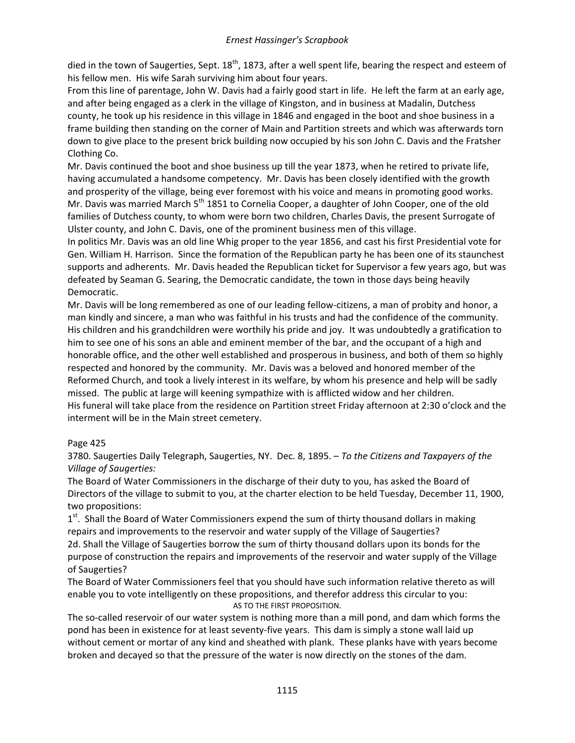died in the town of Saugerties, Sept.  $18<sup>th</sup>$ , 1873, after a well spent life, bearing the respect and esteem of his fellow men. His wife Sarah surviving him about four years.

From this line of parentage, John W. Davis had a fairly good start in life. He left the farm at an early age, and after being engaged as a clerk in the village of Kingston, and in business at Madalin, Dutchess county, he took up his residence in this village in 1846 and engaged in the boot and shoe business in a frame building then standing on the corner of Main and Partition streets and which was afterwards torn down to give place to the present brick building now occupied by his son John C. Davis and the Fratsher Clothing Co.

Mr. Davis continued the boot and shoe business up till the year 1873, when he retired to private life, having accumulated a handsome competency. Mr. Davis has been closely identified with the growth and prosperity of the village, being ever foremost with his voice and means in promoting good works. Mr. Davis was married March  $5<sup>th</sup>$  1851 to Cornelia Cooper, a daughter of John Cooper, one of the old families of Dutchess county, to whom were born two children, Charles Davis, the present Surrogate of Ulster county, and John C. Davis, one of the prominent business men of this village.

In politics Mr. Davis was an old line Whig proper to the year 1856, and cast his first Presidential vote for Gen. William H. Harrison. Since the formation of the Republican party he has been one of its staunchest supports and adherents. Mr. Davis headed the Republican ticket for Supervisor a few years ago, but was defeated by Seaman G. Searing, the Democratic candidate, the town in those days being heavily Democratic.

Mr. Davis will be long remembered as one of our leading fellow-citizens, a man of probity and honor, a man kindly and sincere, a man who was faithful in his trusts and had the confidence of the community. His children and his grandchildren were worthily his pride and joy. It was undoubtedly a gratification to him to see one of his sons an able and eminent member of the bar, and the occupant of a high and honorable office, and the other well established and prosperous in business, and both of them so highly respected and honored by the community. Mr. Davis was a beloved and honored member of the Reformed Church, and took a lively interest in its welfare, by whom his presence and help will be sadly missed. The public at large will keening sympathize with is afflicted widow and her children. His funeral will take place from the residence on Partition street Friday afternoon at 2:30 o'clock and the interment will be in the Main street cemetery.

# Page 425

3780. Saugerties Daily Telegraph, Saugerties, NY. Dec. 8, 1895. – *To the Citizens and Taxpayers of the Village of Saugerties:*

The Board of Water Commissioners in the discharge of their duty to you, has asked the Board of Directors of the village to submit to you, at the charter election to be held Tuesday, December 11, 1900, two propositions:

 $1<sup>st</sup>$ . Shall the Board of Water Commissioners expend the sum of thirty thousand dollars in making repairs and improvements to the reservoir and water supply of the Village of Saugerties? 2d. Shall the Village of Saugerties borrow the sum of thirty thousand dollars upon its bonds for the purpose of construction the repairs and improvements of the reservoir and water supply of the Village

of Saugerties?

The Board of Water Commissioners feel that you should have such information relative thereto as will enable you to vote intelligently on these propositions, and therefor address this circular to you: AS TO THE FIRST PROPOSITION.

The so-called reservoir of our water system is nothing more than a mill pond, and dam which forms the pond has been in existence for at least seventy-five years. This dam is simply a stone wall laid up without cement or mortar of any kind and sheathed with plank. These planks have with years become broken and decayed so that the pressure of the water is now directly on the stones of the dam.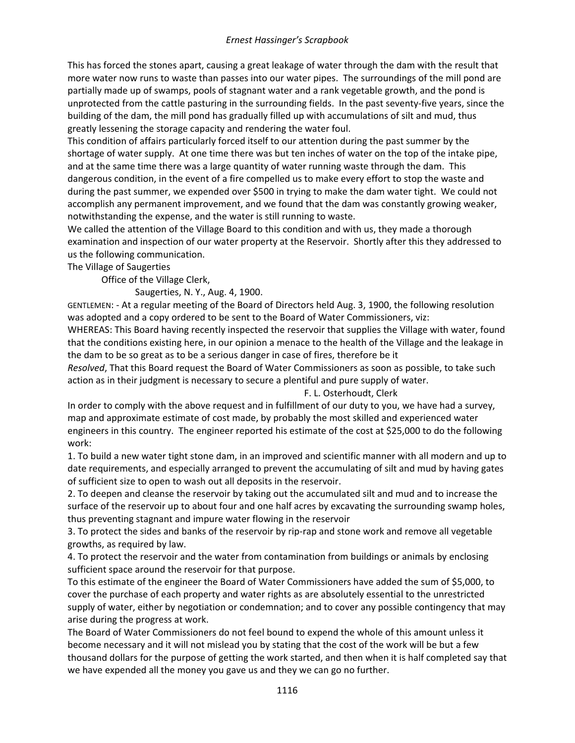This has forced the stones apart, causing a great leakage of water through the dam with the result that more water now runs to waste than passes into our water pipes. The surroundings of the mill pond are partially made up of swamps, pools of stagnant water and a rank vegetable growth, and the pond is unprotected from the cattle pasturing in the surrounding fields. In the past seventy-five years, since the building of the dam, the mill pond has gradually filled up with accumulations of silt and mud, thus greatly lessening the storage capacity and rendering the water foul.

This condition of affairs particularly forced itself to our attention during the past summer by the shortage of water supply. At one time there was but ten inches of water on the top of the intake pipe, and at the same time there was a large quantity of water running waste through the dam. This dangerous condition, in the event of a fire compelled us to make every effort to stop the waste and during the past summer, we expended over \$500 in trying to make the dam water tight. We could not accomplish any permanent improvement, and we found that the dam was constantly growing weaker, notwithstanding the expense, and the water is still running to waste.

We called the attention of the Village Board to this condition and with us, they made a thorough examination and inspection of our water property at the Reservoir. Shortly after this they addressed to us the following communication.

The Village of Saugerties

Office of the Village Clerk,

Saugerties, N. Y., Aug. 4, 1900.

GENTLEMEN: - At a regular meeting of the Board of Directors held Aug. 3, 1900, the following resolution was adopted and a copy ordered to be sent to the Board of Water Commissioners, viz:

WHEREAS: This Board having recently inspected the reservoir that supplies the Village with water, found that the conditions existing here, in our opinion a menace to the health of the Village and the leakage in the dam to be so great as to be a serious danger in case of fires, therefore be it

*Resolved*, That this Board request the Board of Water Commissioners as soon as possible, to take such action as in their judgment is necessary to secure a plentiful and pure supply of water.

# F. L. Osterhoudt, Clerk

In order to comply with the above request and in fulfillment of our duty to you, we have had a survey, map and approximate estimate of cost made, by probably the most skilled and experienced water engineers in this country. The engineer reported his estimate of the cost at \$25,000 to do the following work:

1. To build a new water tight stone dam, in an improved and scientific manner with all modern and up to date requirements, and especially arranged to prevent the accumulating of silt and mud by having gates of sufficient size to open to wash out all deposits in the reservoir.

2. To deepen and cleanse the reservoir by taking out the accumulated silt and mud and to increase the surface of the reservoir up to about four and one half acres by excavating the surrounding swamp holes, thus preventing stagnant and impure water flowing in the reservoir

3. To protect the sides and banks of the reservoir by rip-rap and stone work and remove all vegetable growths, as required by law.

4. To protect the reservoir and the water from contamination from buildings or animals by enclosing sufficient space around the reservoir for that purpose.

To this estimate of the engineer the Board of Water Commissioners have added the sum of \$5,000, to cover the purchase of each property and water rights as are absolutely essential to the unrestricted supply of water, either by negotiation or condemnation; and to cover any possible contingency that may arise during the progress at work.

The Board of Water Commissioners do not feel bound to expend the whole of this amount unless it become necessary and it will not mislead you by stating that the cost of the work will be but a few thousand dollars for the purpose of getting the work started, and then when it is half completed say that we have expended all the money you gave us and they we can go no further.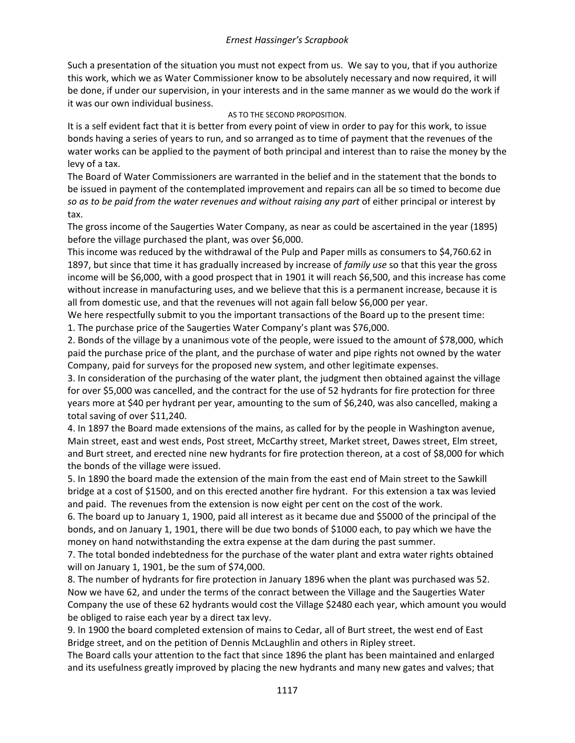Such a presentation of the situation you must not expect from us. We say to you, that if you authorize this work, which we as Water Commissioner know to be absolutely necessary and now required, it will be done, if under our supervision, in your interests and in the same manner as we would do the work if it was our own individual business.

# AS TO THE SECOND PROPOSITION.

It is a self evident fact that it is better from every point of view in order to pay for this work, to issue bonds having a series of years to run, and so arranged as to time of payment that the revenues of the water works can be applied to the payment of both principal and interest than to raise the money by the levy of a tax.

The Board of Water Commissioners are warranted in the belief and in the statement that the bonds to be issued in payment of the contemplated improvement and repairs can all be so timed to become due *so as to be paid from the water revenues and without raising any part* of either principal or interest by tax.

The gross income of the Saugerties Water Company, as near as could be ascertained in the year (1895) before the village purchased the plant, was over \$6,000.

This income was reduced by the withdrawal of the Pulp and Paper mills as consumers to \$4,760.62 in 1897, but since that time it has gradually increased by increase of *family use* so that this year the gross income will be \$6,000, with a good prospect that in 1901 it will reach \$6,500, and this increase has come without increase in manufacturing uses, and we believe that this is a permanent increase, because it is all from domestic use, and that the revenues will not again fall below \$6,000 per year.

We here respectfully submit to you the important transactions of the Board up to the present time: 1. The purchase price of the Saugerties Water Company's plant was \$76,000.

2. Bonds of the village by a unanimous vote of the people, were issued to the amount of \$78,000, which paid the purchase price of the plant, and the purchase of water and pipe rights not owned by the water Company, paid for surveys for the proposed new system, and other legitimate expenses.

3. In consideration of the purchasing of the water plant, the judgment then obtained against the village for over \$5,000 was cancelled, and the contract for the use of 52 hydrants for fire protection for three years more at \$40 per hydrant per year, amounting to the sum of \$6,240, was also cancelled, making a total saving of over \$11,240.

4. In 1897 the Board made extensions of the mains, as called for by the people in Washington avenue, Main street, east and west ends, Post street, McCarthy street, Market street, Dawes street, Elm street, and Burt street, and erected nine new hydrants for fire protection thereon, at a cost of \$8,000 for which the bonds of the village were issued.

5. In 1890 the board made the extension of the main from the east end of Main street to the Sawkill bridge at a cost of \$1500, and on this erected another fire hydrant. For this extension a tax was levied and paid. The revenues from the extension is now eight per cent on the cost of the work.

6. The board up to January 1, 1900, paid all interest as it became due and \$5000 of the principal of the bonds, and on January 1, 1901, there will be due two bonds of \$1000 each, to pay which we have the money on hand notwithstanding the extra expense at the dam during the past summer.

7. The total bonded indebtedness for the purchase of the water plant and extra water rights obtained will on January 1, 1901, be the sum of \$74,000.

8. The number of hydrants for fire protection in January 1896 when the plant was purchased was 52. Now we have 62, and under the terms of the conract between the Village and the Saugerties Water Company the use of these 62 hydrants would cost the Village \$2480 each year, which amount you would be obliged to raise each year by a direct tax levy.

9. In 1900 the board completed extension of mains to Cedar, all of Burt street, the west end of East Bridge street, and on the petition of Dennis McLaughlin and others in Ripley street.

The Board calls your attention to the fact that since 1896 the plant has been maintained and enlarged and its usefulness greatly improved by placing the new hydrants and many new gates and valves; that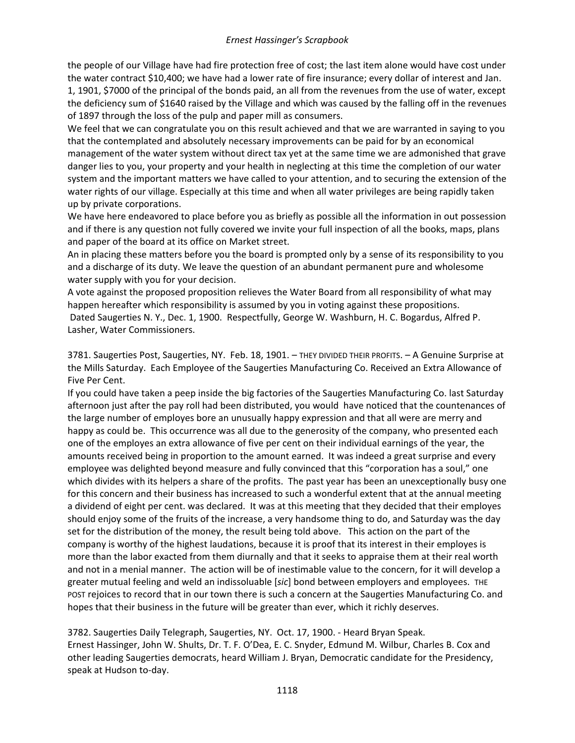the people of our Village have had fire protection free of cost; the last item alone would have cost under the water contract \$10,400; we have had a lower rate of fire insurance; every dollar of interest and Jan. 1, 1901, \$7000 of the principal of the bonds paid, an all from the revenues from the use of water, except the deficiency sum of \$1640 raised by the Village and which was caused by the falling off in the revenues of 1897 through the loss of the pulp and paper mill as consumers.

We feel that we can congratulate you on this result achieved and that we are warranted in saying to you that the contemplated and absolutely necessary improvements can be paid for by an economical management of the water system without direct tax yet at the same time we are admonished that grave danger lies to you, your property and your health in neglecting at this time the completion of our water system and the important matters we have called to your attention, and to securing the extension of the water rights of our village. Especially at this time and when all water privileges are being rapidly taken up by private corporations.

We have here endeavored to place before you as briefly as possible all the information in out possession and if there is any question not fully covered we invite your full inspection of all the books, maps, plans and paper of the board at its office on Market street.

An in placing these matters before you the board is prompted only by a sense of its responsibility to you and a discharge of its duty. We leave the question of an abundant permanent pure and wholesome water supply with you for your decision.

A vote against the proposed proposition relieves the Water Board from all responsibility of what may happen hereafter which responsibility is assumed by you in voting against these propositions. Dated Saugerties N. Y., Dec. 1, 1900. Respectfully, George W. Washburn, H. C. Bogardus, Alfred P. Lasher, Water Commissioners.

3781. Saugerties Post, Saugerties, NY. Feb. 18, 1901. – THEY DIVIDED THEIR PROFITS. – A Genuine Surprise at the Mills Saturday. Each Employee of the Saugerties Manufacturing Co. Received an Extra Allowance of Five Per Cent.

If you could have taken a peep inside the big factories of the Saugerties Manufacturing Co. last Saturday afternoon just after the pay roll had been distributed, you would have noticed that the countenances of the large number of employes bore an unusually happy expression and that all were are merry and happy as could be. This occurrence was all due to the generosity of the company, who presented each one of the employes an extra allowance of five per cent on their individual earnings of the year, the amounts received being in proportion to the amount earned. It was indeed a great surprise and every employee was delighted beyond measure and fully convinced that this "corporation has a soul," one which divides with its helpers a share of the profits. The past year has been an unexceptionally busy one for this concern and their business has increased to such a wonderful extent that at the annual meeting a dividend of eight per cent. was declared. It was at this meeting that they decided that their employes should enjoy some of the fruits of the increase, a very handsome thing to do, and Saturday was the day set for the distribution of the money, the result being told above. This action on the part of the company is worthy of the highest laudations, because it is proof that its interest in their employes is more than the labor exacted from them diurnally and that it seeks to appraise them at their real worth and not in a menial manner. The action will be of inestimable value to the concern, for it will develop a greater mutual feeling and weld an indissoluable [*sic*] bond between employers and employees. THE POST rejoices to record that in our town there is such a concern at the Saugerties Manufacturing Co. and hopes that their business in the future will be greater than ever, which it richly deserves.

3782. Saugerties Daily Telegraph, Saugerties, NY. Oct. 17, 1900. - Heard Bryan Speak. Ernest Hassinger, John W. Shults, Dr. T. F. O'Dea, E. C. Snyder, Edmund M. Wilbur, Charles B. Cox and other leading Saugerties democrats, heard William J. Bryan, Democratic candidate for the Presidency, speak at Hudson to-day.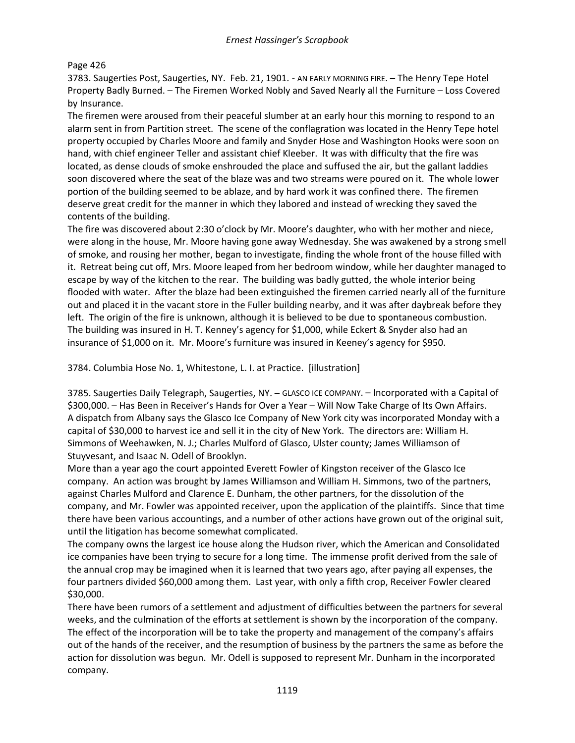### Page 426

3783. Saugerties Post, Saugerties, NY. Feb. 21, 1901. - AN EARLY MORNING FIRE. – The Henry Tepe Hotel Property Badly Burned. – The Firemen Worked Nobly and Saved Nearly all the Furniture – Loss Covered by Insurance.

The firemen were aroused from their peaceful slumber at an early hour this morning to respond to an alarm sent in from Partition street. The scene of the conflagration was located in the Henry Tepe hotel property occupied by Charles Moore and family and Snyder Hose and Washington Hooks were soon on hand, with chief engineer Teller and assistant chief Kleeber. It was with difficulty that the fire was located, as dense clouds of smoke enshrouded the place and suffused the air, but the gallant laddies soon discovered where the seat of the blaze was and two streams were poured on it. The whole lower portion of the building seemed to be ablaze, and by hard work it was confined there. The firemen deserve great credit for the manner in which they labored and instead of wrecking they saved the contents of the building.

The fire was discovered about 2:30 o'clock by Mr. Moore's daughter, who with her mother and niece, were along in the house, Mr. Moore having gone away Wednesday. She was awakened by a strong smell of smoke, and rousing her mother, began to investigate, finding the whole front of the house filled with it. Retreat being cut off, Mrs. Moore leaped from her bedroom window, while her daughter managed to escape by way of the kitchen to the rear. The building was badly gutted, the whole interior being flooded with water. After the blaze had been extinguished the firemen carried nearly all of the furniture out and placed it in the vacant store in the Fuller building nearby, and it was after daybreak before they left. The origin of the fire is unknown, although it is believed to be due to spontaneous combustion. The building was insured in H. T. Kenney's agency for \$1,000, while Eckert & Snyder also had an insurance of \$1,000 on it. Mr. Moore's furniture was insured in Keeney's agency for \$950.

3784. Columbia Hose No. 1, Whitestone, L. I. at Practice. [illustration]

3785. Saugerties Daily Telegraph, Saugerties, NY. – GLASCO ICE COMPANY. – Incorporated with a Capital of \$300,000. – Has Been in Receiver's Hands for Over a Year – Will Now Take Charge of Its Own Affairs. A dispatch from Albany says the Glasco Ice Company of New York city was incorporated Monday with a capital of \$30,000 to harvest ice and sell it in the city of New York. The directors are: William H. Simmons of Weehawken, N. J.; Charles Mulford of Glasco, Ulster county; James Williamson of Stuyvesant, and Isaac N. Odell of Brooklyn.

More than a year ago the court appointed Everett Fowler of Kingston receiver of the Glasco Ice company. An action was brought by James Williamson and William H. Simmons, two of the partners, against Charles Mulford and Clarence E. Dunham, the other partners, for the dissolution of the company, and Mr. Fowler was appointed receiver, upon the application of the plaintiffs. Since that time there have been various accountings, and a number of other actions have grown out of the original suit, until the litigation has become somewhat complicated.

The company owns the largest ice house along the Hudson river, which the American and Consolidated ice companies have been trying to secure for a long time. The immense profit derived from the sale of the annual crop may be imagined when it is learned that two years ago, after paying all expenses, the four partners divided \$60,000 among them. Last year, with only a fifth crop, Receiver Fowler cleared \$30,000.

There have been rumors of a settlement and adjustment of difficulties between the partners for several weeks, and the culmination of the efforts at settlement is shown by the incorporation of the company. The effect of the incorporation will be to take the property and management of the company's affairs out of the hands of the receiver, and the resumption of business by the partners the same as before the action for dissolution was begun. Mr. Odell is supposed to represent Mr. Dunham in the incorporated company.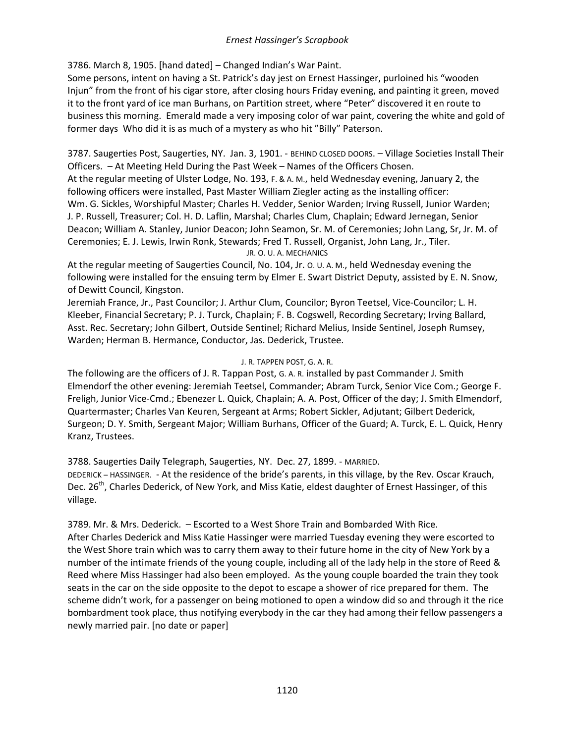3786. March 8, 1905. [hand dated] – Changed Indian's War Paint.

Some persons, intent on having a St. Patrick's day jest on Ernest Hassinger, purloined his "wooden Injun" from the front of his cigar store, after closing hours Friday evening, and painting it green, moved it to the front yard of ice man Burhans, on Partition street, where "Peter" discovered it en route to business this morning. Emerald made a very imposing color of war paint, covering the white and gold of former days Who did it is as much of a mystery as who hit "Billy" Paterson.

3787. Saugerties Post, Saugerties, NY. Jan. 3, 1901. - BEHIND CLOSED DOORS. – Village Societies Install Their Officers. – At Meeting Held During the Past Week – Names of the Officers Chosen. At the regular meeting of Ulster Lodge, No. 193, F. & A. M., held Wednesday evening, January 2, the following officers were installed, Past Master William Ziegler acting as the installing officer: Wm. G. Sickles, Worshipful Master; Charles H. Vedder, Senior Warden; Irving Russell, Junior Warden; J. P. Russell, Treasurer; Col. H. D. Laflin, Marshal; Charles Clum, Chaplain; Edward Jernegan, Senior Deacon; William A. Stanley, Junior Deacon; John Seamon, Sr. M. of Ceremonies; John Lang, Sr, Jr. M. of Ceremonies; E. J. Lewis, Irwin Ronk, Stewards; Fred T. Russell, Organist, John Lang, Jr., Tiler.

JR. O. U. A. MECHANICS

At the regular meeting of Saugerties Council, No. 104, Jr. O. U. A. M., held Wednesday evening the following were installed for the ensuing term by Elmer E. Swart District Deputy, assisted by E. N. Snow, of Dewitt Council, Kingston.

Jeremiah France, Jr., Past Councilor; J. Arthur Clum, Councilor; Byron Teetsel, Vice-Councilor; L. H. Kleeber, Financial Secretary; P. J. Turck, Chaplain; F. B. Cogswell, Recording Secretary; Irving Ballard, Asst. Rec. Secretary; John Gilbert, Outside Sentinel; Richard Melius, Inside Sentinel, Joseph Rumsey, Warden; Herman B. Hermance, Conductor, Jas. Dederick, Trustee.

### J. R. TAPPEN POST, G. A. R.

The following are the officers of J. R. Tappan Post, G. A. R. installed by past Commander J. Smith Elmendorf the other evening: Jeremiah Teetsel, Commander; Abram Turck, Senior Vice Com.; George F. Freligh, Junior Vice-Cmd.; Ebenezer L. Quick, Chaplain; A. A. Post, Officer of the day; J. Smith Elmendorf, Quartermaster; Charles Van Keuren, Sergeant at Arms; Robert Sickler, Adjutant; Gilbert Dederick, Surgeon; D. Y. Smith, Sergeant Major; William Burhans, Officer of the Guard; A. Turck, E. L. Quick, Henry Kranz, Trustees.

3788. Saugerties Daily Telegraph, Saugerties, NY. Dec. 27, 1899. - MARRIED. DEDERICK – HASSINGER. - At the residence of the bride's parents, in this village, by the Rev. Oscar Krauch, Dec. 26<sup>th</sup>, Charles Dederick, of New York, and Miss Katie, eldest daughter of Ernest Hassinger, of this village.

3789. Mr. & Mrs. Dederick. – Escorted to a West Shore Train and Bombarded With Rice. After Charles Dederick and Miss Katie Hassinger were married Tuesday evening they were escorted to the West Shore train which was to carry them away to their future home in the city of New York by a number of the intimate friends of the young couple, including all of the lady help in the store of Reed & Reed where Miss Hassinger had also been employed. As the young couple boarded the train they took seats in the car on the side opposite to the depot to escape a shower of rice prepared for them. The scheme didn't work, for a passenger on being motioned to open a window did so and through it the rice bombardment took place, thus notifying everybody in the car they had among their fellow passengers a newly married pair. [no date or paper]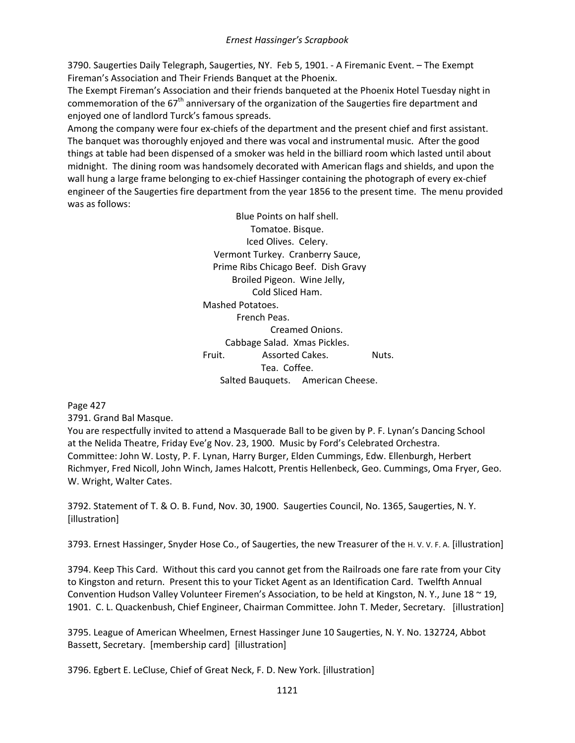3790. Saugerties Daily Telegraph, Saugerties, NY. Feb 5, 1901. - A Firemanic Event. – The Exempt Fireman's Association and Their Friends Banquet at the Phoenix.

The Exempt Fireman's Association and their friends banqueted at the Phoenix Hotel Tuesday night in commemoration of the  $67<sup>th</sup>$  anniversary of the organization of the Saugerties fire department and enjoyed one of landlord Turck's famous spreads.

Among the company were four ex-chiefs of the department and the present chief and first assistant. The banquet was thoroughly enjoyed and there was vocal and instrumental music. After the good things at table had been dispensed of a smoker was held in the billiard room which lasted until about midnight. The dining room was handsomely decorated with American flags and shields, and upon the wall hung a large frame belonging to ex-chief Hassinger containing the photograph of every ex-chief engineer of the Saugerties fire department from the year 1856 to the present time. The menu provided was as follows:

> Blue Points on half shell. Tomatoe. Bisque. Iced Olives. Celery. Vermont Turkey. Cranberry Sauce, Prime Ribs Chicago Beef. Dish Gravy Broiled Pigeon. Wine Jelly, Cold Sliced Ham. Mashed Potatoes. French Peas. Creamed Onions. Cabbage Salad. Xmas Pickles. Fruit. Assorted Cakes. Nuts. Tea. Coffee. Salted Bauquets. American Cheese.

Page 427

3791. Grand Bal Masque.

You are respectfully invited to attend a Masquerade Ball to be given by P. F. Lynan's Dancing School at the Nelida Theatre, Friday Eve'g Nov. 23, 1900. Music by Ford's Celebrated Orchestra. Committee: John W. Losty, P. F. Lynan, Harry Burger, Elden Cummings, Edw. Ellenburgh, Herbert Richmyer, Fred Nicoll, John Winch, James Halcott, Prentis Hellenbeck, Geo. Cummings, Oma Fryer, Geo. W. Wright, Walter Cates.

3792. Statement of T. & O. B. Fund, Nov. 30, 1900. Saugerties Council, No. 1365, Saugerties, N. Y. [illustration]

3793. Ernest Hassinger, Snyder Hose Co., of Saugerties, the new Treasurer of the H. V. V. F. A. [illustration]

3794. Keep This Card. Without this card you cannot get from the Railroads one fare rate from your City to Kingston and return. Present this to your Ticket Agent as an Identification Card. Twelfth Annual Convention Hudson Valley Volunteer Firemen's Association, to be held at Kingston, N. Y., June 18 ~ 19, 1901. C. L. Quackenbush, Chief Engineer, Chairman Committee. John T. Meder, Secretary. [illustration]

3795. League of American Wheelmen, Ernest Hassinger June 10 Saugerties, N. Y. No. 132724, Abbot Bassett, Secretary. [membership card] [illustration]

3796. Egbert E. LeCluse, Chief of Great Neck, F. D. New York. [illustration]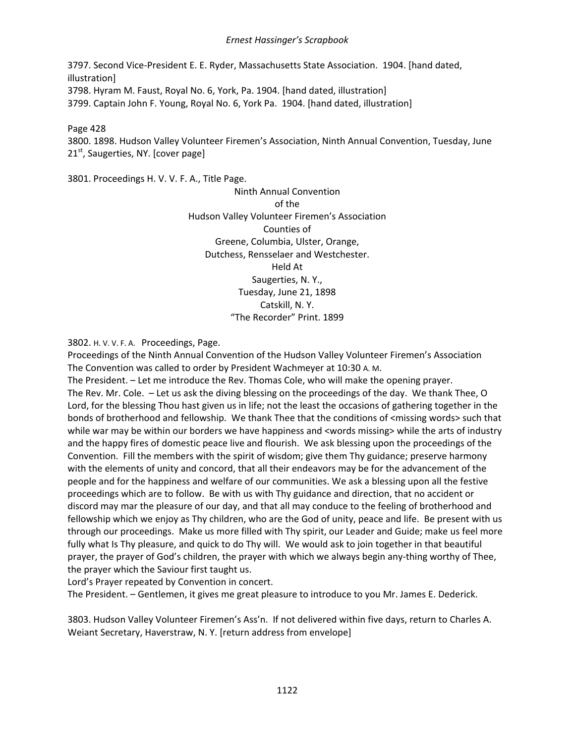3797. Second Vice-President E. E. Ryder, Massachusetts State Association. 1904. [hand dated, illustration] 3798. Hyram M. Faust, Royal No. 6, York, Pa. 1904. [hand dated, illustration] 3799. Captain John F. Young, Royal No. 6, York Pa. 1904. [hand dated, illustration]

Page 428

3800. 1898. Hudson Valley Volunteer Firemen's Association, Ninth Annual Convention, Tuesday, June  $21<sup>st</sup>$ , Saugerties, NY. [cover page]

3801. Proceedings H. V. V. F. A., Title Page.

Ninth Annual Convention of the Hudson Valley Volunteer Firemen's Association Counties of Greene, Columbia, Ulster, Orange, Dutchess, Rensselaer and Westchester. Held At Saugerties, N. Y., Tuesday, June 21, 1898 Catskill, N. Y. "The Recorder" Print. 1899

3802. H. V. V. F. A. Proceedings, Page.

Proceedings of the Ninth Annual Convention of the Hudson Valley Volunteer Firemen's Association The Convention was called to order by President Wachmeyer at 10:30 A. M.

The President. – Let me introduce the Rev. Thomas Cole, who will make the opening prayer. The Rev. Mr. Cole. – Let us ask the diving blessing on the proceedings of the day. We thank Thee, O Lord, for the blessing Thou hast given us in life; not the least the occasions of gathering together in the bonds of brotherhood and fellowship. We thank Thee that the conditions of <missing words> such that while war may be within our borders we have happiness and <words missing> while the arts of industry and the happy fires of domestic peace live and flourish. We ask blessing upon the proceedings of the Convention. Fill the members with the spirit of wisdom; give them Thy guidance; preserve harmony with the elements of unity and concord, that all their endeavors may be for the advancement of the people and for the happiness and welfare of our communities. We ask a blessing upon all the festive proceedings which are to follow. Be with us with Thy guidance and direction, that no accident or discord may mar the pleasure of our day, and that all may conduce to the feeling of brotherhood and fellowship which we enjoy as Thy children, who are the God of unity, peace and life. Be present with us through our proceedings. Make us more filled with Thy spirit, our Leader and Guide; make us feel more fully what Is Thy pleasure, and quick to do Thy will. We would ask to join together in that beautiful prayer, the prayer of God's children, the prayer with which we always begin any-thing worthy of Thee, the prayer which the Saviour first taught us.

Lord's Prayer repeated by Convention in concert.

The President. – Gentlemen, it gives me great pleasure to introduce to you Mr. James E. Dederick.

3803. Hudson Valley Volunteer Firemen's Ass'n. If not delivered within five days, return to Charles A. Weiant Secretary, Haverstraw, N. Y. [return address from envelope]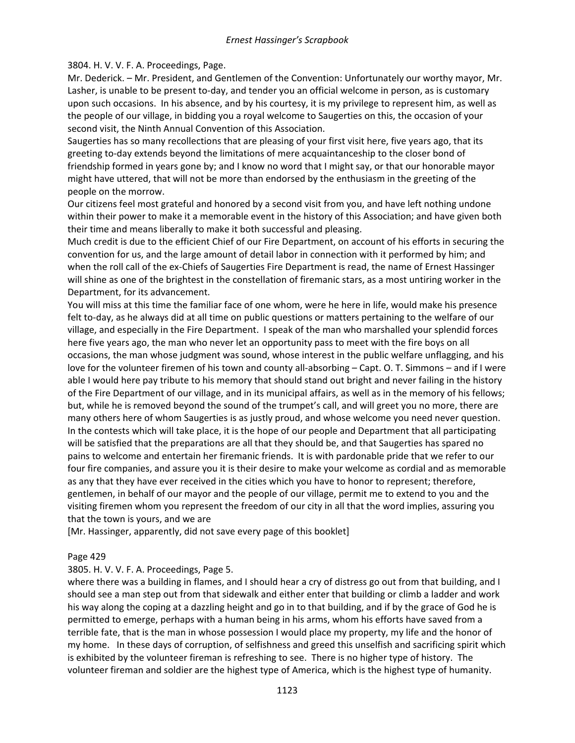### 3804. H. V. V. F. A. Proceedings, Page.

Mr. Dederick. – Mr. President, and Gentlemen of the Convention: Unfortunately our worthy mayor, Mr. Lasher, is unable to be present to-day, and tender you an official welcome in person, as is customary upon such occasions. In his absence, and by his courtesy, it is my privilege to represent him, as well as the people of our village, in bidding you a royal welcome to Saugerties on this, the occasion of your second visit, the Ninth Annual Convention of this Association.

Saugerties has so many recollections that are pleasing of your first visit here, five years ago, that its greeting to-day extends beyond the limitations of mere acquaintanceship to the closer bond of friendship formed in years gone by; and I know no word that I might say, or that our honorable mayor might have uttered, that will not be more than endorsed by the enthusiasm in the greeting of the people on the morrow.

Our citizens feel most grateful and honored by a second visit from you, and have left nothing undone within their power to make it a memorable event in the history of this Association; and have given both their time and means liberally to make it both successful and pleasing.

Much credit is due to the efficient Chief of our Fire Department, on account of his efforts in securing the convention for us, and the large amount of detail labor in connection with it performed by him; and when the roll call of the ex-Chiefs of Saugerties Fire Department is read, the name of Ernest Hassinger will shine as one of the brightest in the constellation of firemanic stars, as a most untiring worker in the Department, for its advancement.

You will miss at this time the familiar face of one whom, were he here in life, would make his presence felt to-day, as he always did at all time on public questions or matters pertaining to the welfare of our village, and especially in the Fire Department. I speak of the man who marshalled your splendid forces here five years ago, the man who never let an opportunity pass to meet with the fire boys on all occasions, the man whose judgment was sound, whose interest in the public welfare unflagging, and his love for the volunteer firemen of his town and county all-absorbing – Capt. O. T. Simmons – and if I were able I would here pay tribute to his memory that should stand out bright and never failing in the history of the Fire Department of our village, and in its municipal affairs, as well as in the memory of his fellows; but, while he is removed beyond the sound of the trumpet's call, and will greet you no more, there are many others here of whom Saugerties is as justly proud, and whose welcome you need never question. In the contests which will take place, it is the hope of our people and Department that all participating will be satisfied that the preparations are all that they should be, and that Saugerties has spared no pains to welcome and entertain her firemanic friends. It is with pardonable pride that we refer to our four fire companies, and assure you it is their desire to make your welcome as cordial and as memorable as any that they have ever received in the cities which you have to honor to represent; therefore, gentlemen, in behalf of our mayor and the people of our village, permit me to extend to you and the visiting firemen whom you represent the freedom of our city in all that the word implies, assuring you that the town is yours, and we are

[Mr. Hassinger, apparently, did not save every page of this booklet]

### Page 429

3805. H. V. V. F. A. Proceedings, Page 5.

where there was a building in flames, and I should hear a cry of distress go out from that building, and I should see a man step out from that sidewalk and either enter that building or climb a ladder and work his way along the coping at a dazzling height and go in to that building, and if by the grace of God he is permitted to emerge, perhaps with a human being in his arms, whom his efforts have saved from a terrible fate, that is the man in whose possession I would place my property, my life and the honor of my home. In these days of corruption, of selfishness and greed this unselfish and sacrificing spirit which is exhibited by the volunteer fireman is refreshing to see. There is no higher type of history. The volunteer fireman and soldier are the highest type of America, which is the highest type of humanity.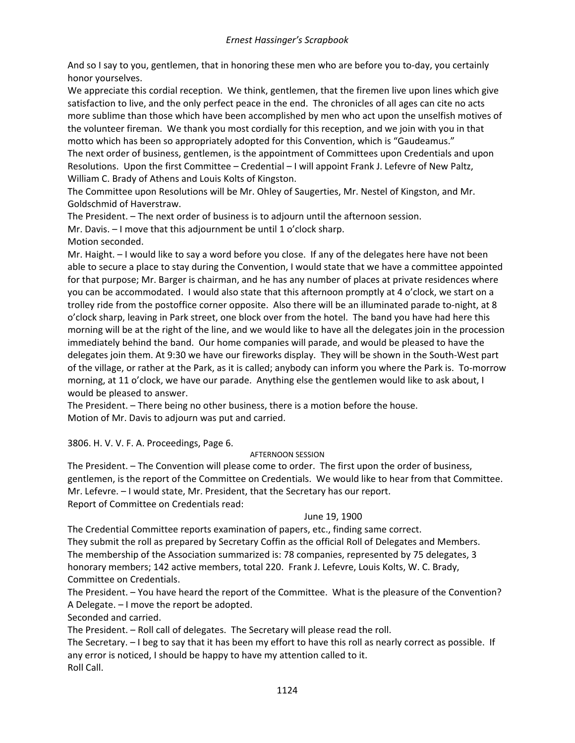And so I say to you, gentlemen, that in honoring these men who are before you to-day, you certainly honor yourselves.

We appreciate this cordial reception. We think, gentlemen, that the firemen live upon lines which give satisfaction to live, and the only perfect peace in the end. The chronicles of all ages can cite no acts more sublime than those which have been accomplished by men who act upon the unselfish motives of the volunteer fireman. We thank you most cordially for this reception, and we join with you in that motto which has been so appropriately adopted for this Convention, which is "Gaudeamus." The next order of business, gentlemen, is the appointment of Committees upon Credentials and upon Resolutions. Upon the first Committee – Credential – I will appoint Frank J. Lefevre of New Paltz, William C. Brady of Athens and Louis Kolts of Kingston.

The Committee upon Resolutions will be Mr. Ohley of Saugerties, Mr. Nestel of Kingston, and Mr. Goldschmid of Haverstraw.

The President. – The next order of business is to adjourn until the afternoon session.

Mr. Davis. – I move that this adjournment be until 1 o'clock sharp.

Motion seconded.

Mr. Haight. – I would like to say a word before you close. If any of the delegates here have not been able to secure a place to stay during the Convention, I would state that we have a committee appointed for that purpose; Mr. Barger is chairman, and he has any number of places at private residences where you can be accommodated. I would also state that this afternoon promptly at 4 o'clock, we start on a trolley ride from the postoffice corner opposite. Also there will be an illuminated parade to-night, at 8 o'clock sharp, leaving in Park street, one block over from the hotel. The band you have had here this morning will be at the right of the line, and we would like to have all the delegates join in the procession immediately behind the band. Our home companies will parade, and would be pleased to have the delegates join them. At 9:30 we have our fireworks display. They will be shown in the South-West part of the village, or rather at the Park, as it is called; anybody can inform you where the Park is. To-morrow morning, at 11 o'clock, we have our parade. Anything else the gentlemen would like to ask about, I would be pleased to answer.

The President. – There being no other business, there is a motion before the house. Motion of Mr. Davis to adjourn was put and carried.

3806. H. V. V. F. A. Proceedings, Page 6.

### AFTERNOON SESSION

The President. – The Convention will please come to order. The first upon the order of business, gentlemen, is the report of the Committee on Credentials. We would like to hear from that Committee. Mr. Lefevre. – I would state, Mr. President, that the Secretary has our report. Report of Committee on Credentials read:

### June 19, 1900

The Credential Committee reports examination of papers, etc., finding same correct.

They submit the roll as prepared by Secretary Coffin as the official Roll of Delegates and Members. The membership of the Association summarized is: 78 companies, represented by 75 delegates, 3 honorary members; 142 active members, total 220. Frank J. Lefevre, Louis Kolts, W. C. Brady, Committee on Credentials.

The President. – You have heard the report of the Committee. What is the pleasure of the Convention? A Delegate. – I move the report be adopted.

Seconded and carried.

The President. – Roll call of delegates. The Secretary will please read the roll.

The Secretary. – I beg to say that it has been my effort to have this roll as nearly correct as possible. If any error is noticed, I should be happy to have my attention called to it. Roll Call.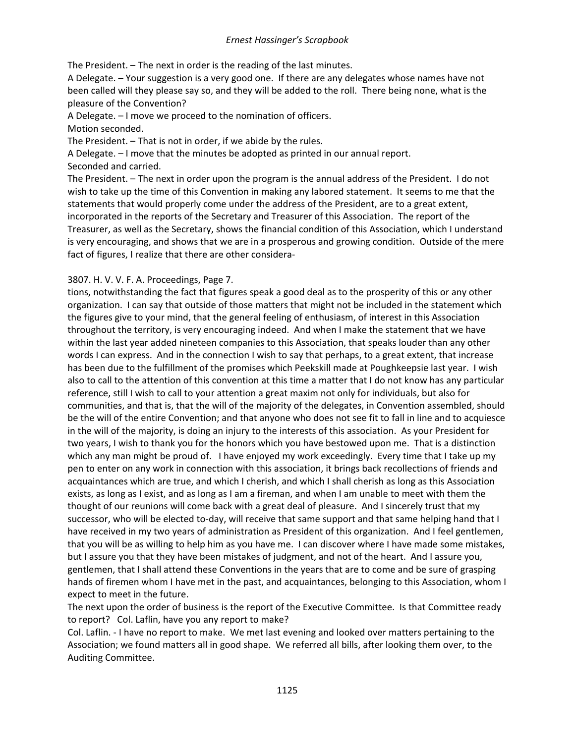The President. – The next in order is the reading of the last minutes.

A Delegate. – Your suggestion is a very good one. If there are any delegates whose names have not been called will they please say so, and they will be added to the roll. There being none, what is the pleasure of the Convention?

A Delegate. – I move we proceed to the nomination of officers.

Motion seconded.

The President. – That is not in order, if we abide by the rules.

A Delegate. – I move that the minutes be adopted as printed in our annual report.

Seconded and carried.

The President. – The next in order upon the program is the annual address of the President. I do not wish to take up the time of this Convention in making any labored statement. It seems to me that the statements that would properly come under the address of the President, are to a great extent, incorporated in the reports of the Secretary and Treasurer of this Association. The report of the Treasurer, as well as the Secretary, shows the financial condition of this Association, which I understand is very encouraging, and shows that we are in a prosperous and growing condition. Outside of the mere fact of figures, I realize that there are other considera-

# 3807. H. V. V. F. A. Proceedings, Page 7.

tions, notwithstanding the fact that figures speak a good deal as to the prosperity of this or any other organization. I can say that outside of those matters that might not be included in the statement which the figures give to your mind, that the general feeling of enthusiasm, of interest in this Association throughout the territory, is very encouraging indeed. And when I make the statement that we have within the last year added nineteen companies to this Association, that speaks louder than any other words I can express. And in the connection I wish to say that perhaps, to a great extent, that increase has been due to the fulfillment of the promises which Peekskill made at Poughkeepsie last year. I wish also to call to the attention of this convention at this time a matter that I do not know has any particular reference, still I wish to call to your attention a great maxim not only for individuals, but also for communities, and that is, that the will of the majority of the delegates, in Convention assembled, should be the will of the entire Convention; and that anyone who does not see fit to fall in line and to acquiesce in the will of the majority, is doing an injury to the interests of this association. As your President for two years, I wish to thank you for the honors which you have bestowed upon me. That is a distinction which any man might be proud of. I have enjoyed my work exceedingly. Every time that I take up my pen to enter on any work in connection with this association, it brings back recollections of friends and acquaintances which are true, and which I cherish, and which I shall cherish as long as this Association exists, as long as I exist, and as long as I am a fireman, and when I am unable to meet with them the thought of our reunions will come back with a great deal of pleasure. And I sincerely trust that my successor, who will be elected to-day, will receive that same support and that same helping hand that I have received in my two years of administration as President of this organization. And I feel gentlemen, that you will be as willing to help him as you have me. I can discover where I have made some mistakes, but I assure you that they have been mistakes of judgment, and not of the heart. And I assure you, gentlemen, that I shall attend these Conventions in the years that are to come and be sure of grasping hands of firemen whom I have met in the past, and acquaintances, belonging to this Association, whom I expect to meet in the future.

The next upon the order of business is the report of the Executive Committee. Is that Committee ready to report? Col. Laflin, have you any report to make?

Col. Laflin. - I have no report to make. We met last evening and looked over matters pertaining to the Association; we found matters all in good shape. We referred all bills, after looking them over, to the Auditing Committee.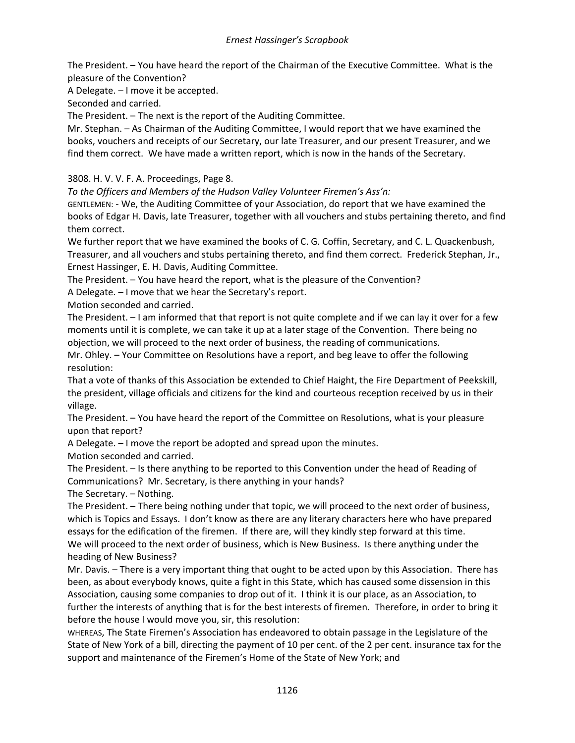The President. – You have heard the report of the Chairman of the Executive Committee. What is the pleasure of the Convention?

A Delegate. – I move it be accepted.

Seconded and carried.

The President. – The next is the report of the Auditing Committee.

Mr. Stephan. – As Chairman of the Auditing Committee, I would report that we have examined the books, vouchers and receipts of our Secretary, our late Treasurer, and our present Treasurer, and we find them correct. We have made a written report, which is now in the hands of the Secretary.

3808. H. V. V. F. A. Proceedings, Page 8.

*To the Officers and Members of the Hudson Valley Volunteer Firemen's Ass'n:*

GENTLEMEN: - We, the Auditing Committee of your Association, do report that we have examined the books of Edgar H. Davis, late Treasurer, together with all vouchers and stubs pertaining thereto, and find them correct.

We further report that we have examined the books of C. G. Coffin, Secretary, and C. L. Quackenbush, Treasurer, and all vouchers and stubs pertaining thereto, and find them correct. Frederick Stephan, Jr., Ernest Hassinger, E. H. Davis, Auditing Committee.

The President. – You have heard the report, what is the pleasure of the Convention?

A Delegate. – I move that we hear the Secretary's report.

Motion seconded and carried.

The President. – I am informed that that report is not quite complete and if we can lay it over for a few moments until it is complete, we can take it up at a later stage of the Convention. There being no objection, we will proceed to the next order of business, the reading of communications.

Mr. Ohley. – Your Committee on Resolutions have a report, and beg leave to offer the following resolution:

That a vote of thanks of this Association be extended to Chief Haight, the Fire Department of Peekskill, the president, village officials and citizens for the kind and courteous reception received by us in their village.

The President. – You have heard the report of the Committee on Resolutions, what is your pleasure upon that report?

A Delegate. – I move the report be adopted and spread upon the minutes.

Motion seconded and carried.

The President. – Is there anything to be reported to this Convention under the head of Reading of Communications? Mr. Secretary, is there anything in your hands?

The Secretary. – Nothing.

The President. – There being nothing under that topic, we will proceed to the next order of business, which is Topics and Essays. I don't know as there are any literary characters here who have prepared essays for the edification of the firemen. If there are, will they kindly step forward at this time. We will proceed to the next order of business, which is New Business. Is there anything under the heading of New Business?

Mr. Davis. – There is a very important thing that ought to be acted upon by this Association. There has been, as about everybody knows, quite a fight in this State, which has caused some dissension in this Association, causing some companies to drop out of it. I think it is our place, as an Association, to further the interests of anything that is for the best interests of firemen. Therefore, in order to bring it before the house I would move you, sir, this resolution:

WHEREAS, The State Firemen's Association has endeavored to obtain passage in the Legislature of the State of New York of a bill, directing the payment of 10 per cent. of the 2 per cent. insurance tax for the support and maintenance of the Firemen's Home of the State of New York; and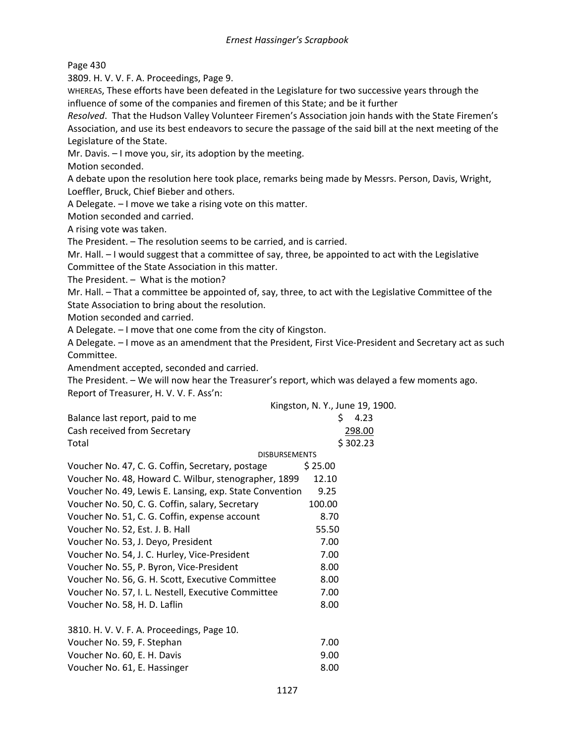Page 430

3809. H. V. V. F. A. Proceedings, Page 9.

WHEREAS, These efforts have been defeated in the Legislature for two successive years through the influence of some of the companies and firemen of this State; and be it further

*Resolved*. That the Hudson Valley Volunteer Firemen's Association join hands with the State Firemen's Association, and use its best endeavors to secure the passage of the said bill at the next meeting of the Legislature of the State.

Mr. Davis. – I move you, sir, its adoption by the meeting.

Motion seconded.

A debate upon the resolution here took place, remarks being made by Messrs. Person, Davis, Wright, Loeffler, Bruck, Chief Bieber and others.

A Delegate. – I move we take a rising vote on this matter.

Motion seconded and carried.

A rising vote was taken.

The President. – The resolution seems to be carried, and is carried.

Mr. Hall. – I would suggest that a committee of say, three, be appointed to act with the Legislative Committee of the State Association in this matter.

The President. – What is the motion?

Mr. Hall. – That a committee be appointed of, say, three, to act with the Legislative Committee of the State Association to bring about the resolution.

Motion seconded and carried.

A Delegate. – I move that one come from the city of Kingston.

A Delegate. – I move as an amendment that the President, First Vice-President and Secretary act as such Committee.

Amendment accepted, seconded and carried.

The President. – We will now hear the Treasurer's report, which was delayed a few moments ago. Report of Treasurer, H. V. V. F. Ass'n:

|                                                         | Kingston, N. Y., June 19, 1900. |  |  |  |
|---------------------------------------------------------|---------------------------------|--|--|--|
| Balance last report, paid to me                         | 4.23<br>S.                      |  |  |  |
| Cash received from Secretary                            | 298.00                          |  |  |  |
| Total                                                   | \$302.23                        |  |  |  |
| <b>DISBURSEMENTS</b>                                    |                                 |  |  |  |
| Voucher No. 47, C. G. Coffin, Secretary, postage        | \$25.00                         |  |  |  |
| Voucher No. 48, Howard C. Wilbur, stenographer, 1899    | 12.10                           |  |  |  |
| Voucher No. 49, Lewis E. Lansing, exp. State Convention | 9.25                            |  |  |  |
| Voucher No. 50, C. G. Coffin, salary, Secretary         | 100.00                          |  |  |  |
| Voucher No. 51, C. G. Coffin, expense account           | 8.70                            |  |  |  |
| Voucher No. 52, Est. J. B. Hall                         | 55.50                           |  |  |  |
| Voucher No. 53, J. Deyo, President                      | 7.00                            |  |  |  |
| Voucher No. 54, J. C. Hurley, Vice-President            | 7.00                            |  |  |  |
| Voucher No. 55, P. Byron, Vice-President                | 8.00                            |  |  |  |
| Voucher No. 56, G. H. Scott, Executive Committee        | 8.00                            |  |  |  |
| Voucher No. 57, I. L. Nestell, Executive Committee      | 7.00                            |  |  |  |
| Voucher No. 58, H. D. Laflin                            | 8.00                            |  |  |  |
| 3810. H. V. V. F. A. Proceedings, Page 10.              |                                 |  |  |  |
| Voucher No. 59, F. Stephan                              | 7.00                            |  |  |  |
| Voucher No. 60, E. H. Davis                             | 9.00                            |  |  |  |
| Voucher No. 61, E. Hassinger                            | 8.00                            |  |  |  |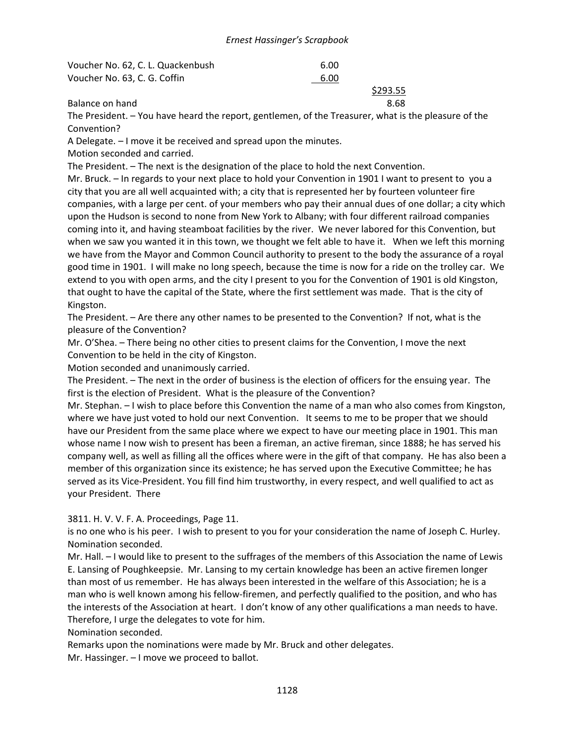| Voucher No. 62, C. L. Quackenbush | 6.00 |          |
|-----------------------------------|------|----------|
| Voucher No. 63, C. G. Coffin      | 6.00 |          |
|                                   |      | \$293.55 |
| Balance on hand                   |      | 8.68     |

The President. – You have heard the report, gentlemen, of the Treasurer, what is the pleasure of the Convention?

A Delegate. – I move it be received and spread upon the minutes.

Motion seconded and carried.

The President. – The next is the designation of the place to hold the next Convention.

Mr. Bruck. – In regards to your next place to hold your Convention in 1901 I want to present to you a city that you are all well acquainted with; a city that is represented her by fourteen volunteer fire companies, with a large per cent. of your members who pay their annual dues of one dollar; a city which upon the Hudson is second to none from New York to Albany; with four different railroad companies coming into it, and having steamboat facilities by the river. We never labored for this Convention, but when we saw you wanted it in this town, we thought we felt able to have it. When we left this morning we have from the Mayor and Common Council authority to present to the body the assurance of a royal good time in 1901. I will make no long speech, because the time is now for a ride on the trolley car. We extend to you with open arms, and the city I present to you for the Convention of 1901 is old Kingston, that ought to have the capital of the State, where the first settlement was made. That is the city of Kingston.

The President. – Are there any other names to be presented to the Convention? If not, what is the pleasure of the Convention?

Mr. O'Shea. – There being no other cities to present claims for the Convention, I move the next Convention to be held in the city of Kingston.

Motion seconded and unanimously carried.

The President. – The next in the order of business is the election of officers for the ensuing year. The first is the election of President. What is the pleasure of the Convention?

Mr. Stephan. – I wish to place before this Convention the name of a man who also comes from Kingston, where we have just voted to hold our next Convention. It seems to me to be proper that we should have our President from the same place where we expect to have our meeting place in 1901. This man whose name I now wish to present has been a fireman, an active fireman, since 1888; he has served his company well, as well as filling all the offices where were in the gift of that company. He has also been a member of this organization since its existence; he has served upon the Executive Committee; he has served as its Vice-President. You fill find him trustworthy, in every respect, and well qualified to act as your President. There

3811. H. V. V. F. A. Proceedings, Page 11.

is no one who is his peer. I wish to present to you for your consideration the name of Joseph C. Hurley. Nomination seconded.

Mr. Hall. – I would like to present to the suffrages of the members of this Association the name of Lewis E. Lansing of Poughkeepsie. Mr. Lansing to my certain knowledge has been an active firemen longer than most of us remember. He has always been interested in the welfare of this Association; he is a man who is well known among his fellow-firemen, and perfectly qualified to the position, and who has the interests of the Association at heart. I don't know of any other qualifications a man needs to have. Therefore, I urge the delegates to vote for him.

Nomination seconded.

Remarks upon the nominations were made by Mr. Bruck and other delegates.

Mr. Hassinger. – I move we proceed to ballot.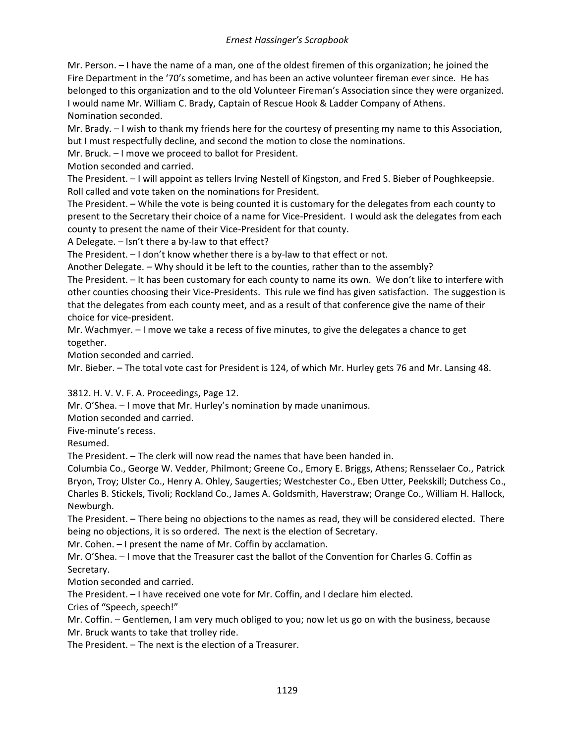Mr. Person. – I have the name of a man, one of the oldest firemen of this organization; he joined the Fire Department in the '70's sometime, and has been an active volunteer fireman ever since. He has belonged to this organization and to the old Volunteer Fireman's Association since they were organized. I would name Mr. William C. Brady, Captain of Rescue Hook & Ladder Company of Athens. Nomination seconded.

Mr. Brady. – I wish to thank my friends here for the courtesy of presenting my name to this Association, but I must respectfully decline, and second the motion to close the nominations.

Mr. Bruck. – I move we proceed to ballot for President.

Motion seconded and carried.

The President. – I will appoint as tellers Irving Nestell of Kingston, and Fred S. Bieber of Poughkeepsie. Roll called and vote taken on the nominations for President.

The President. – While the vote is being counted it is customary for the delegates from each county to present to the Secretary their choice of a name for Vice-President. I would ask the delegates from each county to present the name of their Vice-President for that county.

A Delegate. – Isn't there a by-law to that effect?

The President. – I don't know whether there is a by-law to that effect or not.

Another Delegate. – Why should it be left to the counties, rather than to the assembly?

The President. – It has been customary for each county to name its own. We don't like to interfere with other counties choosing their Vice-Presidents. This rule we find has given satisfaction. The suggestion is that the delegates from each county meet, and as a result of that conference give the name of their choice for vice-president.

Mr. Wachmyer. – I move we take a recess of five minutes, to give the delegates a chance to get together.

Motion seconded and carried.

Mr. Bieber. – The total vote cast for President is 124, of which Mr. Hurley gets 76 and Mr. Lansing 48.

3812. H. V. V. F. A. Proceedings, Page 12.

Mr. O'Shea. – I move that Mr. Hurley's nomination by made unanimous.

Motion seconded and carried.

Five-minute's recess.

Resumed.

The President. – The clerk will now read the names that have been handed in.

Columbia Co., George W. Vedder, Philmont; Greene Co., Emory E. Briggs, Athens; Rensselaer Co., Patrick Bryon, Troy; Ulster Co., Henry A. Ohley, Saugerties; Westchester Co., Eben Utter, Peekskill; Dutchess Co., Charles B. Stickels, Tivoli; Rockland Co., James A. Goldsmith, Haverstraw; Orange Co., William H. Hallock, Newburgh.

The President. – There being no objections to the names as read, they will be considered elected. There being no objections, it is so ordered. The next is the election of Secretary.

Mr. Cohen. – I present the name of Mr. Coffin by acclamation.

Mr. O'Shea. – I move that the Treasurer cast the ballot of the Convention for Charles G. Coffin as Secretary.

Motion seconded and carried.

The President. – I have received one vote for Mr. Coffin, and I declare him elected.

Cries of "Speech, speech!"

Mr. Coffin. – Gentlemen, I am very much obliged to you; now let us go on with the business, because Mr. Bruck wants to take that trolley ride.

The President. – The next is the election of a Treasurer.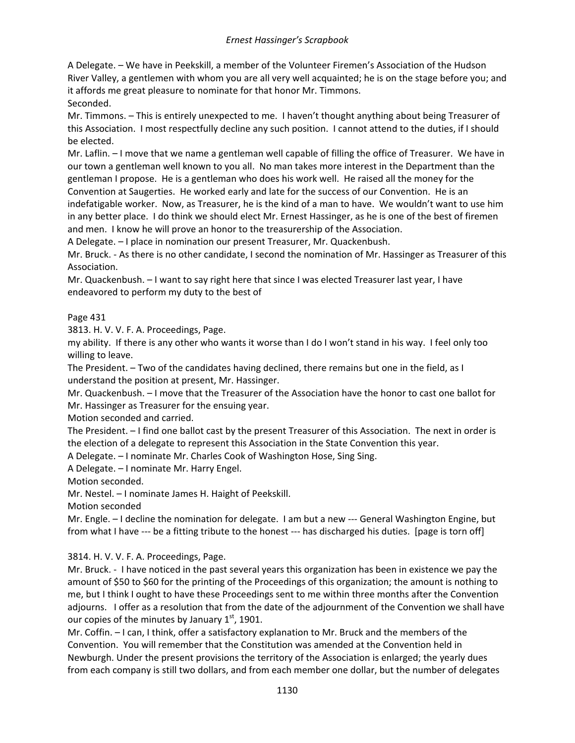A Delegate. – We have in Peekskill, a member of the Volunteer Firemen's Association of the Hudson River Valley, a gentlemen with whom you are all very well acquainted; he is on the stage before you; and it affords me great pleasure to nominate for that honor Mr. Timmons. Seconded.

Mr. Timmons. – This is entirely unexpected to me. I haven't thought anything about being Treasurer of this Association. I most respectfully decline any such position. I cannot attend to the duties, if I should be elected.

Mr. Laflin. – I move that we name a gentleman well capable of filling the office of Treasurer. We have in our town a gentleman well known to you all. No man takes more interest in the Department than the gentleman I propose. He is a gentleman who does his work well. He raised all the money for the Convention at Saugerties. He worked early and late for the success of our Convention. He is an indefatigable worker. Now, as Treasurer, he is the kind of a man to have. We wouldn't want to use him in any better place. I do think we should elect Mr. Ernest Hassinger, as he is one of the best of firemen and men. I know he will prove an honor to the treasurership of the Association.

A Delegate. – I place in nomination our present Treasurer, Mr. Quackenbush.

Mr. Bruck. - As there is no other candidate, I second the nomination of Mr. Hassinger as Treasurer of this Association.

Mr. Quackenbush. – I want to say right here that since I was elected Treasurer last year, I have endeavored to perform my duty to the best of

## Page 431

3813. H. V. V. F. A. Proceedings, Page.

my ability. If there is any other who wants it worse than I do I won't stand in his way. I feel only too willing to leave.

The President. – Two of the candidates having declined, there remains but one in the field, as I understand the position at present, Mr. Hassinger.

Mr. Quackenbush. – I move that the Treasurer of the Association have the honor to cast one ballot for Mr. Hassinger as Treasurer for the ensuing year.

Motion seconded and carried.

The President. – I find one ballot cast by the present Treasurer of this Association. The next in order is the election of a delegate to represent this Association in the State Convention this year.

A Delegate. – I nominate Mr. Charles Cook of Washington Hose, Sing Sing.

A Delegate. – I nominate Mr. Harry Engel.

Motion seconded.

Mr. Nestel. – I nominate James H. Haight of Peekskill.

Motion seconded

Mr. Engle. – I decline the nomination for delegate. I am but a new --- General Washington Engine, but from what I have --- be a fitting tribute to the honest --- has discharged his duties. [page is torn off]

3814. H. V. V. F. A. Proceedings, Page.

Mr. Bruck. - I have noticed in the past several years this organization has been in existence we pay the amount of \$50 to \$60 for the printing of the Proceedings of this organization; the amount is nothing to me, but I think I ought to have these Proceedings sent to me within three months after the Convention adjourns. I offer as a resolution that from the date of the adjournment of the Convention we shall have our copies of the minutes by January  $1<sup>st</sup>$ , 1901.

Mr. Coffin. – I can, I think, offer a satisfactory explanation to Mr. Bruck and the members of the Convention. You will remember that the Constitution was amended at the Convention held in Newburgh. Under the present provisions the territory of the Association is enlarged; the yearly dues from each company is still two dollars, and from each member one dollar, but the number of delegates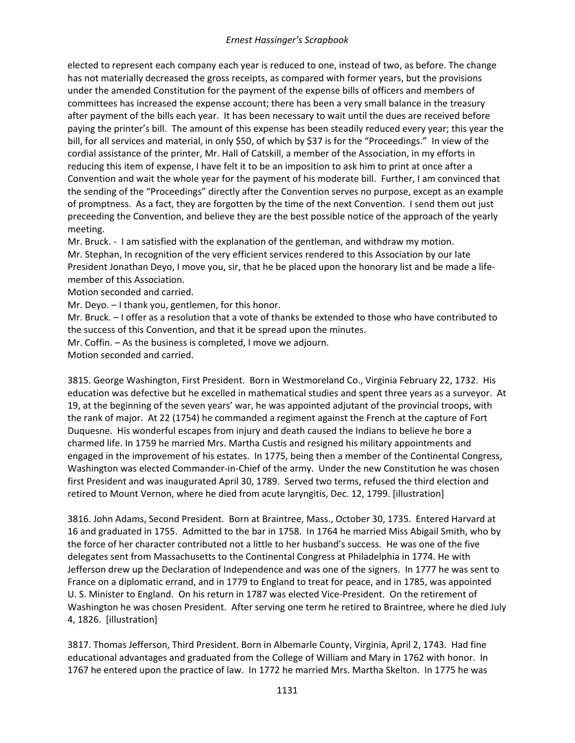elected to represent each company each year is reduced to one, instead of two, as before. The change has not materially decreased the gross receipts, as compared with former years, but the provisions under the amended Constitution for the payment of the expense bills of officers and members of committees has increased the expense account; there has been a very small balance in the treasury after payment of the bills each year. It has been necessary to wait until the dues are received before paying the printer's bill. The amount of this expense has been steadily reduced every year; this year the bill, for all services and material, in only \$50, of which by \$37 is for the "Proceedings." In view of the cordial assistance of the printer, Mr. Hall of Catskill, a member of the Association, in my efforts in reducing this item of expense, I have felt it to be an imposition to ask him to print at once after a Convention and wait the whole year for the payment of his moderate bill. Further, I am convinced that the sending of the "Proceedings" directly after the Convention serves no purpose, except as an example of promptness. As a fact, they are forgotten by the time of the next Convention. I send them out just preceeding the Convention, and believe they are the best possible notice of the approach of the yearly meeting.

Mr. Bruck. - I am satisfied with the explanation of the gentleman, and withdraw my motion. Mr. Stephan, In recognition of the very efficient services rendered to this Association by our late President Jonathan Deyo, I move you, sir, that he be placed upon the honorary list and be made a lifemember of this Association.

Motion seconded and carried.

Mr. Deyo. – I thank you, gentlemen, for this honor.

Mr. Bruck. – I offer as a resolution that a vote of thanks be extended to those who have contributed to the success of this Convention, and that it be spread upon the minutes.

Mr. Coffin. – As the business is completed, I move we adjourn.

Motion seconded and carried.

3815. George Washington, First President. Born in Westmoreland Co., Virginia February 22, 1732. His education was defective but he excelled in mathematical studies and spent three years as a surveyor. At 19, at the beginning of the seven years' war, he was appointed adjutant of the provincial troops, with the rank of major. At 22 (1754) he commanded a regiment against the French at the capture of Fort Duquesne. His wonderful escapes from injury and death caused the Indians to believe he bore a charmed life. In 1759 he married Mrs. Martha Custis and resigned his military appointments and engaged in the improvement of his estates. In 1775, being then a member of the Continental Congress, Washington was elected Commander-in-Chief of the army. Under the new Constitution he was chosen first President and was inaugurated April 30, 1789. Served two terms, refused the third election and retired to Mount Vernon, where he died from acute laryngitis, Dec. 12, 1799. [illustration]

3816. John Adams, Second President. Born at Braintree, Mass., October 30, 1735. Entered Harvard at 16 and graduated in 1755. Admitted to the bar in 1758. In 1764 he married Miss Abigail Smith, who by the force of her character contributed not a little to her husband's success. He was one of the five delegates sent from Massachusetts to the Continental Congress at Philadelphia in 1774. He with Jefferson drew up the Declaration of Independence and was one of the signers. In 1777 he was sent to France on a diplomatic errand, and in 1779 to England to treat for peace, and in 1785, was appointed U. S. Minister to England. On his return in 1787 was elected Vice-President. On the retirement of Washington he was chosen President. After serving one term he retired to Braintree, where he died July 4, 1826. [illustration]

3817. Thomas Jefferson, Third President. Born in Albemarle County, Virginia, April 2, 1743. Had fine educational advantages and graduated from the College of William and Mary in 1762 with honor. In 1767 he entered upon the practice of law. In 1772 he married Mrs. Martha Skelton. In 1775 he was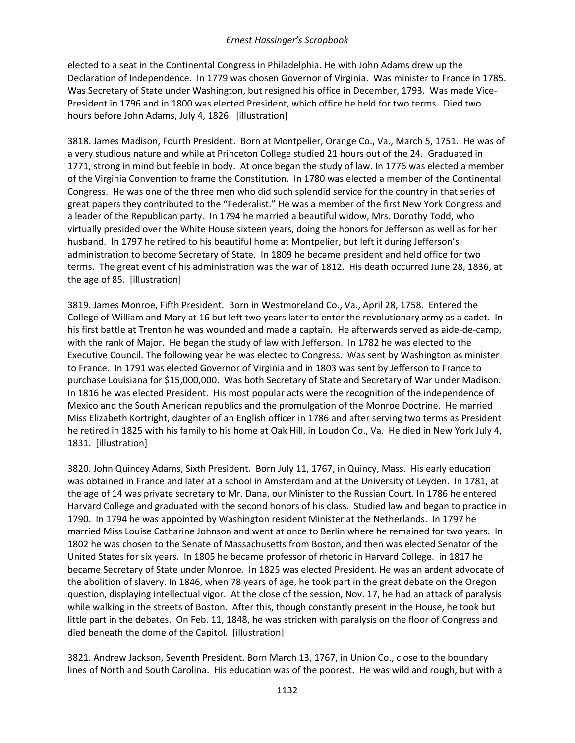elected to a seat in the Continental Congress in Philadelphia. He with John Adams drew up the Declaration of Independence. In 1779 was chosen Governor of Virginia. Was minister to France in 1785. Was Secretary of State under Washington, but resigned his office in December, 1793. Was made Vice-President in 1796 and in 1800 was elected President, which office he held for two terms. Died two hours before John Adams, July 4, 1826. [illustration]

3818. James Madison, Fourth President. Born at Montpelier, Orange Co., Va., March 5, 1751. He was of a very studious nature and while at Princeton College studied 21 hours out of the 24. Graduated in 1771, strong in mind but feeble in body. At once began the study of law. In 1776 was elected a member of the Virginia Convention to frame the Constitution. In 1780 was elected a member of the Continental Congress. He was one of the three men who did such splendid service for the country in that series of great papers they contributed to the "Federalist." He was a member of the first New York Congress and a leader of the Republican party. In 1794 he married a beautiful widow, Mrs. Dorothy Todd, who virtually presided over the White House sixteen years, doing the honors for Jefferson as well as for her husband. In 1797 he retired to his beautiful home at Montpelier, but left it during Jefferson's administration to become Secretary of State. In 1809 he became president and held office for two terms. The great event of his administration was the war of 1812. His death occurred June 28, 1836, at the age of 85. [illustration]

3819. James Monroe, Fifth President. Born in Westmoreland Co., Va., April 28, 1758. Entered the College of William and Mary at 16 but left two years later to enter the revolutionary army as a cadet. In his first battle at Trenton he was wounded and made a captain. He afterwards served as aide-de-camp, with the rank of Major. He began the study of law with Jefferson. In 1782 he was elected to the Executive Council. The following year he was elected to Congress. Was sent by Washington as minister to France. In 1791 was elected Governor of Virginia and in 1803 was sent by Jefferson to France to purchase Louisiana for \$15,000,000. Was both Secretary of State and Secretary of War under Madison. In 1816 he was elected President. His most popular acts were the recognition of the independence of Mexico and the South American republics and the promulgation of the Monroe Doctrine. He married Miss Elizabeth Kortright, daughter of an English officer in 1786 and after serving two terms as President he retired in 1825 with his family to his home at Oak Hill, in Loudon Co., Va. He died in New York July 4, 1831. [illustration]

3820. John Quincey Adams, Sixth President. Born July 11, 1767, in Quincy, Mass. His early education was obtained in France and later at a school in Amsterdam and at the University of Leyden. In 1781, at the age of 14 was private secretary to Mr. Dana, our Minister to the Russian Court. In 1786 he entered Harvard College and graduated with the second honors of his class. Studied law and began to practice in 1790. In 1794 he was appointed by Washington resident Minister at the Netherlands. In 1797 he married Miss Louise Catharine Johnson and went at once to Berlin where he remained for two years. In 1802 he was chosen to the Senate of Massachusetts from Boston, and then was elected Senator of the United States for six years. In 1805 he became professor of rhetoric in Harvard College. in 1817 he became Secretary of State under Monroe. In 1825 was elected President. He was an ardent advocate of the abolition of slavery. In 1846, when 78 years of age, he took part in the great debate on the Oregon question, displaying intellectual vigor. At the close of the session, Nov. 17, he had an attack of paralysis while walking in the streets of Boston. After this, though constantly present in the House, he took but little part in the debates. On Feb. 11, 1848, he was stricken with paralysis on the floor of Congress and died beneath the dome of the Capitol. [illustration]

3821. Andrew Jackson, Seventh President. Born March 13, 1767, in Union Co., close to the boundary lines of North and South Carolina. His education was of the poorest. He was wild and rough, but with a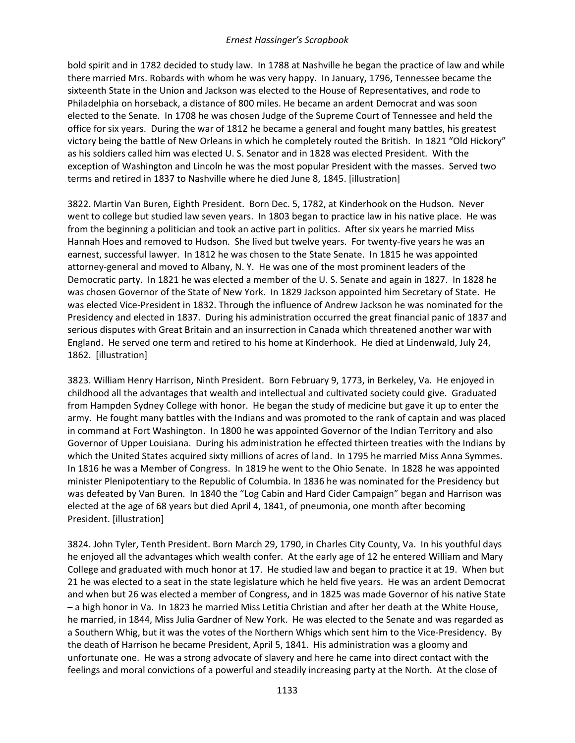bold spirit and in 1782 decided to study law. In 1788 at Nashville he began the practice of law and while there married Mrs. Robards with whom he was very happy. In January, 1796, Tennessee became the sixteenth State in the Union and Jackson was elected to the House of Representatives, and rode to Philadelphia on horseback, a distance of 800 miles. He became an ardent Democrat and was soon elected to the Senate. In 1708 he was chosen Judge of the Supreme Court of Tennessee and held the office for six years. During the war of 1812 he became a general and fought many battles, his greatest victory being the battle of New Orleans in which he completely routed the British. In 1821 "Old Hickory" as his soldiers called him was elected U. S. Senator and in 1828 was elected President. With the exception of Washington and Lincoln he was the most popular President with the masses. Served two terms and retired in 1837 to Nashville where he died June 8, 1845. [illustration]

3822. Martin Van Buren, Eighth President. Born Dec. 5, 1782, at Kinderhook on the Hudson. Never went to college but studied law seven years. In 1803 began to practice law in his native place. He was from the beginning a politician and took an active part in politics. After six years he married Miss Hannah Hoes and removed to Hudson. She lived but twelve years. For twenty-five years he was an earnest, successful lawyer. In 1812 he was chosen to the State Senate. In 1815 he was appointed attorney-general and moved to Albany, N. Y. He was one of the most prominent leaders of the Democratic party. In 1821 he was elected a member of the U. S. Senate and again in 1827. In 1828 he was chosen Governor of the State of New York. In 1829 Jackson appointed him Secretary of State. He was elected Vice-President in 1832. Through the influence of Andrew Jackson he was nominated for the Presidency and elected in 1837. During his administration occurred the great financial panic of 1837 and serious disputes with Great Britain and an insurrection in Canada which threatened another war with England. He served one term and retired to his home at Kinderhook. He died at Lindenwald, July 24, 1862. [illustration]

3823. William Henry Harrison, Ninth President. Born February 9, 1773, in Berkeley, Va. He enjoyed in childhood all the advantages that wealth and intellectual and cultivated society could give. Graduated from Hampden Sydney College with honor. He began the study of medicine but gave it up to enter the army. He fought many battles with the Indians and was promoted to the rank of captain and was placed in command at Fort Washington. In 1800 he was appointed Governor of the Indian Territory and also Governor of Upper Louisiana. During his administration he effected thirteen treaties with the Indians by which the United States acquired sixty millions of acres of land. In 1795 he married Miss Anna Symmes. In 1816 he was a Member of Congress. In 1819 he went to the Ohio Senate. In 1828 he was appointed minister Plenipotentiary to the Republic of Columbia. In 1836 he was nominated for the Presidency but was defeated by Van Buren. In 1840 the "Log Cabin and Hard Cider Campaign" began and Harrison was elected at the age of 68 years but died April 4, 1841, of pneumonia, one month after becoming President. [illustration]

3824. John Tyler, Tenth President. Born March 29, 1790, in Charles City County, Va. In his youthful days he enjoyed all the advantages which wealth confer. At the early age of 12 he entered William and Mary College and graduated with much honor at 17. He studied law and began to practice it at 19. When but 21 he was elected to a seat in the state legislature which he held five years. He was an ardent Democrat and when but 26 was elected a member of Congress, and in 1825 was made Governor of his native State – a high honor in Va. In 1823 he married Miss Letitia Christian and after her death at the White House, he married, in 1844, Miss Julia Gardner of New York. He was elected to the Senate and was regarded as a Southern Whig, but it was the votes of the Northern Whigs which sent him to the Vice-Presidency. By the death of Harrison he became President, April 5, 1841. His administration was a gloomy and unfortunate one. He was a strong advocate of slavery and here he came into direct contact with the feelings and moral convictions of a powerful and steadily increasing party at the North. At the close of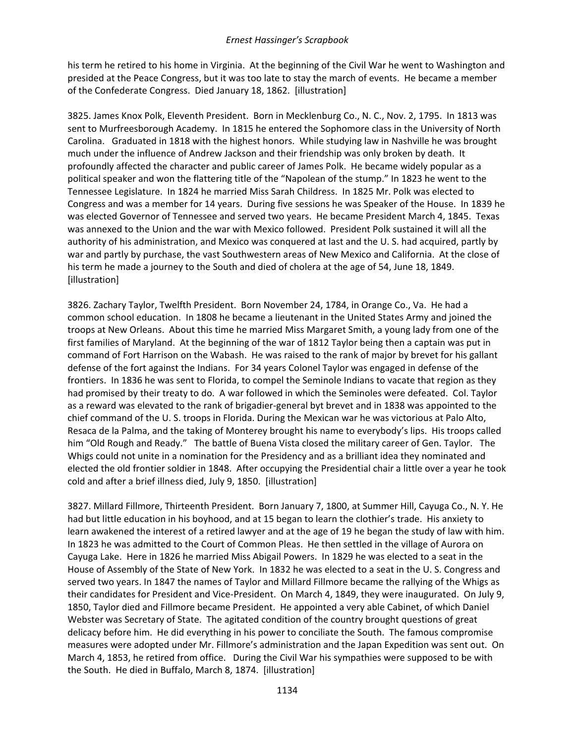his term he retired to his home in Virginia. At the beginning of the Civil War he went to Washington and presided at the Peace Congress, but it was too late to stay the march of events. He became a member of the Confederate Congress. Died January 18, 1862. [illustration]

3825. James Knox Polk, Eleventh President. Born in Mecklenburg Co., N. C., Nov. 2, 1795. In 1813 was sent to Murfreesborough Academy. In 1815 he entered the Sophomore class in the University of North Carolina. Graduated in 1818 with the highest honors. While studying law in Nashville he was brought much under the influence of Andrew Jackson and their friendship was only broken by death. It profoundly affected the character and public career of James Polk. He became widely popular as a political speaker and won the flattering title of the "Napolean of the stump." In 1823 he went to the Tennessee Legislature. In 1824 he married Miss Sarah Childress. In 1825 Mr. Polk was elected to Congress and was a member for 14 years. During five sessions he was Speaker of the House. In 1839 he was elected Governor of Tennessee and served two years. He became President March 4, 1845. Texas was annexed to the Union and the war with Mexico followed. President Polk sustained it will all the authority of his administration, and Mexico was conquered at last and the U. S. had acquired, partly by war and partly by purchase, the vast Southwestern areas of New Mexico and California. At the close of his term he made a journey to the South and died of cholera at the age of 54, June 18, 1849. [illustration]

3826. Zachary Taylor, Twelfth President. Born November 24, 1784, in Orange Co., Va. He had a common school education. In 1808 he became a lieutenant in the United States Army and joined the troops at New Orleans. About this time he married Miss Margaret Smith, a young lady from one of the first families of Maryland. At the beginning of the war of 1812 Taylor being then a captain was put in command of Fort Harrison on the Wabash. He was raised to the rank of major by brevet for his gallant defense of the fort against the Indians. For 34 years Colonel Taylor was engaged in defense of the frontiers. In 1836 he was sent to Florida, to compel the Seminole Indians to vacate that region as they had promised by their treaty to do. A war followed in which the Seminoles were defeated. Col. Taylor as a reward was elevated to the rank of brigadier-general byt brevet and in 1838 was appointed to the chief command of the U. S. troops in Florida. During the Mexican war he was victorious at Palo Alto, Resaca de la Palma, and the taking of Monterey brought his name to everybody's lips. His troops called him "Old Rough and Ready." The battle of Buena Vista closed the military career of Gen. Taylor. The Whigs could not unite in a nomination for the Presidency and as a brilliant idea they nominated and elected the old frontier soldier in 1848. After occupying the Presidential chair a little over a year he took cold and after a brief illness died, July 9, 1850. [illustration]

3827. Millard Fillmore, Thirteenth President. Born January 7, 1800, at Summer Hill, Cayuga Co., N. Y. He had but little education in his boyhood, and at 15 began to learn the clothier's trade. His anxiety to learn awakened the interest of a retired lawyer and at the age of 19 he began the study of law with him. In 1823 he was admitted to the Court of Common Pleas. He then settled in the village of Aurora on Cayuga Lake. Here in 1826 he married Miss Abigail Powers. In 1829 he was elected to a seat in the House of Assembly of the State of New York. In 1832 he was elected to a seat in the U. S. Congress and served two years. In 1847 the names of Taylor and Millard Fillmore became the rallying of the Whigs as their candidates for President and Vice-President. On March 4, 1849, they were inaugurated. On July 9, 1850, Taylor died and Fillmore became President. He appointed a very able Cabinet, of which Daniel Webster was Secretary of State. The agitated condition of the country brought questions of great delicacy before him. He did everything in his power to conciliate the South. The famous compromise measures were adopted under Mr. Fillmore's administration and the Japan Expedition was sent out. On March 4, 1853, he retired from office. During the Civil War his sympathies were supposed to be with the South. He died in Buffalo, March 8, 1874. [illustration]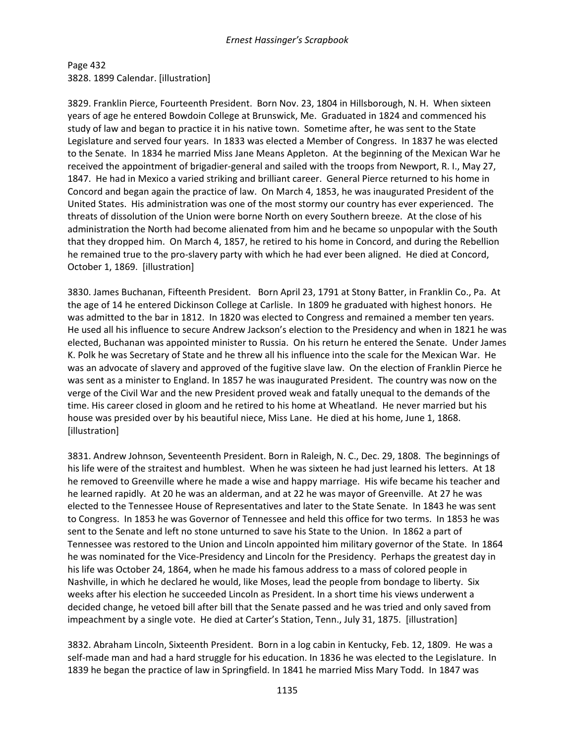Page 432 3828. 1899 Calendar. [illustration]

3829. Franklin Pierce, Fourteenth President. Born Nov. 23, 1804 in Hillsborough, N. H. When sixteen years of age he entered Bowdoin College at Brunswick, Me. Graduated in 1824 and commenced his study of law and began to practice it in his native town. Sometime after, he was sent to the State Legislature and served four years. In 1833 was elected a Member of Congress. In 1837 he was elected to the Senate. In 1834 he married Miss Jane Means Appleton. At the beginning of the Mexican War he received the appointment of brigadier-general and sailed with the troops from Newport, R. I., May 27, 1847. He had in Mexico a varied striking and brilliant career. General Pierce returned to his home in Concord and began again the practice of law. On March 4, 1853, he was inaugurated President of the United States. His administration was one of the most stormy our country has ever experienced. The threats of dissolution of the Union were borne North on every Southern breeze. At the close of his administration the North had become alienated from him and he became so unpopular with the South that they dropped him. On March 4, 1857, he retired to his home in Concord, and during the Rebellion he remained true to the pro-slavery party with which he had ever been aligned. He died at Concord, October 1, 1869. [illustration]

3830. James Buchanan, Fifteenth President. Born April 23, 1791 at Stony Batter, in Franklin Co., Pa. At the age of 14 he entered Dickinson College at Carlisle. In 1809 he graduated with highest honors. He was admitted to the bar in 1812. In 1820 was elected to Congress and remained a member ten years. He used all his influence to secure Andrew Jackson's election to the Presidency and when in 1821 he was elected, Buchanan was appointed minister to Russia. On his return he entered the Senate. Under James K. Polk he was Secretary of State and he threw all his influence into the scale for the Mexican War. He was an advocate of slavery and approved of the fugitive slave law. On the election of Franklin Pierce he was sent as a minister to England. In 1857 he was inaugurated President. The country was now on the verge of the Civil War and the new President proved weak and fatally unequal to the demands of the time. His career closed in gloom and he retired to his home at Wheatland. He never married but his house was presided over by his beautiful niece, Miss Lane. He died at his home, June 1, 1868. [illustration]

3831. Andrew Johnson, Seventeenth President. Born in Raleigh, N. C., Dec. 29, 1808. The beginnings of his life were of the straitest and humblest. When he was sixteen he had just learned his letters. At 18 he removed to Greenville where he made a wise and happy marriage. His wife became his teacher and he learned rapidly. At 20 he was an alderman, and at 22 he was mayor of Greenville. At 27 he was elected to the Tennessee House of Representatives and later to the State Senate. In 1843 he was sent to Congress. In 1853 he was Governor of Tennessee and held this office for two terms. In 1853 he was sent to the Senate and left no stone unturned to save his State to the Union. In 1862 a part of Tennessee was restored to the Union and Lincoln appointed him military governor of the State. In 1864 he was nominated for the Vice-Presidency and Lincoln for the Presidency. Perhaps the greatest day in his life was October 24, 1864, when he made his famous address to a mass of colored people in Nashville, in which he declared he would, like Moses, lead the people from bondage to liberty. Six weeks after his election he succeeded Lincoln as President. In a short time his views underwent a decided change, he vetoed bill after bill that the Senate passed and he was tried and only saved from impeachment by a single vote. He died at Carter's Station, Tenn., July 31, 1875. [illustration]

3832. Abraham Lincoln, Sixteenth President. Born in a log cabin in Kentucky, Feb. 12, 1809. He was a self-made man and had a hard struggle for his education. In 1836 he was elected to the Legislature. In 1839 he began the practice of law in Springfield. In 1841 he married Miss Mary Todd. In 1847 was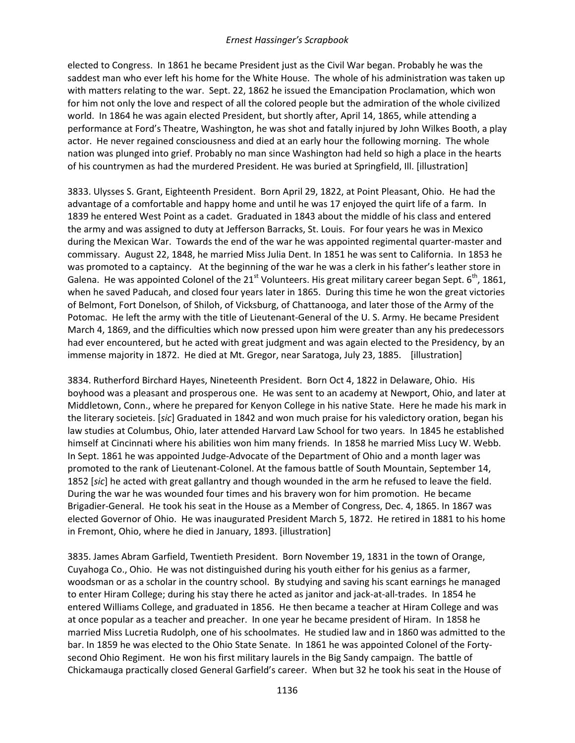elected to Congress. In 1861 he became President just as the Civil War began. Probably he was the saddest man who ever left his home for the White House. The whole of his administration was taken up with matters relating to the war. Sept. 22, 1862 he issued the Emancipation Proclamation, which won for him not only the love and respect of all the colored people but the admiration of the whole civilized world. In 1864 he was again elected President, but shortly after, April 14, 1865, while attending a performance at Ford's Theatre, Washington, he was shot and fatally injured by John Wilkes Booth, a play actor. He never regained consciousness and died at an early hour the following morning. The whole nation was plunged into grief. Probably no man since Washington had held so high a place in the hearts of his countrymen as had the murdered President. He was buried at Springfield, Ill. [illustration]

3833. Ulysses S. Grant, Eighteenth President. Born April 29, 1822, at Point Pleasant, Ohio. He had the advantage of a comfortable and happy home and until he was 17 enjoyed the quirt life of a farm. In 1839 he entered West Point as a cadet. Graduated in 1843 about the middle of his class and entered the army and was assigned to duty at Jefferson Barracks, St. Louis. For four years he was in Mexico during the Mexican War. Towards the end of the war he was appointed regimental quarter-master and commissary. August 22, 1848, he married Miss Julia Dent. In 1851 he was sent to California. In 1853 he was promoted to a captaincy. At the beginning of the war he was a clerk in his father's leather store in Galena. He was appointed Colonel of the 21<sup>st</sup> Volunteers. His great military career began Sept.  $6<sup>th</sup>$ , 1861, when he saved Paducah, and closed four years later in 1865. During this time he won the great victories of Belmont, Fort Donelson, of Shiloh, of Vicksburg, of Chattanooga, and later those of the Army of the Potomac. He left the army with the title of Lieutenant-General of the U. S. Army. He became President March 4, 1869, and the difficulties which now pressed upon him were greater than any his predecessors had ever encountered, but he acted with great judgment and was again elected to the Presidency, by an immense majority in 1872. He died at Mt. Gregor, near Saratoga, July 23, 1885. [illustration]

3834. Rutherford Birchard Hayes, Nineteenth President. Born Oct 4, 1822 in Delaware, Ohio. His boyhood was a pleasant and prosperous one. He was sent to an academy at Newport, Ohio, and later at Middletown, Conn., where he prepared for Kenyon College in his native State. Here he made his mark in the literary societeis. [*sic*] Graduated in 1842 and won much praise for his valedictory oration, began his law studies at Columbus, Ohio, later attended Harvard Law School for two years. In 1845 he established himself at Cincinnati where his abilities won him many friends. In 1858 he married Miss Lucy W. Webb. In Sept. 1861 he was appointed Judge-Advocate of the Department of Ohio and a month lager was promoted to the rank of Lieutenant-Colonel. At the famous battle of South Mountain, September 14, 1852 [*sic*] he acted with great gallantry and though wounded in the arm he refused to leave the field. During the war he was wounded four times and his bravery won for him promotion. He became Brigadier-General. He took his seat in the House as a Member of Congress, Dec. 4, 1865. In 1867 was elected Governor of Ohio. He was inaugurated President March 5, 1872. He retired in 1881 to his home in Fremont, Ohio, where he died in January, 1893. [illustration]

3835. James Abram Garfield, Twentieth President. Born November 19, 1831 in the town of Orange, Cuyahoga Co., Ohio. He was not distinguished during his youth either for his genius as a farmer, woodsman or as a scholar in the country school. By studying and saving his scant earnings he managed to enter Hiram College; during his stay there he acted as janitor and jack-at-all-trades. In 1854 he entered Williams College, and graduated in 1856. He then became a teacher at Hiram College and was at once popular as a teacher and preacher. In one year he became president of Hiram. In 1858 he married Miss Lucretia Rudolph, one of his schoolmates. He studied law and in 1860 was admitted to the bar. In 1859 he was elected to the Ohio State Senate. In 1861 he was appointed Colonel of the Fortysecond Ohio Regiment. He won his first military laurels in the Big Sandy campaign. The battle of Chickamauga practically closed General Garfield's career. When but 32 he took his seat in the House of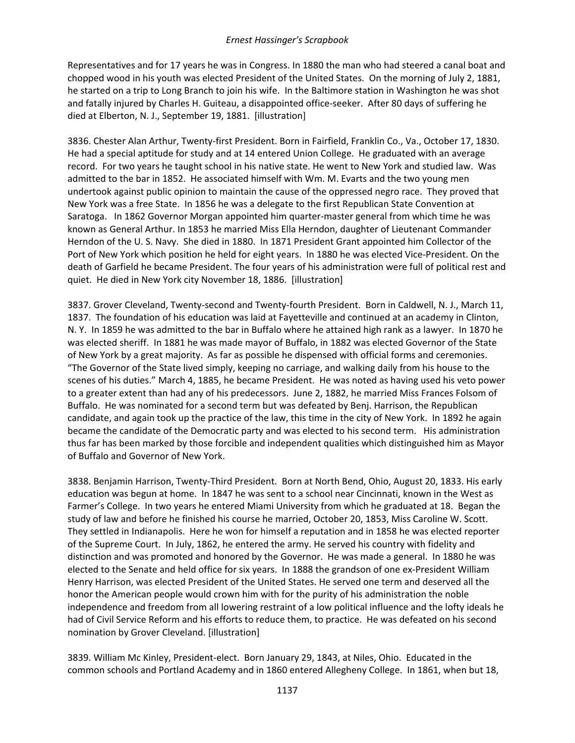Representatives and for 17 years he was in Congress. In 1880 the man who had steered a canal boat and chopped wood in his youth was elected President of the United States. On the morning of July 2, 1881, he started on a trip to Long Branch to join his wife. In the Baltimore station in Washington he was shot and fatally injured by Charles H. Guiteau, a disappointed office-seeker. After 80 days of suffering he died at Elberton, N. J., September 19, 1881. [illustration]

3836. Chester Alan Arthur, Twenty-first President. Born in Fairfield, Franklin Co., Va., October 17, 1830. He had a special aptitude for study and at 14 entered Union College. He graduated with an average record. For two years he taught school in his native state. He went to New York and studied law. Was admitted to the bar in 1852. He associated himself with Wm. M. Evarts and the two young men undertook against public opinion to maintain the cause of the oppressed negro race. They proved that New York was a free State. In 1856 he was a delegate to the first Republican State Convention at Saratoga. In 1862 Governor Morgan appointed him quarter-master general from which time he was known as General Arthur. In 1853 he married Miss Ella Herndon, daughter of Lieutenant Commander Herndon of the U. S. Navy. She died in 1880. In 1871 President Grant appointed him Collector of the Port of New York which position he held for eight years. In 1880 he was elected Vice-President. On the death of Garfield he became President. The four years of his administration were full of political rest and quiet. He died in New York city November 18, 1886. [illustration]

3837. Grover Cleveland, Twenty-second and Twenty-fourth President. Born in Caldwell, N. J., March 11, 1837. The foundation of his education was laid at Fayetteville and continued at an academy in Clinton, N. Y. In 1859 he was admitted to the bar in Buffalo where he attained high rank as a lawyer. In 1870 he was elected sheriff. In 1881 he was made mayor of Buffalo, in 1882 was elected Governor of the State of New York by a great majority. As far as possible he dispensed with official forms and ceremonies. "The Governor of the State lived simply, keeping no carriage, and walking daily from his house to the scenes of his duties." March 4, 1885, he became President. He was noted as having used his veto power to a greater extent than had any of his predecessors. June 2, 1882, he married Miss Frances Folsom of Buffalo. He was nominated for a second term but was defeated by Benj. Harrison, the Republican candidate, and again took up the practice of the law, this time in the city of New York. In 1892 he again became the candidate of the Democratic party and was elected to his second term. His administration thus far has been marked by those forcible and independent qualities which distinguished him as Mayor of Buffalo and Governor of New York.

3838. Benjamin Harrison, Twenty-Third President. Born at North Bend, Ohio, August 20, 1833. His early education was begun at home. In 1847 he was sent to a school near Cincinnati, known in the West as Farmer's College. In two years he entered Miami University from which he graduated at 18. Began the study of law and before he finished his course he married, October 20, 1853, Miss Caroline W. Scott. They settled in Indianapolis. Here he won for himself a reputation and in 1858 he was elected reporter of the Supreme Court. In July, 1862, he entered the army. He served his country with fidelity and distinction and was promoted and honored by the Governor. He was made a general. In 1880 he was elected to the Senate and held office for six years. In 1888 the grandson of one ex-President William Henry Harrison, was elected President of the United States. He served one term and deserved all the honor the American people would crown him with for the purity of his administration the noble independence and freedom from all lowering restraint of a low political influence and the lofty ideals he had of Civil Service Reform and his efforts to reduce them, to practice. He was defeated on his second nomination by Grover Cleveland. [illustration]

3839. William Mc Kinley, President-elect. Born January 29, 1843, at Niles, Ohio. Educated in the common schools and Portland Academy and in 1860 entered Allegheny College. In 1861, when but 18,